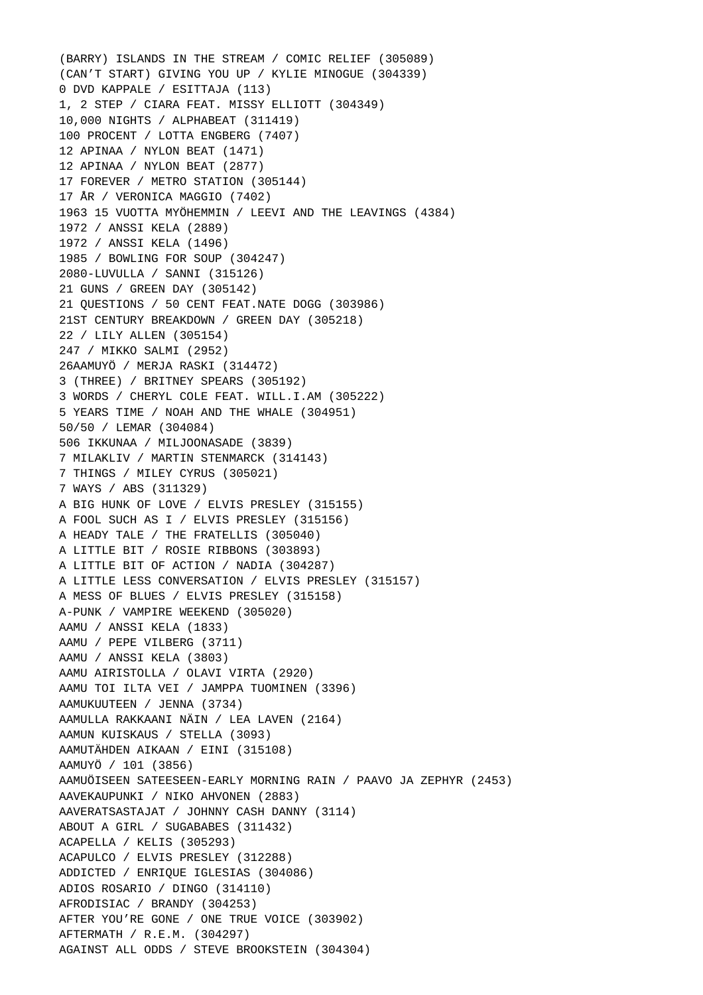(BARRY) ISLANDS IN THE STREAM / COMIC RELIEF (305089) (CAN'T START) GIVING YOU UP / KYLIE MINOGUE (304339) 0 DVD KAPPALE / ESITTAJA (113) 1, 2 STEP / CIARA FEAT. MISSY ELLIOTT (304349) 10,000 NIGHTS / ALPHABEAT (311419) 100 PROCENT / LOTTA ENGBERG (7407) 12 APINAA / NYLON BEAT (1471) 12 APINAA / NYLON BEAT (2877) 17 FOREVER / METRO STATION (305144) 17 ÅR / VERONICA MAGGIO (7402) 1963 15 VUOTTA MYÖHEMMIN / LEEVI AND THE LEAVINGS (4384) 1972 / ANSSI KELA (2889) 1972 / ANSSI KELA (1496) 1985 / BOWLING FOR SOUP (304247) 2080-LUVULLA / SANNI (315126) 21 GUNS / GREEN DAY (305142) 21 QUESTIONS / 50 CENT FEAT.NATE DOGG (303986) 21ST CENTURY BREAKDOWN / GREEN DAY (305218) 22 / LILY ALLEN (305154) 247 / MIKKO SALMI (2952) 26AAMUYÖ / MERJA RASKI (314472) 3 (THREE) / BRITNEY SPEARS (305192) 3 WORDS / CHERYL COLE FEAT. WILL.I.AM (305222) 5 YEARS TIME / NOAH AND THE WHALE (304951) 50/50 / LEMAR (304084) 506 IKKUNAA / MILJOONASADE (3839) 7 MILAKLIV / MARTIN STENMARCK (314143) 7 THINGS / MILEY CYRUS (305021) 7 WAYS / ABS (311329) A BIG HUNK OF LOVE / ELVIS PRESLEY (315155) A FOOL SUCH AS I / ELVIS PRESLEY (315156) A HEADY TALE / THE FRATELLIS (305040) A LITTLE BIT / ROSIE RIBBONS (303893) A LITTLE BIT OF ACTION / NADIA (304287) A LITTLE LESS CONVERSATION / ELVIS PRESLEY (315157) A MESS OF BLUES / ELVIS PRESLEY (315158) A-PUNK / VAMPIRE WEEKEND (305020) AAMU / ANSSI KELA (1833) AAMU / PEPE VILBERG (3711) AAMU / ANSSI KELA (3803) AAMU AIRISTOLLA / OLAVI VIRTA (2920) AAMU TOI ILTA VEI / JAMPPA TUOMINEN (3396) AAMUKUUTEEN / JENNA (3734) AAMULLA RAKKAANI NÄIN / LEA LAVEN (2164) AAMUN KUISKAUS / STELLA (3093) AAMUTÄHDEN AIKAAN / EINI (315108) AAMUYÖ / 101 (3856) AAMUÖISEEN SATEESEEN-EARLY MORNING RAIN / PAAVO JA ZEPHYR (2453) AAVEKAUPUNKI / NIKO AHVONEN (2883) AAVERATSASTAJAT / JOHNNY CASH DANNY (3114) ABOUT A GIRL / SUGABABES (311432) ACAPELLA / KELIS (305293) ACAPULCO / ELVIS PRESLEY (312288) ADDICTED / ENRIQUE IGLESIAS (304086) ADIOS ROSARIO / DINGO (314110) AFRODISIAC / BRANDY (304253) AFTER YOU'RE GONE / ONE TRUE VOICE (303902) AFTERMATH / R.E.M. (304297) AGAINST ALL ODDS / STEVE BROOKSTEIN (304304)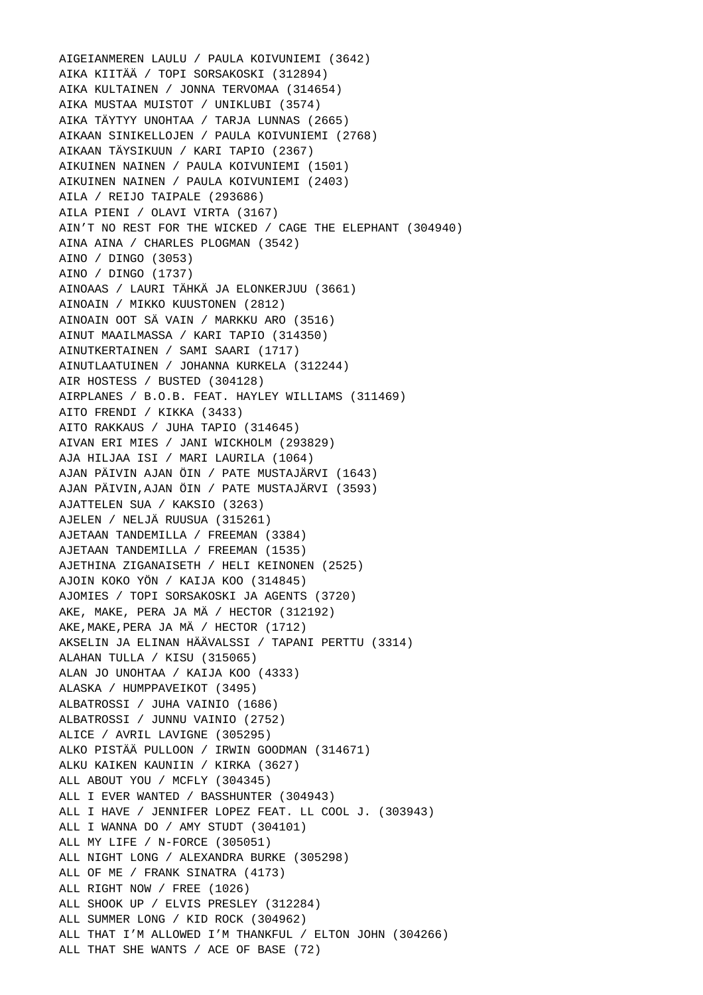AIGEIANMEREN LAULU / PAULA KOIVUNIEMI (3642) AIKA KIITÄÄ / TOPI SORSAKOSKI (312894) AIKA KULTAINEN / JONNA TERVOMAA (314654) AIKA MUSTAA MUISTOT / UNIKLUBI (3574) AIKA TÄYTYY UNOHTAA / TARJA LUNNAS (2665) AIKAAN SINIKELLOJEN / PAULA KOIVUNIEMI (2768) AIKAAN TÄYSIKUUN / KARI TAPIO (2367) AIKUINEN NAINEN / PAULA KOIVUNIEMI (1501) AIKUINEN NAINEN / PAULA KOIVUNIEMI (2403) AILA / REIJO TAIPALE (293686) AILA PIENI / OLAVI VIRTA (3167) AIN'T NO REST FOR THE WICKED / CAGE THE ELEPHANT (304940) AINA AINA / CHARLES PLOGMAN (3542) AINO / DINGO (3053) AINO / DINGO (1737) AINOAAS / LAURI TÄHKÄ JA ELONKERJUU (3661) AINOAIN / MIKKO KUUSTONEN (2812) AINOAIN OOT SÄ VAIN / MARKKU ARO (3516) AINUT MAAILMASSA / KARI TAPIO (314350) AINUTKERTAINEN / SAMI SAARI (1717) AINUTLAATUINEN / JOHANNA KURKELA (312244) AIR HOSTESS / BUSTED (304128) AIRPLANES / B.O.B. FEAT. HAYLEY WILLIAMS (311469) AITO FRENDI / KIKKA (3433) AITO RAKKAUS / JUHA TAPIO (314645) AIVAN ERI MIES / JANI WICKHOLM (293829) AJA HILJAA ISI / MARI LAURILA (1064) AJAN PÄIVIN AJAN ÖIN / PATE MUSTAJÄRVI (1643) AJAN PÄIVIN,AJAN ÖIN / PATE MUSTAJÄRVI (3593) AJATTELEN SUA / KAKSIO (3263) AJELEN / NELJÄ RUUSUA (315261) AJETAAN TANDEMILLA / FREEMAN (3384) AJETAAN TANDEMILLA / FREEMAN (1535) AJETHINA ZIGANAISETH / HELI KEINONEN (2525) AJOIN KOKO YÖN / KAIJA KOO (314845) AJOMIES / TOPI SORSAKOSKI JA AGENTS (3720) AKE, MAKE, PERA JA MÄ / HECTOR (312192) AKE,MAKE,PERA JA MÄ / HECTOR (1712) AKSELIN JA ELINAN HÄÄVALSSI / TAPANI PERTTU (3314) ALAHAN TULLA / KISU (315065) ALAN JO UNOHTAA / KAIJA KOO (4333) ALASKA / HUMPPAVEIKOT (3495) ALBATROSSI / JUHA VAINIO (1686) ALBATROSSI / JUNNU VAINIO (2752) ALICE / AVRIL LAVIGNE (305295) ALKO PISTÄÄ PULLOON / IRWIN GOODMAN (314671) ALKU KAIKEN KAUNIIN / KIRKA (3627) ALL ABOUT YOU / MCFLY (304345) ALL I EVER WANTED / BASSHUNTER (304943) ALL I HAVE / JENNIFER LOPEZ FEAT. LL COOL J. (303943) ALL I WANNA DO / AMY STUDT (304101) ALL MY LIFE / N-FORCE (305051) ALL NIGHT LONG / ALEXANDRA BURKE (305298) ALL OF ME / FRANK SINATRA (4173) ALL RIGHT NOW / FREE (1026) ALL SHOOK UP / ELVIS PRESLEY (312284) ALL SUMMER LONG / KID ROCK (304962) ALL THAT I'M ALLOWED I'M THANKFUL / ELTON JOHN (304266) ALL THAT SHE WANTS / ACE OF BASE (72)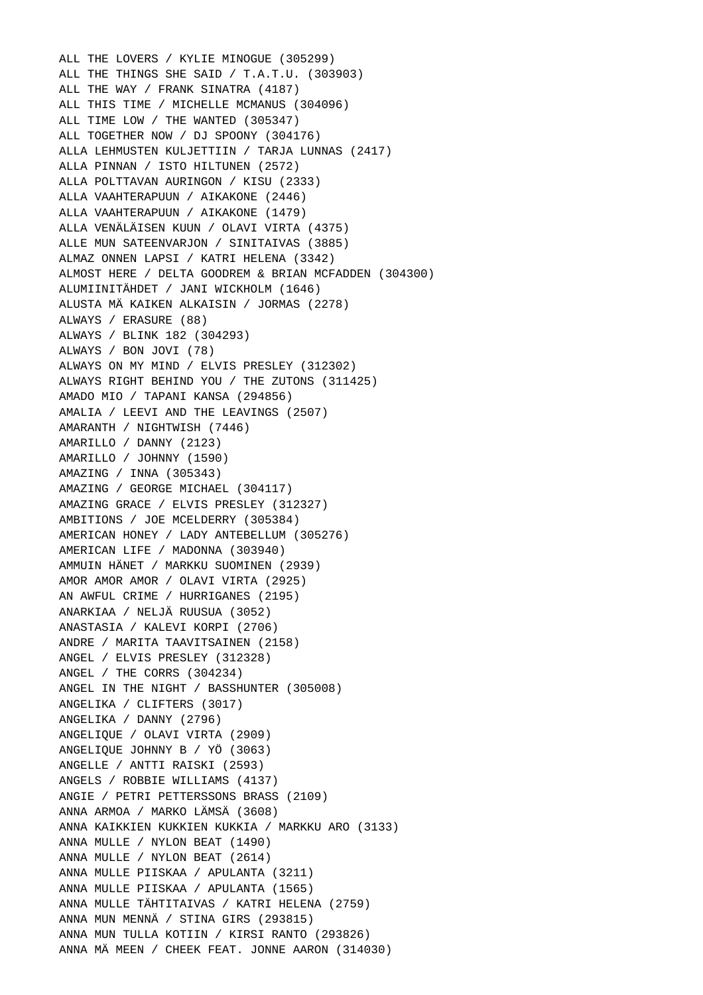ALL THE LOVERS / KYLIE MINOGUE (305299) ALL THE THINGS SHE SAID / T.A.T.U. (303903) ALL THE WAY / FRANK SINATRA (4187) ALL THIS TIME / MICHELLE MCMANUS (304096) ALL TIME LOW / THE WANTED (305347) ALL TOGETHER NOW / DJ SPOONY (304176) ALLA LEHMUSTEN KULJETTIIN / TARJA LUNNAS (2417) ALLA PINNAN / ISTO HILTUNEN (2572) ALLA POLTTAVAN AURINGON / KISU (2333) ALLA VAAHTERAPUUN / AIKAKONE (2446) ALLA VAAHTERAPUUN / AIKAKONE (1479) ALLA VENÄLÄISEN KUUN / OLAVI VIRTA (4375) ALLE MUN SATEENVARJON / SINITAIVAS (3885) ALMAZ ONNEN LAPSI / KATRI HELENA (3342) ALMOST HERE / DELTA GOODREM & BRIAN MCFADDEN (304300) ALUMIINITÄHDET / JANI WICKHOLM (1646) ALUSTA MÄ KAIKEN ALKAISIN / JORMAS (2278) ALWAYS / ERASURE (88) ALWAYS / BLINK 182 (304293) ALWAYS / BON JOVI (78) ALWAYS ON MY MIND / ELVIS PRESLEY (312302) ALWAYS RIGHT BEHIND YOU / THE ZUTONS (311425) AMADO MIO / TAPANI KANSA (294856) AMALIA / LEEVI AND THE LEAVINGS (2507) AMARANTH / NIGHTWISH (7446) AMARILLO / DANNY (2123) AMARILLO / JOHNNY (1590) AMAZING / INNA (305343) AMAZING / GEORGE MICHAEL (304117) AMAZING GRACE / ELVIS PRESLEY (312327) AMBITIONS / JOE MCELDERRY (305384) AMERICAN HONEY / LADY ANTEBELLUM (305276) AMERICAN LIFE / MADONNA (303940) AMMUIN HÄNET / MARKKU SUOMINEN (2939) AMOR AMOR AMOR / OLAVI VIRTA (2925) AN AWFUL CRIME / HURRIGANES (2195) ANARKIAA / NELJÄ RUUSUA (3052) ANASTASIA / KALEVI KORPI (2706) ANDRE / MARITA TAAVITSAINEN (2158) ANGEL / ELVIS PRESLEY (312328) ANGEL / THE CORRS (304234) ANGEL IN THE NIGHT / BASSHUNTER (305008) ANGELIKA / CLIFTERS (3017) ANGELIKA / DANNY (2796) ANGELIQUE / OLAVI VIRTA (2909) ANGELIQUE JOHNNY B / YÖ (3063) ANGELLE / ANTTI RAISKI (2593) ANGELS / ROBBIE WILLIAMS (4137) ANGIE / PETRI PETTERSSONS BRASS (2109) ANNA ARMOA / MARKO LÄMSÄ (3608) ANNA KAIKKIEN KUKKIEN KUKKIA / MARKKU ARO (3133) ANNA MULLE / NYLON BEAT (1490) ANNA MULLE / NYLON BEAT (2614) ANNA MULLE PIISKAA / APULANTA (3211) ANNA MULLE PIISKAA / APULANTA (1565) ANNA MULLE TÄHTITAIVAS / KATRI HELENA (2759) ANNA MUN MENNÄ / STINA GIRS (293815) ANNA MUN TULLA KOTIIN / KIRSI RANTO (293826) ANNA MÄ MEEN / CHEEK FEAT. JONNE AARON (314030)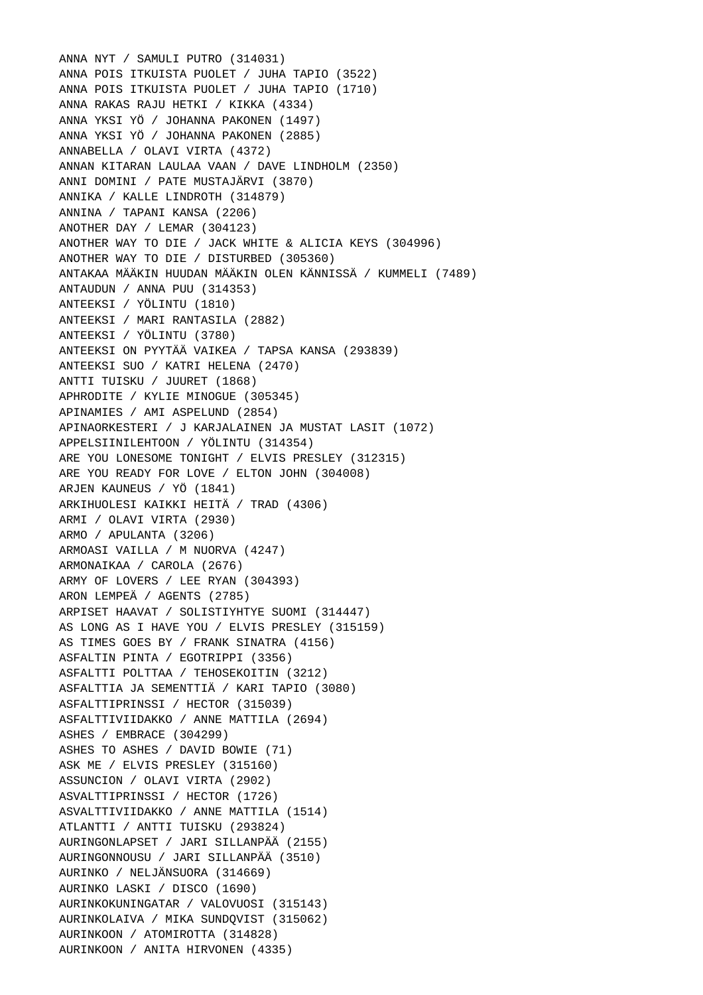ANNA NYT / SAMULI PUTRO (314031) ANNA POIS ITKUISTA PUOLET / JUHA TAPIO (3522) ANNA POIS ITKUISTA PUOLET / JUHA TAPIO (1710) ANNA RAKAS RAJU HETKI / KIKKA (4334) ANNA YKSI YÖ / JOHANNA PAKONEN (1497) ANNA YKSI YÖ / JOHANNA PAKONEN (2885) ANNABELLA / OLAVI VIRTA (4372) ANNAN KITARAN LAULAA VAAN / DAVE LINDHOLM (2350) ANNI DOMINI / PATE MUSTAJÄRVI (3870) ANNIKA / KALLE LINDROTH (314879) ANNINA / TAPANI KANSA (2206) ANOTHER DAY / LEMAR (304123) ANOTHER WAY TO DIE / JACK WHITE & ALICIA KEYS (304996) ANOTHER WAY TO DIE / DISTURBED (305360) ANTAKAA MÄÄKIN HUUDAN MÄÄKIN OLEN KÄNNISSÄ / KUMMELI (7489) ANTAUDUN / ANNA PUU (314353) ANTEEKSI / YÖLINTU (1810) ANTEEKSI / MARI RANTASILA (2882) ANTEEKSI / YÖLINTU (3780) ANTEEKSI ON PYYTÄÄ VAIKEA / TAPSA KANSA (293839) ANTEEKSI SUO / KATRI HELENA (2470) ANTTI TUISKU / JUURET (1868) APHRODITE / KYLIE MINOGUE (305345) APINAMIES / AMI ASPELUND (2854) APINAORKESTERI / J KARJALAINEN JA MUSTAT LASIT (1072) APPELSIINILEHTOON / YÖLINTU (314354) ARE YOU LONESOME TONIGHT / ELVIS PRESLEY (312315) ARE YOU READY FOR LOVE / ELTON JOHN (304008) ARJEN KAUNEUS / YÖ (1841) ARKIHUOLESI KAIKKI HEITÄ / TRAD (4306) ARMI / OLAVI VIRTA (2930) ARMO / APULANTA (3206) ARMOASI VAILLA / M NUORVA (4247) ARMONAIKAA / CAROLA (2676) ARMY OF LOVERS / LEE RYAN (304393) ARON LEMPEÄ / AGENTS (2785) ARPISET HAAVAT / SOLISTIYHTYE SUOMI (314447) AS LONG AS I HAVE YOU / ELVIS PRESLEY (315159) AS TIMES GOES BY / FRANK SINATRA (4156) ASFALTIN PINTA / EGOTRIPPI (3356) ASFALTTI POLTTAA / TEHOSEKOITIN (3212) ASFALTTIA JA SEMENTTIÄ / KARI TAPIO (3080) ASFALTTIPRINSSI / HECTOR (315039) ASFALTTIVIIDAKKO / ANNE MATTILA (2694) ASHES / EMBRACE (304299) ASHES TO ASHES / DAVID BOWIE (71) ASK ME / ELVIS PRESLEY (315160) ASSUNCION / OLAVI VIRTA (2902) ASVALTTIPRINSSI / HECTOR (1726) ASVALTTIVIIDAKKO / ANNE MATTILA (1514) ATLANTTI / ANTTI TUISKU (293824) AURINGONLAPSET / JARI SILLANPÄÄ (2155) AURINGONNOUSU / JARI SILLANPÄÄ (3510) AURINKO / NELJÄNSUORA (314669) AURINKO LASKI / DISCO (1690) AURINKOKUNINGATAR / VALOVUOSI (315143) AURINKOLAIVA / MIKA SUNDQVIST (315062) AURINKOON / ATOMIROTTA (314828) AURINKOON / ANITA HIRVONEN (4335)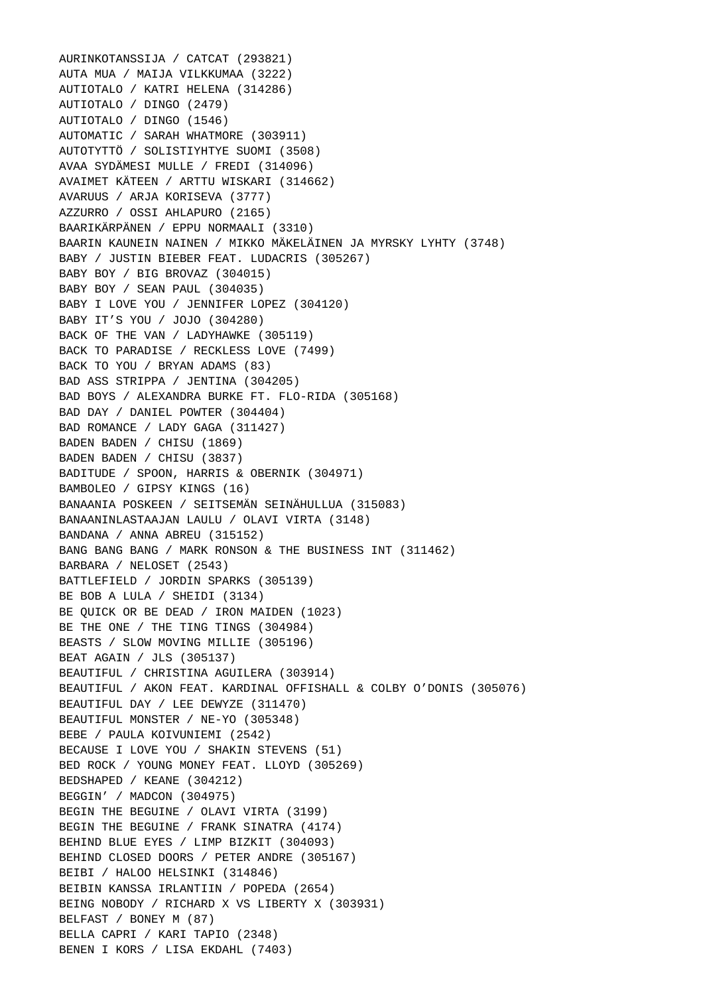AURINKOTANSSIJA / CATCAT (293821) AUTA MUA / MAIJA VILKKUMAA (3222) AUTIOTALO / KATRI HELENA (314286) AUTIOTALO / DINGO (2479) AUTIOTALO / DINGO (1546) AUTOMATIC / SARAH WHATMORE (303911) AUTOTYTTÖ / SOLISTIYHTYE SUOMI (3508) AVAA SYDÄMESI MULLE / FREDI (314096) AVAIMET KÄTEEN / ARTTU WISKARI (314662) AVARUUS / ARJA KORISEVA (3777) AZZURRO / OSSI AHLAPURO (2165) BAARIKÄRPÄNEN / EPPU NORMAALI (3310) BAARIN KAUNEIN NAINEN / MIKKO MÄKELÄINEN JA MYRSKY LYHTY (3748) BABY / JUSTIN BIEBER FEAT. LUDACRIS (305267) BABY BOY / BIG BROVAZ (304015) BABY BOY / SEAN PAUL (304035) BABY I LOVE YOU / JENNIFER LOPEZ (304120) BABY IT'S YOU / JOJO (304280) BACK OF THE VAN / LADYHAWKE (305119) BACK TO PARADISE / RECKLESS LOVE (7499) BACK TO YOU / BRYAN ADAMS (83) BAD ASS STRIPPA / JENTINA (304205) BAD BOYS / ALEXANDRA BURKE FT. FLO-RIDA (305168) BAD DAY / DANIEL POWTER (304404) BAD ROMANCE / LADY GAGA (311427) BADEN BADEN / CHISU (1869) BADEN BADEN / CHISU (3837) BADITUDE / SPOON, HARRIS & OBERNIK (304971) BAMBOLEO / GIPSY KINGS (16) BANAANIA POSKEEN / SEITSEMÄN SEINÄHULLUA (315083) BANAANINLASTAAJAN LAULU / OLAVI VIRTA (3148) BANDANA / ANNA ABREU (315152) BANG BANG BANG / MARK RONSON & THE BUSINESS INT (311462) BARBARA / NELOSET (2543) BATTLEFIELD / JORDIN SPARKS (305139) BE BOB A LULA / SHEIDI (3134) BE QUICK OR BE DEAD / IRON MAIDEN (1023) BE THE ONE / THE TING TINGS (304984) BEASTS / SLOW MOVING MILLIE (305196) BEAT AGAIN / JLS (305137) BEAUTIFUL / CHRISTINA AGUILERA (303914) BEAUTIFUL / AKON FEAT. KARDINAL OFFISHALL & COLBY O'DONIS (305076) BEAUTIFUL DAY / LEE DEWYZE (311470) BEAUTIFUL MONSTER / NE-YO (305348) BEBE / PAULA KOIVUNIEMI (2542) BECAUSE I LOVE YOU / SHAKIN STEVENS (51) BED ROCK / YOUNG MONEY FEAT. LLOYD (305269) BEDSHAPED / KEANE (304212) BEGGIN' / MADCON (304975) BEGIN THE BEGUINE / OLAVI VIRTA (3199) BEGIN THE BEGUINE / FRANK SINATRA (4174) BEHIND BLUE EYES / LIMP BIZKIT (304093) BEHIND CLOSED DOORS / PETER ANDRE (305167) BEIBI / HALOO HELSINKI (314846) BEIBIN KANSSA IRLANTIIN / POPEDA (2654) BEING NOBODY / RICHARD X VS LIBERTY X (303931) BELFAST / BONEY M (87) BELLA CAPRI / KARI TAPIO (2348) BENEN I KORS / LISA EKDAHL (7403)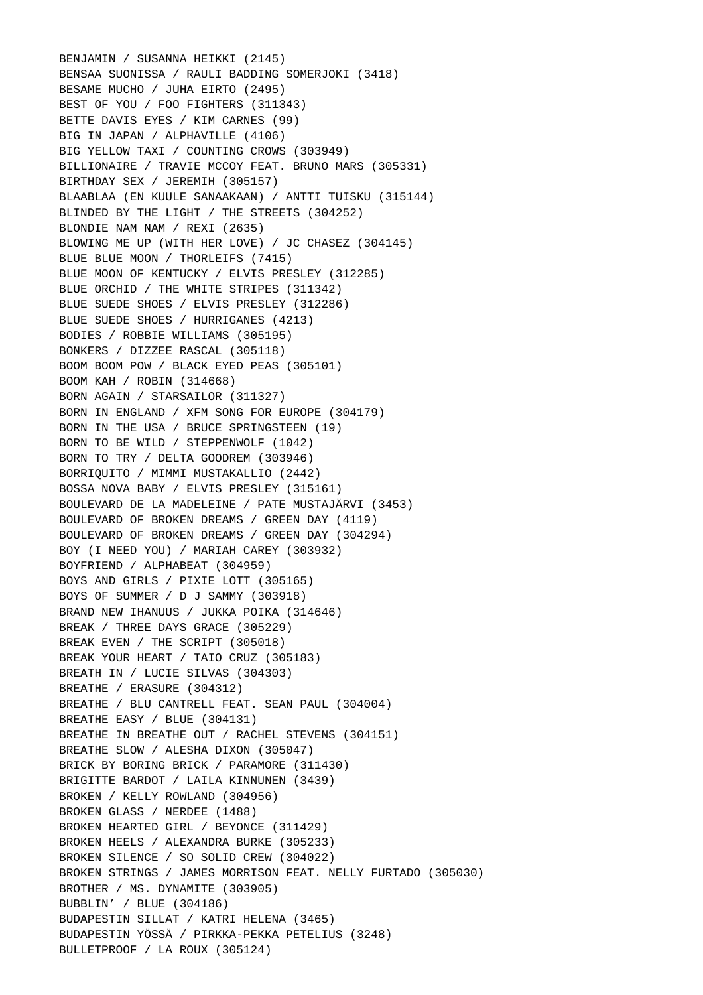BENJAMIN / SUSANNA HEIKKI (2145) BENSAA SUONISSA / RAULI BADDING SOMERJOKI (3418) BESAME MUCHO / JUHA EIRTO (2495) BEST OF YOU / FOO FIGHTERS (311343) BETTE DAVIS EYES / KIM CARNES (99) BIG IN JAPAN / ALPHAVILLE (4106) BIG YELLOW TAXI / COUNTING CROWS (303949) BILLIONAIRE / TRAVIE MCCOY FEAT. BRUNO MARS (305331) BIRTHDAY SEX / JEREMIH (305157) BLAABLAA (EN KUULE SANAAKAAN) / ANTTI TUISKU (315144) BLINDED BY THE LIGHT / THE STREETS (304252) BLONDIE NAM NAM / REXI (2635) BLOWING ME UP (WITH HER LOVE) / JC CHASEZ (304145) BLUE BLUE MOON / THORLEIFS (7415) BLUE MOON OF KENTUCKY / ELVIS PRESLEY (312285) BLUE ORCHID / THE WHITE STRIPES (311342) BLUE SUEDE SHOES / ELVIS PRESLEY (312286) BLUE SUEDE SHOES / HURRIGANES (4213) BODIES / ROBBIE WILLIAMS (305195) BONKERS / DIZZEE RASCAL (305118) BOOM BOOM POW / BLACK EYED PEAS (305101) BOOM KAH / ROBIN (314668) BORN AGAIN / STARSAILOR (311327) BORN IN ENGLAND / XFM SONG FOR EUROPE (304179) BORN IN THE USA / BRUCE SPRINGSTEEN (19) BORN TO BE WILD / STEPPENWOLF (1042) BORN TO TRY / DELTA GOODREM (303946) BORRIQUITO / MIMMI MUSTAKALLIO (2442) BOSSA NOVA BABY / ELVIS PRESLEY (315161) BOULEVARD DE LA MADELEINE / PATE MUSTAJÄRVI (3453) BOULEVARD OF BROKEN DREAMS / GREEN DAY (4119) BOULEVARD OF BROKEN DREAMS / GREEN DAY (304294) BOY (I NEED YOU) / MARIAH CAREY (303932) BOYFRIEND / ALPHABEAT (304959) BOYS AND GIRLS / PIXIE LOTT (305165) BOYS OF SUMMER / D J SAMMY (303918) BRAND NEW IHANUUS / JUKKA POIKA (314646) BREAK / THREE DAYS GRACE (305229) BREAK EVEN / THE SCRIPT (305018) BREAK YOUR HEART / TAIO CRUZ (305183) BREATH IN / LUCIE SILVAS (304303) BREATHE / ERASURE (304312) BREATHE / BLU CANTRELL FEAT. SEAN PAUL (304004) BREATHE EASY / BLUE (304131) BREATHE IN BREATHE OUT / RACHEL STEVENS (304151) BREATHE SLOW / ALESHA DIXON (305047) BRICK BY BORING BRICK / PARAMORE (311430) BRIGITTE BARDOT / LAILA KINNUNEN (3439) BROKEN / KELLY ROWLAND (304956) BROKEN GLASS / NERDEE (1488) BROKEN HEARTED GIRL / BEYONCE (311429) BROKEN HEELS / ALEXANDRA BURKE (305233) BROKEN SILENCE / SO SOLID CREW (304022) BROKEN STRINGS / JAMES MORRISON FEAT. NELLY FURTADO (305030) BROTHER / MS. DYNAMITE (303905) BUBBLIN' / BLUE (304186) BUDAPESTIN SILLAT / KATRI HELENA (3465) BUDAPESTIN YÖSSÄ / PIRKKA-PEKKA PETELIUS (3248) BULLETPROOF / LA ROUX (305124)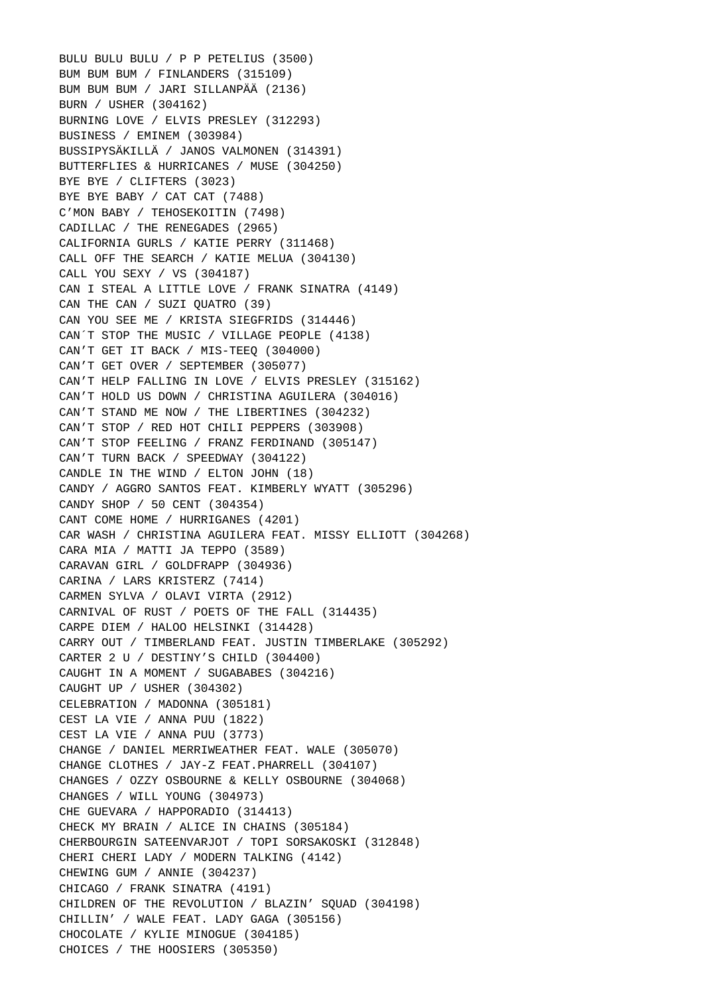BULU BULU BULU / P P PETELIUS (3500) BUM BUM BUM / FINLANDERS (315109) BUM BUM BUM / JARI SILLANPÄÄ (2136) BURN / USHER (304162) BURNING LOVE / ELVIS PRESLEY (312293) BUSINESS / EMINEM (303984) BUSSIPYSÄKILLÄ / JANOS VALMONEN (314391) BUTTERFLIES & HURRICANES / MUSE (304250) BYE BYE / CLIFTERS (3023) BYE BYE BABY / CAT CAT (7488) C'MON BABY / TEHOSEKOITIN (7498) CADILLAC / THE RENEGADES (2965) CALIFORNIA GURLS / KATIE PERRY (311468) CALL OFF THE SEARCH / KATIE MELUA (304130) CALL YOU SEXY / VS (304187) CAN I STEAL A LITTLE LOVE / FRANK SINATRA (4149) CAN THE CAN / SUZI QUATRO (39) CAN YOU SEE ME / KRISTA SIEGFRIDS (314446) CAN´T STOP THE MUSIC / VILLAGE PEOPLE (4138) CAN'T GET IT BACK / MIS-TEEQ (304000) CAN'T GET OVER / SEPTEMBER (305077) CAN'T HELP FALLING IN LOVE / ELVIS PRESLEY (315162) CAN'T HOLD US DOWN / CHRISTINA AGUILERA (304016) CAN'T STAND ME NOW / THE LIBERTINES (304232) CAN'T STOP / RED HOT CHILI PEPPERS (303908) CAN'T STOP FEELING / FRANZ FERDINAND (305147) CAN'T TURN BACK / SPEEDWAY (304122) CANDLE IN THE WIND / ELTON JOHN (18) CANDY / AGGRO SANTOS FEAT. KIMBERLY WYATT (305296) CANDY SHOP / 50 CENT (304354) CANT COME HOME / HURRIGANES (4201) CAR WASH / CHRISTINA AGUILERA FEAT. MISSY ELLIOTT (304268) CARA MIA / MATTI JA TEPPO (3589) CARAVAN GIRL / GOLDFRAPP (304936) CARINA / LARS KRISTERZ (7414) CARMEN SYLVA / OLAVI VIRTA (2912) CARNIVAL OF RUST / POETS OF THE FALL (314435) CARPE DIEM / HALOO HELSINKI (314428) CARRY OUT / TIMBERLAND FEAT. JUSTIN TIMBERLAKE (305292) CARTER 2 U / DESTINY'S CHILD (304400) CAUGHT IN A MOMENT / SUGABABES (304216) CAUGHT UP / USHER (304302) CELEBRATION / MADONNA (305181) CEST LA VIE / ANNA PUU (1822) CEST LA VIE / ANNA PUU (3773) CHANGE / DANIEL MERRIWEATHER FEAT. WALE (305070) CHANGE CLOTHES / JAY-Z FEAT.PHARRELL (304107) CHANGES / OZZY OSBOURNE & KELLY OSBOURNE (304068) CHANGES / WILL YOUNG (304973) CHE GUEVARA / HAPPORADIO (314413) CHECK MY BRAIN / ALICE IN CHAINS (305184) CHERBOURGIN SATEENVARJOT / TOPI SORSAKOSKI (312848) CHERI CHERI LADY / MODERN TALKING (4142) CHEWING GUM / ANNIE (304237) CHICAGO / FRANK SINATRA (4191) CHILDREN OF THE REVOLUTION / BLAZIN' SQUAD (304198) CHILLIN' / WALE FEAT. LADY GAGA (305156) CHOCOLATE / KYLIE MINOGUE (304185) CHOICES / THE HOOSIERS (305350)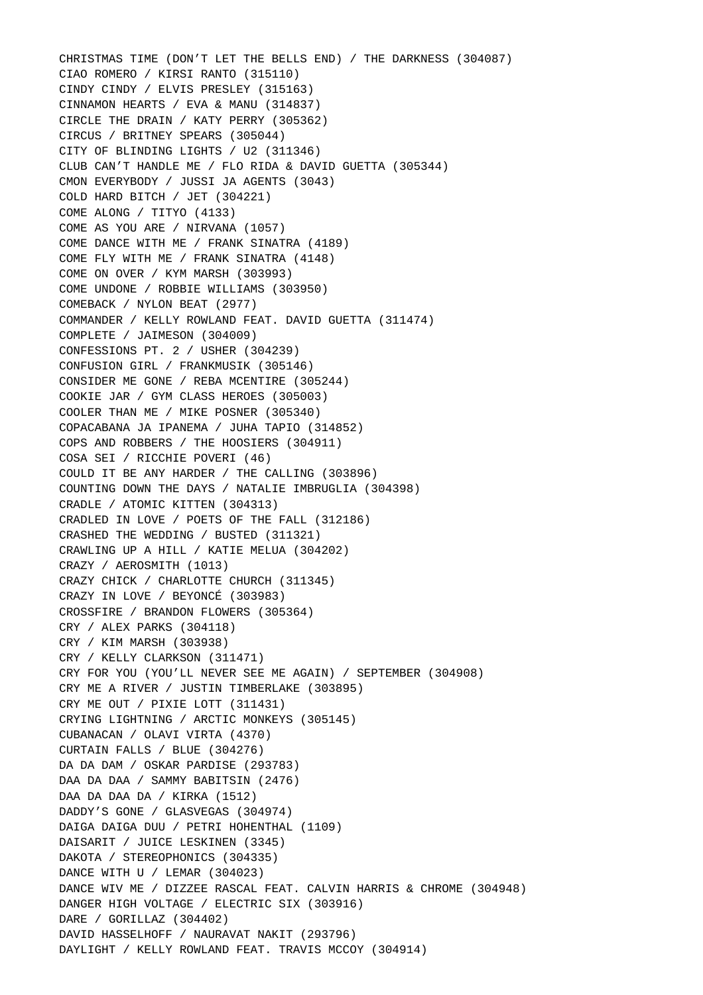CHRISTMAS TIME (DON'T LET THE BELLS END) / THE DARKNESS (304087) CIAO ROMERO / KIRSI RANTO (315110) CINDY CINDY / ELVIS PRESLEY (315163) CINNAMON HEARTS / EVA & MANU (314837) CIRCLE THE DRAIN / KATY PERRY (305362) CIRCUS / BRITNEY SPEARS (305044) CITY OF BLINDING LIGHTS / U2 (311346) CLUB CAN'T HANDLE ME / FLO RIDA & DAVID GUETTA (305344) CMON EVERYBODY / JUSSI JA AGENTS (3043) COLD HARD BITCH / JET (304221) COME ALONG / TITYO (4133) COME AS YOU ARE / NIRVANA (1057) COME DANCE WITH ME / FRANK SINATRA (4189) COME FLY WITH ME / FRANK SINATRA (4148) COME ON OVER / KYM MARSH (303993) COME UNDONE / ROBBIE WILLIAMS (303950) COMEBACK / NYLON BEAT (2977) COMMANDER / KELLY ROWLAND FEAT. DAVID GUETTA (311474) COMPLETE / JAIMESON (304009) CONFESSIONS PT. 2 / USHER (304239) CONFUSION GIRL / FRANKMUSIK (305146) CONSIDER ME GONE / REBA MCENTIRE (305244) COOKIE JAR / GYM CLASS HEROES (305003) COOLER THAN ME / MIKE POSNER (305340) COPACABANA JA IPANEMA / JUHA TAPIO (314852) COPS AND ROBBERS / THE HOOSIERS (304911) COSA SEI / RICCHIE POVERI (46) COULD IT BE ANY HARDER / THE CALLING (303896) COUNTING DOWN THE DAYS / NATALIE IMBRUGLIA (304398) CRADLE / ATOMIC KITTEN (304313) CRADLED IN LOVE / POETS OF THE FALL (312186) CRASHED THE WEDDING / BUSTED (311321) CRAWLING UP A HILL / KATIE MELUA (304202) CRAZY / AEROSMITH (1013) CRAZY CHICK / CHARLOTTE CHURCH (311345) CRAZY IN LOVE / BEYONCÉ (303983) CROSSFIRE / BRANDON FLOWERS (305364) CRY / ALEX PARKS (304118) CRY / KIM MARSH (303938) CRY / KELLY CLARKSON (311471) CRY FOR YOU (YOU'LL NEVER SEE ME AGAIN) / SEPTEMBER (304908) CRY ME A RIVER / JUSTIN TIMBERLAKE (303895) CRY ME OUT / PIXIE LOTT (311431) CRYING LIGHTNING / ARCTIC MONKEYS (305145) CUBANACAN / OLAVI VIRTA (4370) CURTAIN FALLS / BLUE (304276) DA DA DAM / OSKAR PARDISE (293783) DAA DA DAA / SAMMY BABITSIN (2476) DAA DA DAA DA / KIRKA (1512) DADDY'S GONE / GLASVEGAS (304974) DAIGA DAIGA DUU / PETRI HOHENTHAL (1109) DAISARIT / JUICE LESKINEN (3345) DAKOTA / STEREOPHONICS (304335) DANCE WITH U / LEMAR (304023) DANCE WIV ME / DIZZEE RASCAL FEAT. CALVIN HARRIS & CHROME (304948) DANGER HIGH VOLTAGE / ELECTRIC SIX (303916) DARE / GORILLAZ (304402) DAVID HASSELHOFF / NAURAVAT NAKIT (293796) DAYLIGHT / KELLY ROWLAND FEAT. TRAVIS MCCOY (304914)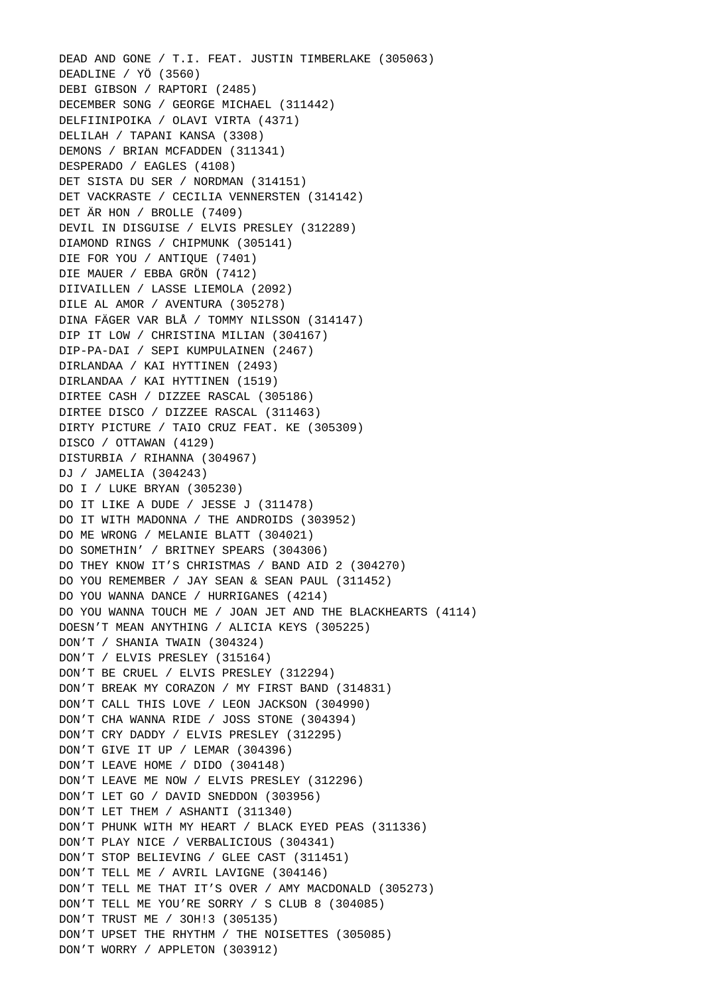DEAD AND GONE / T.I. FEAT. JUSTIN TIMBERLAKE (305063) DEADLINE / YÖ (3560) DEBI GIBSON / RAPTORI (2485) DECEMBER SONG / GEORGE MICHAEL (311442) DELFIINIPOIKA / OLAVI VIRTA (4371) DELILAH / TAPANI KANSA (3308) DEMONS / BRIAN MCFADDEN (311341) DESPERADO / EAGLES (4108) DET SISTA DU SER / NORDMAN (314151) DET VACKRASTE / CECILIA VENNERSTEN (314142) DET ÄR HON / BROLLE (7409) DEVIL IN DISGUISE / ELVIS PRESLEY (312289) DIAMOND RINGS / CHIPMUNK (305141) DIE FOR YOU / ANTIQUE (7401) DIE MAUER / EBBA GRÖN (7412) DIIVAILLEN / LASSE LIEMOLA (2092) DILE AL AMOR / AVENTURA (305278) DINA FÄGER VAR BLÅ / TOMMY NILSSON (314147) DIP IT LOW / CHRISTINA MILIAN (304167) DIP-PA-DAI / SEPI KUMPULAINEN (2467) DIRLANDAA / KAI HYTTINEN (2493) DIRLANDAA / KAI HYTTINEN (1519) DIRTEE CASH / DIZZEE RASCAL (305186) DIRTEE DISCO / DIZZEE RASCAL (311463) DIRTY PICTURE / TAIO CRUZ FEAT. KE (305309) DISCO / OTTAWAN (4129) DISTURBIA / RIHANNA (304967) DJ / JAMELIA (304243) DO I / LUKE BRYAN (305230) DO IT LIKE A DUDE / JESSE J (311478) DO IT WITH MADONNA / THE ANDROIDS (303952) DO ME WRONG / MELANIE BLATT (304021) DO SOMETHIN' / BRITNEY SPEARS (304306) DO THEY KNOW IT'S CHRISTMAS / BAND AID 2 (304270) DO YOU REMEMBER / JAY SEAN & SEAN PAUL (311452) DO YOU WANNA DANCE / HURRIGANES (4214) DO YOU WANNA TOUCH ME / JOAN JET AND THE BLACKHEARTS (4114) DOESN'T MEAN ANYTHING / ALICIA KEYS (305225) DON'T / SHANIA TWAIN (304324) DON'T / ELVIS PRESLEY (315164) DON'T BE CRUEL / ELVIS PRESLEY (312294) DON'T BREAK MY CORAZON / MY FIRST BAND (314831) DON'T CALL THIS LOVE / LEON JACKSON (304990) DON'T CHA WANNA RIDE / JOSS STONE (304394) DON'T CRY DADDY / ELVIS PRESLEY (312295) DON'T GIVE IT UP / LEMAR (304396) DON'T LEAVE HOME / DIDO (304148) DON'T LEAVE ME NOW / ELVIS PRESLEY (312296) DON'T LET GO / DAVID SNEDDON (303956) DON'T LET THEM / ASHANTI (311340) DON'T PHUNK WITH MY HEART / BLACK EYED PEAS (311336) DON'T PLAY NICE / VERBALICIOUS (304341) DON'T STOP BELIEVING / GLEE CAST (311451) DON'T TELL ME / AVRIL LAVIGNE (304146) DON'T TELL ME THAT IT'S OVER / AMY MACDONALD (305273) DON'T TELL ME YOU'RE SORRY / S CLUB 8 (304085) DON'T TRUST ME / 3OH!3 (305135) DON'T UPSET THE RHYTHM / THE NOISETTES (305085) DON'T WORRY / APPLETON (303912)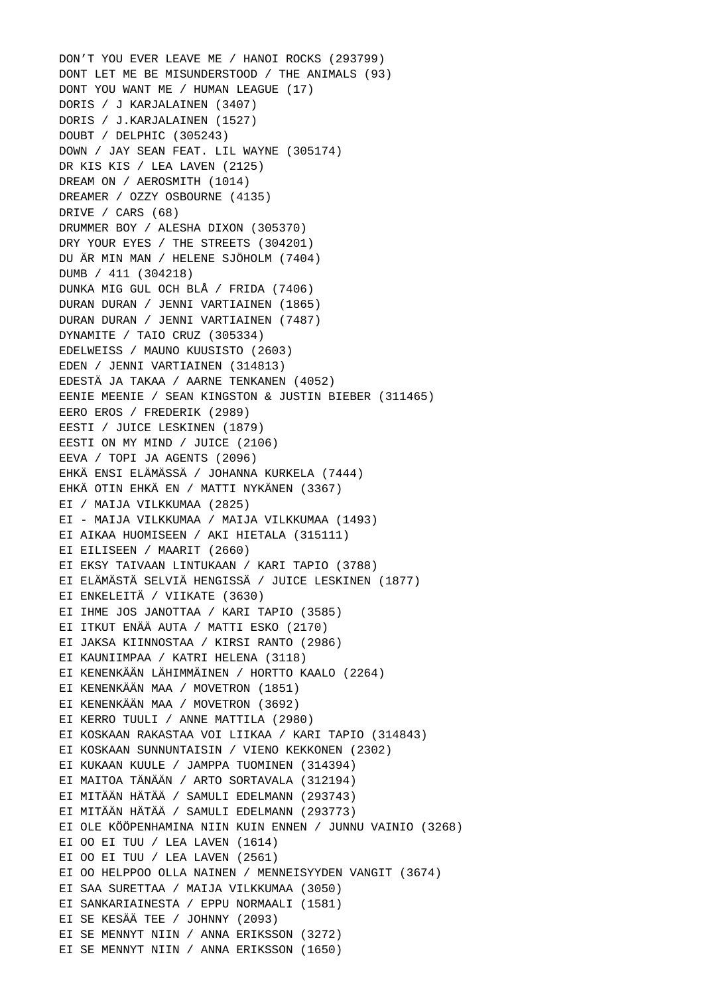DON'T YOU EVER LEAVE ME / HANOI ROCKS (293799) DONT LET ME BE MISUNDERSTOOD / THE ANIMALS (93) DONT YOU WANT ME / HUMAN LEAGUE (17) DORIS / J KARJALAINEN (3407) DORIS / J.KARJALAINEN (1527) DOUBT / DELPHIC (305243) DOWN / JAY SEAN FEAT. LIL WAYNE (305174) DR KIS KIS / LEA LAVEN (2125) DREAM ON / AEROSMITH (1014) DREAMER / OZZY OSBOURNE (4135) DRIVE / CARS (68) DRUMMER BOY / ALESHA DIXON (305370) DRY YOUR EYES / THE STREETS (304201) DU ÄR MIN MAN / HELENE SJÖHOLM (7404) DUMB / 411 (304218) DUNKA MIG GUL OCH BLÅ / FRIDA (7406) DURAN DURAN / JENNI VARTIAINEN (1865) DURAN DURAN / JENNI VARTIAINEN (7487) DYNAMITE / TAIO CRUZ (305334) EDELWEISS / MAUNO KUUSISTO (2603) EDEN / JENNI VARTIAINEN (314813) EDESTÄ JA TAKAA / AARNE TENKANEN (4052) EENIE MEENIE / SEAN KINGSTON & JUSTIN BIEBER (311465) EERO EROS / FREDERIK (2989) EESTI / JUICE LESKINEN (1879) EESTI ON MY MIND / JUICE (2106) EEVA / TOPI JA AGENTS (2096) EHKÄ ENSI ELÄMÄSSÄ / JOHANNA KURKELA (7444) EHKÄ OTIN EHKÄ EN / MATTI NYKÄNEN (3367) EI / MAIJA VILKKUMAA (2825) EI - MAIJA VILKKUMAA / MAIJA VILKKUMAA (1493) EI AIKAA HUOMISEEN / AKI HIETALA (315111) EI EILISEEN / MAARIT (2660) EI EKSY TAIVAAN LINTUKAAN / KARI TAPIO (3788) EI ELÄMÄSTÄ SELVIÄ HENGISSÄ / JUICE LESKINEN (1877) EI ENKELEITÄ / VIIKATE (3630) EI IHME JOS JANOTTAA / KARI TAPIO (3585) EI ITKUT ENÄÄ AUTA / MATTI ESKO (2170) EI JAKSA KIINNOSTAA / KIRSI RANTO (2986) EI KAUNIIMPAA / KATRI HELENA (3118) EI KENENKÄÄN LÄHIMMÄINEN / HORTTO KAALO (2264) EI KENENKÄÄN MAA / MOVETRON (1851) EI KENENKÄÄN MAA / MOVETRON (3692) EI KERRO TUULI / ANNE MATTILA (2980) EI KOSKAAN RAKASTAA VOI LIIKAA / KARI TAPIO (314843) EI KOSKAAN SUNNUNTAISIN / VIENO KEKKONEN (2302) EI KUKAAN KUULE / JAMPPA TUOMINEN (314394) EI MAITOA TÄNÄÄN / ARTO SORTAVALA (312194) EI MITÄÄN HÄTÄÄ / SAMULI EDELMANN (293743) EI MITÄÄN HÄTÄÄ / SAMULI EDELMANN (293773) EI OLE KÖÖPENHAMINA NIIN KUIN ENNEN / JUNNU VAINIO (3268) EI OO EI TUU / LEA LAVEN (1614) EI OO EI TUU / LEA LAVEN (2561) EI OO HELPPOO OLLA NAINEN / MENNEISYYDEN VANGIT (3674) EI SAA SURETTAA / MAIJA VILKKUMAA (3050) EI SANKARIAINESTA / EPPU NORMAALI (1581) EI SE KESÄÄ TEE / JOHNNY (2093) EI SE MENNYT NIIN / ANNA ERIKSSON (3272) EI SE MENNYT NIIN / ANNA ERIKSSON (1650)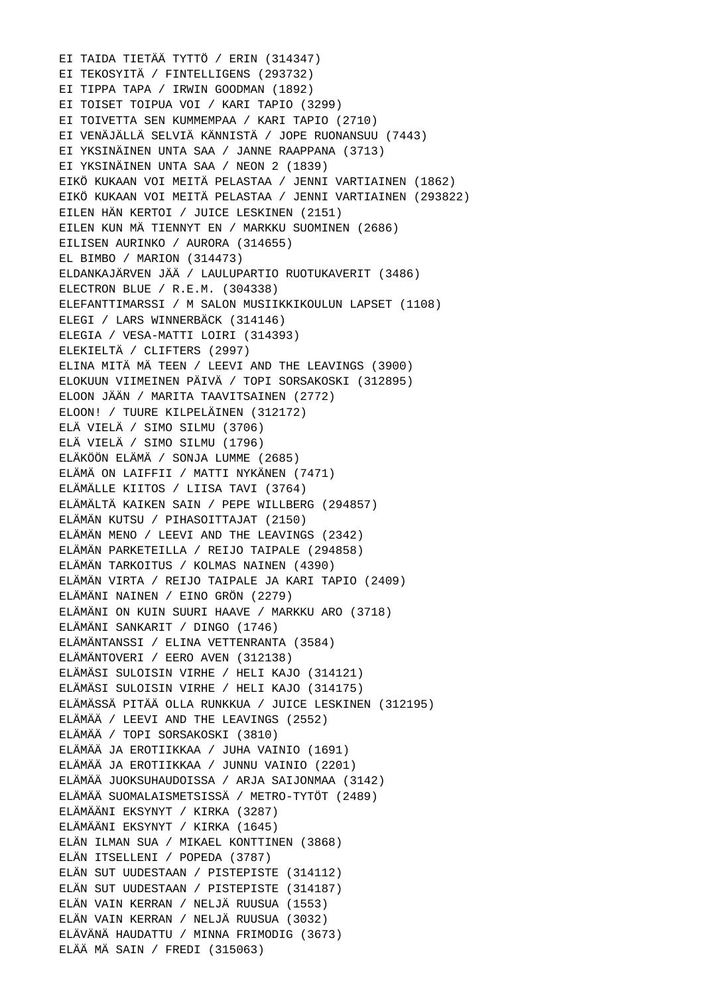EI TAIDA TIETÄÄ TYTTÖ / ERIN (314347) EI TEKOSYITÄ / FINTELLIGENS (293732) EI TIPPA TAPA / IRWIN GOODMAN (1892) EI TOISET TOIPUA VOI / KARI TAPIO (3299) EI TOIVETTA SEN KUMMEMPAA / KARI TAPIO (2710) EI VENÄJÄLLÄ SELVIÄ KÄNNISTÄ / JOPE RUONANSUU (7443) EI YKSINÄINEN UNTA SAA / JANNE RAAPPANA (3713) EI YKSINÄINEN UNTA SAA / NEON 2 (1839) EIKÖ KUKAAN VOI MEITÄ PELASTAA / JENNI VARTIAINEN (1862) EIKÖ KUKAAN VOI MEITÄ PELASTAA / JENNI VARTIAINEN (293822) EILEN HÄN KERTOI / JUICE LESKINEN (2151) EILEN KUN MÄ TIENNYT EN / MARKKU SUOMINEN (2686) EILISEN AURINKO / AURORA (314655) EL BIMBO / MARION (314473) ELDANKAJÄRVEN JÄÄ / LAULUPARTIO RUOTUKAVERIT (3486) ELECTRON BLUE / R.E.M. (304338) ELEFANTTIMARSSI / M SALON MUSIIKKIKOULUN LAPSET (1108) ELEGI / LARS WINNERBÄCK (314146) ELEGIA / VESA-MATTI LOIRI (314393) ELEKIELTÄ / CLIFTERS (2997) ELINA MITÄ MÄ TEEN / LEEVI AND THE LEAVINGS (3900) ELOKUUN VIIMEINEN PÄIVÄ / TOPI SORSAKOSKI (312895) ELOON JÄÄN / MARITA TAAVITSAINEN (2772) ELOON! / TUURE KILPELÄINEN (312172) ELÄ VIELÄ / SIMO SILMU (3706) ELÄ VIELÄ / SIMO SILMU (1796) ELÄKÖÖN ELÄMÄ / SONJA LUMME (2685) ELÄMÄ ON LAIFFII / MATTI NYKÄNEN (7471) ELÄMÄLLE KIITOS / LIISA TAVI (3764) ELÄMÄLTÄ KAIKEN SAIN / PEPE WILLBERG (294857) ELÄMÄN KUTSU / PIHASOITTAJAT (2150) ELÄMÄN MENO / LEEVI AND THE LEAVINGS (2342) ELÄMÄN PARKETEILLA / REIJO TAIPALE (294858) ELÄMÄN TARKOITUS / KOLMAS NAINEN (4390) ELÄMÄN VIRTA / REIJO TAIPALE JA KARI TAPIO (2409) ELÄMÄNI NAINEN / EINO GRÖN (2279) ELÄMÄNI ON KUIN SUURI HAAVE / MARKKU ARO (3718) ELÄMÄNI SANKARIT / DINGO (1746) ELÄMÄNTANSSI / ELINA VETTENRANTA (3584) ELÄMÄNTOVERI / EERO AVEN (312138) ELÄMÄSI SULOISIN VIRHE / HELI KAJO (314121) ELÄMÄSI SULOISIN VIRHE / HELI KAJO (314175) ELÄMÄSSÄ PITÄÄ OLLA RUNKKUA / JUICE LESKINEN (312195) ELÄMÄÄ / LEEVI AND THE LEAVINGS (2552) ELÄMÄÄ / TOPI SORSAKOSKI (3810) ELÄMÄÄ JA EROTIIKKAA / JUHA VAINIO (1691) ELÄMÄÄ JA EROTIIKKAA / JUNNU VAINIO (2201) ELÄMÄÄ JUOKSUHAUDOISSA / ARJA SAIJONMAA (3142) ELÄMÄÄ SUOMALAISMETSISSÄ / METRO-TYTÖT (2489) ELÄMÄÄNI EKSYNYT / KIRKA (3287) ELÄMÄÄNI EKSYNYT / KIRKA (1645) ELÄN ILMAN SUA / MIKAEL KONTTINEN (3868) ELÄN ITSELLENI / POPEDA (3787) ELÄN SUT UUDESTAAN / PISTEPISTE (314112) ELÄN SUT UUDESTAAN / PISTEPISTE (314187) ELÄN VAIN KERRAN / NELJÄ RUUSUA (1553) ELÄN VAIN KERRAN / NELJÄ RUUSUA (3032) ELÄVÄNÄ HAUDATTU / MINNA FRIMODIG (3673) ELÄÄ MÄ SAIN / FREDI (315063)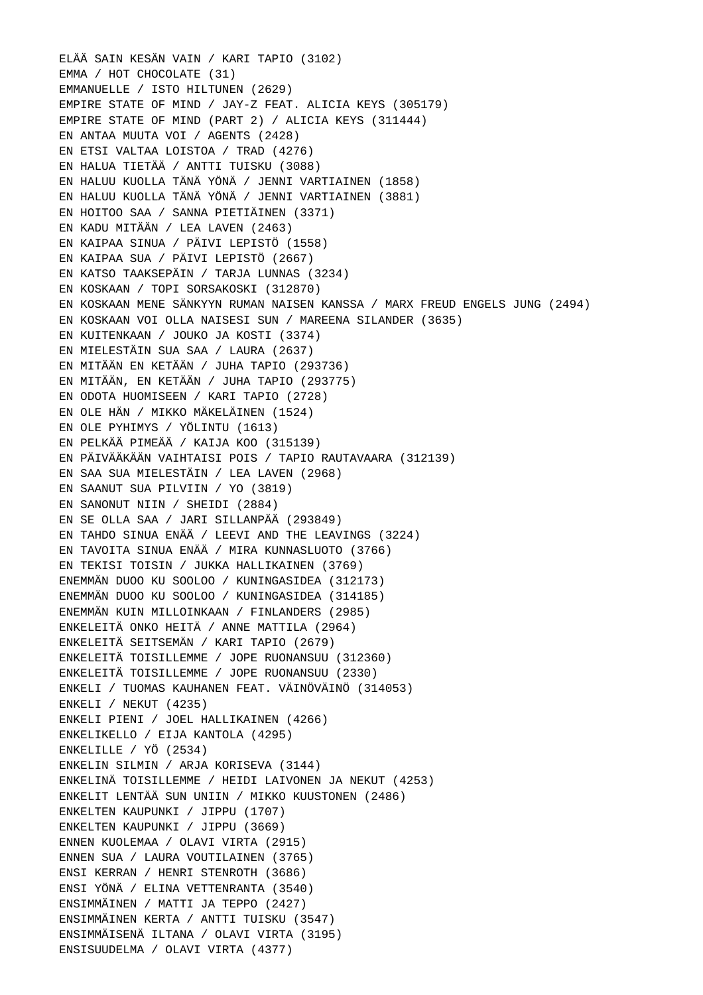ELÄÄ SAIN KESÄN VAIN / KARI TAPIO (3102) EMMA / HOT CHOCOLATE (31) EMMANUELLE / ISTO HILTUNEN (2629) EMPIRE STATE OF MIND / JAY-Z FEAT. ALICIA KEYS (305179) EMPIRE STATE OF MIND (PART 2) / ALICIA KEYS (311444) EN ANTAA MUUTA VOI / AGENTS (2428) EN ETSI VALTAA LOISTOA / TRAD (4276) EN HALUA TIETÄÄ / ANTTI TUISKU (3088) EN HALUU KUOLLA TÄNÄ YÖNÄ / JENNI VARTIAINEN (1858) EN HALUU KUOLLA TÄNÄ YÖNÄ / JENNI VARTIAINEN (3881) EN HOITOO SAA / SANNA PIETIÄINEN (3371) EN KADU MITÄÄN / LEA LAVEN (2463) EN KAIPAA SINUA / PÄIVI LEPISTÖ (1558) EN KAIPAA SUA / PÄIVI LEPISTÖ (2667) EN KATSO TAAKSEPÄIN / TARJA LUNNAS (3234) EN KOSKAAN / TOPI SORSAKOSKI (312870) EN KOSKAAN MENE SÄNKYYN RUMAN NAISEN KANSSA / MARX FREUD ENGELS JUNG (2494) EN KOSKAAN VOI OLLA NAISESI SUN / MAREENA SILANDER (3635) EN KUITENKAAN / JOUKO JA KOSTI (3374) EN MIELESTÄIN SUA SAA / LAURA (2637) EN MITÄÄN EN KETÄÄN / JUHA TAPIO (293736) EN MITÄÄN, EN KETÄÄN / JUHA TAPIO (293775) EN ODOTA HUOMISEEN / KARI TAPIO (2728) EN OLE HÄN / MIKKO MÄKELÄINEN (1524) EN OLE PYHIMYS / YÖLINTU (1613) EN PELKÄÄ PIMEÄÄ / KAIJA KOO (315139) EN PÄIVÄÄKÄÄN VAIHTAISI POIS / TAPIO RAUTAVAARA (312139) EN SAA SUA MIELESTÄIN / LEA LAVEN (2968) EN SAANUT SUA PILVIIN / YO (3819) EN SANONUT NIIN / SHEIDI (2884) EN SE OLLA SAA / JARI SILLANPÄÄ (293849) EN TAHDO SINUA ENÄÄ / LEEVI AND THE LEAVINGS (3224) EN TAVOITA SINUA ENÄÄ / MIRA KUNNASLUOTO (3766) EN TEKISI TOISIN / JUKKA HALLIKAINEN (3769) ENEMMÄN DUOO KU SOOLOO / KUNINGASIDEA (312173) ENEMMÄN DUOO KU SOOLOO / KUNINGASIDEA (314185) ENEMMÄN KUIN MILLOINKAAN / FINLANDERS (2985) ENKELEITÄ ONKO HEITÄ / ANNE MATTILA (2964) ENKELEITÄ SEITSEMÄN / KARI TAPIO (2679) ENKELEITÄ TOISILLEMME / JOPE RUONANSUU (312360) ENKELEITÄ TOISILLEMME / JOPE RUONANSUU (2330) ENKELI / TUOMAS KAUHANEN FEAT. VÄINÖVÄINÖ (314053) ENKELI / NEKUT (4235) ENKELI PIENI / JOEL HALLIKAINEN (4266) ENKELIKELLO / EIJA KANTOLA (4295) ENKELILLE / YÖ (2534) ENKELIN SILMIN / ARJA KORISEVA (3144) ENKELINÄ TOISILLEMME / HEIDI LAIVONEN JA NEKUT (4253) ENKELIT LENTÄÄ SUN UNIIN / MIKKO KUUSTONEN (2486) ENKELTEN KAUPUNKI / JIPPU (1707) ENKELTEN KAUPUNKI / JIPPU (3669) ENNEN KUOLEMAA / OLAVI VIRTA (2915) ENNEN SUA / LAURA VOUTILAINEN (3765) ENSI KERRAN / HENRI STENROTH (3686) ENSI YÖNÄ / ELINA VETTENRANTA (3540) ENSIMMÄINEN / MATTI JA TEPPO (2427) ENSIMMÄINEN KERTA / ANTTI TUISKU (3547) ENSIMMÄISENÄ ILTANA / OLAVI VIRTA (3195) ENSISUUDELMA / OLAVI VIRTA (4377)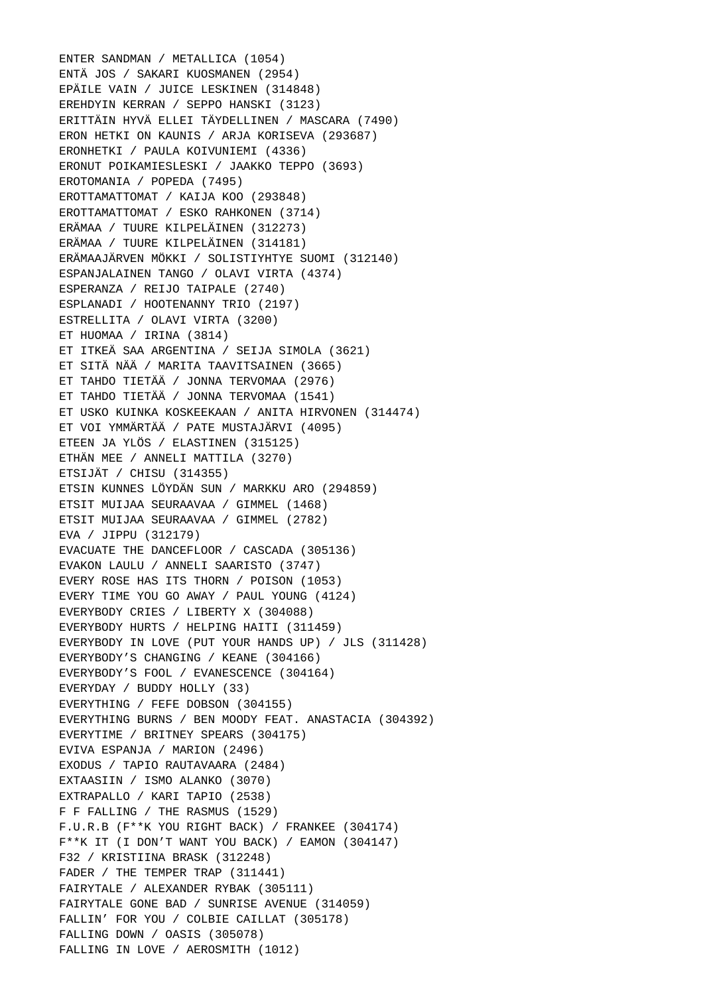ENTER SANDMAN / METALLICA (1054) ENTÄ JOS / SAKARI KUOSMANEN (2954) EPÄILE VAIN / JUICE LESKINEN (314848) EREHDYIN KERRAN / SEPPO HANSKI (3123) ERITTÄIN HYVÄ ELLEI TÄYDELLINEN / MASCARA (7490) ERON HETKI ON KAUNIS / ARJA KORISEVA (293687) ERONHETKI / PAULA KOIVUNIEMI (4336) ERONUT POIKAMIESLESKI / JAAKKO TEPPO (3693) EROTOMANIA / POPEDA (7495) EROTTAMATTOMAT / KAIJA KOO (293848) EROTTAMATTOMAT / ESKO RAHKONEN (3714) ERÄMAA / TUURE KILPELÄINEN (312273) ERÄMAA / TUURE KILPELÄINEN (314181) ERÄMAAJÄRVEN MÖKKI / SOLISTIYHTYE SUOMI (312140) ESPANJALAINEN TANGO / OLAVI VIRTA (4374) ESPERANZA / REIJO TAIPALE (2740) ESPLANADI / HOOTENANNY TRIO (2197) ESTRELLITA / OLAVI VIRTA (3200) ET HUOMAA / IRINA (3814) ET ITKEÄ SAA ARGENTINA / SEIJA SIMOLA (3621) ET SITÄ NÄÄ / MARITA TAAVITSAINEN (3665) ET TAHDO TIETÄÄ / JONNA TERVOMAA (2976) ET TAHDO TIETÄÄ / JONNA TERVOMAA (1541) ET USKO KUINKA KOSKEEKAAN / ANITA HIRVONEN (314474) ET VOI YMMÄRTÄÄ / PATE MUSTAJÄRVI (4095) ETEEN JA YLÖS / ELASTINEN (315125) ETHÄN MEE / ANNELI MATTILA (3270) ETSIJÄT / CHISU (314355) ETSIN KUNNES LÖYDÄN SUN / MARKKU ARO (294859) ETSIT MUIJAA SEURAAVAA / GIMMEL (1468) ETSIT MUIJAA SEURAAVAA / GIMMEL (2782) EVA / JIPPU (312179) EVACUATE THE DANCEFLOOR / CASCADA (305136) EVAKON LAULU / ANNELI SAARISTO (3747) EVERY ROSE HAS ITS THORN / POISON (1053) EVERY TIME YOU GO AWAY / PAUL YOUNG (4124) EVERYBODY CRIES / LIBERTY X (304088) EVERYBODY HURTS / HELPING HAITI (311459) EVERYBODY IN LOVE (PUT YOUR HANDS UP) / JLS (311428) EVERYBODY'S CHANGING / KEANE (304166) EVERYBODY'S FOOL / EVANESCENCE (304164) EVERYDAY / BUDDY HOLLY (33) EVERYTHING / FEFE DOBSON (304155) EVERYTHING BURNS / BEN MOODY FEAT. ANASTACIA (304392) EVERYTIME / BRITNEY SPEARS (304175) EVIVA ESPANJA / MARION (2496) EXODUS / TAPIO RAUTAVAARA (2484) EXTAASIIN / ISMO ALANKO (3070) EXTRAPALLO / KARI TAPIO (2538) F F FALLING / THE RASMUS (1529) F.U.R.B (F\*\*K YOU RIGHT BACK) / FRANKEE (304174) F\*\*K IT (I DON'T WANT YOU BACK) / EAMON (304147) F32 / KRISTIINA BRASK (312248) FADER / THE TEMPER TRAP (311441) FAIRYTALE / ALEXANDER RYBAK (305111) FAIRYTALE GONE BAD / SUNRISE AVENUE (314059) FALLIN' FOR YOU / COLBIE CAILLAT (305178) FALLING DOWN / OASIS (305078) FALLING IN LOVE / AEROSMITH (1012)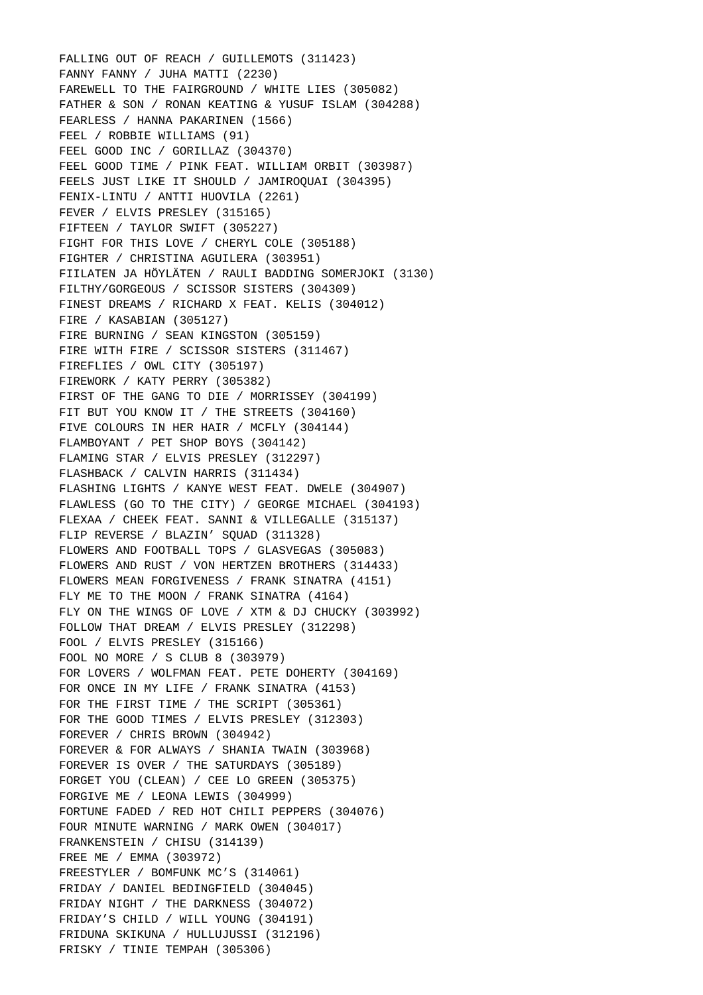FALLING OUT OF REACH / GUILLEMOTS (311423) FANNY FANNY / JUHA MATTI (2230) FAREWELL TO THE FAIRGROUND / WHITE LIES (305082) FATHER & SON / RONAN KEATING & YUSUF ISLAM (304288) FEARLESS / HANNA PAKARINEN (1566) FEEL / ROBBIE WILLIAMS (91) FEEL GOOD INC / GORILLAZ (304370) FEEL GOOD TIME / PINK FEAT. WILLIAM ORBIT (303987) FEELS JUST LIKE IT SHOULD / JAMIROQUAI (304395) FENIX-LINTU / ANTTI HUOVILA (2261) FEVER / ELVIS PRESLEY (315165) FIFTEEN / TAYLOR SWIFT (305227) FIGHT FOR THIS LOVE / CHERYL COLE (305188) FIGHTER / CHRISTINA AGUILERA (303951) FIILATEN JA HÖYLÄTEN / RAULI BADDING SOMERJOKI (3130) FILTHY/GORGEOUS / SCISSOR SISTERS (304309) FINEST DREAMS / RICHARD X FEAT. KELIS (304012) FIRE / KASABIAN (305127) FIRE BURNING / SEAN KINGSTON (305159) FIRE WITH FIRE / SCISSOR SISTERS (311467) FIREFLIES / OWL CITY (305197) FIREWORK / KATY PERRY (305382) FIRST OF THE GANG TO DIE / MORRISSEY (304199) FIT BUT YOU KNOW IT / THE STREETS (304160) FIVE COLOURS IN HER HAIR / MCFLY (304144) FLAMBOYANT / PET SHOP BOYS (304142) FLAMING STAR / ELVIS PRESLEY (312297) FLASHBACK / CALVIN HARRIS (311434) FLASHING LIGHTS / KANYE WEST FEAT. DWELE (304907) FLAWLESS (GO TO THE CITY) / GEORGE MICHAEL (304193) FLEXAA / CHEEK FEAT. SANNI & VILLEGALLE (315137) FLIP REVERSE / BLAZIN' SQUAD (311328) FLOWERS AND FOOTBALL TOPS / GLASVEGAS (305083) FLOWERS AND RUST / VON HERTZEN BROTHERS (314433) FLOWERS MEAN FORGIVENESS / FRANK SINATRA (4151) FLY ME TO THE MOON / FRANK SINATRA (4164) FLY ON THE WINGS OF LOVE / XTM & DJ CHUCKY (303992) FOLLOW THAT DREAM / ELVIS PRESLEY (312298) FOOL / ELVIS PRESLEY (315166) FOOL NO MORE / S CLUB 8 (303979) FOR LOVERS / WOLFMAN FEAT. PETE DOHERTY (304169) FOR ONCE IN MY LIFE / FRANK SINATRA (4153) FOR THE FIRST TIME / THE SCRIPT (305361) FOR THE GOOD TIMES / ELVIS PRESLEY (312303) FOREVER / CHRIS BROWN (304942) FOREVER & FOR ALWAYS / SHANIA TWAIN (303968) FOREVER IS OVER / THE SATURDAYS (305189) FORGET YOU (CLEAN) / CEE LO GREEN (305375) FORGIVE ME / LEONA LEWIS (304999) FORTUNE FADED / RED HOT CHILI PEPPERS (304076) FOUR MINUTE WARNING / MARK OWEN (304017) FRANKENSTEIN / CHISU (314139) FREE ME / EMMA (303972) FREESTYLER / BOMFUNK MC'S (314061) FRIDAY / DANIEL BEDINGFIELD (304045) FRIDAY NIGHT / THE DARKNESS (304072) FRIDAY'S CHILD / WILL YOUNG (304191) FRIDUNA SKIKUNA / HULLUJUSSI (312196) FRISKY / TINIE TEMPAH (305306)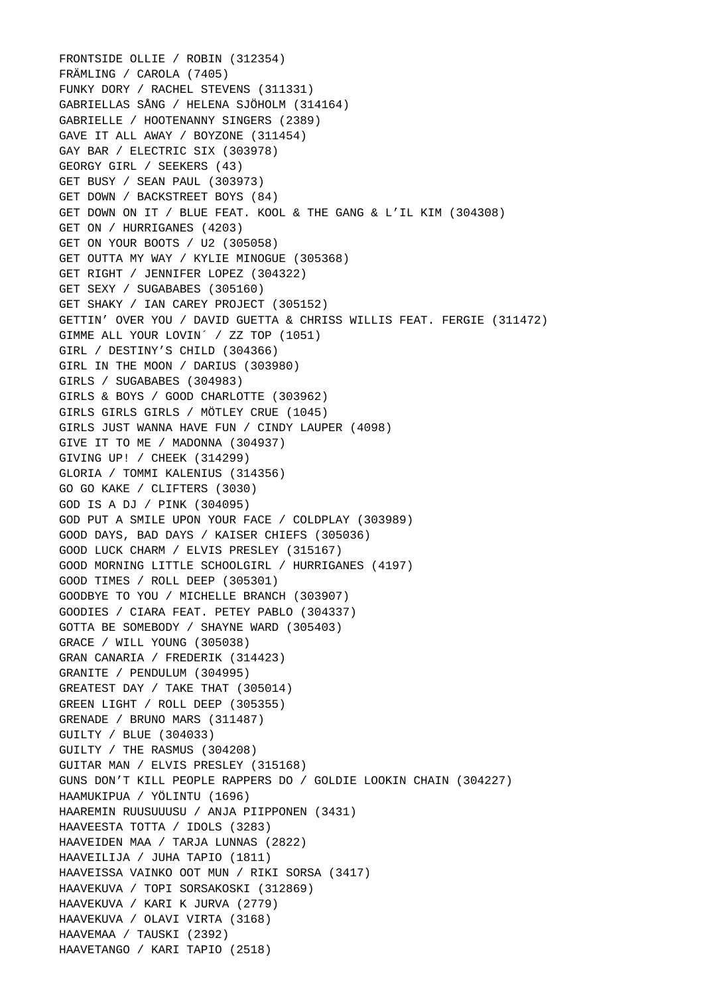FRONTSIDE OLLIE / ROBIN (312354) FRÄMLING / CAROLA (7405) FUNKY DORY / RACHEL STEVENS (311331) GABRIELLAS SÅNG / HELENA SJÖHOLM (314164) GABRIELLE / HOOTENANNY SINGERS (2389) GAVE IT ALL AWAY / BOYZONE (311454) GAY BAR / ELECTRIC SIX (303978) GEORGY GIRL / SEEKERS (43) GET BUSY / SEAN PAUL (303973) GET DOWN / BACKSTREET BOYS (84) GET DOWN ON IT / BLUE FEAT. KOOL & THE GANG & L'IL KIM (304308) GET ON / HURRIGANES (4203) GET ON YOUR BOOTS / U2 (305058) GET OUTTA MY WAY / KYLIE MINOGUE (305368) GET RIGHT / JENNIFER LOPEZ (304322) GET SEXY / SUGABABES (305160) GET SHAKY / IAN CAREY PROJECT (305152) GETTIN' OVER YOU / DAVID GUETTA & CHRISS WILLIS FEAT. FERGIE (311472) GIMME ALL YOUR LOVIN´ / ZZ TOP (1051) GIRL / DESTINY'S CHILD (304366) GIRL IN THE MOON / DARIUS (303980) GIRLS / SUGABABES (304983) GIRLS & BOYS / GOOD CHARLOTTE (303962) GIRLS GIRLS GIRLS / MÖTLEY CRUE (1045) GIRLS JUST WANNA HAVE FUN / CINDY LAUPER (4098) GIVE IT TO ME / MADONNA (304937) GIVING UP! / CHEEK (314299) GLORIA / TOMMI KALENIUS (314356) GO GO KAKE / CLIFTERS (3030) GOD IS A DJ / PINK (304095) GOD PUT A SMILE UPON YOUR FACE / COLDPLAY (303989) GOOD DAYS, BAD DAYS / KAISER CHIEFS (305036) GOOD LUCK CHARM / ELVIS PRESLEY (315167) GOOD MORNING LITTLE SCHOOLGIRL / HURRIGANES (4197) GOOD TIMES / ROLL DEEP (305301) GOODBYE TO YOU / MICHELLE BRANCH (303907) GOODIES / CIARA FEAT. PETEY PABLO (304337) GOTTA BE SOMEBODY / SHAYNE WARD (305403) GRACE / WILL YOUNG (305038) GRAN CANARIA / FREDERIK (314423) GRANITE / PENDULUM (304995) GREATEST DAY / TAKE THAT (305014) GREEN LIGHT / ROLL DEEP (305355) GRENADE / BRUNO MARS (311487) GUILTY / BLUE (304033) GUILTY / THE RASMUS (304208) GUITAR MAN / ELVIS PRESLEY (315168) GUNS DON'T KILL PEOPLE RAPPERS DO / GOLDIE LOOKIN CHAIN (304227) HAAMUKIPUA / YÖLINTU (1696) HAAREMIN RUUSUUUSU / ANJA PIIPPONEN (3431) HAAVEESTA TOTTA / IDOLS (3283) HAAVEIDEN MAA / TARJA LUNNAS (2822) HAAVEILIJA / JUHA TAPIO (1811) HAAVEISSA VAINKO OOT MUN / RIKI SORSA (3417) HAAVEKUVA / TOPI SORSAKOSKI (312869) HAAVEKUVA / KARI K JURVA (2779) HAAVEKUVA / OLAVI VIRTA (3168) HAAVEMAA / TAUSKI (2392) HAAVETANGO / KARI TAPIO (2518)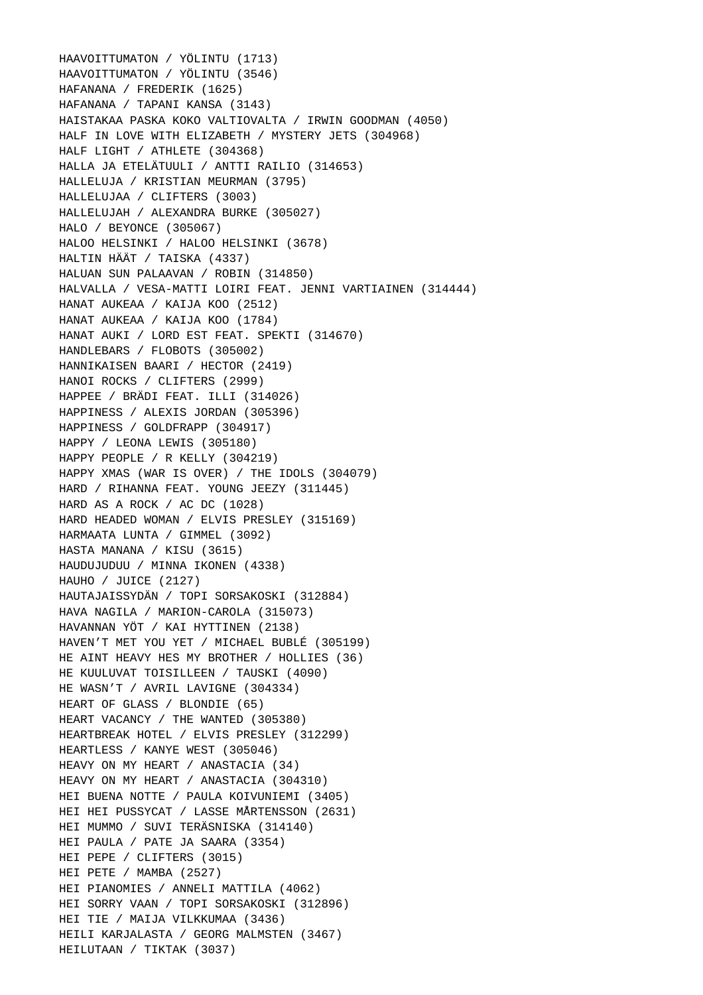HAAVOITTUMATON / YÖLINTU (1713) HAAVOITTUMATON / YÖLINTU (3546) HAFANANA / FREDERIK (1625) HAFANANA / TAPANI KANSA (3143) HAISTAKAA PASKA KOKO VALTIOVALTA / IRWIN GOODMAN (4050) HALF IN LOVE WITH ELIZABETH / MYSTERY JETS (304968) HALF LIGHT / ATHLETE (304368) HALLA JA ETELÄTUULI / ANTTI RAILIO (314653) HALLELUJA / KRISTIAN MEURMAN (3795) HALLELUJAA / CLIFTERS (3003) HALLELUJAH / ALEXANDRA BURKE (305027) HALO / BEYONCE (305067) HALOO HELSINKI / HALOO HELSINKI (3678) HALTIN HÄÄT / TAISKA (4337) HALUAN SUN PALAAVAN / ROBIN (314850) HALVALLA / VESA-MATTI LOIRI FEAT. JENNI VARTIAINEN (314444) HANAT AUKEAA / KAIJA KOO (2512) HANAT AUKEAA / KAIJA KOO (1784) HANAT AUKI / LORD EST FEAT. SPEKTI (314670) HANDLEBARS / FLOBOTS (305002) HANNIKAISEN BAARI / HECTOR (2419) HANOI ROCKS / CLIFTERS (2999) HAPPEE / BRÄDI FEAT. ILLI (314026) HAPPINESS / ALEXIS JORDAN (305396) HAPPINESS / GOLDFRAPP (304917) HAPPY / LEONA LEWIS (305180) HAPPY PEOPLE / R KELLY (304219) HAPPY XMAS (WAR IS OVER) / THE IDOLS (304079) HARD / RIHANNA FEAT. YOUNG JEEZY (311445) HARD AS A ROCK / AC DC (1028) HARD HEADED WOMAN / ELVIS PRESLEY (315169) HARMAATA LUNTA / GIMMEL (3092) HASTA MANANA / KISU (3615) HAUDUJUDUU / MINNA IKONEN (4338) HAUHO / JUICE (2127) HAUTAJAISSYDÄN / TOPI SORSAKOSKI (312884) HAVA NAGILA / MARION-CAROLA (315073) HAVANNAN YÖT / KAI HYTTINEN (2138) HAVEN'T MET YOU YET / MICHAEL BUBLÉ (305199) HE AINT HEAVY HES MY BROTHER / HOLLIES (36) HE KUULUVAT TOISILLEEN / TAUSKI (4090) HE WASN'T / AVRIL LAVIGNE (304334) HEART OF GLASS / BLONDIE (65) HEART VACANCY / THE WANTED (305380) HEARTBREAK HOTEL / ELVIS PRESLEY (312299) HEARTLESS / KANYE WEST (305046) HEAVY ON MY HEART / ANASTACIA (34) HEAVY ON MY HEART / ANASTACIA (304310) HEI BUENA NOTTE / PAULA KOIVUNIEMI (3405) HEI HEI PUSSYCAT / LASSE MÅRTENSSON (2631) HEI MUMMO / SUVI TERÄSNISKA (314140) HEI PAULA / PATE JA SAARA (3354) HEI PEPE / CLIFTERS (3015) HEI PETE / MAMBA (2527) HEI PIANOMIES / ANNELI MATTILA (4062) HEI SORRY VAAN / TOPI SORSAKOSKI (312896) HEI TIE / MAIJA VILKKUMAA (3436) HEILI KARJALASTA / GEORG MALMSTEN (3467) HEILUTAAN / TIKTAK (3037)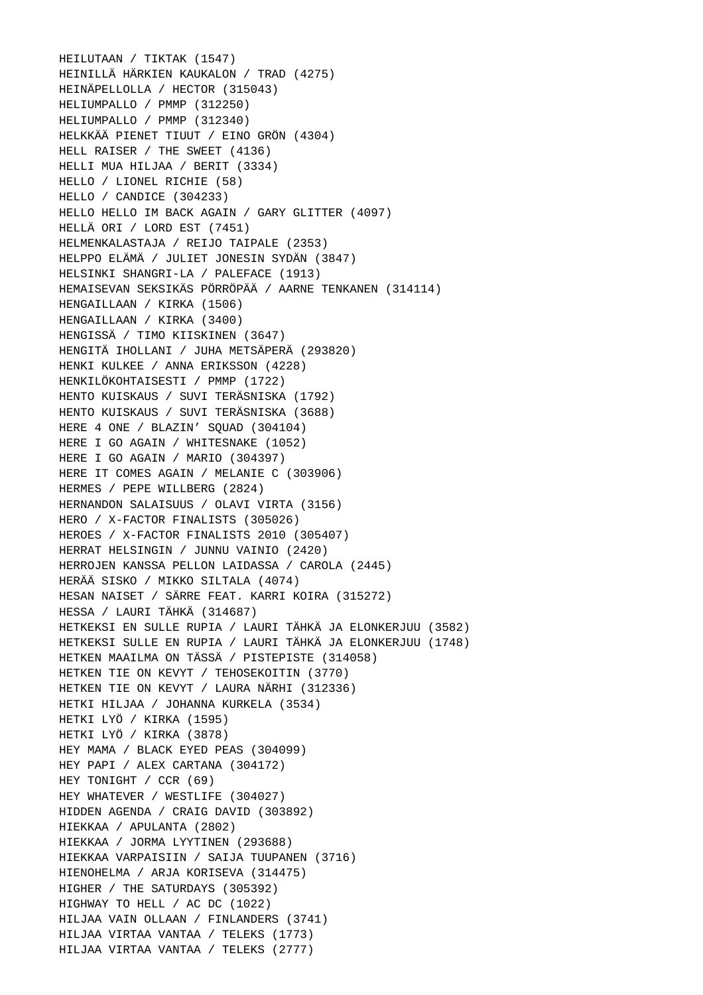HEILUTAAN / TIKTAK (1547) HEINILLÄ HÄRKIEN KAUKALON / TRAD (4275) HEINÄPELLOLLA / HECTOR (315043) HELIUMPALLO / PMMP (312250) HELIUMPALLO / PMMP (312340) HELKKÄÄ PIENET TIUUT / EINO GRÖN (4304) HELL RAISER / THE SWEET (4136) HELLI MUA HILJAA / BERIT (3334) HELLO / LIONEL RICHIE (58) HELLO / CANDICE (304233) HELLO HELLO IM BACK AGAIN / GARY GLITTER (4097) HELLÄ ORI / LORD EST (7451) HELMENKALASTAJA / REIJO TAIPALE (2353) HELPPO ELÄMÄ / JULIET JONESIN SYDÄN (3847) HELSINKI SHANGRI-LA / PALEFACE (1913) HEMAISEVAN SEKSIKÄS PÖRRÖPÄÄ / AARNE TENKANEN (314114) HENGAILLAAN / KIRKA (1506) HENGAILLAAN / KIRKA (3400) HENGISSÄ / TIMO KIISKINEN (3647) HENGITÄ IHOLLANI / JUHA METSÄPERÄ (293820) HENKI KULKEE / ANNA ERIKSSON (4228) HENKILÖKOHTAISESTI / PMMP (1722) HENTO KUISKAUS / SUVI TERÄSNISKA (1792) HENTO KUISKAUS / SUVI TERÄSNISKA (3688) HERE 4 ONE / BLAZIN' SQUAD (304104) HERE I GO AGAIN / WHITESNAKE (1052) HERE I GO AGAIN / MARIO (304397) HERE IT COMES AGAIN / MELANIE C (303906) HERMES / PEPE WILLBERG (2824) HERNANDON SALAISUUS / OLAVI VIRTA (3156) HERO / X-FACTOR FINALISTS (305026) HEROES / X-FACTOR FINALISTS 2010 (305407) HERRAT HELSINGIN / JUNNU VAINIO (2420) HERROJEN KANSSA PELLON LAIDASSA / CAROLA (2445) HERÄÄ SISKO / MIKKO SILTALA (4074) HESAN NAISET / SÄRRE FEAT. KARRI KOIRA (315272) HESSA / LAURI TÄHKÄ (314687) HETKEKSI EN SULLE RUPIA / LAURI TÄHKÄ JA ELONKERJUU (3582) HETKEKSI SULLE EN RUPIA / LAURI TÄHKÄ JA ELONKERJUU (1748) HETKEN MAAILMA ON TÄSSÄ / PISTEPISTE (314058) HETKEN TIE ON KEVYT / TEHOSEKOITIN (3770) HETKEN TIE ON KEVYT / LAURA NÄRHI (312336) HETKI HILJAA / JOHANNA KURKELA (3534) HETKI LYÖ / KIRKA (1595) HETKI LYÖ / KIRKA (3878) HEY MAMA / BLACK EYED PEAS (304099) HEY PAPI / ALEX CARTANA (304172) HEY TONIGHT / CCR (69) HEY WHATEVER / WESTLIFE (304027) HIDDEN AGENDA / CRAIG DAVID (303892) HIEKKAA / APULANTA (2802) HIEKKAA / JORMA LYYTINEN (293688) HIEKKAA VARPAISIIN / SAIJA TUUPANEN (3716) HIENOHELMA / ARJA KORISEVA (314475) HIGHER / THE SATURDAYS (305392) HIGHWAY TO HELL / AC DC (1022) HILJAA VAIN OLLAAN / FINLANDERS (3741) HILJAA VIRTAA VANTAA / TELEKS (1773) HILJAA VIRTAA VANTAA / TELEKS (2777)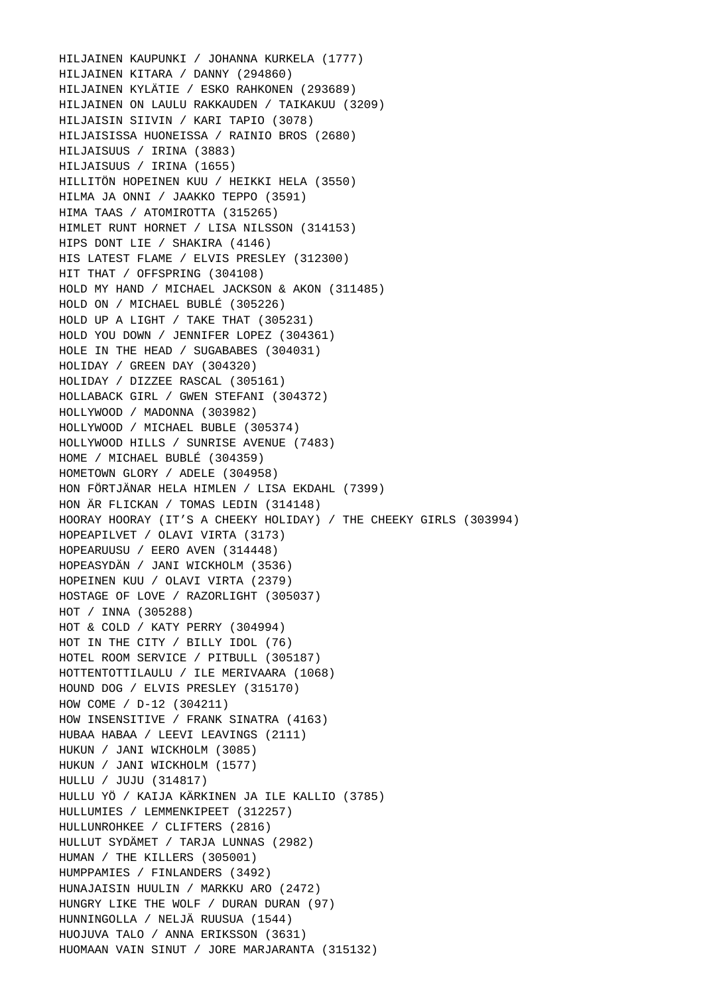HILJAINEN KAUPUNKI / JOHANNA KURKELA (1777) HILJAINEN KITARA / DANNY (294860) HILJAINEN KYLÄTIE / ESKO RAHKONEN (293689) HILJAINEN ON LAULU RAKKAUDEN / TAIKAKUU (3209) HILJAISIN SIIVIN / KARI TAPIO (3078) HILJAISISSA HUONEISSA / RAINIO BROS (2680) HILJAISUUS / IRINA (3883) HILJAISUUS / IRINA (1655) HILLITÖN HOPEINEN KUU / HEIKKI HELA (3550) HILMA JA ONNI / JAAKKO TEPPO (3591) HIMA TAAS / ATOMIROTTA (315265) HIMLET RUNT HORNET / LISA NILSSON (314153) HIPS DONT LIE / SHAKIRA (4146) HIS LATEST FLAME / ELVIS PRESLEY (312300) HIT THAT / OFFSPRING (304108) HOLD MY HAND / MICHAEL JACKSON & AKON (311485) HOLD ON / MICHAEL BUBLÉ (305226) HOLD UP A LIGHT / TAKE THAT (305231) HOLD YOU DOWN / JENNIFER LOPEZ (304361) HOLE IN THE HEAD / SUGABABES (304031) HOLIDAY / GREEN DAY (304320) HOLIDAY / DIZZEE RASCAL (305161) HOLLABACK GIRL / GWEN STEFANI (304372) HOLLYWOOD / MADONNA (303982) HOLLYWOOD / MICHAEL BUBLE (305374) HOLLYWOOD HILLS / SUNRISE AVENUE (7483) HOME / MICHAEL BUBLÉ (304359) HOMETOWN GLORY / ADELE (304958) HON FÖRTJÄNAR HELA HIMLEN / LISA EKDAHL (7399) HON ÄR FLICKAN / TOMAS LEDIN (314148) HOORAY HOORAY (IT'S A CHEEKY HOLIDAY) / THE CHEEKY GIRLS (303994) HOPEAPILVET / OLAVI VIRTA (3173) HOPEARUUSU / EERO AVEN (314448) HOPEASYDÄN / JANI WICKHOLM (3536) HOPEINEN KUU / OLAVI VIRTA (2379) HOSTAGE OF LOVE / RAZORLIGHT (305037) HOT / INNA (305288) HOT & COLD / KATY PERRY (304994) HOT IN THE CITY / BILLY IDOL (76) HOTEL ROOM SERVICE / PITBULL (305187) HOTTENTOTTILAULU / ILE MERIVAARA (1068) HOUND DOG / ELVIS PRESLEY (315170) HOW COME / D-12 (304211) HOW INSENSITIVE / FRANK SINATRA (4163) HUBAA HABAA / LEEVI LEAVINGS (2111) HUKUN / JANI WICKHOLM (3085) HUKUN / JANI WICKHOLM (1577) HULLU / JUJU (314817) HULLU YÖ / KAIJA KÄRKINEN JA ILE KALLIO (3785) HULLUMIES / LEMMENKIPEET (312257) HULLUNROHKEE / CLIFTERS (2816) HULLUT SYDÄMET / TARJA LUNNAS (2982) HUMAN / THE KILLERS (305001) HUMPPAMIES / FINLANDERS (3492) HUNAJAISIN HUULIN / MARKKU ARO (2472) HUNGRY LIKE THE WOLF / DURAN DURAN (97) HUNNINGOLLA / NELJÄ RUUSUA (1544) HUOJUVA TALO / ANNA ERIKSSON (3631) HUOMAAN VAIN SINUT / JORE MARJARANTA (315132)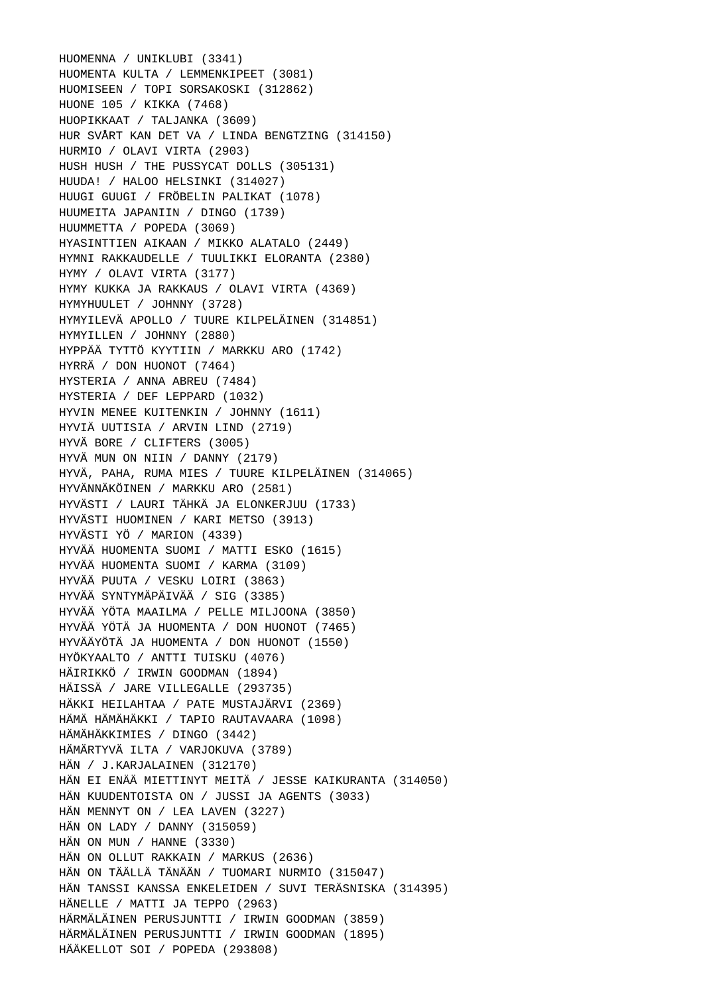HUOMENNA / UNIKLUBI (3341) HUOMENTA KULTA / LEMMENKIPEET (3081) HUOMISEEN / TOPI SORSAKOSKI (312862) HUONE 105 / KIKKA (7468) HUOPIKKAAT / TALJANKA (3609) HUR SVÅRT KAN DET VA / LINDA BENGTZING (314150) HURMIO / OLAVI VIRTA (2903) HUSH HUSH / THE PUSSYCAT DOLLS (305131) HUUDA! / HALOO HELSINKI (314027) HUUGI GUUGI / FRÖBELIN PALIKAT (1078) HUUMEITA JAPANIIN / DINGO (1739) HUUMMETTA / POPEDA (3069) HYASINTTIEN AIKAAN / MIKKO ALATALO (2449) HYMNI RAKKAUDELLE / TUULIKKI ELORANTA (2380) HYMY / OLAVI VIRTA (3177) HYMY KUKKA JA RAKKAUS / OLAVI VIRTA (4369) HYMYHUULET / JOHNNY (3728) HYMYILEVÄ APOLLO / TUURE KILPELÄINEN (314851) HYMYILLEN / JOHNNY (2880) HYPPÄÄ TYTTÖ KYYTIIN / MARKKU ARO (1742) HYRRÄ / DON HUONOT (7464) HYSTERIA / ANNA ABREU (7484) HYSTERIA / DEF LEPPARD (1032) HYVIN MENEE KUITENKIN / JOHNNY (1611) HYVIÄ UUTISIA / ARVIN LIND (2719) HYVÄ BORE / CLIFTERS (3005) HYVÄ MUN ON NIIN / DANNY (2179) HYVÄ, PAHA, RUMA MIES / TUURE KILPELÄINEN (314065) HYVÄNNÄKÖINEN / MARKKU ARO (2581) HYVÄSTI / LAURI TÄHKÄ JA ELONKERJUU (1733) HYVÄSTI HUOMINEN / KARI METSO (3913) HYVÄSTI YÖ / MARION (4339) HYVÄÄ HUOMENTA SUOMI / MATTI ESKO (1615) HYVÄÄ HUOMENTA SUOMI / KARMA (3109) HYVÄÄ PUUTA / VESKU LOIRI (3863) HYVÄÄ SYNTYMÄPÄIVÄÄ / SIG (3385) HYVÄÄ YÖTA MAAILMA / PELLE MILJOONA (3850) HYVÄÄ YÖTÄ JA HUOMENTA / DON HUONOT (7465) HYVÄÄYÖTÄ JA HUOMENTA / DON HUONOT (1550) HYÖKYAALTO / ANTTI TUISKU (4076) HÄIRIKKÖ / IRWIN GOODMAN (1894) HÄISSÄ / JARE VILLEGALLE (293735) HÄKKI HEILAHTAA / PATE MUSTAJÄRVI (2369) HÄMÄ HÄMÄHÄKKI / TAPIO RAUTAVAARA (1098) HÄMÄHÄKKIMIES / DINGO (3442) HÄMÄRTYVÄ ILTA / VARJOKUVA (3789) HÄN / J.KARJALAINEN (312170) HÄN EI ENÄÄ MIETTINYT MEITÄ / JESSE KAIKURANTA (314050) HÄN KUUDENTOISTA ON / JUSSI JA AGENTS (3033) HÄN MENNYT ON / LEA LAVEN (3227) HÄN ON LADY / DANNY (315059) HÄN ON MUN / HANNE (3330) HÄN ON OLLUT RAKKAIN / MARKUS (2636) HÄN ON TÄÄLLÄ TÄNÄÄN / TUOMARI NURMIO (315047) HÄN TANSSI KANSSA ENKELEIDEN / SUVI TERÄSNISKA (314395) HÄNELLE / MATTI JA TEPPO (2963) HÄRMÄLÄINEN PERUSJUNTTI / IRWIN GOODMAN (3859) HÄRMÄLÄINEN PERUSJUNTTI / IRWIN GOODMAN (1895) HÄÄKELLOT SOI / POPEDA (293808)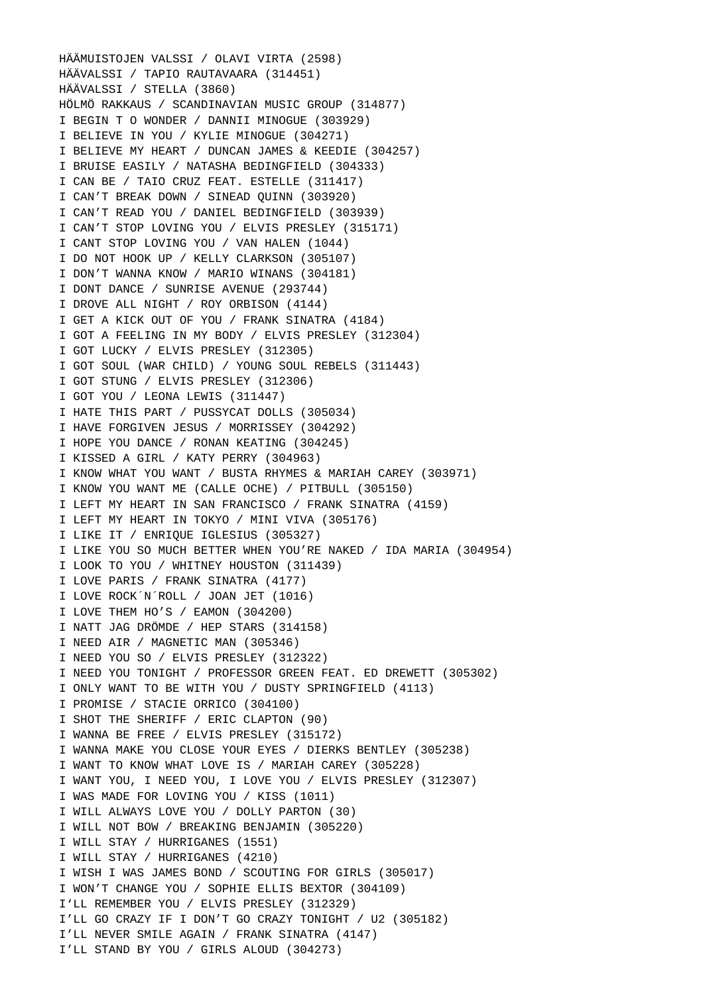HÄÄMUISTOJEN VALSSI / OLAVI VIRTA (2598) HÄÄVALSSI / TAPIO RAUTAVAARA (314451) HÄÄVALSSI / STELLA (3860) HÖLMÖ RAKKAUS / SCANDINAVIAN MUSIC GROUP (314877) I BEGIN T O WONDER / DANNII MINOGUE (303929) I BELIEVE IN YOU / KYLIE MINOGUE (304271) I BELIEVE MY HEART / DUNCAN JAMES & KEEDIE (304257) I BRUISE EASILY / NATASHA BEDINGFIELD (304333) I CAN BE / TAIO CRUZ FEAT. ESTELLE (311417) I CAN'T BREAK DOWN / SINEAD QUINN (303920) I CAN'T READ YOU / DANIEL BEDINGFIELD (303939) I CAN'T STOP LOVING YOU / ELVIS PRESLEY (315171) I CANT STOP LOVING YOU / VAN HALEN (1044) I DO NOT HOOK UP / KELLY CLARKSON (305107) I DON'T WANNA KNOW / MARIO WINANS (304181) I DONT DANCE / SUNRISE AVENUE (293744) I DROVE ALL NIGHT / ROY ORBISON (4144) I GET A KICK OUT OF YOU / FRANK SINATRA (4184) I GOT A FEELING IN MY BODY / ELVIS PRESLEY (312304) I GOT LUCKY / ELVIS PRESLEY (312305) I GOT SOUL (WAR CHILD) / YOUNG SOUL REBELS (311443) I GOT STUNG / ELVIS PRESLEY (312306) I GOT YOU / LEONA LEWIS (311447) I HATE THIS PART / PUSSYCAT DOLLS (305034) I HAVE FORGIVEN JESUS / MORRISSEY (304292) I HOPE YOU DANCE / RONAN KEATING (304245) I KISSED A GIRL / KATY PERRY (304963) I KNOW WHAT YOU WANT / BUSTA RHYMES & MARIAH CAREY (303971) I KNOW YOU WANT ME (CALLE OCHE) / PITBULL (305150) I LEFT MY HEART IN SAN FRANCISCO / FRANK SINATRA (4159) I LEFT MY HEART IN TOKYO / MINI VIVA (305176) I LIKE IT / ENRIQUE IGLESIUS (305327) I LIKE YOU SO MUCH BETTER WHEN YOU'RE NAKED / IDA MARIA (304954) I LOOK TO YOU / WHITNEY HOUSTON (311439) I LOVE PARIS / FRANK SINATRA (4177) I LOVE ROCK´N´ROLL / JOAN JET (1016) I LOVE THEM HO'S / EAMON (304200) I NATT JAG DRÖMDE / HEP STARS (314158) I NEED AIR / MAGNETIC MAN (305346) I NEED YOU SO / ELVIS PRESLEY (312322) I NEED YOU TONIGHT / PROFESSOR GREEN FEAT. ED DREWETT (305302) I ONLY WANT TO BE WITH YOU / DUSTY SPRINGFIELD (4113) I PROMISE / STACIE ORRICO (304100) I SHOT THE SHERIFF / ERIC CLAPTON (90) I WANNA BE FREE / ELVIS PRESLEY (315172) I WANNA MAKE YOU CLOSE YOUR EYES / DIERKS BENTLEY (305238) I WANT TO KNOW WHAT LOVE IS / MARIAH CAREY (305228) I WANT YOU, I NEED YOU, I LOVE YOU / ELVIS PRESLEY (312307) I WAS MADE FOR LOVING YOU / KISS (1011) I WILL ALWAYS LOVE YOU / DOLLY PARTON (30) I WILL NOT BOW / BREAKING BENJAMIN (305220) I WILL STAY / HURRIGANES (1551) I WILL STAY / HURRIGANES (4210) I WISH I WAS JAMES BOND / SCOUTING FOR GIRLS (305017) I WON'T CHANGE YOU / SOPHIE ELLIS BEXTOR (304109) I'LL REMEMBER YOU / ELVIS PRESLEY (312329) I'LL GO CRAZY IF I DON'T GO CRAZY TONIGHT / U2 (305182) I'LL NEVER SMILE AGAIN / FRANK SINATRA (4147) I'LL STAND BY YOU / GIRLS ALOUD (304273)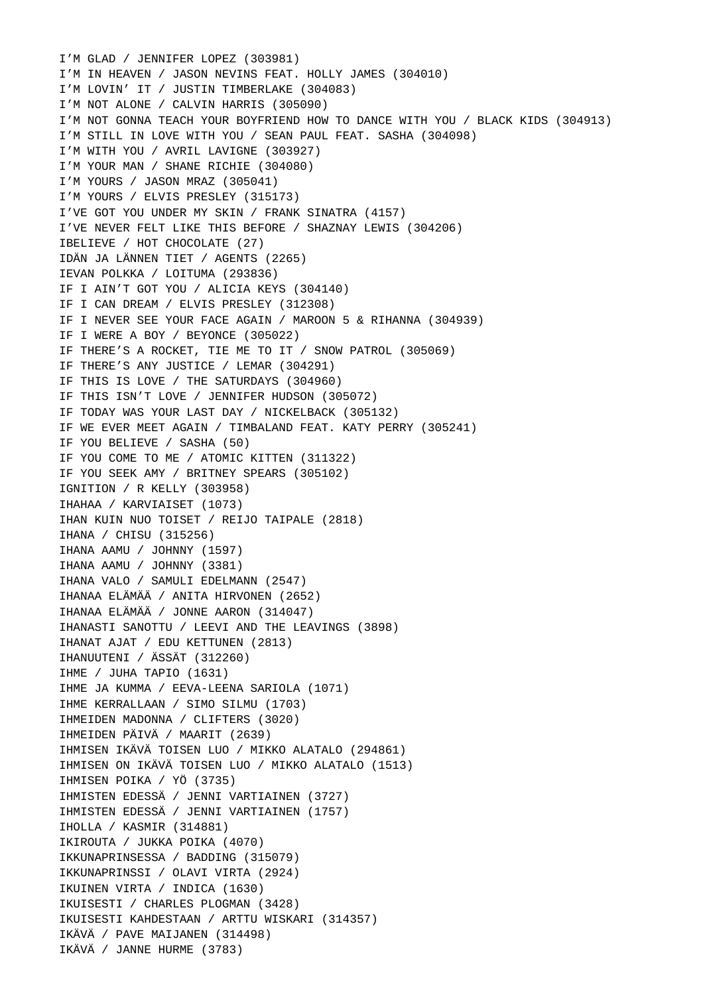I'M GLAD / JENNIFER LOPEZ (303981) I'M IN HEAVEN / JASON NEVINS FEAT. HOLLY JAMES (304010) I'M LOVIN' IT / JUSTIN TIMBERLAKE (304083) I'M NOT ALONE / CALVIN HARRIS (305090) I'M NOT GONNA TEACH YOUR BOYFRIEND HOW TO DANCE WITH YOU / BLACK KIDS (304913) I'M STILL IN LOVE WITH YOU / SEAN PAUL FEAT. SASHA (304098) I'M WITH YOU / AVRIL LAVIGNE (303927) I'M YOUR MAN / SHANE RICHIE (304080) I'M YOURS / JASON MRAZ (305041) I'M YOURS / ELVIS PRESLEY (315173) I'VE GOT YOU UNDER MY SKIN / FRANK SINATRA (4157) I'VE NEVER FELT LIKE THIS BEFORE / SHAZNAY LEWIS (304206) IBELIEVE / HOT CHOCOLATE (27) IDÄN JA LÄNNEN TIET / AGENTS (2265) IEVAN POLKKA / LOITUMA (293836) IF I AIN'T GOT YOU / ALICIA KEYS (304140) IF I CAN DREAM / ELVIS PRESLEY (312308) IF I NEVER SEE YOUR FACE AGAIN / MAROON 5 & RIHANNA (304939) IF I WERE A BOY / BEYONCE (305022) IF THERE'S A ROCKET, TIE ME TO IT / SNOW PATROL (305069) IF THERE'S ANY JUSTICE / LEMAR (304291) IF THIS IS LOVE / THE SATURDAYS (304960) IF THIS ISN'T LOVE / JENNIFER HUDSON (305072) IF TODAY WAS YOUR LAST DAY / NICKELBACK (305132) IF WE EVER MEET AGAIN / TIMBALAND FEAT. KATY PERRY (305241) IF YOU BELIEVE / SASHA (50) IF YOU COME TO ME / ATOMIC KITTEN (311322) IF YOU SEEK AMY / BRITNEY SPEARS (305102) IGNITION / R KELLY (303958) IHAHAA / KARVIAISET (1073) IHAN KUIN NUO TOISET / REIJO TAIPALE (2818) IHANA / CHISU (315256) IHANA AAMU / JOHNNY (1597) IHANA AAMU / JOHNNY (3381) IHANA VALO / SAMULI EDELMANN (2547) IHANAA ELÄMÄÄ / ANITA HIRVONEN (2652) IHANAA ELÄMÄÄ / JONNE AARON (314047) IHANASTI SANOTTU / LEEVI AND THE LEAVINGS (3898) IHANAT AJAT / EDU KETTUNEN (2813) IHANUUTENI / ÄSSÄT (312260) IHME / JUHA TAPIO (1631) IHME JA KUMMA / EEVA-LEENA SARIOLA (1071) IHME KERRALLAAN / SIMO SILMU (1703) IHMEIDEN MADONNA / CLIFTERS (3020) IHMEIDEN PÄIVÄ / MAARIT (2639) IHMISEN IKÄVÄ TOISEN LUO / MIKKO ALATALO (294861) IHMISEN ON IKÄVÄ TOISEN LUO / MIKKO ALATALO (1513) IHMISEN POIKA / YÖ (3735) IHMISTEN EDESSÄ / JENNI VARTIAINEN (3727) IHMISTEN EDESSÄ / JENNI VARTIAINEN (1757) IHOLLA / KASMIR (314881) IKIROUTA / JUKKA POIKA (4070) IKKUNAPRINSESSA / BADDING (315079) IKKUNAPRINSSI / OLAVI VIRTA (2924) IKUINEN VIRTA / INDICA (1630) IKUISESTI / CHARLES PLOGMAN (3428) IKUISESTI KAHDESTAAN / ARTTU WISKARI (314357) IKÄVÄ / PAVE MAIJANEN (314498) IKÄVÄ / JANNE HURME (3783)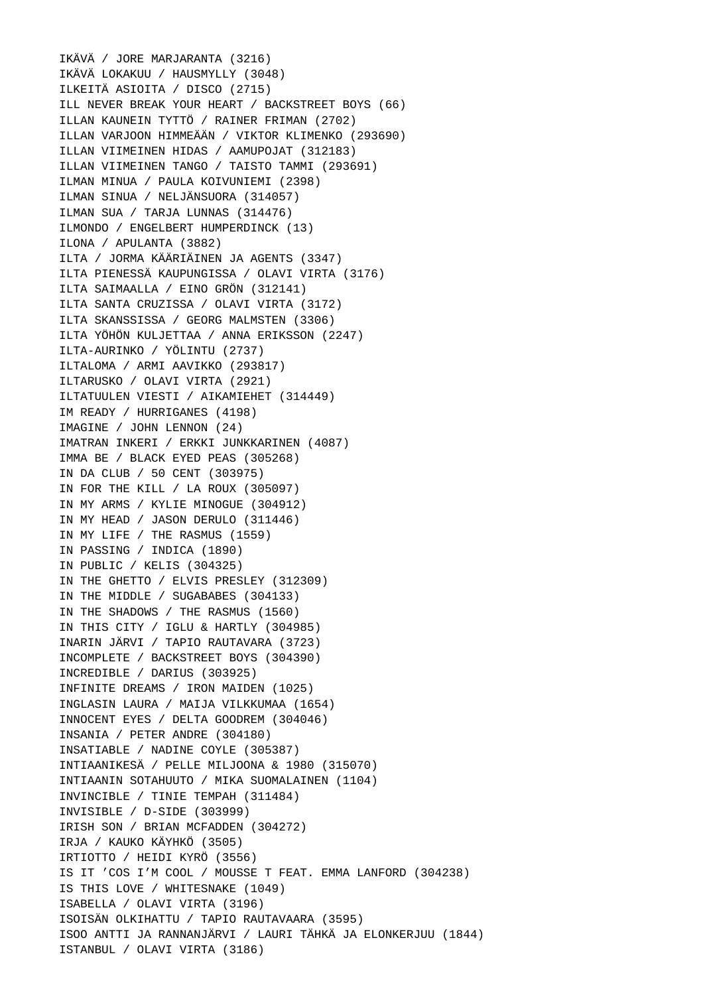IKÄVÄ / JORE MARJARANTA (3216) IKÄVÄ LOKAKUU / HAUSMYLLY (3048) ILKEITÄ ASIOITA / DISCO (2715) ILL NEVER BREAK YOUR HEART / BACKSTREET BOYS (66) ILLAN KAUNEIN TYTTÖ / RAINER FRIMAN (2702) ILLAN VARJOON HIMMEÄÄN / VIKTOR KLIMENKO (293690) ILLAN VIIMEINEN HIDAS / AAMUPOJAT (312183) ILLAN VIIMEINEN TANGO / TAISTO TAMMI (293691) ILMAN MINUA / PAULA KOIVUNIEMI (2398) ILMAN SINUA / NELJÄNSUORA (314057) ILMAN SUA / TARJA LUNNAS (314476) ILMONDO / ENGELBERT HUMPERDINCK (13) ILONA / APULANTA (3882) ILTA / JORMA KÄÄRIÄINEN JA AGENTS (3347) ILTA PIENESSÄ KAUPUNGISSA / OLAVI VIRTA (3176) ILTA SAIMAALLA / EINO GRÖN (312141) ILTA SANTA CRUZISSA / OLAVI VIRTA (3172) ILTA SKANSSISSA / GEORG MALMSTEN (3306) ILTA YÖHÖN KULJETTAA / ANNA ERIKSSON (2247) ILTA-AURINKO / YÖLINTU (2737) ILTALOMA / ARMI AAVIKKO (293817) ILTARUSKO / OLAVI VIRTA (2921) ILTATUULEN VIESTI / AIKAMIEHET (314449) IM READY / HURRIGANES (4198) IMAGINE / JOHN LENNON (24) IMATRAN INKERI / ERKKI JUNKKARINEN (4087) IMMA BE / BLACK EYED PEAS (305268) IN DA CLUB / 50 CENT (303975) IN FOR THE KILL / LA ROUX (305097) IN MY ARMS / KYLIE MINOGUE (304912) IN MY HEAD / JASON DERULO (311446) IN MY LIFE / THE RASMUS (1559) IN PASSING / INDICA (1890) IN PUBLIC / KELIS (304325) IN THE GHETTO / ELVIS PRESLEY (312309) IN THE MIDDLE / SUGABABES (304133) IN THE SHADOWS / THE RASMUS (1560) IN THIS CITY / IGLU & HARTLY (304985) INARIN JÄRVI / TAPIO RAUTAVARA (3723) INCOMPLETE / BACKSTREET BOYS (304390) INCREDIBLE / DARIUS (303925) INFINITE DREAMS / IRON MAIDEN (1025) INGLASIN LAURA / MAIJA VILKKUMAA (1654) INNOCENT EYES / DELTA GOODREM (304046) INSANIA / PETER ANDRE (304180) INSATIABLE / NADINE COYLE (305387) INTIAANIKESÄ / PELLE MILJOONA & 1980 (315070) INTIAANIN SOTAHUUTO / MIKA SUOMALAINEN (1104) INVINCIBLE / TINIE TEMPAH (311484) INVISIBLE / D-SIDE (303999) IRISH SON / BRIAN MCFADDEN (304272) IRJA / KAUKO KÄYHKÖ (3505) IRTIOTTO / HEIDI KYRÖ (3556) IS IT 'COS I'M COOL / MOUSSE T FEAT. EMMA LANFORD (304238) IS THIS LOVE / WHITESNAKE (1049) ISABELLA / OLAVI VIRTA (3196) ISOISÄN OLKIHATTU / TAPIO RAUTAVAARA (3595) ISOO ANTTI JA RANNANJÄRVI / LAURI TÄHKÄ JA ELONKERJUU (1844) ISTANBUL / OLAVI VIRTA (3186)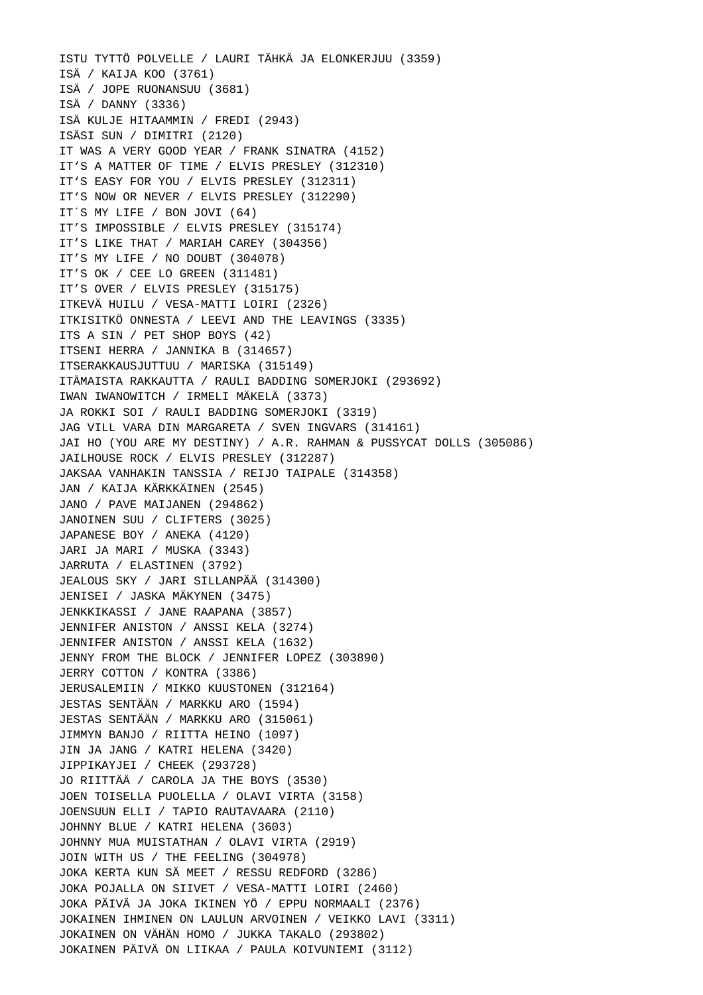ISTU TYTTÖ POLVELLE / LAURI TÄHKÄ JA ELONKERJUU (3359) ISÄ / KAIJA KOO (3761) ISÄ / JOPE RUONANSUU (3681) ISÄ / DANNY (3336) ISÄ KULJE HITAAMMIN / FREDI (2943) ISÄSI SUN / DIMITRI (2120) IT WAS A VERY GOOD YEAR / FRANK SINATRA (4152) IT'S A MATTER OF TIME / ELVIS PRESLEY (312310) IT'S EASY FOR YOU / ELVIS PRESLEY (312311) IT'S NOW OR NEVER / ELVIS PRESLEY (312290) IT´S MY LIFE / BON JOVI (64) IT'S IMPOSSIBLE / ELVIS PRESLEY (315174) IT'S LIKE THAT / MARIAH CAREY (304356) IT'S MY LIFE / NO DOUBT (304078) IT'S OK / CEE LO GREEN (311481) IT'S OVER / ELVIS PRESLEY (315175) ITKEVÄ HUILU / VESA-MATTI LOIRI (2326) ITKISITKÖ ONNESTA / LEEVI AND THE LEAVINGS (3335) ITS A SIN / PET SHOP BOYS (42) ITSENI HERRA / JANNIKA B (314657) ITSERAKKAUSJUTTUU / MARISKA (315149) ITÄMAISTA RAKKAUTTA / RAULI BADDING SOMERJOKI (293692) IWAN IWANOWITCH / IRMELI MÄKELÄ (3373) JA ROKKI SOI / RAULI BADDING SOMERJOKI (3319) JAG VILL VARA DIN MARGARETA / SVEN INGVARS (314161) JAI HO (YOU ARE MY DESTINY) / A.R. RAHMAN & PUSSYCAT DOLLS (305086) JAILHOUSE ROCK / ELVIS PRESLEY (312287) JAKSAA VANHAKIN TANSSIA / REIJO TAIPALE (314358) JAN / KAIJA KÄRKKÄINEN (2545) JANO / PAVE MAIJANEN (294862) JANOINEN SUU / CLIFTERS (3025) JAPANESE BOY / ANEKA (4120) JARI JA MARI / MUSKA (3343) JARRUTA / ELASTINEN (3792) JEALOUS SKY / JARI SILLANPÄÄ (314300) JENISEI / JASKA MÄKYNEN (3475) JENKKIKASSI / JANE RAAPANA (3857) JENNIFER ANISTON / ANSSI KELA (3274) JENNIFER ANISTON / ANSSI KELA (1632) JENNY FROM THE BLOCK / JENNIFER LOPEZ (303890) JERRY COTTON / KONTRA (3386) JERUSALEMIIN / MIKKO KUUSTONEN (312164) JESTAS SENTÄÄN / MARKKU ARO (1594) JESTAS SENTÄÄN / MARKKU ARO (315061) JIMMYN BANJO / RIITTA HEINO (1097) JIN JA JANG / KATRI HELENA (3420) JIPPIKAYJEI / CHEEK (293728) JO RIITTÄÄ / CAROLA JA THE BOYS (3530) JOEN TOISELLA PUOLELLA / OLAVI VIRTA (3158) JOENSUUN ELLI / TAPIO RAUTAVAARA (2110) JOHNNY BLUE / KATRI HELENA (3603) JOHNNY MUA MUISTATHAN / OLAVI VIRTA (2919) JOIN WITH US / THE FEELING (304978) JOKA KERTA KUN SÄ MEET / RESSU REDFORD (3286) JOKA POJALLA ON SIIVET / VESA-MATTI LOIRI (2460) JOKA PÄIVÄ JA JOKA IKINEN YÖ / EPPU NORMAALI (2376) JOKAINEN IHMINEN ON LAULUN ARVOINEN / VEIKKO LAVI (3311) JOKAINEN ON VÄHÄN HOMO / JUKKA TAKALO (293802) JOKAINEN PÄIVÄ ON LIIKAA / PAULA KOIVUNIEMI (3112)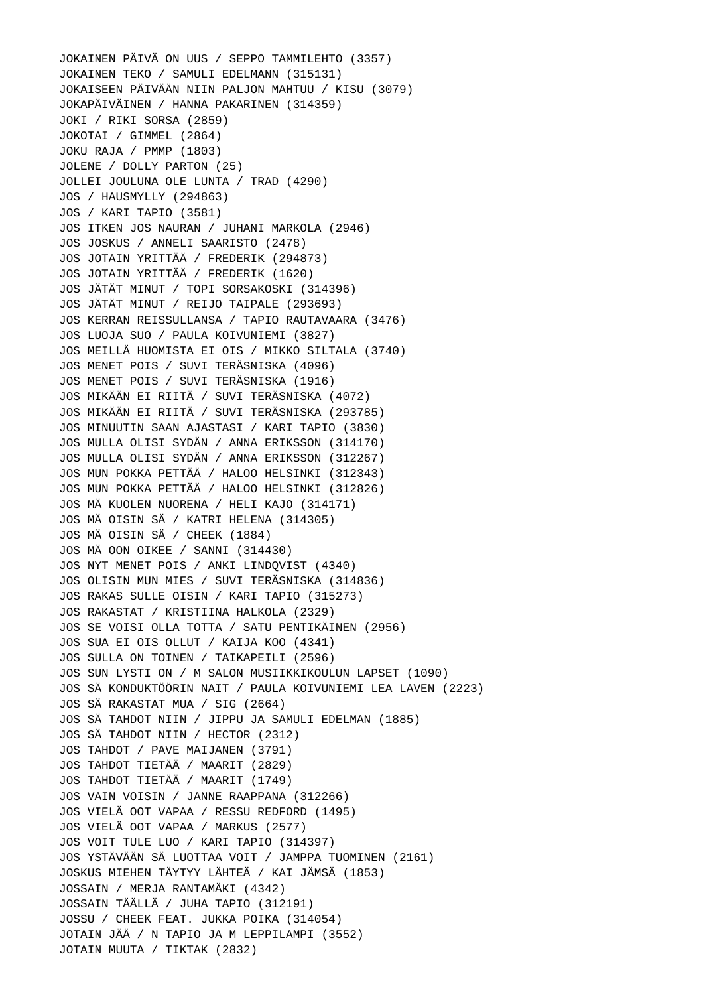JOKAINEN PÄIVÄ ON UUS / SEPPO TAMMILEHTO (3357) JOKAINEN TEKO / SAMULI EDELMANN (315131) JOKAISEEN PÄIVÄÄN NIIN PALJON MAHTUU / KISU (3079) JOKAPÄIVÄINEN / HANNA PAKARINEN (314359) JOKI / RIKI SORSA (2859) JOKOTAI / GIMMEL (2864) JOKU RAJA / PMMP (1803) JOLENE / DOLLY PARTON (25) JOLLEI JOULUNA OLE LUNTA / TRAD (4290) JOS / HAUSMYLLY (294863) JOS / KARI TAPIO (3581) JOS ITKEN JOS NAURAN / JUHANI MARKOLA (2946) JOS JOSKUS / ANNELI SAARISTO (2478) JOS JOTAIN YRITTÄÄ / FREDERIK (294873) JOS JOTAIN YRITTÄÄ / FREDERIK (1620) JOS JÄTÄT MINUT / TOPI SORSAKOSKI (314396) JOS JÄTÄT MINUT / REIJO TAIPALE (293693) JOS KERRAN REISSULLANSA / TAPIO RAUTAVAARA (3476) JOS LUOJA SUO / PAULA KOIVUNIEMI (3827) JOS MEILLÄ HUOMISTA EI OIS / MIKKO SILTALA (3740) JOS MENET POIS / SUVI TERÄSNISKA (4096) JOS MENET POIS / SUVI TERÄSNISKA (1916) JOS MIKÄÄN EI RIITÄ / SUVI TERÄSNISKA (4072) JOS MIKÄÄN EI RIITÄ / SUVI TERÄSNISKA (293785) JOS MINUUTIN SAAN AJASTASI / KARI TAPIO (3830) JOS MULLA OLISI SYDÄN / ANNA ERIKSSON (314170) JOS MULLA OLISI SYDÄN / ANNA ERIKSSON (312267) JOS MUN POKKA PETTÄÄ / HALOO HELSINKI (312343) JOS MUN POKKA PETTÄÄ / HALOO HELSINKI (312826) JOS MÄ KUOLEN NUORENA / HELI KAJO (314171) JOS MÄ OISIN SÄ / KATRI HELENA (314305) JOS MÄ OISIN SÄ / CHEEK (1884) JOS MÄ OON OIKEE / SANNI (314430) JOS NYT MENET POIS / ANKI LINDQVIST (4340) JOS OLISIN MUN MIES / SUVI TERÄSNISKA (314836) JOS RAKAS SULLE OISIN / KARI TAPIO (315273) JOS RAKASTAT / KRISTIINA HALKOLA (2329) JOS SE VOISI OLLA TOTTA / SATU PENTIKÄINEN (2956) JOS SUA EI OIS OLLUT / KAIJA KOO (4341) JOS SULLA ON TOINEN / TAIKAPEILI (2596) JOS SUN LYSTI ON / M SALON MUSIIKKIKOULUN LAPSET (1090) JOS SÄ KONDUKTÖÖRIN NAIT / PAULA KOIVUNIEMI LEA LAVEN (2223) JOS SÄ RAKASTAT MUA / SIG (2664) JOS SÄ TAHDOT NIIN / JIPPU JA SAMULI EDELMAN (1885) JOS SÄ TAHDOT NIIN / HECTOR (2312) JOS TAHDOT / PAVE MAIJANEN (3791) JOS TAHDOT TIETÄÄ / MAARIT (2829) JOS TAHDOT TIETÄÄ / MAARIT (1749) JOS VAIN VOISIN / JANNE RAAPPANA (312266) JOS VIELÄ OOT VAPAA / RESSU REDFORD (1495) JOS VIELÄ OOT VAPAA / MARKUS (2577) JOS VOIT TULE LUO / KARI TAPIO (314397) JOS YSTÄVÄÄN SÄ LUOTTAA VOIT / JAMPPA TUOMINEN (2161) JOSKUS MIEHEN TÄYTYY LÄHTEÄ / KAI JÄMSÄ (1853) JOSSAIN / MERJA RANTAMÄKI (4342) JOSSAIN TÄÄLLÄ / JUHA TAPIO (312191) JOSSU / CHEEK FEAT. JUKKA POIKA (314054) JOTAIN JÄÄ / N TAPIO JA M LEPPILAMPI (3552) JOTAIN MUUTA / TIKTAK (2832)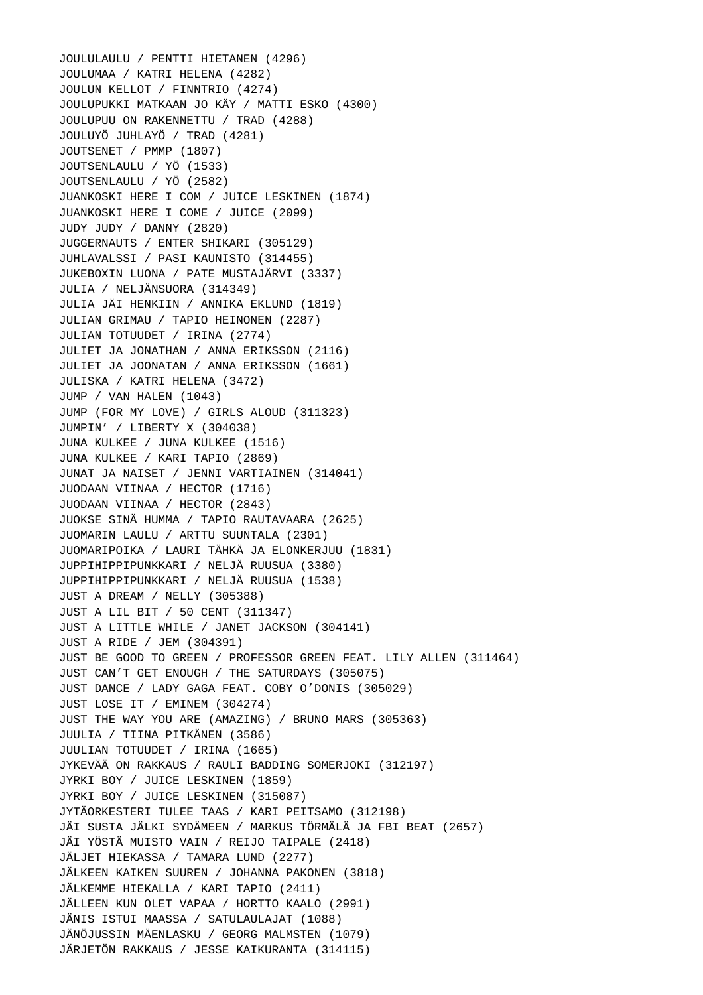JOULULAULU / PENTTI HIETANEN (4296) JOULUMAA / KATRI HELENA (4282) JOULUN KELLOT / FINNTRIO (4274) JOULUPUKKI MATKAAN JO KÄY / MATTI ESKO (4300) JOULUPUU ON RAKENNETTU / TRAD (4288) JOULUYÖ JUHLAYÖ / TRAD (4281) JOUTSENET / PMMP (1807) JOUTSENLAULU / YÖ (1533) JOUTSENLAULU / YÖ (2582) JUANKOSKI HERE I COM / JUICE LESKINEN (1874) JUANKOSKI HERE I COME / JUICE (2099) JUDY JUDY / DANNY (2820) JUGGERNAUTS / ENTER SHIKARI (305129) JUHLAVALSSI / PASI KAUNISTO (314455) JUKEBOXIN LUONA / PATE MUSTAJÄRVI (3337) JULIA / NELJÄNSUORA (314349) JULIA JÄI HENKIIN / ANNIKA EKLUND (1819) JULIAN GRIMAU / TAPIO HEINONEN (2287) JULIAN TOTUUDET / IRINA (2774) JULIET JA JONATHAN / ANNA ERIKSSON (2116) JULIET JA JOONATAN / ANNA ERIKSSON (1661) JULISKA / KATRI HELENA (3472) JUMP / VAN HALEN (1043) JUMP (FOR MY LOVE) / GIRLS ALOUD (311323) JUMPIN' / LIBERTY X (304038) JUNA KULKEE / JUNA KULKEE (1516) JUNA KULKEE / KARI TAPIO (2869) JUNAT JA NAISET / JENNI VARTIAINEN (314041) JUODAAN VIINAA / HECTOR (1716) JUODAAN VIINAA / HECTOR (2843) JUOKSE SINÄ HUMMA / TAPIO RAUTAVAARA (2625) JUOMARIN LAULU / ARTTU SUUNTALA (2301) JUOMARIPOIKA / LAURI TÄHKÄ JA ELONKERJUU (1831) JUPPIHIPPIPUNKKARI / NELJÄ RUUSUA (3380) JUPPIHIPPIPUNKKARI / NELJÄ RUUSUA (1538) JUST A DREAM / NELLY (305388) JUST A LIL BIT / 50 CENT (311347) JUST A LITTLE WHILE / JANET JACKSON (304141) JUST A RIDE / JEM (304391) JUST BE GOOD TO GREEN / PROFESSOR GREEN FEAT. LILY ALLEN (311464) JUST CAN'T GET ENOUGH / THE SATURDAYS (305075) JUST DANCE / LADY GAGA FEAT. COBY O'DONIS (305029) JUST LOSE IT / EMINEM (304274) JUST THE WAY YOU ARE (AMAZING) / BRUNO MARS (305363) JUULIA / TIINA PITKÄNEN (3586) JUULIAN TOTUUDET / IRINA (1665) JYKEVÄÄ ON RAKKAUS / RAULI BADDING SOMERJOKI (312197) JYRKI BOY / JUICE LESKINEN (1859) JYRKI BOY / JUICE LESKINEN (315087) JYTÄORKESTERI TULEE TAAS / KARI PEITSAMO (312198) JÄI SUSTA JÄLKI SYDÄMEEN / MARKUS TÖRMÄLÄ JA FBI BEAT (2657) JÄI YÖSTÄ MUISTO VAIN / REIJO TAIPALE (2418) JÄLJET HIEKASSA / TAMARA LUND (2277) JÄLKEEN KAIKEN SUUREN / JOHANNA PAKONEN (3818) JÄLKEMME HIEKALLA / KARI TAPIO (2411) JÄLLEEN KUN OLET VAPAA / HORTTO KAALO (2991) JÄNIS ISTUI MAASSA / SATULAULAJAT (1088) JÄNÖJUSSIN MÄENLASKU / GEORG MALMSTEN (1079) JÄRJETÖN RAKKAUS / JESSE KAIKURANTA (314115)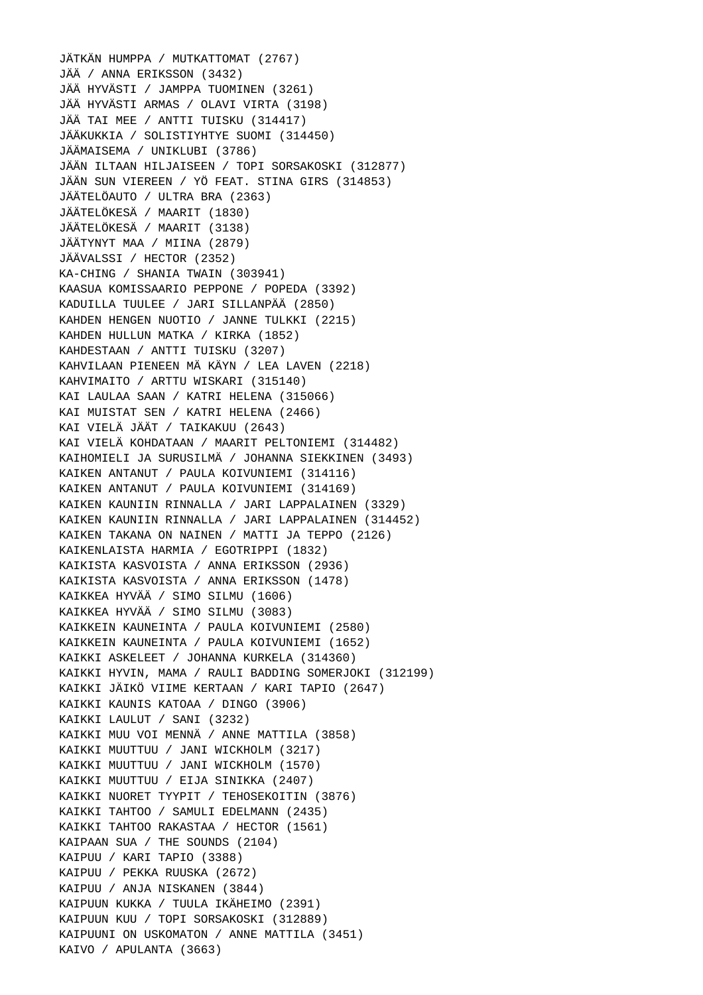JÄTKÄN HUMPPA / MUTKATTOMAT (2767) JÄÄ / ANNA ERIKSSON (3432) JÄÄ HYVÄSTI / JAMPPA TUOMINEN (3261) JÄÄ HYVÄSTI ARMAS / OLAVI VIRTA (3198) JÄÄ TAI MEE / ANTTI TUISKU (314417) JÄÄKUKKIA / SOLISTIYHTYE SUOMI (314450) JÄÄMAISEMA / UNIKLUBI (3786) JÄÄN ILTAAN HILJAISEEN / TOPI SORSAKOSKI (312877) JÄÄN SUN VIEREEN / YÖ FEAT. STINA GIRS (314853) JÄÄTELÖAUTO / ULTRA BRA (2363) JÄÄTELÖKESÄ / MAARIT (1830) JÄÄTELÖKESÄ / MAARIT (3138) JÄÄTYNYT MAA / MIINA (2879) JÄÄVALSSI / HECTOR (2352) KA-CHING / SHANIA TWAIN (303941) KAASUA KOMISSAARIO PEPPONE / POPEDA (3392) KADUILLA TUULEE / JARI SILLANPÄÄ (2850) KAHDEN HENGEN NUOTIO / JANNE TULKKI (2215) KAHDEN HULLUN MATKA / KIRKA (1852) KAHDESTAAN / ANTTI TUISKU (3207) KAHVILAAN PIENEEN MÄ KÄYN / LEA LAVEN (2218) KAHVIMAITO / ARTTU WISKARI (315140) KAI LAULAA SAAN / KATRI HELENA (315066) KAI MUISTAT SEN / KATRI HELENA (2466) KAI VIELÄ JÄÄT / TAIKAKUU (2643) KAI VIELÄ KOHDATAAN / MAARIT PELTONIEMI (314482) KAIHOMIELI JA SURUSILMÄ / JOHANNA SIEKKINEN (3493) KAIKEN ANTANUT / PAULA KOIVUNIEMI (314116) KAIKEN ANTANUT / PAULA KOIVUNIEMI (314169) KAIKEN KAUNIIN RINNALLA / JARI LAPPALAINEN (3329) KAIKEN KAUNIIN RINNALLA / JARI LAPPALAINEN (314452) KAIKEN TAKANA ON NAINEN / MATTI JA TEPPO (2126) KAIKENLAISTA HARMIA / EGOTRIPPI (1832) KAIKISTA KASVOISTA / ANNA ERIKSSON (2936) KAIKISTA KASVOISTA / ANNA ERIKSSON (1478) KAIKKEA HYVÄÄ / SIMO SILMU (1606) KAIKKEA HYVÄÄ / SIMO SILMU (3083) KAIKKEIN KAUNEINTA / PAULA KOIVUNIEMI (2580) KAIKKEIN KAUNEINTA / PAULA KOIVUNIEMI (1652) KAIKKI ASKELEET / JOHANNA KURKELA (314360) KAIKKI HYVIN, MAMA / RAULI BADDING SOMERJOKI (312199) KAIKKI JÄIKÖ VIIME KERTAAN / KARI TAPIO (2647) KAIKKI KAUNIS KATOAA / DINGO (3906) KAIKKI LAULUT / SANI (3232) KAIKKI MUU VOI MENNÄ / ANNE MATTILA (3858) KAIKKI MUUTTUU / JANI WICKHOLM (3217) KAIKKI MUUTTUU / JANI WICKHOLM (1570) KAIKKI MUUTTUU / EIJA SINIKKA (2407) KAIKKI NUORET TYYPIT / TEHOSEKOITIN (3876) KAIKKI TAHTOO / SAMULI EDELMANN (2435) KAIKKI TAHTOO RAKASTAA / HECTOR (1561) KAIPAAN SUA / THE SOUNDS (2104) KAIPUU / KARI TAPIO (3388) KAIPUU / PEKKA RUUSKA (2672) KAIPUU / ANJA NISKANEN (3844) KAIPUUN KUKKA / TUULA IKÄHEIMO (2391) KAIPUUN KUU / TOPI SORSAKOSKI (312889) KAIPUUNI ON USKOMATON / ANNE MATTILA (3451) KAIVO / APULANTA (3663)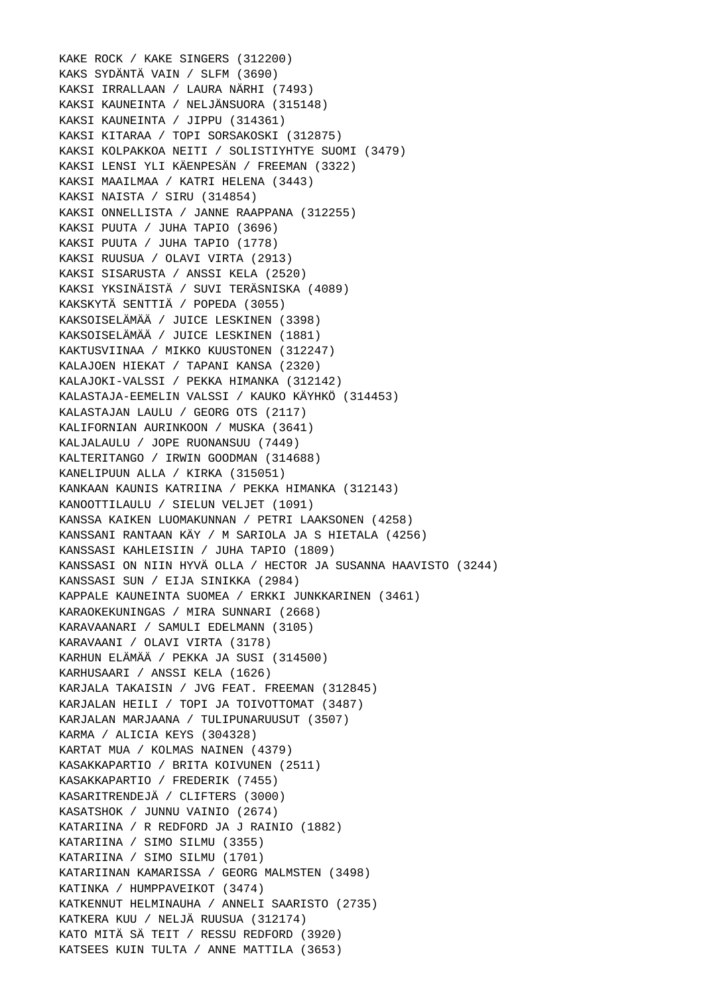KAKE ROCK / KAKE SINGERS (312200) KAKS SYDÄNTÄ VAIN / SLFM (3690) KAKSI IRRALLAAN / LAURA NÄRHI (7493) KAKSI KAUNEINTA / NELJÄNSUORA (315148) KAKSI KAUNEINTA / JIPPU (314361) KAKSI KITARAA / TOPI SORSAKOSKI (312875) KAKSI KOLPAKKOA NEITI / SOLISTIYHTYE SUOMI (3479) KAKSI LENSI YLI KÄENPESÄN / FREEMAN (3322) KAKSI MAAILMAA / KATRI HELENA (3443) KAKSI NAISTA / SIRU (314854) KAKSI ONNELLISTA / JANNE RAAPPANA (312255) KAKSI PUUTA / JUHA TAPIO (3696) KAKSI PUUTA / JUHA TAPIO (1778) KAKSI RUUSUA / OLAVI VIRTA (2913) KAKSI SISARUSTA / ANSSI KELA (2520) KAKSI YKSINÄISTÄ / SUVI TERÄSNISKA (4089) KAKSKYTÄ SENTTIÄ / POPEDA (3055) KAKSOISELÄMÄÄ / JUICE LESKINEN (3398) KAKSOISELÄMÄÄ / JUICE LESKINEN (1881) KAKTUSVIINAA / MIKKO KUUSTONEN (312247) KALAJOEN HIEKAT / TAPANI KANSA (2320) KALAJOKI-VALSSI / PEKKA HIMANKA (312142) KALASTAJA-EEMELIN VALSSI / KAUKO KÄYHKÖ (314453) KALASTAJAN LAULU / GEORG OTS (2117) KALIFORNIAN AURINKOON / MUSKA (3641) KALJALAULU / JOPE RUONANSUU (7449) KALTERITANGO / IRWIN GOODMAN (314688) KANELIPUUN ALLA / KIRKA (315051) KANKAAN KAUNIS KATRIINA / PEKKA HIMANKA (312143) KANOOTTILAULU / SIELUN VELJET (1091) KANSSA KAIKEN LUOMAKUNNAN / PETRI LAAKSONEN (4258) KANSSANI RANTAAN KÄY / M SARIOLA JA S HIETALA (4256) KANSSASI KAHLEISIIN / JUHA TAPIO (1809) KANSSASI ON NIIN HYVÄ OLLA / HECTOR JA SUSANNA HAAVISTO (3244) KANSSASI SUN / EIJA SINIKKA (2984) KAPPALE KAUNEINTA SUOMEA / ERKKI JUNKKARINEN (3461) KARAOKEKUNINGAS / MIRA SUNNARI (2668) KARAVAANARI / SAMULI EDELMANN (3105) KARAVAANI / OLAVI VIRTA (3178) KARHUN ELÄMÄÄ / PEKKA JA SUSI (314500) KARHUSAARI / ANSSI KELA (1626) KARJALA TAKAISIN / JVG FEAT. FREEMAN (312845) KARJALAN HEILI / TOPI JA TOIVOTTOMAT (3487) KARJALAN MARJAANA / TULIPUNARUUSUT (3507) KARMA / ALICIA KEYS (304328) KARTAT MUA / KOLMAS NAINEN (4379) KASAKKAPARTIO / BRITA KOIVUNEN (2511) KASAKKAPARTIO / FREDERIK (7455) KASARITRENDEJÄ / CLIFTERS (3000) KASATSHOK / JUNNU VAINIO (2674) KATARIINA / R REDFORD JA J RAINIO (1882) KATARIINA / SIMO SILMU (3355) KATARIINA / SIMO SILMU (1701) KATARIINAN KAMARISSA / GEORG MALMSTEN (3498) KATINKA / HUMPPAVEIKOT (3474) KATKENNUT HELMINAUHA / ANNELI SAARISTO (2735) KATKERA KUU / NELJÄ RUUSUA (312174) KATO MITÄ SÄ TEIT / RESSU REDFORD (3920) KATSEES KUIN TULTA / ANNE MATTILA (3653)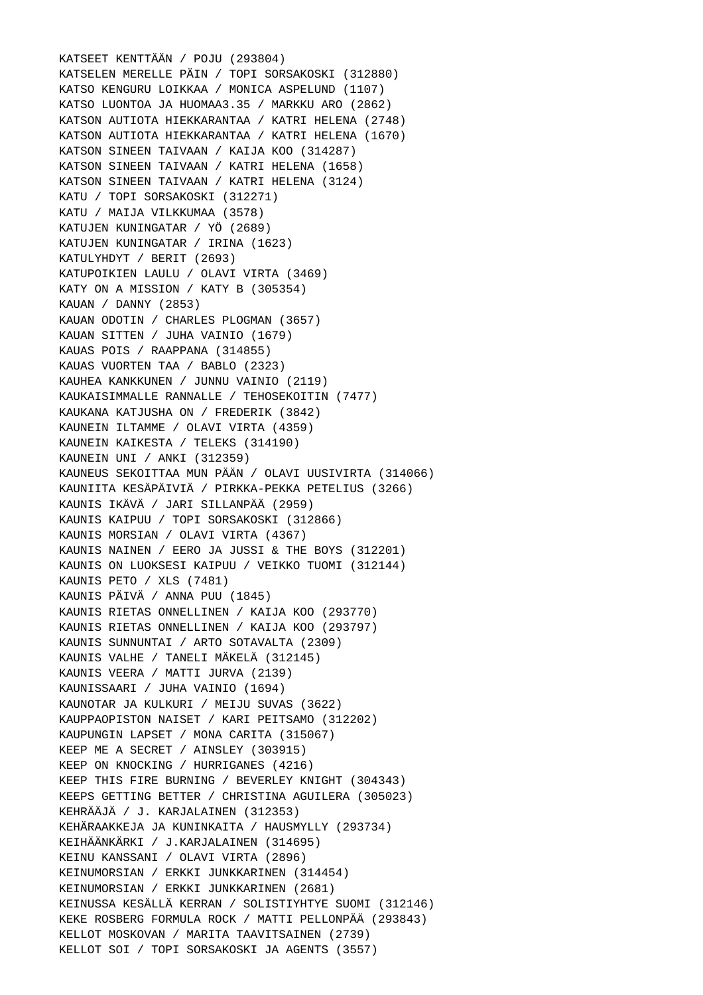KATSEET KENTTÄÄN / POJU (293804) KATSELEN MERELLE PÄIN / TOPI SORSAKOSKI (312880) KATSO KENGURU LOIKKAA / MONICA ASPELUND (1107) KATSO LUONTOA JA HUOMAA3.35 / MARKKU ARO (2862) KATSON AUTIOTA HIEKKARANTAA / KATRI HELENA (2748) KATSON AUTIOTA HIEKKARANTAA / KATRI HELENA (1670) KATSON SINEEN TAIVAAN / KAIJA KOO (314287) KATSON SINEEN TAIVAAN / KATRI HELENA (1658) KATSON SINEEN TAIVAAN / KATRI HELENA (3124) KATU / TOPI SORSAKOSKI (312271) KATU / MAIJA VILKKUMAA (3578) KATUJEN KUNINGATAR / YÖ (2689) KATUJEN KUNINGATAR / IRINA (1623) KATULYHDYT / BERIT (2693) KATUPOIKIEN LAULU / OLAVI VIRTA (3469) KATY ON A MISSION / KATY B (305354) KAUAN / DANNY (2853) KAUAN ODOTIN / CHARLES PLOGMAN (3657) KAUAN SITTEN / JUHA VAINIO (1679) KAUAS POIS / RAAPPANA (314855) KAUAS VUORTEN TAA / BABLO (2323) KAUHEA KANKKUNEN / JUNNU VAINIO (2119) KAUKAISIMMALLE RANNALLE / TEHOSEKOITIN (7477) KAUKANA KATJUSHA ON / FREDERIK (3842) KAUNEIN ILTAMME / OLAVI VIRTA (4359) KAUNEIN KAIKESTA / TELEKS (314190) KAUNEIN UNI / ANKI (312359) KAUNEUS SEKOITTAA MUN PÄÄN / OLAVI UUSIVIRTA (314066) KAUNIITA KESÄPÄIVIÄ / PIRKKA-PEKKA PETELIUS (3266) KAUNIS IKÄVÄ / JARI SILLANPÄÄ (2959) KAUNIS KAIPUU / TOPI SORSAKOSKI (312866) KAUNIS MORSIAN / OLAVI VIRTA (4367) KAUNIS NAINEN / EERO JA JUSSI & THE BOYS (312201) KAUNIS ON LUOKSESI KAIPUU / VEIKKO TUOMI (312144) KAUNIS PETO / XLS (7481) KAUNIS PÄIVÄ / ANNA PUU (1845) KAUNIS RIETAS ONNELLINEN / KAIJA KOO (293770) KAUNIS RIETAS ONNELLINEN / KAIJA KOO (293797) KAUNIS SUNNUNTAI / ARTO SOTAVALTA (2309) KAUNIS VALHE / TANELI MÄKELÄ (312145) KAUNIS VEERA / MATTI JURVA (2139) KAUNISSAARI / JUHA VAINIO (1694) KAUNOTAR JA KULKURI / MEIJU SUVAS (3622) KAUPPAOPISTON NAISET / KARI PEITSAMO (312202) KAUPUNGIN LAPSET / MONA CARITA (315067) KEEP ME A SECRET / AINSLEY (303915) KEEP ON KNOCKING / HURRIGANES (4216) KEEP THIS FIRE BURNING / BEVERLEY KNIGHT (304343) KEEPS GETTING BETTER / CHRISTINA AGUILERA (305023) KEHRÄÄJÄ / J. KARJALAINEN (312353) KEHÄRAAKKEJA JA KUNINKAITA / HAUSMYLLY (293734) KEIHÄÄNKÄRKI / J.KARJALAINEN (314695) KEINU KANSSANI / OLAVI VIRTA (2896) KEINUMORSIAN / ERKKI JUNKKARINEN (314454) KEINUMORSIAN / ERKKI JUNKKARINEN (2681) KEINUSSA KESÄLLÄ KERRAN / SOLISTIYHTYE SUOMI (312146) KEKE ROSBERG FORMULA ROCK / MATTI PELLONPÄÄ (293843) KELLOT MOSKOVAN / MARITA TAAVITSAINEN (2739) KELLOT SOI / TOPI SORSAKOSKI JA AGENTS (3557)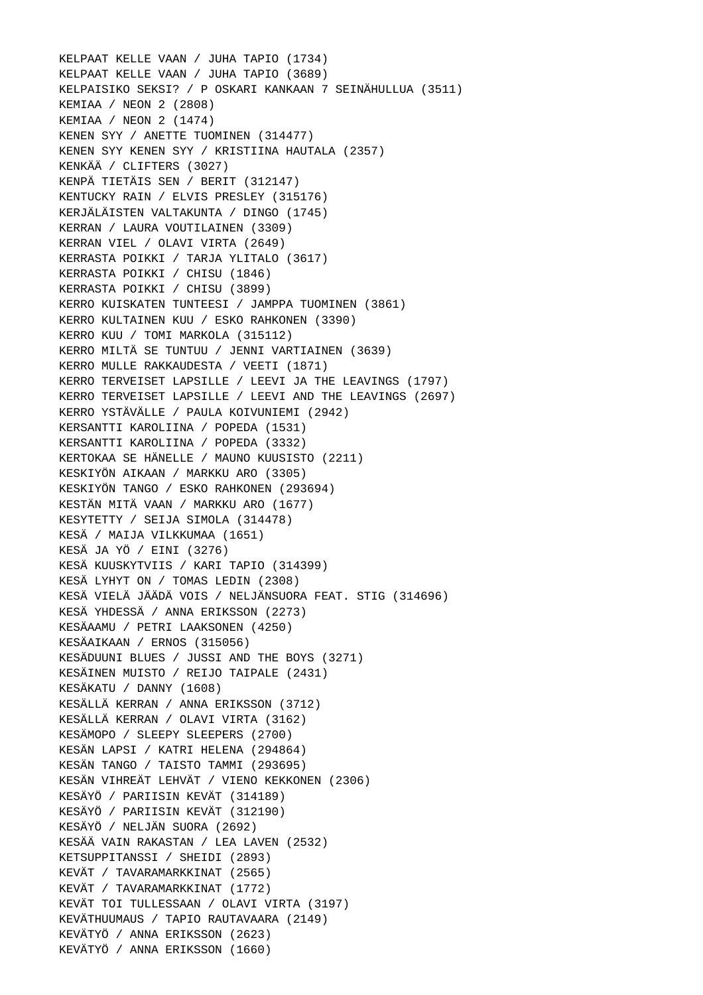KELPAAT KELLE VAAN / JUHA TAPIO (1734) KELPAAT KELLE VAAN / JUHA TAPIO (3689) KELPAISIKO SEKSI? / P OSKARI KANKAAN 7 SEINÄHULLUA (3511) KEMIAA / NEON 2 (2808) KEMIAA / NEON 2 (1474) KENEN SYY / ANETTE TUOMINEN (314477) KENEN SYY KENEN SYY / KRISTIINA HAUTALA (2357) KENKÄÄ / CLIFTERS (3027) KENPÄ TIETÄIS SEN / BERIT (312147) KENTUCKY RAIN / ELVIS PRESLEY (315176) KERJÄLÄISTEN VALTAKUNTA / DINGO (1745) KERRAN / LAURA VOUTILAINEN (3309) KERRAN VIEL / OLAVI VIRTA (2649) KERRASTA POIKKI / TARJA YLITALO (3617) KERRASTA POIKKI / CHISU (1846) KERRASTA POIKKI / CHISU (3899) KERRO KUISKATEN TUNTEESI / JAMPPA TUOMINEN (3861) KERRO KULTAINEN KUU / ESKO RAHKONEN (3390) KERRO KUU / TOMI MARKOLA (315112) KERRO MILTÄ SE TUNTUU / JENNI VARTIAINEN (3639) KERRO MULLE RAKKAUDESTA / VEETI (1871) KERRO TERVEISET LAPSILLE / LEEVI JA THE LEAVINGS (1797) KERRO TERVEISET LAPSILLE / LEEVI AND THE LEAVINGS (2697) KERRO YSTÄVÄLLE / PAULA KOIVUNIEMI (2942) KERSANTTI KAROLIINA / POPEDA (1531) KERSANTTI KAROLIINA / POPEDA (3332) KERTOKAA SE HÄNELLE / MAUNO KUUSISTO (2211) KESKIYÖN AIKAAN / MARKKU ARO (3305) KESKIYÖN TANGO / ESKO RAHKONEN (293694) KESTÄN MITÄ VAAN / MARKKU ARO (1677) KESYTETTY / SEIJA SIMOLA (314478) KESÄ / MAIJA VILKKUMAA (1651) KESÄ JA YÖ / EINI (3276) KESÄ KUUSKYTVIIS / KARI TAPIO (314399) KESÄ LYHYT ON / TOMAS LEDIN (2308) KESÄ VIELÄ JÄÄDÄ VOIS / NELJÄNSUORA FEAT. STIG (314696) KESÄ YHDESSÄ / ANNA ERIKSSON (2273) KESÄAAMU / PETRI LAAKSONEN (4250) KESÄAIKAAN / ERNOS (315056) KESÄDUUNI BLUES / JUSSI AND THE BOYS (3271) KESÄINEN MUISTO / REIJO TAIPALE (2431) KESÄKATU / DANNY (1608) KESÄLLÄ KERRAN / ANNA ERIKSSON (3712) KESÄLLÄ KERRAN / OLAVI VIRTA (3162) KESÄMOPO / SLEEPY SLEEPERS (2700) KESÄN LAPSI / KATRI HELENA (294864) KESÄN TANGO / TAISTO TAMMI (293695) KESÄN VIHREÄT LEHVÄT / VIENO KEKKONEN (2306) KESÄYÖ / PARIISIN KEVÄT (314189) KESÄYÖ / PARIISIN KEVÄT (312190) KESÄYÖ / NELJÄN SUORA (2692) KESÄÄ VAIN RAKASTAN / LEA LAVEN (2532) KETSUPPITANSSI / SHEIDI (2893) KEVÄT / TAVARAMARKKINAT (2565) KEVÄT / TAVARAMARKKINAT (1772) KEVÄT TOI TULLESSAAN / OLAVI VIRTA (3197) KEVÄTHUUMAUS / TAPIO RAUTAVAARA (2149) KEVÄTYÖ / ANNA ERIKSSON (2623) KEVÄTYÖ / ANNA ERIKSSON (1660)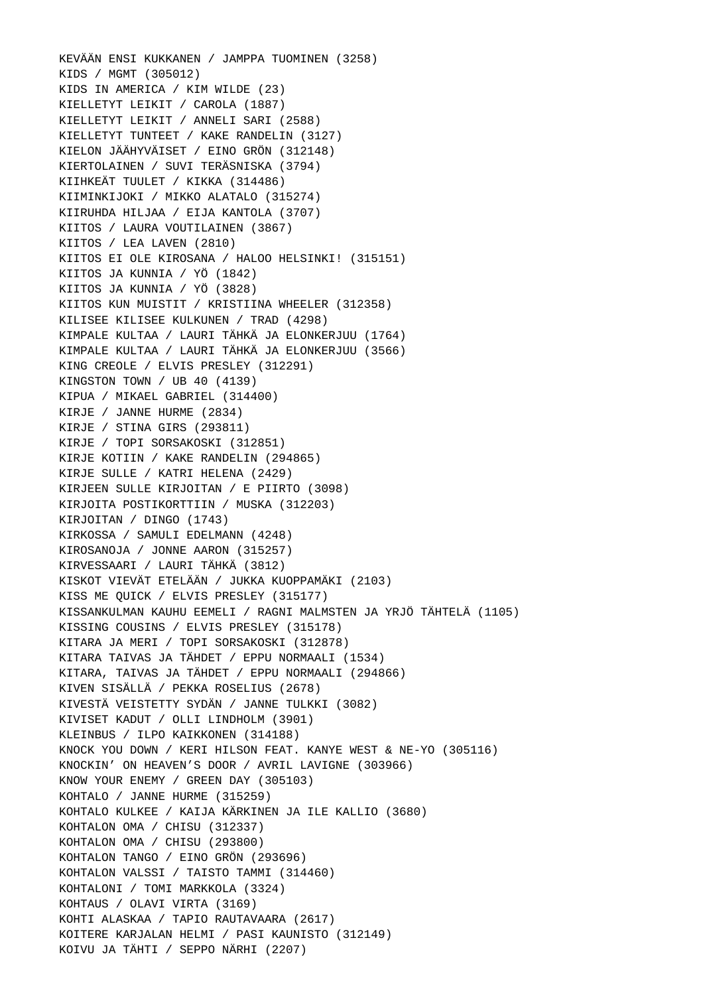KEVÄÄN ENSI KUKKANEN / JAMPPA TUOMINEN (3258) KIDS / MGMT (305012) KIDS IN AMERICA / KIM WILDE (23) KIELLETYT LEIKIT / CAROLA (1887) KIELLETYT LEIKIT / ANNELI SARI (2588) KIELLETYT TUNTEET / KAKE RANDELIN (3127) KIELON JÄÄHYVÄISET / EINO GRÖN (312148) KIERTOLAINEN / SUVI TERÄSNISKA (3794) KIIHKEÄT TUULET / KIKKA (314486) KIIMINKIJOKI / MIKKO ALATALO (315274) KIIRUHDA HILJAA / EIJA KANTOLA (3707) KIITOS / LAURA VOUTILAINEN (3867) KIITOS / LEA LAVEN (2810) KIITOS EI OLE KIROSANA / HALOO HELSINKI! (315151) KIITOS JA KUNNIA / YÖ (1842) KIITOS JA KUNNIA / YÖ (3828) KIITOS KUN MUISTIT / KRISTIINA WHEELER (312358) KILISEE KILISEE KULKUNEN / TRAD (4298) KIMPALE KULTAA / LAURI TÄHKÄ JA ELONKERJUU (1764) KIMPALE KULTAA / LAURI TÄHKÄ JA ELONKERJUU (3566) KING CREOLE / ELVIS PRESLEY (312291) KINGSTON TOWN / UB 40 (4139) KIPUA / MIKAEL GABRIEL (314400) KIRJE / JANNE HURME (2834) KIRJE / STINA GIRS (293811) KIRJE / TOPI SORSAKOSKI (312851) KIRJE KOTIIN / KAKE RANDELIN (294865) KIRJE SULLE / KATRI HELENA (2429) KIRJEEN SULLE KIRJOITAN / E PIIRTO (3098) KIRJOITA POSTIKORTTIIN / MUSKA (312203) KIRJOITAN / DINGO (1743) KIRKOSSA / SAMULI EDELMANN (4248) KIROSANOJA / JONNE AARON (315257) KIRVESSAARI / LAURI TÄHKÄ (3812) KISKOT VIEVÄT ETELÄÄN / JUKKA KUOPPAMÄKI (2103) KISS ME QUICK / ELVIS PRESLEY (315177) KISSANKULMAN KAUHU EEMELI / RAGNI MALMSTEN JA YRJÖ TÄHTELÄ (1105) KISSING COUSINS / ELVIS PRESLEY (315178) KITARA JA MERI / TOPI SORSAKOSKI (312878) KITARA TAIVAS JA TÄHDET / EPPU NORMAALI (1534) KITARA, TAIVAS JA TÄHDET / EPPU NORMAALI (294866) KIVEN SISÄLLÄ / PEKKA ROSELIUS (2678) KIVESTÄ VEISTETTY SYDÄN / JANNE TULKKI (3082) KIVISET KADUT / OLLI LINDHOLM (3901) KLEINBUS / ILPO KAIKKONEN (314188) KNOCK YOU DOWN / KERI HILSON FEAT. KANYE WEST & NE-YO (305116) KNOCKIN' ON HEAVEN'S DOOR / AVRIL LAVIGNE (303966) KNOW YOUR ENEMY / GREEN DAY (305103) KOHTALO / JANNE HURME (315259) KOHTALO KULKEE / KAIJA KÄRKINEN JA ILE KALLIO (3680) KOHTALON OMA / CHISU (312337) KOHTALON OMA / CHISU (293800) KOHTALON TANGO / EINO GRÖN (293696) KOHTALON VALSSI / TAISTO TAMMI (314460) KOHTALONI / TOMI MARKKOLA (3324) KOHTAUS / OLAVI VIRTA (3169) KOHTI ALASKAA / TAPIO RAUTAVAARA (2617) KOITERE KARJALAN HELMI / PASI KAUNISTO (312149) KOIVU JA TÄHTI / SEPPO NÄRHI (2207)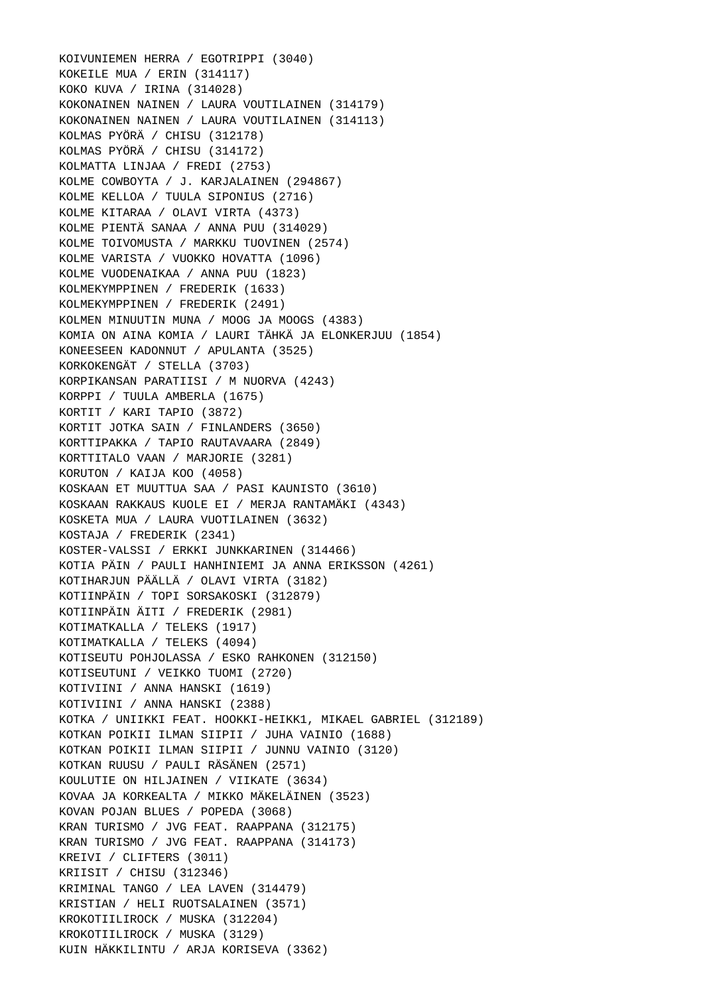KOIVUNIEMEN HERRA / EGOTRIPPI (3040) KOKEILE MUA / ERIN (314117) KOKO KUVA / IRINA (314028) KOKONAINEN NAINEN / LAURA VOUTILAINEN (314179) KOKONAINEN NAINEN / LAURA VOUTILAINEN (314113) KOLMAS PYÖRÄ / CHISU (312178) KOLMAS PYÖRÄ / CHISU (314172) KOLMATTA LINJAA / FREDI (2753) KOLME COWBOYTA / J. KARJALAINEN (294867) KOLME KELLOA / TUULA SIPONIUS (2716) KOLME KITARAA / OLAVI VIRTA (4373) KOLME PIENTÄ SANAA / ANNA PUU (314029) KOLME TOIVOMUSTA / MARKKU TUOVINEN (2574) KOLME VARISTA / VUOKKO HOVATTA (1096) KOLME VUODENAIKAA / ANNA PUU (1823) KOLMEKYMPPINEN / FREDERIK (1633) KOLMEKYMPPINEN / FREDERIK (2491) KOLMEN MINUUTIN MUNA / MOOG JA MOOGS (4383) KOMIA ON AINA KOMIA / LAURI TÄHKÄ JA ELONKERJUU (1854) KONEESEEN KADONNUT / APULANTA (3525) KORKOKENGÄT / STELLA (3703) KORPIKANSAN PARATIISI / M NUORVA (4243) KORPPI / TUULA AMBERLA (1675) KORTIT / KARI TAPIO (3872) KORTIT JOTKA SAIN / FINLANDERS (3650) KORTTIPAKKA / TAPIO RAUTAVAARA (2849) KORTTITALO VAAN / MARJORIE (3281) KORUTON / KAIJA KOO (4058) KOSKAAN ET MUUTTUA SAA / PASI KAUNISTO (3610) KOSKAAN RAKKAUS KUOLE EI / MERJA RANTAMÄKI (4343) KOSKETA MUA / LAURA VUOTILAINEN (3632) KOSTAJA / FREDERIK (2341) KOSTER-VALSSI / ERKKI JUNKKARINEN (314466) KOTIA PÄIN / PAULI HANHINIEMI JA ANNA ERIKSSON (4261) KOTIHARJUN PÄÄLLÄ / OLAVI VIRTA (3182) KOTIINPÄIN / TOPI SORSAKOSKI (312879) KOTIINPÄIN ÄITI / FREDERIK (2981) KOTIMATKALLA / TELEKS (1917) KOTIMATKALLA / TELEKS (4094) KOTISEUTU POHJOLASSA / ESKO RAHKONEN (312150) KOTISEUTUNI / VEIKKO TUOMI (2720) KOTIVIINI / ANNA HANSKI (1619) KOTIVIINI / ANNA HANSKI (2388) KOTKA / UNIIKKI FEAT. HOOKKI-HEIKK1, MIKAEL GABRIEL (312189) KOTKAN POIKII ILMAN SIIPII / JUHA VAINIO (1688) KOTKAN POIKII ILMAN SIIPII / JUNNU VAINIO (3120) KOTKAN RUUSU / PAULI RÄSÄNEN (2571) KOULUTIE ON HILJAINEN / VIIKATE (3634) KOVAA JA KORKEALTA / MIKKO MÄKELÄINEN (3523) KOVAN POJAN BLUES / POPEDA (3068) KRAN TURISMO / JVG FEAT. RAAPPANA (312175) KRAN TURISMO / JVG FEAT. RAAPPANA (314173) KREIVI / CLIFTERS (3011) KRIISIT / CHISU (312346) KRIMINAL TANGO / LEA LAVEN (314479) KRISTIAN / HELI RUOTSALAINEN (3571) KROKOTIILIROCK / MUSKA (312204) KROKOTIILIROCK / MUSKA (3129) KUIN HÄKKILINTU / ARJA KORISEVA (3362)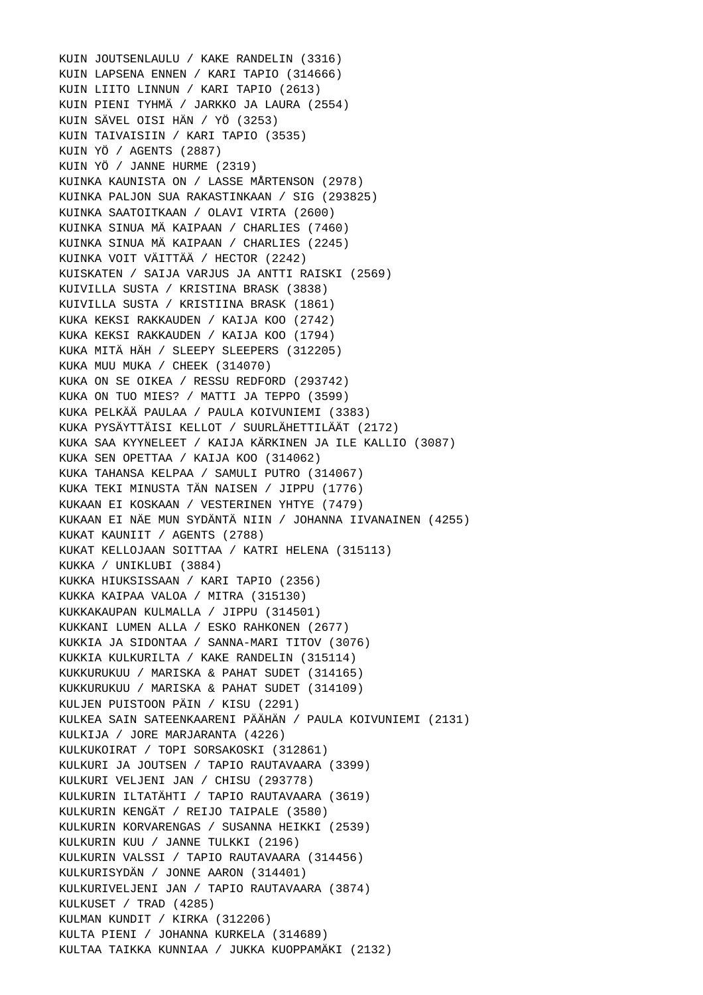KUIN JOUTSENLAULU / KAKE RANDELIN (3316) KUIN LAPSENA ENNEN / KARI TAPIO (314666) KUIN LIITO LINNUN / KARI TAPIO (2613) KUIN PIENI TYHMÄ / JARKKO JA LAURA (2554) KUIN SÄVEL OISI HÄN / YÖ (3253) KUIN TAIVAISIIN / KARI TAPIO (3535) KUIN YÖ / AGENTS (2887) KUIN YÖ / JANNE HURME (2319) KUINKA KAUNISTA ON / LASSE MÅRTENSON (2978) KUINKA PALJON SUA RAKASTINKAAN / SIG (293825) KUINKA SAATOITKAAN / OLAVI VIRTA (2600) KUINKA SINUA MÄ KAIPAAN / CHARLIES (7460) KUINKA SINUA MÄ KAIPAAN / CHARLIES (2245) KUINKA VOIT VÄITTÄÄ / HECTOR (2242) KUISKATEN / SAIJA VARJUS JA ANTTI RAISKI (2569) KUIVILLA SUSTA / KRISTINA BRASK (3838) KUIVILLA SUSTA / KRISTIINA BRASK (1861) KUKA KEKSI RAKKAUDEN / KAIJA KOO (2742) KUKA KEKSI RAKKAUDEN / KAIJA KOO (1794) KUKA MITÄ HÄH / SLEEPY SLEEPERS (312205) KUKA MUU MUKA / CHEEK (314070) KUKA ON SE OIKEA / RESSU REDFORD (293742) KUKA ON TUO MIES? / MATTI JA TEPPO (3599) KUKA PELKÄÄ PAULAA / PAULA KOIVUNIEMI (3383) KUKA PYSÄYTTÄISI KELLOT / SUURLÄHETTILÄÄT (2172) KUKA SAA KYYNELEET / KAIJA KÄRKINEN JA ILE KALLIO (3087) KUKA SEN OPETTAA / KAIJA KOO (314062) KUKA TAHANSA KELPAA / SAMULI PUTRO (314067) KUKA TEKI MINUSTA TÄN NAISEN / JIPPU (1776) KUKAAN EI KOSKAAN / VESTERINEN YHTYE (7479) KUKAAN EI NÄE MUN SYDÄNTÄ NIIN / JOHANNA IIVANAINEN (4255) KUKAT KAUNIIT / AGENTS (2788) KUKAT KELLOJAAN SOITTAA / KATRI HELENA (315113) KUKKA / UNIKLUBI (3884) KUKKA HIUKSISSAAN / KARI TAPIO (2356) KUKKA KAIPAA VALOA / MITRA (315130) KUKKAKAUPAN KULMALLA / JIPPU (314501) KUKKANI LUMEN ALLA / ESKO RAHKONEN (2677) KUKKIA JA SIDONTAA / SANNA-MARI TITOV (3076) KUKKIA KULKURILTA / KAKE RANDELIN (315114) KUKKURUKUU / MARISKA & PAHAT SUDET (314165) KUKKURUKUU / MARISKA & PAHAT SUDET (314109) KULJEN PUISTOON PÄIN / KISU (2291) KULKEA SAIN SATEENKAARENI PÄÄHÄN / PAULA KOIVUNIEMI (2131) KULKIJA / JORE MARJARANTA (4226) KULKUKOIRAT / TOPI SORSAKOSKI (312861) KULKURI JA JOUTSEN / TAPIO RAUTAVAARA (3399) KULKURI VELJENI JAN / CHISU (293778) KULKURIN ILTATÄHTI / TAPIO RAUTAVAARA (3619) KULKURIN KENGÄT / REIJO TAIPALE (3580) KULKURIN KORVARENGAS / SUSANNA HEIKKI (2539) KULKURIN KUU / JANNE TULKKI (2196) KULKURIN VALSSI / TAPIO RAUTAVAARA (314456) KULKURISYDÄN / JONNE AARON (314401) KULKURIVELJENI JAN / TAPIO RAUTAVAARA (3874) KULKUSET / TRAD (4285) KULMAN KUNDIT / KIRKA (312206) KULTA PIENI / JOHANNA KURKELA (314689) KULTAA TAIKKA KUNNIAA / JUKKA KUOPPAMÄKI (2132)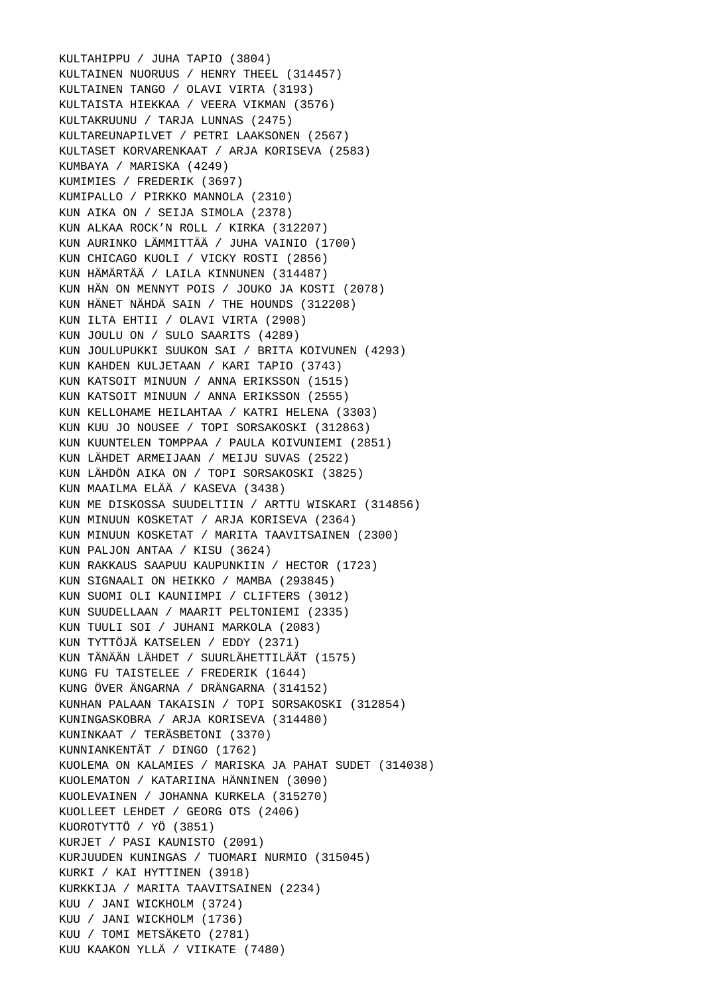KULTAHIPPU / JUHA TAPIO (3804) KULTAINEN NUORUUS / HENRY THEEL (314457) KULTAINEN TANGO / OLAVI VIRTA (3193) KULTAISTA HIEKKAA / VEERA VIKMAN (3576) KULTAKRUUNU / TARJA LUNNAS (2475) KULTAREUNAPILVET / PETRI LAAKSONEN (2567) KULTASET KORVARENKAAT / ARJA KORISEVA (2583) KUMBAYA / MARISKA (4249) KUMIMIES / FREDERIK (3697) KUMIPALLO / PIRKKO MANNOLA (2310) KUN AIKA ON / SEIJA SIMOLA (2378) KUN ALKAA ROCK'N ROLL / KIRKA (312207) KUN AURINKO LÄMMITTÄÄ / JUHA VAINIO (1700) KUN CHICAGO KUOLI / VICKY ROSTI (2856) KUN HÄMÄRTÄÄ / LAILA KINNUNEN (314487) KUN HÄN ON MENNYT POIS / JOUKO JA KOSTI (2078) KUN HÄNET NÄHDÄ SAIN / THE HOUNDS (312208) KUN ILTA EHTII / OLAVI VIRTA (2908) KUN JOULU ON / SULO SAARITS (4289) KUN JOULUPUKKI SUUKON SAI / BRITA KOIVUNEN (4293) KUN KAHDEN KULJETAAN / KARI TAPIO (3743) KUN KATSOIT MINUUN / ANNA ERIKSSON (1515) KUN KATSOIT MINUUN / ANNA ERIKSSON (2555) KUN KELLOHAME HEILAHTAA / KATRI HELENA (3303) KUN KUU JO NOUSEE / TOPI SORSAKOSKI (312863) KUN KUUNTELEN TOMPPAA / PAULA KOIVUNIEMI (2851) KUN LÄHDET ARMEIJAAN / MEIJU SUVAS (2522) KUN LÄHDÖN AIKA ON / TOPI SORSAKOSKI (3825) KUN MAAILMA ELÄÄ / KASEVA (3438) KUN ME DISKOSSA SUUDELTIIN / ARTTU WISKARI (314856) KUN MINUUN KOSKETAT / ARJA KORISEVA (2364) KUN MINUUN KOSKETAT / MARITA TAAVITSAINEN (2300) KUN PALJON ANTAA / KISU (3624) KUN RAKKAUS SAAPUU KAUPUNKIIN / HECTOR (1723) KUN SIGNAALI ON HEIKKO / MAMBA (293845) KUN SUOMI OLI KAUNIIMPI / CLIFTERS (3012) KUN SUUDELLAAN / MAARIT PELTONIEMI (2335) KUN TUULI SOI / JUHANI MARKOLA (2083) KUN TYTTÖJÄ KATSELEN / EDDY (2371) KUN TÄNÄÄN LÄHDET / SUURLÄHETTILÄÄT (1575) KUNG FU TAISTELEE / FREDERIK (1644) KUNG ÖVER ÄNGARNA / DRÄNGARNA (314152) KUNHAN PALAAN TAKAISIN / TOPI SORSAKOSKI (312854) KUNINGASKOBRA / ARJA KORISEVA (314480) KUNINKAAT / TERÄSBETONI (3370) KUNNIANKENTÄT / DINGO (1762) KUOLEMA ON KALAMIES / MARISKA JA PAHAT SUDET (314038) KUOLEMATON / KATARIINA HÄNNINEN (3090) KUOLEVAINEN / JOHANNA KURKELA (315270) KUOLLEET LEHDET / GEORG OTS (2406) KUOROTYTTÖ / YÖ (3851) KURJET / PASI KAUNISTO (2091) KURJUUDEN KUNINGAS / TUOMARI NURMIO (315045) KURKI / KAI HYTTINEN (3918) KURKKIJA / MARITA TAAVITSAINEN (2234) KUU / JANI WICKHOLM (3724) KUU / JANI WICKHOLM (1736) KUU / TOMI METSÄKETO (2781) KUU KAAKON YLLÄ / VIIKATE (7480)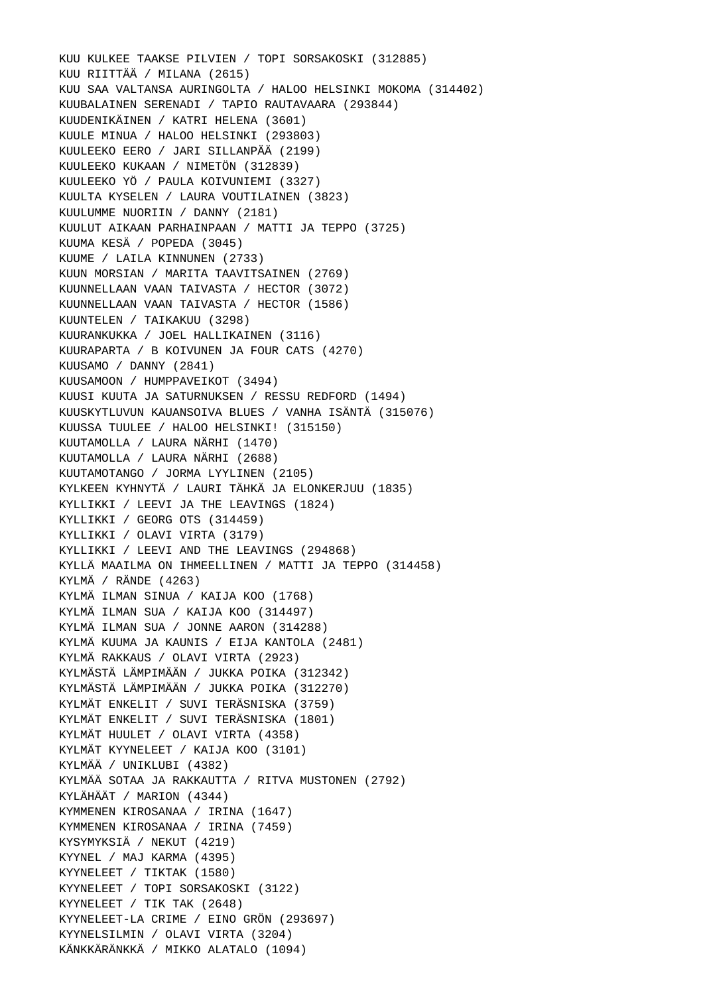KUU KULKEE TAAKSE PILVIEN / TOPI SORSAKOSKI (312885) KUU RIITTÄÄ / MILANA (2615) KUU SAA VALTANSA AURINGOLTA / HALOO HELSINKI MOKOMA (314402) KUUBALAINEN SERENADI / TAPIO RAUTAVAARA (293844) KUUDENIKÄINEN / KATRI HELENA (3601) KUULE MINUA / HALOO HELSINKI (293803) KUULEEKO EERO / JARI SILLANPÄÄ (2199) KUULEEKO KUKAAN / NIMETÖN (312839) KUULEEKO YÖ / PAULA KOIVUNIEMI (3327) KUULTA KYSELEN / LAURA VOUTILAINEN (3823) KUULUMME NUORIIN / DANNY (2181) KUULUT AIKAAN PARHAINPAAN / MATTI JA TEPPO (3725) KUUMA KESÄ / POPEDA (3045) KUUME / LAILA KINNUNEN (2733) KUUN MORSIAN / MARITA TAAVITSAINEN (2769) KUUNNELLAAN VAAN TAIVASTA / HECTOR (3072) KUUNNELLAAN VAAN TAIVASTA / HECTOR (1586) KUUNTELEN / TAIKAKUU (3298) KUURANKUKKA / JOEL HALLIKAINEN (3116) KUURAPARTA / B KOIVUNEN JA FOUR CATS (4270) KUUSAMO / DANNY (2841) KUUSAMOON / HUMPPAVEIKOT (3494) KUUSI KUUTA JA SATURNUKSEN / RESSU REDFORD (1494) KUUSKYTLUVUN KAUANSOIVA BLUES / VANHA ISÄNTÄ (315076) KUUSSA TUULEE / HALOO HELSINKI! (315150) KUUTAMOLLA / LAURA NÄRHI (1470) KUUTAMOLLA / LAURA NÄRHI (2688) KUUTAMOTANGO / JORMA LYYLINEN (2105) KYLKEEN KYHNYTÄ / LAURI TÄHKÄ JA ELONKERJUU (1835) KYLLIKKI / LEEVI JA THE LEAVINGS (1824) KYLLIKKI / GEORG OTS (314459) KYLLIKKI / OLAVI VIRTA (3179) KYLLIKKI / LEEVI AND THE LEAVINGS (294868) KYLLÄ MAAILMA ON IHMEELLINEN / MATTI JA TEPPO (314458) KYLMÄ / RÄNDE (4263) KYLMÄ ILMAN SINUA / KAIJA KOO (1768) KYLMÄ ILMAN SUA / KAIJA KOO (314497) KYLMÄ ILMAN SUA / JONNE AARON (314288) KYLMÄ KUUMA JA KAUNIS / EIJA KANTOLA (2481) KYLMÄ RAKKAUS / OLAVI VIRTA (2923) KYLMÄSTÄ LÄMPIMÄÄN / JUKKA POIKA (312342) KYLMÄSTÄ LÄMPIMÄÄN / JUKKA POIKA (312270) KYLMÄT ENKELIT / SUVI TERÄSNISKA (3759) KYLMÄT ENKELIT / SUVI TERÄSNISKA (1801) KYLMÄT HUULET / OLAVI VIRTA (4358) KYLMÄT KYYNELEET / KAIJA KOO (3101) KYLMÄÄ / UNIKLUBI (4382) KYLMÄÄ SOTAA JA RAKKAUTTA / RITVA MUSTONEN (2792) KYLÄHÄÄT / MARION (4344) KYMMENEN KIROSANAA / IRINA (1647) KYMMENEN KIROSANAA / IRINA (7459) KYSYMYKSIÄ / NEKUT (4219) KYYNEL / MAJ KARMA (4395) KYYNELEET / TIKTAK (1580) KYYNELEET / TOPI SORSAKOSKI (3122) KYYNELEET / TIK TAK (2648) KYYNELEET-LA CRIME / EINO GRÖN (293697) KYYNELSILMIN / OLAVI VIRTA (3204) KÄNKKÄRÄNKKÄ / MIKKO ALATALO (1094)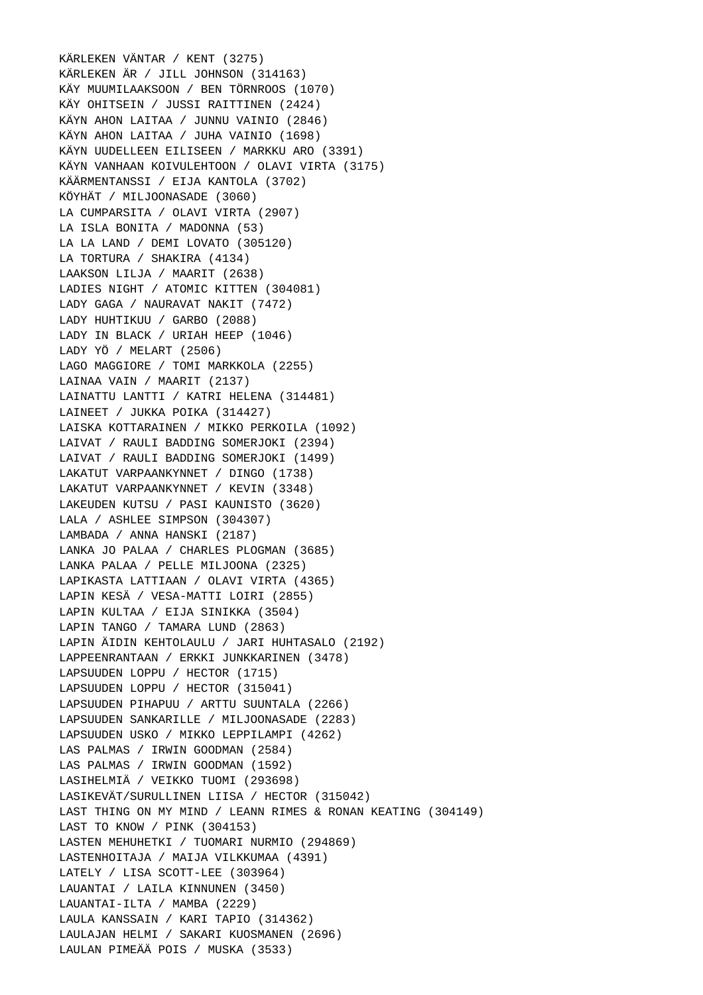KÄRLEKEN VÄNTAR / KENT (3275) KÄRLEKEN ÄR / JILL JOHNSON (314163) KÄY MUUMILAAKSOON / BEN TÖRNROOS (1070) KÄY OHITSEIN / JUSSI RAITTINEN (2424) KÄYN AHON LAITAA / JUNNU VAINIO (2846) KÄYN AHON LAITAA / JUHA VAINIO (1698) KÄYN UUDELLEEN EILISEEN / MARKKU ARO (3391) KÄYN VANHAAN KOIVULEHTOON / OLAVI VIRTA (3175) KÄÄRMENTANSSI / EIJA KANTOLA (3702) KÖYHÄT / MILJOONASADE (3060) LA CUMPARSITA / OLAVI VIRTA (2907) LA ISLA BONITA / MADONNA (53) LA LA LAND / DEMI LOVATO (305120) LA TORTURA / SHAKIRA (4134) LAAKSON LILJA / MAARIT (2638) LADIES NIGHT / ATOMIC KITTEN (304081) LADY GAGA / NAURAVAT NAKIT (7472) LADY HUHTIKUU / GARBO (2088) LADY IN BLACK / URIAH HEEP (1046) LADY YÖ / MELART (2506) LAGO MAGGIORE / TOMI MARKKOLA (2255) LAINAA VAIN / MAARIT (2137) LAINATTU LANTTI / KATRI HELENA (314481) LAINEET / JUKKA POIKA (314427) LAISKA KOTTARAINEN / MIKKO PERKOILA (1092) LAIVAT / RAULI BADDING SOMERJOKI (2394) LAIVAT / RAULI BADDING SOMERJOKI (1499) LAKATUT VARPAANKYNNET / DINGO (1738) LAKATUT VARPAANKYNNET / KEVIN (3348) LAKEUDEN KUTSU / PASI KAUNISTO (3620) LALA / ASHLEE SIMPSON (304307) LAMBADA / ANNA HANSKI (2187) LANKA JO PALAA / CHARLES PLOGMAN (3685) LANKA PALAA / PELLE MILJOONA (2325) LAPIKASTA LATTIAAN / OLAVI VIRTA (4365) LAPIN KESÄ / VESA-MATTI LOIRI (2855) LAPIN KULTAA / EIJA SINIKKA (3504) LAPIN TANGO / TAMARA LUND (2863) LAPIN ÄIDIN KEHTOLAULU / JARI HUHTASALO (2192) LAPPEENRANTAAN / ERKKI JUNKKARINEN (3478) LAPSUUDEN LOPPU / HECTOR (1715) LAPSUUDEN LOPPU / HECTOR (315041) LAPSUUDEN PIHAPUU / ARTTU SUUNTALA (2266) LAPSUUDEN SANKARILLE / MILJOONASADE (2283) LAPSUUDEN USKO / MIKKO LEPPILAMPI (4262) LAS PALMAS / IRWIN GOODMAN (2584) LAS PALMAS / IRWIN GOODMAN (1592) LASIHELMIÄ / VEIKKO TUOMI (293698) LASIKEVÄT/SURULLINEN LIISA / HECTOR (315042) LAST THING ON MY MIND / LEANN RIMES & RONAN KEATING (304149) LAST TO KNOW / PINK (304153) LASTEN MEHUHETKI / TUOMARI NURMIO (294869) LASTENHOITAJA / MAIJA VILKKUMAA (4391) LATELY / LISA SCOTT-LEE (303964) LAUANTAI / LAILA KINNUNEN (3450) LAUANTAI-ILTA / MAMBA (2229) LAULA KANSSAIN / KARI TAPIO (314362) LAULAJAN HELMI / SAKARI KUOSMANEN (2696) LAULAN PIMEÄÄ POIS / MUSKA (3533)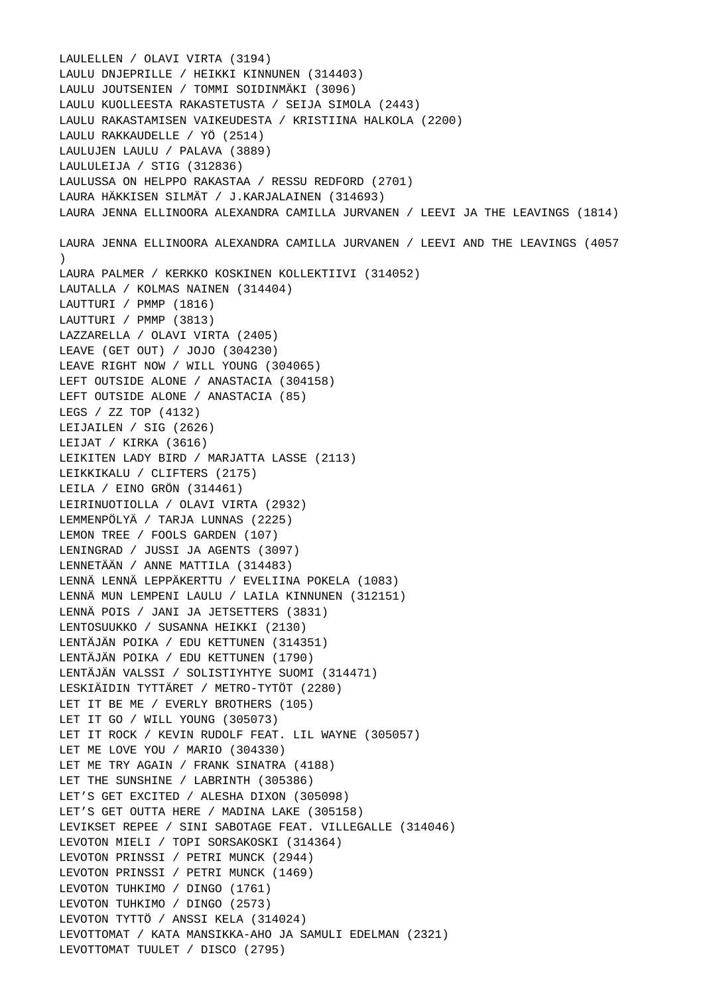LAULELLEN / OLAVI VIRTA (3194) LAULU DNJEPRILLE / HEIKKI KINNUNEN (314403) LAULU JOUTSENIEN / TOMMI SOIDINMÄKI (3096) LAULU KUOLLEESTA RAKASTETUSTA / SEIJA SIMOLA (2443) LAULU RAKASTAMISEN VAIKEUDESTA / KRISTIINA HALKOLA (2200) LAULU RAKKAUDELLE / YÖ (2514) LAULUJEN LAULU / PALAVA (3889) LAULULEIJA / STIG (312836) LAULUSSA ON HELPPO RAKASTAA / RESSU REDFORD (2701) LAURA HÄKKISEN SILMÄT / J.KARJALAINEN (314693) LAURA JENNA ELLINOORA ALEXANDRA CAMILLA JURVANEN / LEEVI JA THE LEAVINGS (1814) LAURA JENNA ELLINOORA ALEXANDRA CAMILLA JURVANEN / LEEVI AND THE LEAVINGS (4057  $\lambda$  LAURA PALMER / KERKKO KOSKINEN KOLLEKTIIVI (314052) LAUTALLA / KOLMAS NAINEN (314404) LAUTTURI / PMMP (1816) LAUTTURI / PMMP (3813) LAZZARELLA / OLAVI VIRTA (2405) LEAVE (GET OUT) / JOJO (304230) LEAVE RIGHT NOW / WILL YOUNG (304065) LEFT OUTSIDE ALONE / ANASTACIA (304158) LEFT OUTSIDE ALONE / ANASTACIA (85) LEGS / ZZ TOP (4132) LEIJAILEN / SIG (2626) LEIJAT / KIRKA (3616) LEIKITEN LADY BIRD / MARJATTA LASSE (2113) LEIKKIKALU / CLIFTERS (2175) LEILA / EINO GRÖN (314461) LEIRINUOTIOLLA / OLAVI VIRTA (2932) LEMMENPÖLYÄ / TARJA LUNNAS (2225) LEMON TREE / FOOLS GARDEN (107) LENINGRAD / JUSSI JA AGENTS (3097) LENNETÄÄN / ANNE MATTILA (314483) LENNÄ LENNÄ LEPPÄKERTTU / EVELIINA POKELA (1083) LENNÄ MUN LEMPENI LAULU / LAILA KINNUNEN (312151) LENNÄ POIS / JANI JA JETSETTERS (3831) LENTOSUUKKO / SUSANNA HEIKKI (2130) LENTÄJÄN POIKA / EDU KETTUNEN (314351) LENTÄJÄN POIKA / EDU KETTUNEN (1790) LENTÄJÄN VALSSI / SOLISTIYHTYE SUOMI (314471) LESKIÄIDIN TYTTÄRET / METRO-TYTÖT (2280) LET IT BE ME / EVERLY BROTHERS (105) LET IT GO / WILL YOUNG (305073) LET IT ROCK / KEVIN RUDOLF FEAT. LIL WAYNE (305057) LET ME LOVE YOU / MARIO (304330) LET ME TRY AGAIN / FRANK SINATRA (4188) LET THE SUNSHINE / LABRINTH (305386) LET'S GET EXCITED / ALESHA DIXON (305098) LET'S GET OUTTA HERE / MADINA LAKE (305158) LEVIKSET REPEE / SINI SABOTAGE FEAT. VILLEGALLE (314046) LEVOTON MIELI / TOPI SORSAKOSKI (314364) LEVOTON PRINSSI / PETRI MUNCK (2944) LEVOTON PRINSSI / PETRI MUNCK (1469) LEVOTON TUHKIMO / DINGO (1761) LEVOTON TUHKIMO / DINGO (2573) LEVOTON TYTTÖ / ANSSI KELA (314024) LEVOTTOMAT / KATA MANSIKKA-AHO JA SAMULI EDELMAN (2321) LEVOTTOMAT TUULET / DISCO (2795)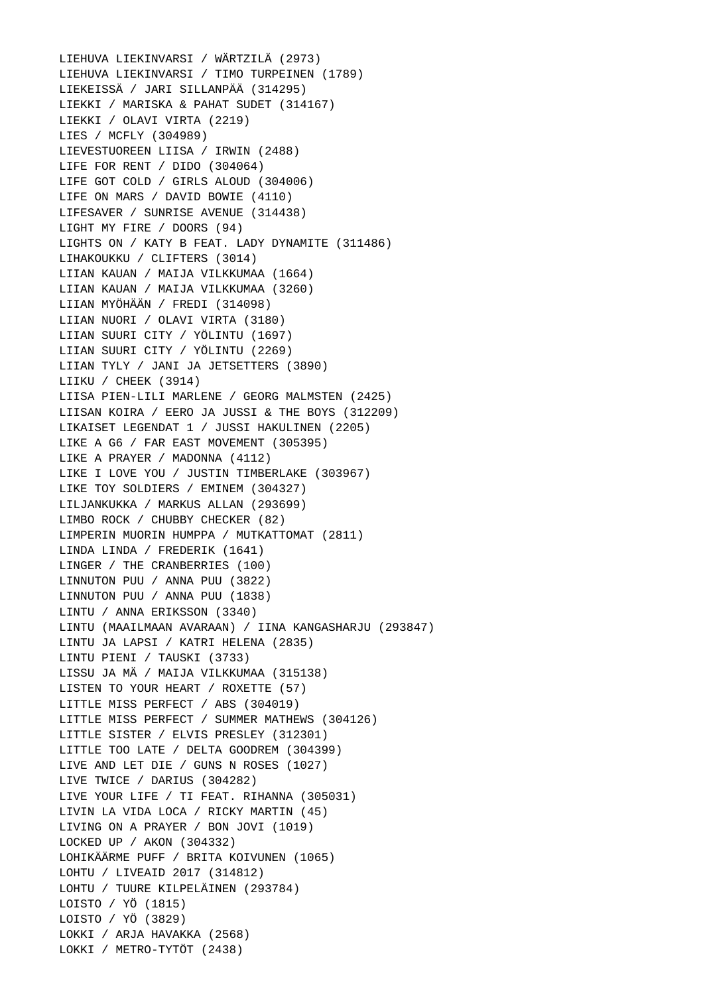LIEHUVA LIEKINVARSI / WÄRTZILÄ (2973) LIEHUVA LIEKINVARSI / TIMO TURPEINEN (1789) LIEKEISSÄ / JARI SILLANPÄÄ (314295) LIEKKI / MARISKA & PAHAT SUDET (314167) LIEKKI / OLAVI VIRTA (2219) LIES / MCFLY (304989) LIEVESTUOREEN LIISA / IRWIN (2488) LIFE FOR RENT / DIDO (304064) LIFE GOT COLD / GIRLS ALOUD (304006) LIFE ON MARS / DAVID BOWIE (4110) LIFESAVER / SUNRISE AVENUE (314438) LIGHT MY FIRE / DOORS (94) LIGHTS ON / KATY B FEAT. LADY DYNAMITE (311486) LIHAKOUKKU / CLIFTERS (3014) LIIAN KAUAN / MAIJA VILKKUMAA (1664) LIIAN KAUAN / MAIJA VILKKUMAA (3260) LIIAN MYÖHÄÄN / FREDI (314098) LIIAN NUORI / OLAVI VIRTA (3180) LIIAN SUURI CITY / YÖLINTU (1697) LIIAN SUURI CITY / YÖLINTU (2269) LIIAN TYLY / JANI JA JETSETTERS (3890) LIIKU / CHEEK (3914) LIISA PIEN-LILI MARLENE / GEORG MALMSTEN (2425) LIISAN KOIRA / EERO JA JUSSI & THE BOYS (312209) LIKAISET LEGENDAT 1 / JUSSI HAKULINEN (2205) LIKE A G6 / FAR EAST MOVEMENT (305395) LIKE A PRAYER / MADONNA (4112) LIKE I LOVE YOU / JUSTIN TIMBERLAKE (303967) LIKE TOY SOLDIERS / EMINEM (304327) LILJANKUKKA / MARKUS ALLAN (293699) LIMBO ROCK / CHUBBY CHECKER (82) LIMPERIN MUORIN HUMPPA / MUTKATTOMAT (2811) LINDA LINDA / FREDERIK (1641) LINGER / THE CRANBERRIES (100) LINNUTON PUU / ANNA PUU (3822) LINNUTON PUU / ANNA PUU (1838) LINTU / ANNA ERIKSSON (3340) LINTU (MAAILMAAN AVARAAN) / IINA KANGASHARJU (293847) LINTU JA LAPSI / KATRI HELENA (2835) LINTU PIENI / TAUSKI (3733) LISSU JA MÄ / MAIJA VILKKUMAA (315138) LISTEN TO YOUR HEART / ROXETTE (57) LITTLE MISS PERFECT / ABS (304019) LITTLE MISS PERFECT / SUMMER MATHEWS (304126) LITTLE SISTER / ELVIS PRESLEY (312301) LITTLE TOO LATE / DELTA GOODREM (304399) LIVE AND LET DIE / GUNS N ROSES (1027) LIVE TWICE / DARIUS (304282) LIVE YOUR LIFE / TI FEAT. RIHANNA (305031) LIVIN LA VIDA LOCA / RICKY MARTIN (45) LIVING ON A PRAYER / BON JOVI (1019) LOCKED UP / AKON (304332) LOHIKÄÄRME PUFF / BRITA KOIVUNEN (1065) LOHTU / LIVEAID 2017 (314812) LOHTU / TUURE KILPELÄINEN (293784) LOISTO / YÖ (1815) LOISTO / YÖ (3829) LOKKI / ARJA HAVAKKA (2568) LOKKI / METRO-TYTÖT (2438)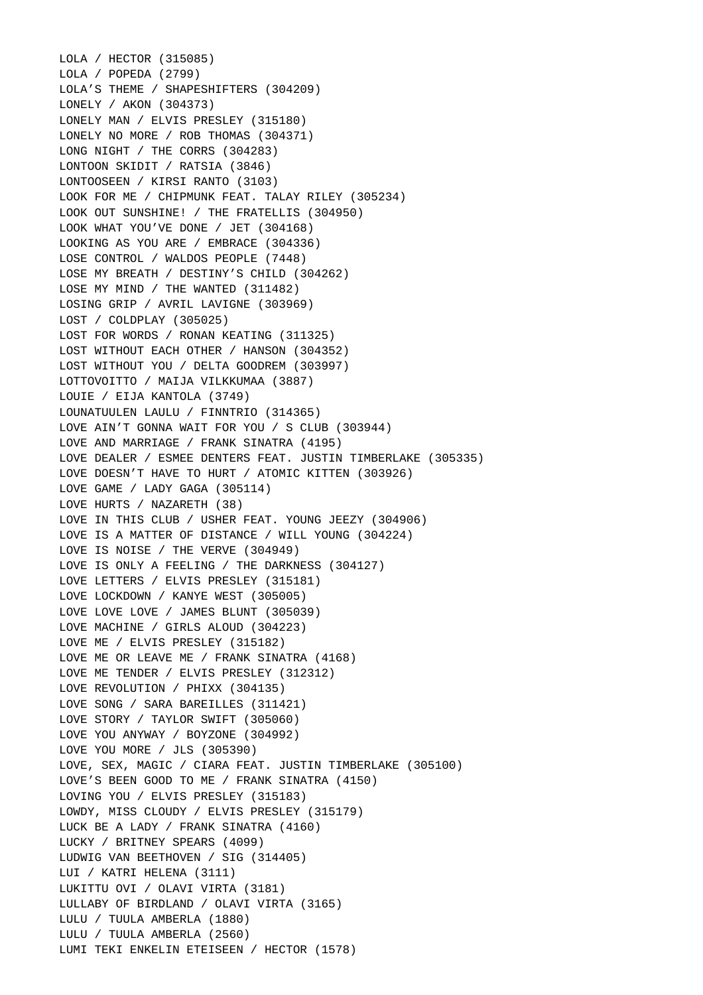LOLA / HECTOR (315085) LOLA / POPEDA (2799) LOLA'S THEME / SHAPESHIFTERS (304209) LONELY / AKON (304373) LONELY MAN / ELVIS PRESLEY (315180) LONELY NO MORE / ROB THOMAS (304371) LONG NIGHT / THE CORRS (304283) LONTOON SKIDIT / RATSIA (3846) LONTOOSEEN / KIRSI RANTO (3103) LOOK FOR ME / CHIPMUNK FEAT. TALAY RILEY (305234) LOOK OUT SUNSHINE! / THE FRATELLIS (304950) LOOK WHAT YOU'VE DONE / JET (304168) LOOKING AS YOU ARE / EMBRACE (304336) LOSE CONTROL / WALDOS PEOPLE (7448) LOSE MY BREATH / DESTINY'S CHILD (304262) LOSE MY MIND / THE WANTED (311482) LOSING GRIP / AVRIL LAVIGNE (303969) LOST / COLDPLAY (305025) LOST FOR WORDS / RONAN KEATING (311325) LOST WITHOUT EACH OTHER / HANSON (304352) LOST WITHOUT YOU / DELTA GOODREM (303997) LOTTOVOITTO / MAIJA VILKKUMAA (3887) LOUIE / EIJA KANTOLA (3749) LOUNATUULEN LAULU / FINNTRIO (314365) LOVE AIN'T GONNA WAIT FOR YOU / S CLUB (303944) LOVE AND MARRIAGE / FRANK SINATRA (4195) LOVE DEALER / ESMEE DENTERS FEAT. JUSTIN TIMBERLAKE (305335) LOVE DOESN'T HAVE TO HURT / ATOMIC KITTEN (303926) LOVE GAME / LADY GAGA (305114) LOVE HURTS / NAZARETH (38) LOVE IN THIS CLUB / USHER FEAT. YOUNG JEEZY (304906) LOVE IS A MATTER OF DISTANCE / WILL YOUNG (304224) LOVE IS NOISE / THE VERVE (304949) LOVE IS ONLY A FEELING / THE DARKNESS (304127) LOVE LETTERS / ELVIS PRESLEY (315181) LOVE LOCKDOWN / KANYE WEST (305005) LOVE LOVE LOVE / JAMES BLUNT (305039) LOVE MACHINE / GIRLS ALOUD (304223) LOVE ME / ELVIS PRESLEY (315182) LOVE ME OR LEAVE ME / FRANK SINATRA (4168) LOVE ME TENDER / ELVIS PRESLEY (312312) LOVE REVOLUTION / PHIXX (304135) LOVE SONG / SARA BAREILLES (311421) LOVE STORY / TAYLOR SWIFT (305060) LOVE YOU ANYWAY / BOYZONE (304992) LOVE YOU MORE / JLS (305390) LOVE, SEX, MAGIC / CIARA FEAT. JUSTIN TIMBERLAKE (305100) LOVE'S BEEN GOOD TO ME / FRANK SINATRA (4150) LOVING YOU / ELVIS PRESLEY (315183) LOWDY, MISS CLOUDY / ELVIS PRESLEY (315179) LUCK BE A LADY / FRANK SINATRA (4160) LUCKY / BRITNEY SPEARS (4099) LUDWIG VAN BEETHOVEN / SIG (314405) LUI / KATRI HELENA (3111) LUKITTU OVI / OLAVI VIRTA (3181) LULLABY OF BIRDLAND / OLAVI VIRTA (3165) LULU / TUULA AMBERLA (1880) LULU / TUULA AMBERLA (2560) LUMI TEKI ENKELIN ETEISEEN / HECTOR (1578)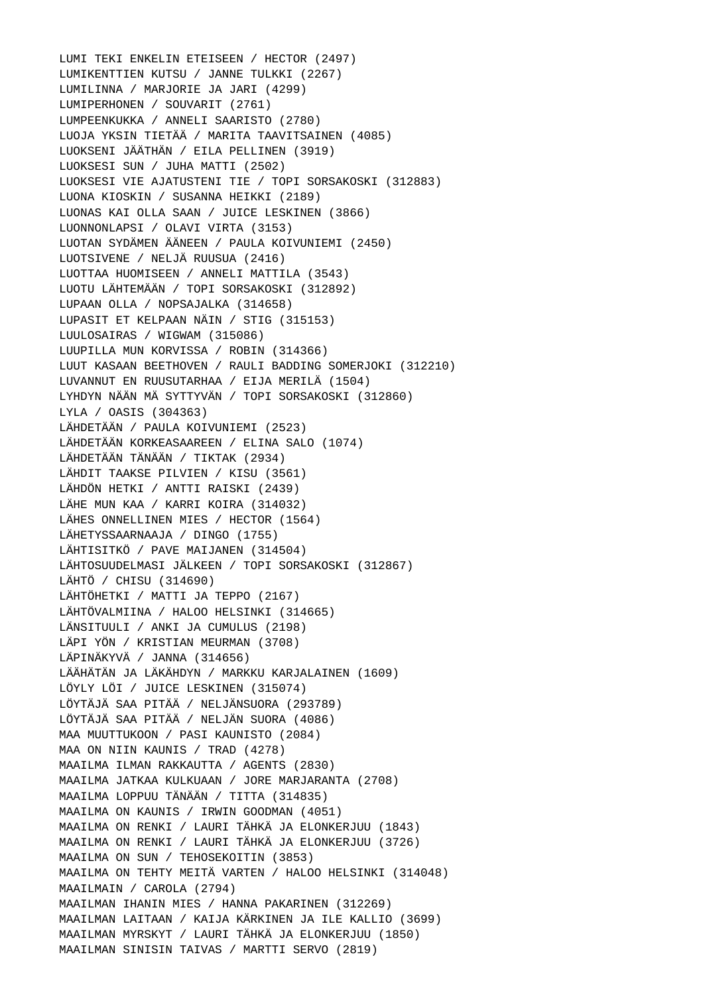LUMI TEKI ENKELIN ETEISEEN / HECTOR (2497) LUMIKENTTIEN KUTSU / JANNE TULKKI (2267) LUMILINNA / MARJORIE JA JARI (4299) LUMIPERHONEN / SOUVARIT (2761) LUMPEENKUKKA / ANNELI SAARISTO (2780) LUOJA YKSIN TIETÄÄ / MARITA TAAVITSAINEN (4085) LUOKSENI JÄÄTHÄN / EILA PELLINEN (3919) LUOKSESI SUN / JUHA MATTI (2502) LUOKSESI VIE AJATUSTENI TIE / TOPI SORSAKOSKI (312883) LUONA KIOSKIN / SUSANNA HEIKKI (2189) LUONAS KAI OLLA SAAN / JUICE LESKINEN (3866) LUONNONLAPSI / OLAVI VIRTA (3153) LUOTAN SYDÄMEN ÄÄNEEN / PAULA KOIVUNIEMI (2450) LUOTSIVENE / NELJÄ RUUSUA (2416) LUOTTAA HUOMISEEN / ANNELI MATTILA (3543) LUOTU LÄHTEMÄÄN / TOPI SORSAKOSKI (312892) LUPAAN OLLA / NOPSAJALKA (314658) LUPASIT ET KELPAAN NÄIN / STIG (315153) LUULOSAIRAS / WIGWAM (315086) LUUPILLA MUN KORVISSA / ROBIN (314366) LUUT KASAAN BEETHOVEN / RAULI BADDING SOMERJOKI (312210) LUVANNUT EN RUUSUTARHAA / EIJA MERILÄ (1504) LYHDYN NÄÄN MÄ SYTTYVÄN / TOPI SORSAKOSKI (312860) LYLA / OASIS (304363) LÄHDETÄÄN / PAULA KOIVUNIEMI (2523) LÄHDETÄÄN KORKEASAAREEN / ELINA SALO (1074) LÄHDETÄÄN TÄNÄÄN / TIKTAK (2934) LÄHDIT TAAKSE PILVIEN / KISU (3561) LÄHDÖN HETKI / ANTTI RAISKI (2439) LÄHE MUN KAA / KARRI KOIRA (314032) LÄHES ONNELLINEN MIES / HECTOR (1564) LÄHETYSSAARNAAJA / DINGO (1755) LÄHTISITKÖ / PAVE MAIJANEN (314504) LÄHTOSUUDELMASI JÄLKEEN / TOPI SORSAKOSKI (312867) LÄHTÖ / CHISU (314690) LÄHTÖHETKI / MATTI JA TEPPO (2167) LÄHTÖVALMIINA / HALOO HELSINKI (314665) LÄNSITUULI / ANKI JA CUMULUS (2198) LÄPI YÖN / KRISTIAN MEURMAN (3708) LÄPINÄKYVÄ / JANNA (314656) LÄÄHÄTÄN JA LÄKÄHDYN / MARKKU KARJALAINEN (1609) LÖYLY LÖI / JUICE LESKINEN (315074) LÖYTÄJÄ SAA PITÄÄ / NELJÄNSUORA (293789) LÖYTÄJÄ SAA PITÄÄ / NELJÄN SUORA (4086) MAA MUUTTUKOON / PASI KAUNISTO (2084) MAA ON NIIN KAUNIS / TRAD (4278) MAAILMA ILMAN RAKKAUTTA / AGENTS (2830) MAAILMA JATKAA KULKUAAN / JORE MARJARANTA (2708) MAAILMA LOPPUU TÄNÄÄN / TITTA (314835) MAAILMA ON KAUNIS / IRWIN GOODMAN (4051) MAAILMA ON RENKI / LAURI TÄHKÄ JA ELONKERJUU (1843) MAAILMA ON RENKI / LAURI TÄHKÄ JA ELONKERJUU (3726) MAAILMA ON SUN / TEHOSEKOITIN (3853) MAAILMA ON TEHTY MEITÄ VARTEN / HALOO HELSINKI (314048) MAAILMAIN / CAROLA (2794) MAAILMAN IHANIN MIES / HANNA PAKARINEN (312269) MAAILMAN LAITAAN / KAIJA KÄRKINEN JA ILE KALLIO (3699) MAAILMAN MYRSKYT / LAURI TÄHKÄ JA ELONKERJUU (1850) MAAILMAN SINISIN TAIVAS / MARTTI SERVO (2819)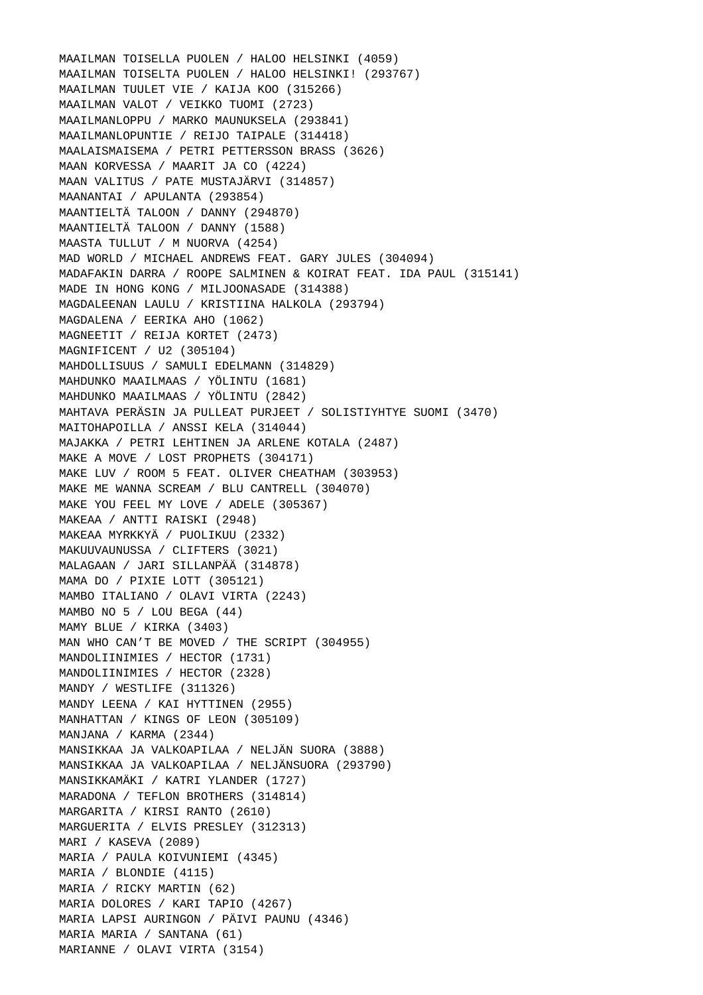MAAILMAN TOISELLA PUOLEN / HALOO HELSINKI (4059) MAAILMAN TOISELTA PUOLEN / HALOO HELSINKI! (293767) MAAILMAN TUULET VIE / KAIJA KOO (315266) MAAILMAN VALOT / VEIKKO TUOMI (2723) MAAILMANLOPPU / MARKO MAUNUKSELA (293841) MAAILMANLOPUNTIE / REIJO TAIPALE (314418) MAALAISMAISEMA / PETRI PETTERSSON BRASS (3626) MAAN KORVESSA / MAARIT JA CO (4224) MAAN VALITUS / PATE MUSTAJÄRVI (314857) MAANANTAI / APULANTA (293854) MAANTIELTÄ TALOON / DANNY (294870) MAANTIELTÄ TALOON / DANNY (1588) MAASTA TULLUT / M NUORVA (4254) MAD WORLD / MICHAEL ANDREWS FEAT. GARY JULES (304094) MADAFAKIN DARRA / ROOPE SALMINEN & KOIRAT FEAT. IDA PAUL (315141) MADE IN HONG KONG / MILJOONASADE (314388) MAGDALEENAN LAULU / KRISTIINA HALKOLA (293794) MAGDALENA / EERIKA AHO (1062) MAGNEETIT / REIJA KORTET (2473) MAGNIFICENT / U2 (305104) MAHDOLLISUUS / SAMULI EDELMANN (314829) MAHDUNKO MAAILMAAS / YÖLINTU (1681) MAHDUNKO MAAILMAAS / YÖLINTU (2842) MAHTAVA PERÄSIN JA PULLEAT PURJEET / SOLISTIYHTYE SUOMI (3470) MAITOHAPOILLA / ANSSI KELA (314044) MAJAKKA / PETRI LEHTINEN JA ARLENE KOTALA (2487) MAKE A MOVE / LOST PROPHETS (304171) MAKE LUV / ROOM 5 FEAT. OLIVER CHEATHAM (303953) MAKE ME WANNA SCREAM / BLU CANTRELL (304070) MAKE YOU FEEL MY LOVE / ADELE (305367) MAKEAA / ANTTI RAISKI (2948) MAKEAA MYRKKYÄ / PUOLIKUU (2332) MAKUUVAUNUSSA / CLIFTERS (3021) MALAGAAN / JARI SILLANPÄÄ (314878) MAMA DO / PIXIE LOTT (305121) MAMBO ITALIANO / OLAVI VIRTA (2243) MAMBO NO 5 / LOU BEGA (44) MAMY BLUE / KIRKA (3403) MAN WHO CAN'T BE MOVED / THE SCRIPT (304955) MANDOLIINIMIES / HECTOR (1731) MANDOLIINIMIES / HECTOR (2328) MANDY / WESTLIFE (311326) MANDY LEENA / KAI HYTTINEN (2955) MANHATTAN / KINGS OF LEON (305109) MANJANA / KARMA (2344) MANSIKKAA JA VALKOAPILAA / NELJÄN SUORA (3888) MANSIKKAA JA VALKOAPILAA / NELJÄNSUORA (293790) MANSIKKAMÄKI / KATRI YLANDER (1727) MARADONA / TEFLON BROTHERS (314814) MARGARITA / KIRSI RANTO (2610) MARGUERITA / ELVIS PRESLEY (312313) MARI / KASEVA (2089) MARIA / PAULA KOIVUNIEMI (4345) MARIA / BLONDIE (4115) MARIA / RICKY MARTIN (62) MARIA DOLORES / KARI TAPIO (4267) MARIA LAPSI AURINGON / PÄIVI PAUNU (4346) MARIA MARIA / SANTANA (61) MARIANNE / OLAVI VIRTA (3154)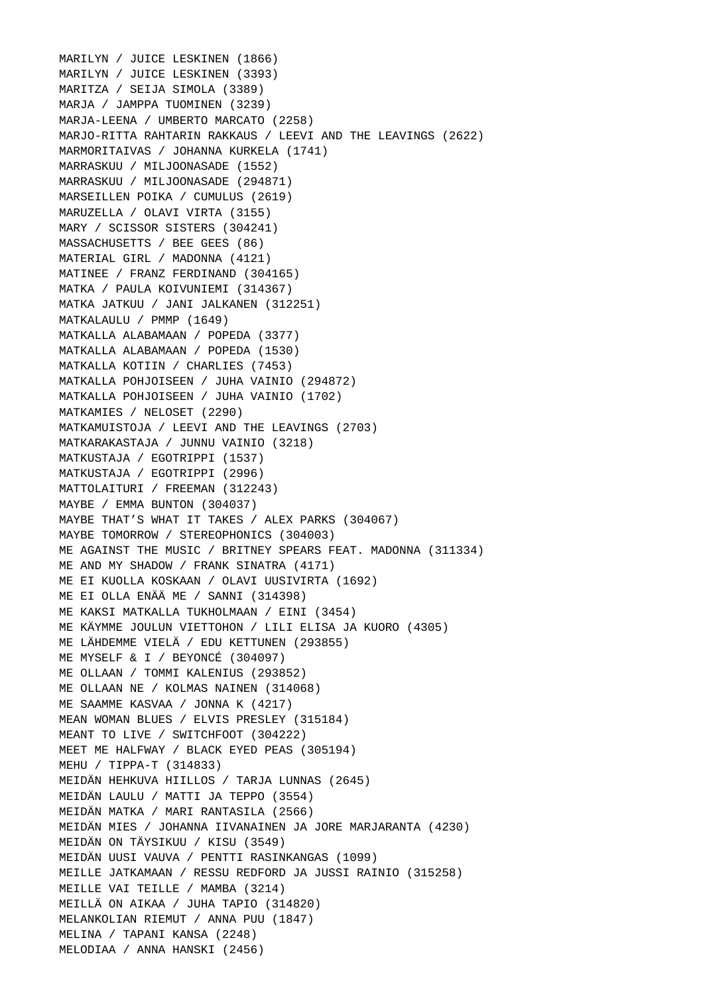MARILYN / JUICE LESKINEN (1866) MARILYN / JUICE LESKINEN (3393) MARITZA / SEIJA SIMOLA (3389) MARJA / JAMPPA TUOMINEN (3239) MARJA-LEENA / UMBERTO MARCATO (2258) MARJO-RITTA RAHTARIN RAKKAUS / LEEVI AND THE LEAVINGS (2622) MARMORITAIVAS / JOHANNA KURKELA (1741) MARRASKUU / MILJOONASADE (1552) MARRASKUU / MILJOONASADE (294871) MARSEILLEN POIKA / CUMULUS (2619) MARUZELLA / OLAVI VIRTA (3155) MARY / SCISSOR SISTERS (304241) MASSACHUSETTS / BEE GEES (86) MATERIAL GIRL / MADONNA (4121) MATINEE / FRANZ FERDINAND (304165) MATKA / PAULA KOIVUNIEMI (314367) MATKA JATKUU / JANI JALKANEN (312251) MATKALAULU / PMMP (1649) MATKALLA ALABAMAAN / POPEDA (3377) MATKALLA ALABAMAAN / POPEDA (1530) MATKALLA KOTIIN / CHARLIES (7453) MATKALLA POHJOISEEN / JUHA VAINIO (294872) MATKALLA POHJOISEEN / JUHA VAINIO (1702) MATKAMIES / NELOSET (2290) MATKAMUISTOJA / LEEVI AND THE LEAVINGS (2703) MATKARAKASTAJA / JUNNU VAINIO (3218) MATKUSTAJA / EGOTRIPPI (1537) MATKUSTAJA / EGOTRIPPI (2996) MATTOLAITURI / FREEMAN (312243) MAYBE / EMMA BUNTON (304037) MAYBE THAT'S WHAT IT TAKES / ALEX PARKS (304067) MAYBE TOMORROW / STEREOPHONICS (304003) ME AGAINST THE MUSIC / BRITNEY SPEARS FEAT. MADONNA (311334) ME AND MY SHADOW / FRANK SINATRA (4171) ME EI KUOLLA KOSKAAN / OLAVI UUSIVIRTA (1692) ME EI OLLA ENÄÄ ME / SANNI (314398) ME KAKSI MATKALLA TUKHOLMAAN / EINI (3454) ME KÄYMME JOULUN VIETTOHON / LILI ELISA JA KUORO (4305) ME LÄHDEMME VIELÄ / EDU KETTUNEN (293855) ME MYSELF & I / BEYONCÉ (304097) ME OLLAAN / TOMMI KALENIUS (293852) ME OLLAAN NE / KOLMAS NAINEN (314068) ME SAAMME KASVAA / JONNA K (4217) MEAN WOMAN BLUES / ELVIS PRESLEY (315184) MEANT TO LIVE / SWITCHFOOT (304222) MEET ME HALFWAY / BLACK EYED PEAS (305194) MEHU / TIPPA-T (314833) MEIDÄN HEHKUVA HIILLOS / TARJA LUNNAS (2645) MEIDÄN LAULU / MATTI JA TEPPO (3554) MEIDÄN MATKA / MARI RANTASILA (2566) MEIDÄN MIES / JOHANNA IIVANAINEN JA JORE MARJARANTA (4230) MEIDÄN ON TÄYSIKUU / KISU (3549) MEIDÄN UUSI VAUVA / PENTTI RASINKANGAS (1099) MEILLE JATKAMAAN / RESSU REDFORD JA JUSSI RAINIO (315258) MEILLE VAI TEILLE / MAMBA (3214) MEILLÄ ON AIKAA / JUHA TAPIO (314820) MELANKOLIAN RIEMUT / ANNA PUU (1847) MELINA / TAPANI KANSA (2248) MELODIAA / ANNA HANSKI (2456)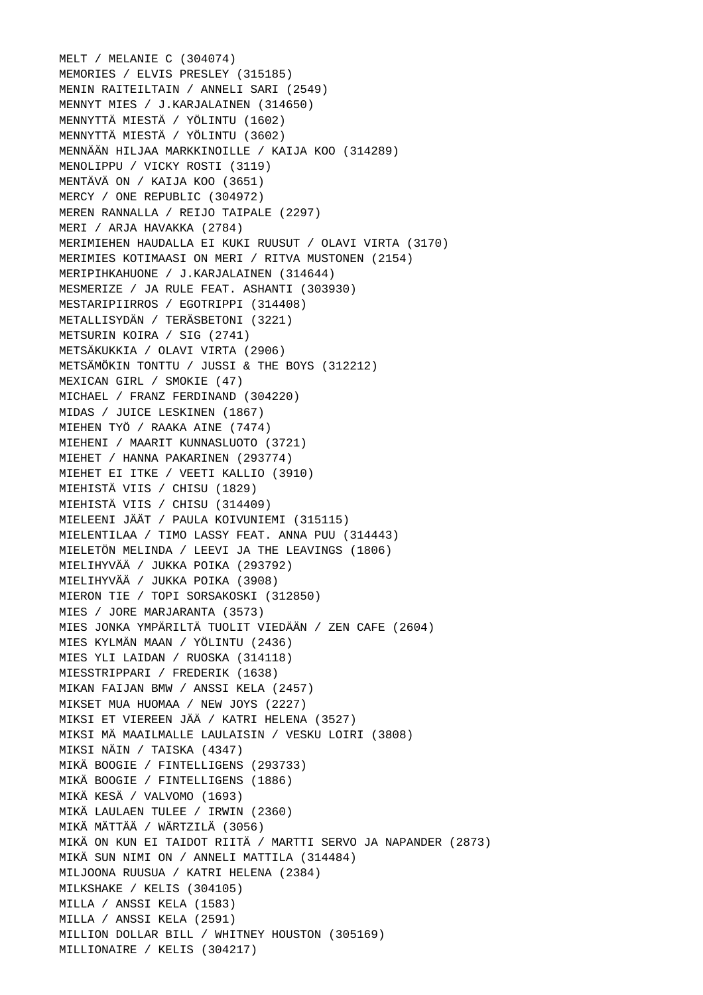MELT / MELANIE C (304074) MEMORIES / ELVIS PRESLEY (315185) MENIN RAITEILTAIN / ANNELI SARI (2549) MENNYT MIES / J.KARJALAINEN (314650) MENNYTTÄ MIESTÄ / YÖLINTU (1602) MENNYTTÄ MIESTÄ / YÖLINTU (3602) MENNÄÄN HILJAA MARKKINOILLE / KAIJA KOO (314289) MENOLIPPU / VICKY ROSTI (3119) MENTÄVÄ ON / KAIJA KOO (3651) MERCY / ONE REPUBLIC (304972) MEREN RANNALLA / REIJO TAIPALE (2297) MERI / ARJA HAVAKKA (2784) MERIMIEHEN HAUDALLA EI KUKI RUUSUT / OLAVI VIRTA (3170) MERIMIES KOTIMAASI ON MERI / RITVA MUSTONEN (2154) MERIPIHKAHUONE / J.KARJALAINEN (314644) MESMERIZE / JA RULE FEAT. ASHANTI (303930) MESTARIPIIRROS / EGOTRIPPI (314408) METALLISYDÄN / TERÄSBETONI (3221) METSURIN KOIRA / SIG (2741) METSÄKUKKIA / OLAVI VIRTA (2906) METSÄMÖKIN TONTTU / JUSSI & THE BOYS (312212) MEXICAN GIRL / SMOKIE (47) MICHAEL / FRANZ FERDINAND (304220) MIDAS / JUICE LESKINEN (1867) MIEHEN TYÖ / RAAKA AINE (7474) MIEHENI / MAARIT KUNNASLUOTO (3721) MIEHET / HANNA PAKARINEN (293774) MIEHET EI ITKE / VEETI KALLIO (3910) MIEHISTÄ VIIS / CHISU (1829) MIEHISTÄ VIIS / CHISU (314409) MIELEENI JÄÄT / PAULA KOIVUNIEMI (315115) MIELENTILAA / TIMO LASSY FEAT. ANNA PUU (314443) MIELETÖN MELINDA / LEEVI JA THE LEAVINGS (1806) MIELIHYVÄÄ / JUKKA POIKA (293792) MIELIHYVÄÄ / JUKKA POIKA (3908) MIERON TIE / TOPI SORSAKOSKI (312850) MIES / JORE MARJARANTA (3573) MIES JONKA YMPÄRILTÄ TUOLIT VIEDÄÄN / ZEN CAFE (2604) MIES KYLMÄN MAAN / YÖLINTU (2436) MIES YLI LAIDAN / RUOSKA (314118) MIESSTRIPPARI / FREDERIK (1638) MIKAN FAIJAN BMW / ANSSI KELA (2457) MIKSET MUA HUOMAA / NEW JOYS (2227) MIKSI ET VIEREEN JÄÄ / KATRI HELENA (3527) MIKSI MÄ MAAILMALLE LAULAISIN / VESKU LOIRI (3808) MIKSI NÄIN / TAISKA (4347) MIKÄ BOOGIE / FINTELLIGENS (293733) MIKÄ BOOGIE / FINTELLIGENS (1886) MIKÄ KESÄ / VALVOMO (1693) MIKÄ LAULAEN TULEE / IRWIN (2360) MIKÄ MÄTTÄÄ / WÄRTZILÄ (3056) MIKÄ ON KUN EI TAIDOT RIITÄ / MARTTI SERVO JA NAPANDER (2873) MIKÄ SUN NIMI ON / ANNELI MATTILA (314484) MILJOONA RUUSUA / KATRI HELENA (2384) MILKSHAKE / KELIS (304105) MILLA / ANSSI KELA (1583) MILLA / ANSSI KELA (2591) MILLION DOLLAR BILL / WHITNEY HOUSTON (305169) MILLIONAIRE / KELIS (304217)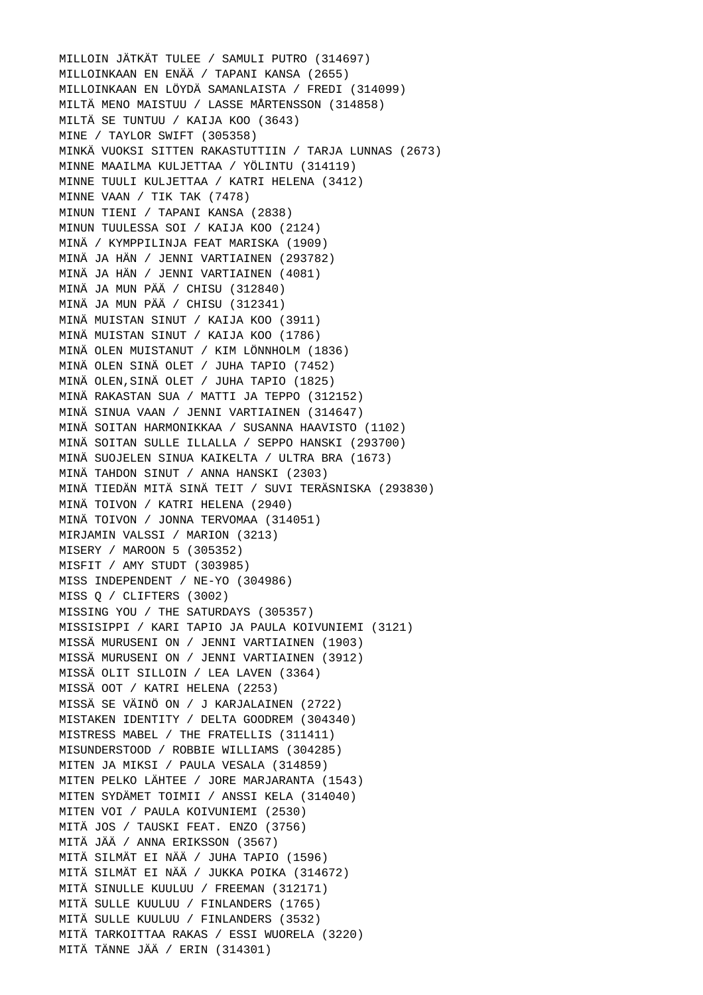MILLOIN JÄTKÄT TULEE / SAMULI PUTRO (314697) MILLOINKAAN EN ENÄÄ / TAPANI KANSA (2655) MILLOINKAAN EN LÖYDÄ SAMANLAISTA / FREDI (314099) MILTÄ MENO MAISTUU / LASSE MÅRTENSSON (314858) MILTÄ SE TUNTUU / KAIJA KOO (3643) MINE / TAYLOR SWIFT (305358) MINKÄ VUOKSI SITTEN RAKASTUTTIIN / TARJA LUNNAS (2673) MINNE MAAILMA KULJETTAA / YÖLINTU (314119) MINNE TUULI KULJETTAA / KATRI HELENA (3412) MINNE VAAN / TIK TAK (7478) MINUN TIENI / TAPANI KANSA (2838) MINUN TUULESSA SOI / KAIJA KOO (2124) MINÄ / KYMPPILINJA FEAT MARISKA (1909) MINÄ JA HÄN / JENNI VARTIAINEN (293782) MINÄ JA HÄN / JENNI VARTIAINEN (4081) MINÄ JA MUN PÄÄ / CHISU (312840) MINÄ JA MUN PÄÄ / CHISU (312341) MINÄ MUISTAN SINUT / KAIJA KOO (3911) MINÄ MUISTAN SINUT / KAIJA KOO (1786) MINÄ OLEN MUISTANUT / KIM LÖNNHOLM (1836) MINÄ OLEN SINÄ OLET / JUHA TAPIO (7452) MINÄ OLEN,SINÄ OLET / JUHA TAPIO (1825) MINÄ RAKASTAN SUA / MATTI JA TEPPO (312152) MINÄ SINUA VAAN / JENNI VARTIAINEN (314647) MINÄ SOITAN HARMONIKKAA / SUSANNA HAAVISTO (1102) MINÄ SOITAN SULLE ILLALLA / SEPPO HANSKI (293700) MINÄ SUOJELEN SINUA KAIKELTA / ULTRA BRA (1673) MINÄ TAHDON SINUT / ANNA HANSKI (2303) MINÄ TIEDÄN MITÄ SINÄ TEIT / SUVI TERÄSNISKA (293830) MINÄ TOIVON / KATRI HELENA (2940) MINÄ TOIVON / JONNA TERVOMAA (314051) MIRJAMIN VALSSI / MARION (3213) MISERY / MAROON 5 (305352) MISFIT / AMY STUDT (303985) MISS INDEPENDENT / NE-YO (304986) MISS Q / CLIFTERS (3002) MISSING YOU / THE SATURDAYS (305357) MISSISIPPI / KARI TAPIO JA PAULA KOIVUNIEMI (3121) MISSÄ MURUSENI ON / JENNI VARTIAINEN (1903) MISSÄ MURUSENI ON / JENNI VARTIAINEN (3912) MISSÄ OLIT SILLOIN / LEA LAVEN (3364) MISSÄ OOT / KATRI HELENA (2253) MISSÄ SE VÄINÖ ON / J KARJALAINEN (2722) MISTAKEN IDENTITY / DELTA GOODREM (304340) MISTRESS MABEL / THE FRATELLIS (311411) MISUNDERSTOOD / ROBBIE WILLIAMS (304285) MITEN JA MIKSI / PAULA VESALA (314859) MITEN PELKO LÄHTEE / JORE MARJARANTA (1543) MITEN SYDÄMET TOIMII / ANSSI KELA (314040) MITEN VOI / PAULA KOIVUNIEMI (2530) MITÄ JOS / TAUSKI FEAT. ENZO (3756) MITÄ JÄÄ / ANNA ERIKSSON (3567) MITÄ SILMÄT EI NÄÄ / JUHA TAPIO (1596) MITÄ SILMÄT EI NÄÄ / JUKKA POIKA (314672) MITÄ SINULLE KUULUU / FREEMAN (312171) MITÄ SULLE KUULUU / FINLANDERS (1765) MITÄ SULLE KUULUU / FINLANDERS (3532) MITÄ TARKOITTAA RAKAS / ESSI WUORELA (3220) MITÄ TÄNNE JÄÄ / ERIN (314301)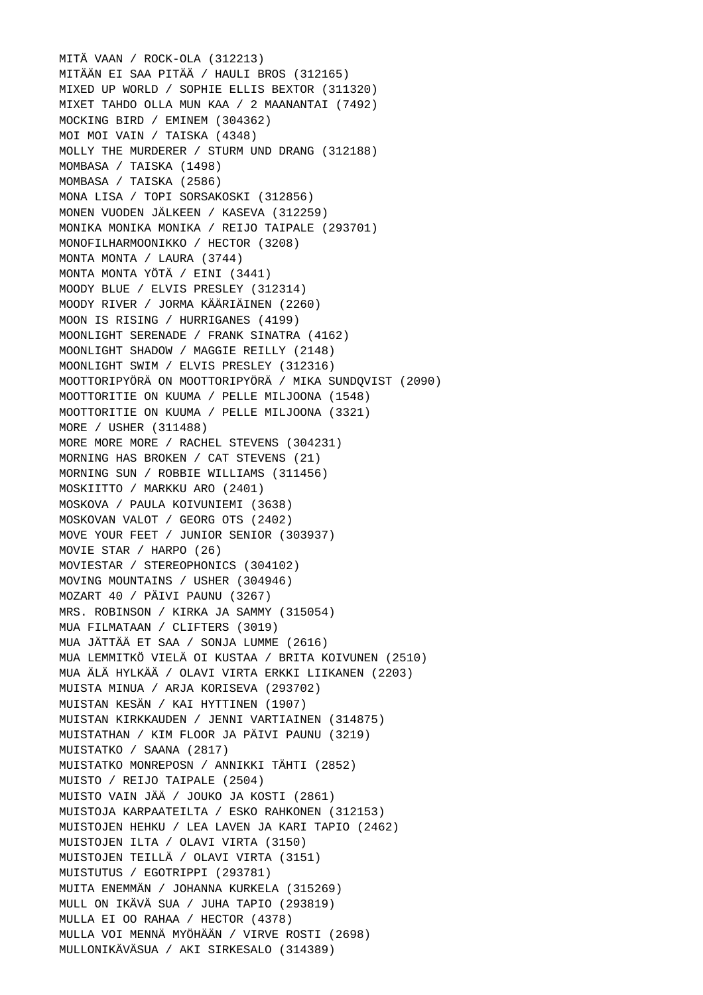MITÄ VAAN / ROCK-OLA (312213) MITÄÄN EI SAA PITÄÄ / HAULI BROS (312165) MIXED UP WORLD / SOPHIE ELLIS BEXTOR (311320) MIXET TAHDO OLLA MUN KAA / 2 MAANANTAI (7492) MOCKING BIRD / EMINEM (304362) MOI MOI VAIN / TAISKA (4348) MOLLY THE MURDERER / STURM UND DRANG (312188) MOMBASA / TAISKA (1498) MOMBASA / TAISKA (2586) MONA LISA / TOPI SORSAKOSKI (312856) MONEN VUODEN JÄLKEEN / KASEVA (312259) MONIKA MONIKA MONIKA / REIJO TAIPALE (293701) MONOFILHARMOONIKKO / HECTOR (3208) MONTA MONTA / LAURA (3744) MONTA MONTA YÖTÄ / EINI (3441) MOODY BLUE / ELVIS PRESLEY (312314) MOODY RIVER / JORMA KÄÄRIÄINEN (2260) MOON IS RISING / HURRIGANES (4199) MOONLIGHT SERENADE / FRANK SINATRA (4162) MOONLIGHT SHADOW / MAGGIE REILLY (2148) MOONLIGHT SWIM / ELVIS PRESLEY (312316) MOOTTORIPYÖRÄ ON MOOTTORIPYÖRÄ / MIKA SUNDQVIST (2090) MOOTTORITIE ON KUUMA / PELLE MILJOONA (1548) MOOTTORITIE ON KUUMA / PELLE MILJOONA (3321) MORE / USHER (311488) MORE MORE MORE / RACHEL STEVENS (304231) MORNING HAS BROKEN / CAT STEVENS (21) MORNING SUN / ROBBIE WILLIAMS (311456) MOSKIITTO / MARKKU ARO (2401) MOSKOVA / PAULA KOIVUNIEMI (3638) MOSKOVAN VALOT / GEORG OTS (2402) MOVE YOUR FEET / JUNIOR SENIOR (303937) MOVIE STAR / HARPO (26) MOVIESTAR / STEREOPHONICS (304102) MOVING MOUNTAINS / USHER (304946) MOZART 40 / PÄIVI PAUNU (3267) MRS. ROBINSON / KIRKA JA SAMMY (315054) MUA FILMATAAN / CLIFTERS (3019) MUA JÄTTÄÄ ET SAA / SONJA LUMME (2616) MUA LEMMITKÖ VIELÄ OI KUSTAA / BRITA KOIVUNEN (2510) MUA ÄLÄ HYLKÄÄ / OLAVI VIRTA ERKKI LIIKANEN (2203) MUISTA MINUA / ARJA KORISEVA (293702) MUISTAN KESÄN / KAI HYTTINEN (1907) MUISTAN KIRKKAUDEN / JENNI VARTIAINEN (314875) MUISTATHAN / KIM FLOOR JA PÄIVI PAUNU (3219) MUISTATKO / SAANA (2817) MUISTATKO MONREPOSN / ANNIKKI TÄHTI (2852) MUISTO / REIJO TAIPALE (2504) MUISTO VAIN JÄÄ / JOUKO JA KOSTI (2861) MUISTOJA KARPAATEILTA / ESKO RAHKONEN (312153) MUISTOJEN HEHKU / LEA LAVEN JA KARI TAPIO (2462) MUISTOJEN ILTA / OLAVI VIRTA (3150) MUISTOJEN TEILLÄ / OLAVI VIRTA (3151) MUISTUTUS / EGOTRIPPI (293781) MUITA ENEMMÄN / JOHANNA KURKELA (315269) MULL ON IKÄVÄ SUA / JUHA TAPIO (293819) MULLA EI OO RAHAA / HECTOR (4378) MULLA VOI MENNÄ MYÖHÄÄN / VIRVE ROSTI (2698) MULLONIKÄVÄSUA / AKI SIRKESALO (314389)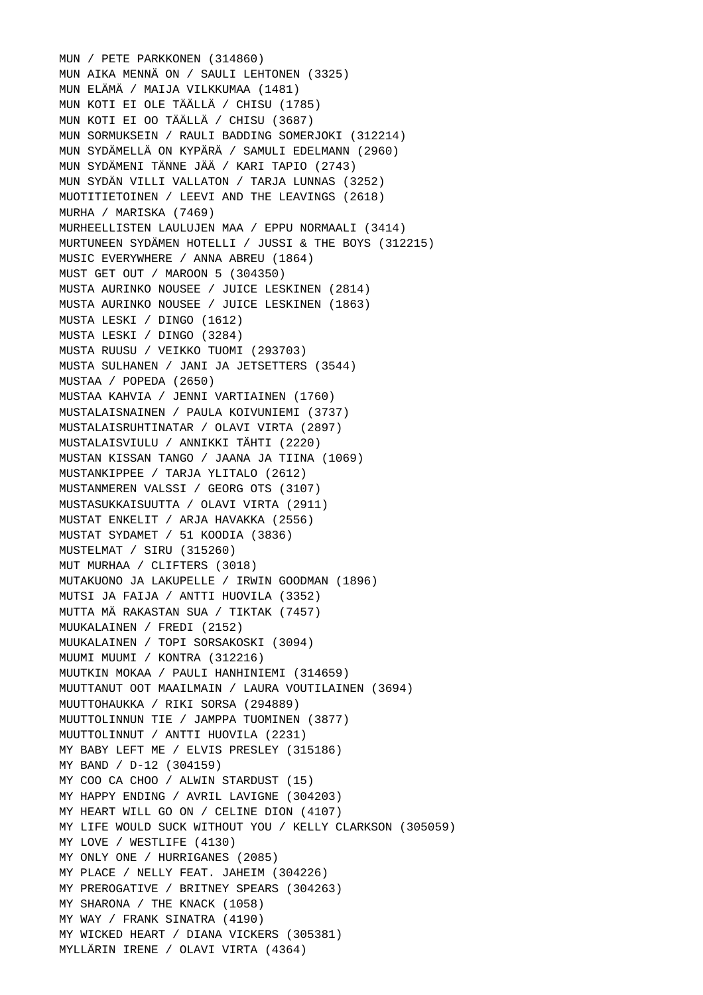MUN / PETE PARKKONEN (314860) MUN AIKA MENNÄ ON / SAULI LEHTONEN (3325) MUN ELÄMÄ / MAIJA VILKKUMAA (1481) MUN KOTI EI OLE TÄÄLLÄ / CHISU (1785) MUN KOTI EI OO TÄÄLLÄ / CHISU (3687) MUN SORMUKSEIN / RAULI BADDING SOMERJOKI (312214) MUN SYDÄMELLÄ ON KYPÄRÄ / SAMULI EDELMANN (2960) MUN SYDÄMENI TÄNNE JÄÄ / KARI TAPIO (2743) MUN SYDÄN VILLI VALLATON / TARJA LUNNAS (3252) MUOTITIETOINEN / LEEVI AND THE LEAVINGS (2618) MURHA / MARISKA (7469) MURHEELLISTEN LAULUJEN MAA / EPPU NORMAALI (3414) MURTUNEEN SYDÄMEN HOTELLI / JUSSI & THE BOYS (312215) MUSIC EVERYWHERE / ANNA ABREU (1864) MUST GET OUT / MAROON 5 (304350) MUSTA AURINKO NOUSEE / JUICE LESKINEN (2814) MUSTA AURINKO NOUSEE / JUICE LESKINEN (1863) MUSTA LESKI / DINGO (1612) MUSTA LESKI / DINGO (3284) MUSTA RUUSU / VEIKKO TUOMI (293703) MUSTA SULHANEN / JANI JA JETSETTERS (3544) MUSTAA / POPEDA (2650) MUSTAA KAHVIA / JENNI VARTIAINEN (1760) MUSTALAISNAINEN / PAULA KOIVUNIEMI (3737) MUSTALAISRUHTINATAR / OLAVI VIRTA (2897) MUSTALAISVIULU / ANNIKKI TÄHTI (2220) MUSTAN KISSAN TANGO / JAANA JA TIINA (1069) MUSTANKIPPEE / TARJA YLITALO (2612) MUSTANMEREN VALSSI / GEORG OTS (3107) MUSTASUKKAISUUTTA / OLAVI VIRTA (2911) MUSTAT ENKELIT / ARJA HAVAKKA (2556) MUSTAT SYDAMET / 51 KOODIA (3836) MUSTELMAT / SIRU (315260) MUT MURHAA / CLIFTERS (3018) MUTAKUONO JA LAKUPELLE / IRWIN GOODMAN (1896) MUTSI JA FAIJA / ANTTI HUOVILA (3352) MUTTA MÄ RAKASTAN SUA / TIKTAK (7457) MUUKALAINEN / FREDI (2152) MUUKALAINEN / TOPI SORSAKOSKI (3094) MUUMI MUUMI / KONTRA (312216) MUUTKIN MOKAA / PAULI HANHINIEMI (314659) MUUTTANUT OOT MAAILMAIN / LAURA VOUTILAINEN (3694) MUUTTOHAUKKA / RIKI SORSA (294889) MUUTTOLINNUN TIE / JAMPPA TUOMINEN (3877) MUUTTOLINNUT / ANTTI HUOVILA (2231) MY BABY LEFT ME / ELVIS PRESLEY (315186) MY BAND / D-12 (304159) MY COO CA CHOO / ALWIN STARDUST (15) MY HAPPY ENDING / AVRIL LAVIGNE (304203) MY HEART WILL GO ON / CELINE DION (4107) MY LIFE WOULD SUCK WITHOUT YOU / KELLY CLARKSON (305059) MY LOVE / WESTLIFE (4130) MY ONLY ONE / HURRIGANES (2085) MY PLACE / NELLY FEAT. JAHEIM (304226) MY PREROGATIVE / BRITNEY SPEARS (304263) MY SHARONA / THE KNACK (1058) MY WAY / FRANK SINATRA (4190) MY WICKED HEART / DIANA VICKERS (305381) MYLLÄRIN IRENE / OLAVI VIRTA (4364)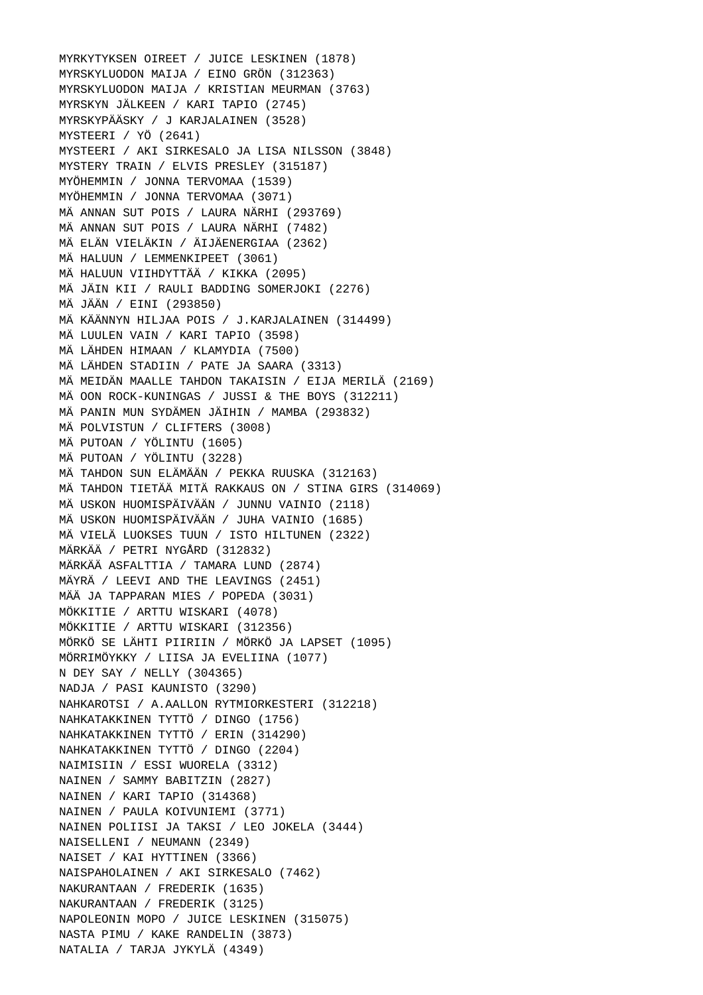MYRKYTYKSEN OIREET / JUICE LESKINEN (1878) MYRSKYLUODON MAIJA / EINO GRÖN (312363) MYRSKYLUODON MAIJA / KRISTIAN MEURMAN (3763) MYRSKYN JÄLKEEN / KARI TAPIO (2745) MYRSKYPÄÄSKY / J KARJALAINEN (3528) MYSTEERI / YÖ (2641) MYSTEERI / AKI SIRKESALO JA LISA NILSSON (3848) MYSTERY TRAIN / ELVIS PRESLEY (315187) MYÖHEMMIN / JONNA TERVOMAA (1539) MYÖHEMMIN / JONNA TERVOMAA (3071) MÄ ANNAN SUT POIS / LAURA NÄRHI (293769) MÄ ANNAN SUT POIS / LAURA NÄRHI (7482) MÄ ELÄN VIELÄKIN / ÄIJÄENERGIAA (2362) MÄ HALUUN / LEMMENKIPEET (3061) MÄ HALUUN VIIHDYTTÄÄ / KIKKA (2095) MÄ JÄIN KII / RAULI BADDING SOMERJOKI (2276) MÄ JÄÄN / EINI (293850) MÄ KÄÄNNYN HILJAA POIS / J.KARJALAINEN (314499) MÄ LUULEN VAIN / KARI TAPIO (3598) MÄ LÄHDEN HIMAAN / KLAMYDIA (7500) MÄ LÄHDEN STADIIN / PATE JA SAARA (3313) MÄ MEIDÄN MAALLE TAHDON TAKAISIN / EIJA MERILÄ (2169) MÄ OON ROCK-KUNINGAS / JUSSI & THE BOYS (312211) MÄ PANIN MUN SYDÄMEN JÄIHIN / MAMBA (293832) MÄ POLVISTUN / CLIFTERS (3008) MÄ PUTOAN / YÖLINTU (1605) MÄ PUTOAN / YÖLINTU (3228) MÄ TAHDON SUN ELÄMÄÄN / PEKKA RUUSKA (312163) MÄ TAHDON TIETÄÄ MITÄ RAKKAUS ON / STINA GIRS (314069) MÄ USKON HUOMISPÄIVÄÄN / JUNNU VAINIO (2118) MÄ USKON HUOMISPÄIVÄÄN / JUHA VAINIO (1685) MÄ VIELÄ LUOKSES TUUN / ISTO HILTUNEN (2322) MÄRKÄÄ / PETRI NYGÅRD (312832) MÄRKÄÄ ASFALTTIA / TAMARA LUND (2874) MÄYRÄ / LEEVI AND THE LEAVINGS (2451) MÄÄ JA TAPPARAN MIES / POPEDA (3031) MÖKKITIE / ARTTU WISKARI (4078) MÖKKITIE / ARTTU WISKARI (312356) MÖRKÖ SE LÄHTI PIIRIIN / MÖRKÖ JA LAPSET (1095) MÖRRIMÖYKKY / LIISA JA EVELIINA (1077) N DEY SAY / NELLY (304365) NADJA / PASI KAUNISTO (3290) NAHKAROTSI / A.AALLON RYTMIORKESTERI (312218) NAHKATAKKINEN TYTTÖ / DINGO (1756) NAHKATAKKINEN TYTTÖ / ERIN (314290) NAHKATAKKINEN TYTTÖ / DINGO (2204) NAIMISIIN / ESSI WUORELA (3312) NAINEN / SAMMY BABITZIN (2827) NAINEN / KARI TAPIO (314368) NAINEN / PAULA KOIVUNIEMI (3771) NAINEN POLIISI JA TAKSI / LEO JOKELA (3444) NAISELLENI / NEUMANN (2349) NAISET / KAI HYTTINEN (3366) NAISPAHOLAINEN / AKI SIRKESALO (7462) NAKURANTAAN / FREDERIK (1635) NAKURANTAAN / FREDERIK (3125) NAPOLEONIN MOPO / JUICE LESKINEN (315075) NASTA PIMU / KAKE RANDELIN (3873) NATALIA / TARJA JYKYLÄ (4349)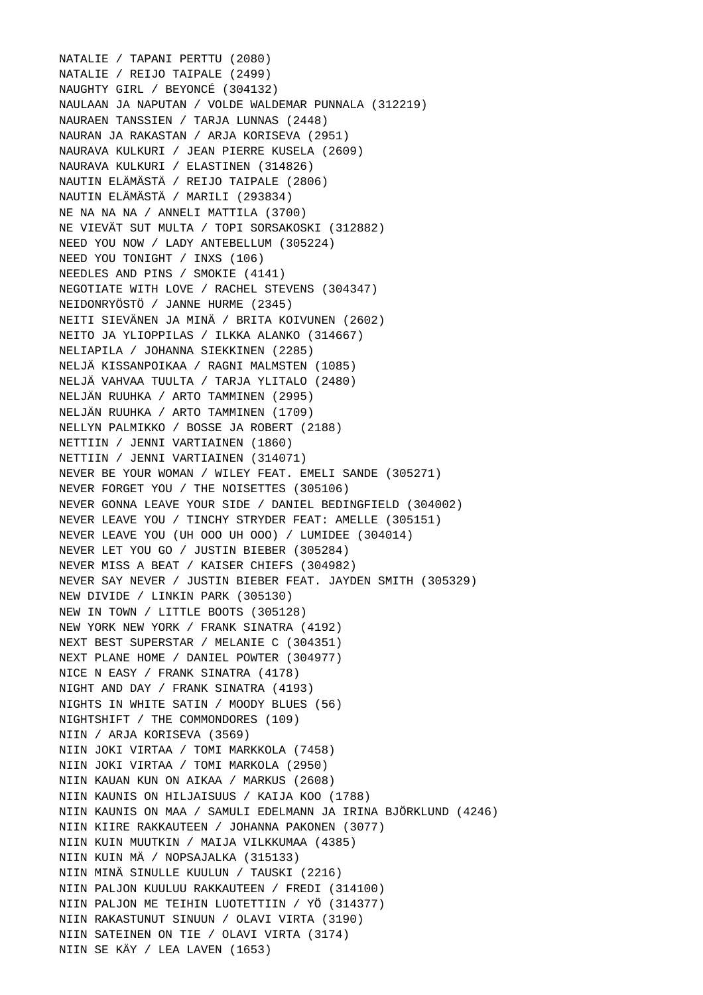NATALIE / TAPANI PERTTU (2080) NATALIE / REIJO TAIPALE (2499) NAUGHTY GIRL / BEYONCÉ (304132) NAULAAN JA NAPUTAN / VOLDE WALDEMAR PUNNALA (312219) NAURAEN TANSSIEN / TARJA LUNNAS (2448) NAURAN JA RAKASTAN / ARJA KORISEVA (2951) NAURAVA KULKURI / JEAN PIERRE KUSELA (2609) NAURAVA KULKURI / ELASTINEN (314826) NAUTIN ELÄMÄSTÄ / REIJO TAIPALE (2806) NAUTIN ELÄMÄSTÄ / MARILI (293834) NE NA NA NA / ANNELI MATTILA (3700) NE VIEVÄT SUT MULTA / TOPI SORSAKOSKI (312882) NEED YOU NOW / LADY ANTEBELLUM (305224) NEED YOU TONIGHT / INXS (106) NEEDLES AND PINS / SMOKIE (4141) NEGOTIATE WITH LOVE / RACHEL STEVENS (304347) NEIDONRYÖSTÖ / JANNE HURME (2345) NEITI SIEVÄNEN JA MINÄ / BRITA KOIVUNEN (2602) NEITO JA YLIOPPILAS / ILKKA ALANKO (314667) NELIAPILA / JOHANNA SIEKKINEN (2285) NELJÄ KISSANPOIKAA / RAGNI MALMSTEN (1085) NELJÄ VAHVAA TUULTA / TARJA YLITALO (2480) NELJÄN RUUHKA / ARTO TAMMINEN (2995) NELJÄN RUUHKA / ARTO TAMMINEN (1709) NELLYN PALMIKKO / BOSSE JA ROBERT (2188) NETTIIN / JENNI VARTIAINEN (1860) NETTIIN / JENNI VARTIAINEN (314071) NEVER BE YOUR WOMAN / WILEY FEAT. EMELI SANDE (305271) NEVER FORGET YOU / THE NOISETTES (305106) NEVER GONNA LEAVE YOUR SIDE / DANIEL BEDINGFIELD (304002) NEVER LEAVE YOU / TINCHY STRYDER FEAT: AMELLE (305151) NEVER LEAVE YOU (UH OOO UH OOO) / LUMIDEE (304014) NEVER LET YOU GO / JUSTIN BIEBER (305284) NEVER MISS A BEAT / KAISER CHIEFS (304982) NEVER SAY NEVER / JUSTIN BIEBER FEAT. JAYDEN SMITH (305329) NEW DIVIDE / LINKIN PARK (305130) NEW IN TOWN / LITTLE BOOTS (305128) NEW YORK NEW YORK / FRANK SINATRA (4192) NEXT BEST SUPERSTAR / MELANIE C (304351) NEXT PLANE HOME / DANIEL POWTER (304977) NICE N EASY / FRANK SINATRA (4178) NIGHT AND DAY / FRANK SINATRA (4193) NIGHTS IN WHITE SATIN / MOODY BLUES (56) NIGHTSHIFT / THE COMMONDORES (109) NIIN / ARJA KORISEVA (3569) NIIN JOKI VIRTAA / TOMI MARKKOLA (7458) NIIN JOKI VIRTAA / TOMI MARKOLA (2950) NIIN KAUAN KUN ON AIKAA / MARKUS (2608) NIIN KAUNIS ON HILJAISUUS / KAIJA KOO (1788) NIIN KAUNIS ON MAA / SAMULI EDELMANN JA IRINA BJÖRKLUND (4246) NIIN KIIRE RAKKAUTEEN / JOHANNA PAKONEN (3077) NIIN KUIN MUUTKIN / MAIJA VILKKUMAA (4385) NIIN KUIN MÄ / NOPSAJALKA (315133) NIIN MINÄ SINULLE KUULUN / TAUSKI (2216) NIIN PALJON KUULUU RAKKAUTEEN / FREDI (314100) NIIN PALJON ME TEIHIN LUOTETTIIN / YÖ (314377) NIIN RAKASTUNUT SINUUN / OLAVI VIRTA (3190) NIIN SATEINEN ON TIE / OLAVI VIRTA (3174) NIIN SE KÄY / LEA LAVEN (1653)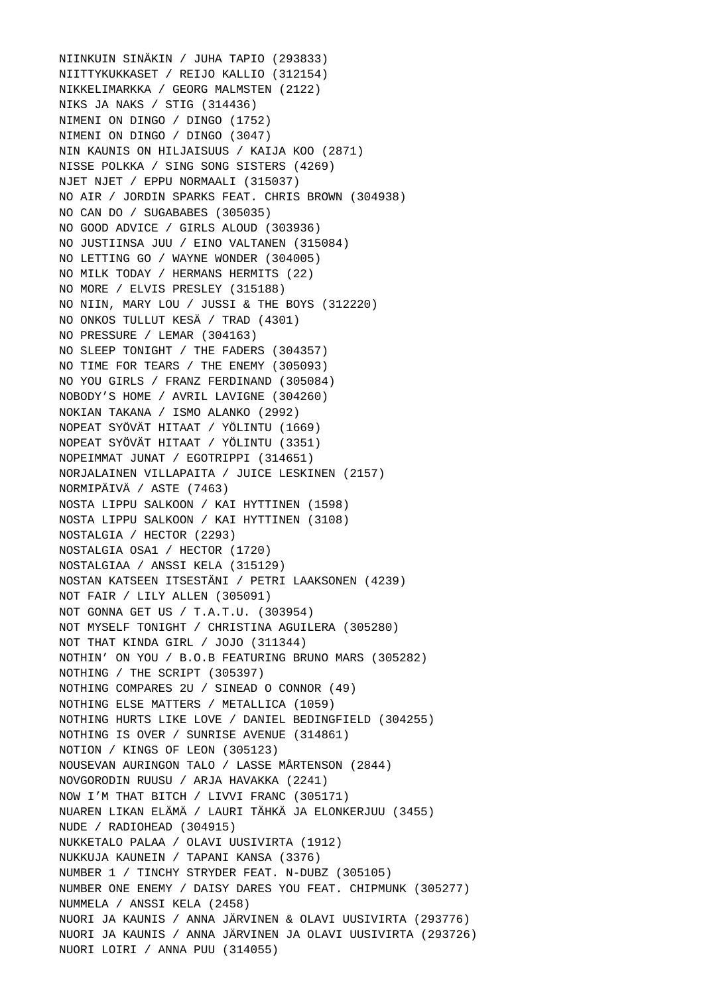NIINKUIN SINÄKIN / JUHA TAPIO (293833) NIITTYKUKKASET / REIJO KALLIO (312154) NIKKELIMARKKA / GEORG MALMSTEN (2122) NIKS JA NAKS / STIG (314436) NIMENI ON DINGO / DINGO (1752) NIMENI ON DINGO / DINGO (3047) NIN KAUNIS ON HILJAISUUS / KAIJA KOO (2871) NISSE POLKKA / SING SONG SISTERS (4269) NJET NJET / EPPU NORMAALI (315037) NO AIR / JORDIN SPARKS FEAT. CHRIS BROWN (304938) NO CAN DO / SUGABABES (305035) NO GOOD ADVICE / GIRLS ALOUD (303936) NO JUSTIINSA JUU / EINO VALTANEN (315084) NO LETTING GO / WAYNE WONDER (304005) NO MILK TODAY / HERMANS HERMITS (22) NO MORE / ELVIS PRESLEY (315188) NO NIIN, MARY LOU / JUSSI & THE BOYS (312220) NO ONKOS TULLUT KESÄ / TRAD (4301) NO PRESSURE / LEMAR (304163) NO SLEEP TONIGHT / THE FADERS (304357) NO TIME FOR TEARS / THE ENEMY (305093) NO YOU GIRLS / FRANZ FERDINAND (305084) NOBODY'S HOME / AVRIL LAVIGNE (304260) NOKIAN TAKANA / ISMO ALANKO (2992) NOPEAT SYÖVÄT HITAAT / YÖLINTU (1669) NOPEAT SYÖVÄT HITAAT / YÖLINTU (3351) NOPEIMMAT JUNAT / EGOTRIPPI (314651) NORJALAINEN VILLAPAITA / JUICE LESKINEN (2157) NORMIPÄIVÄ / ASTE (7463) NOSTA LIPPU SALKOON / KAI HYTTINEN (1598) NOSTA LIPPU SALKOON / KAI HYTTINEN (3108) NOSTALGIA / HECTOR (2293) NOSTALGIA OSA1 / HECTOR (1720) NOSTALGIAA / ANSSI KELA (315129) NOSTAN KATSEEN ITSESTÄNI / PETRI LAAKSONEN (4239) NOT FAIR / LILY ALLEN (305091) NOT GONNA GET US / T.A.T.U. (303954) NOT MYSELF TONIGHT / CHRISTINA AGUILERA (305280) NOT THAT KINDA GIRL / JOJO (311344) NOTHIN' ON YOU / B.O.B FEATURING BRUNO MARS (305282) NOTHING / THE SCRIPT (305397) NOTHING COMPARES 2U / SINEAD O CONNOR (49) NOTHING ELSE MATTERS / METALLICA (1059) NOTHING HURTS LIKE LOVE / DANIEL BEDINGFIELD (304255) NOTHING IS OVER / SUNRISE AVENUE (314861) NOTION / KINGS OF LEON (305123) NOUSEVAN AURINGON TALO / LASSE MÅRTENSON (2844) NOVGORODIN RUUSU / ARJA HAVAKKA (2241) NOW I'M THAT BITCH / LIVVI FRANC (305171) NUAREN LIKAN ELÄMÄ / LAURI TÄHKÄ JA ELONKERJUU (3455) NUDE / RADIOHEAD (304915) NUKKETALO PALAA / OLAVI UUSIVIRTA (1912) NUKKUJA KAUNEIN / TAPANI KANSA (3376) NUMBER 1 / TINCHY STRYDER FEAT. N-DUBZ (305105) NUMBER ONE ENEMY / DAISY DARES YOU FEAT. CHIPMUNK (305277) NUMMELA / ANSSI KELA (2458) NUORI JA KAUNIS / ANNA JÄRVINEN & OLAVI UUSIVIRTA (293776) NUORI JA KAUNIS / ANNA JÄRVINEN JA OLAVI UUSIVIRTA (293726) NUORI LOIRI / ANNA PUU (314055)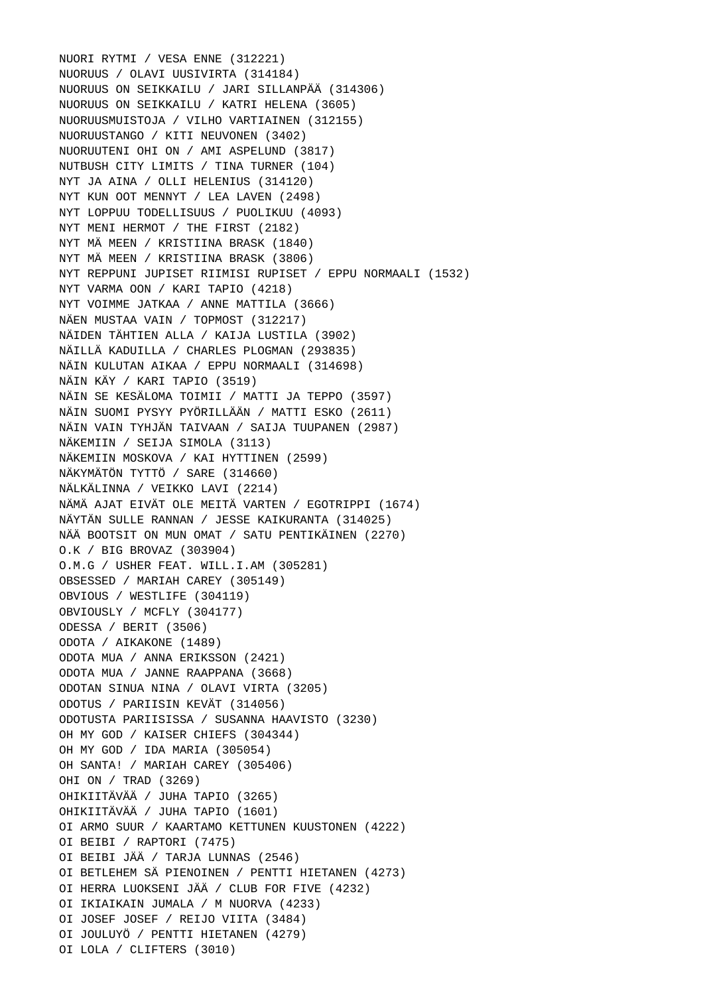NUORI RYTMI / VESA ENNE (312221) NUORUUS / OLAVI UUSIVIRTA (314184) NUORUUS ON SEIKKAILU / JARI SILLANPÄÄ (314306) NUORUUS ON SEIKKAILU / KATRI HELENA (3605) NUORUUSMUISTOJA / VILHO VARTIAINEN (312155) NUORUUSTANGO / KITI NEUVONEN (3402) NUORUUTENI OHI ON / AMI ASPELUND (3817) NUTBUSH CITY LIMITS / TINA TURNER (104) NYT JA AINA / OLLI HELENIUS (314120) NYT KUN OOT MENNYT / LEA LAVEN (2498) NYT LOPPUU TODELLISUUS / PUOLIKUU (4093) NYT MENI HERMOT / THE FIRST (2182) NYT MÄ MEEN / KRISTIINA BRASK (1840) NYT MÄ MEEN / KRISTIINA BRASK (3806) NYT REPPUNI JUPISET RIIMISI RUPISET / EPPU NORMAALI (1532) NYT VARMA OON / KARI TAPIO (4218) NYT VOIMME JATKAA / ANNE MATTILA (3666) NÄEN MUSTAA VAIN / TOPMOST (312217) NÄIDEN TÄHTIEN ALLA / KAIJA LUSTILA (3902) NÄILLÄ KADUILLA / CHARLES PLOGMAN (293835) NÄIN KULUTAN AIKAA / EPPU NORMAALI (314698) NÄIN KÄY / KARI TAPIO (3519) NÄIN SE KESÄLOMA TOIMII / MATTI JA TEPPO (3597) NÄIN SUOMI PYSYY PYÖRILLÄÄN / MATTI ESKO (2611) NÄIN VAIN TYHJÄN TAIVAAN / SAIJA TUUPANEN (2987) NÄKEMIIN / SEIJA SIMOLA (3113) NÄKEMIIN MOSKOVA / KAI HYTTINEN (2599) NÄKYMÄTÖN TYTTÖ / SARE (314660) NÄLKÄLINNA / VEIKKO LAVI (2214) NÄMÄ AJAT EIVÄT OLE MEITÄ VARTEN / EGOTRIPPI (1674) NÄYTÄN SULLE RANNAN / JESSE KAIKURANTA (314025) NÄÄ BOOTSIT ON MUN OMAT / SATU PENTIKÄINEN (2270) O.K / BIG BROVAZ (303904) O.M.G / USHER FEAT. WILL.I.AM (305281) OBSESSED / MARIAH CAREY (305149) OBVIOUS / WESTLIFE (304119) OBVIOUSLY / MCFLY (304177) ODESSA / BERIT (3506) ODOTA / AIKAKONE (1489) ODOTA MUA / ANNA ERIKSSON (2421) ODOTA MUA / JANNE RAAPPANA (3668) ODOTAN SINUA NINA / OLAVI VIRTA (3205) ODOTUS / PARIISIN KEVÄT (314056) ODOTUSTA PARIISISSA / SUSANNA HAAVISTO (3230) OH MY GOD / KAISER CHIEFS (304344) OH MY GOD / IDA MARIA (305054) OH SANTA! / MARIAH CAREY (305406) OHI ON / TRAD (3269) OHIKIITÄVÄÄ / JUHA TAPIO (3265) OHIKIITÄVÄÄ / JUHA TAPIO (1601) OI ARMO SUUR / KAARTAMO KETTUNEN KUUSTONEN (4222) OI BEIBI / RAPTORI (7475) OI BEIBI JÄÄ / TARJA LUNNAS (2546) OI BETLEHEM SÄ PIENOINEN / PENTTI HIETANEN (4273) OI HERRA LUOKSENI JÄÄ / CLUB FOR FIVE (4232) OI IKIAIKAIN JUMALA / M NUORVA (4233) OI JOSEF JOSEF / REIJO VIITA (3484) OI JOULUYÖ / PENTTI HIETANEN (4279) OI LOLA / CLIFTERS (3010)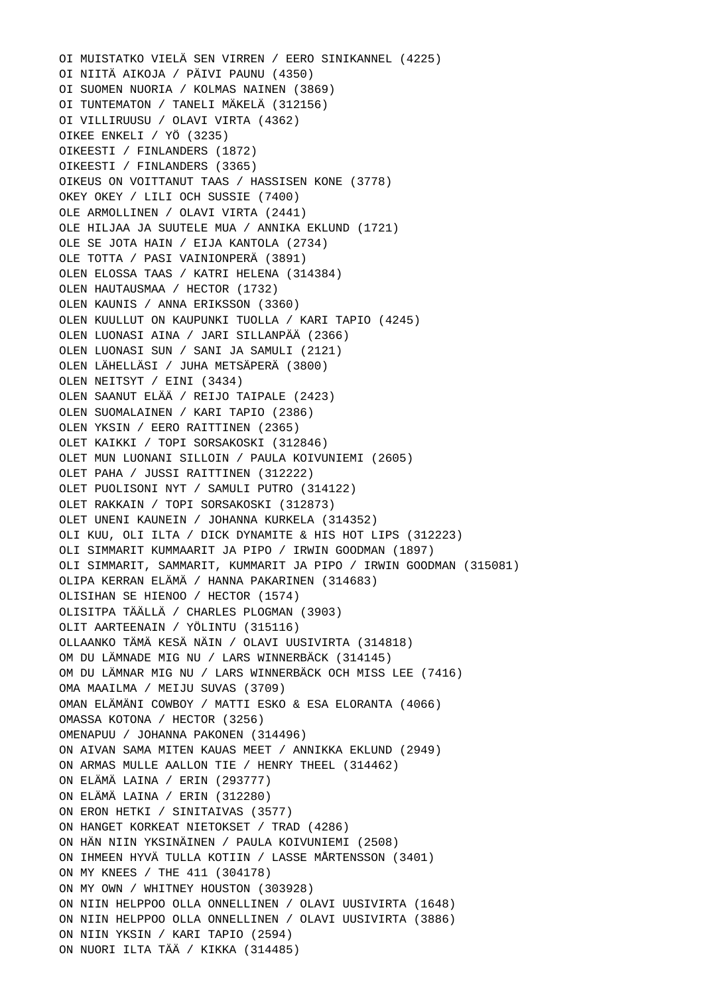OI MUISTATKO VIELÄ SEN VIRREN / EERO SINIKANNEL (4225) OI NIITÄ AIKOJA / PÄIVI PAUNU (4350) OI SUOMEN NUORIA / KOLMAS NAINEN (3869) OI TUNTEMATON / TANELI MÄKELÄ (312156) OI VILLIRUUSU / OLAVI VIRTA (4362) OIKEE ENKELI / YÖ (3235) OIKEESTI / FINLANDERS (1872) OIKEESTI / FINLANDERS (3365) OIKEUS ON VOITTANUT TAAS / HASSISEN KONE (3778) OKEY OKEY / LILI OCH SUSSIE (7400) OLE ARMOLLINEN / OLAVI VIRTA (2441) OLE HILJAA JA SUUTELE MUA / ANNIKA EKLUND (1721) OLE SE JOTA HAIN / EIJA KANTOLA (2734) OLE TOTTA / PASI VAINIONPERÄ (3891) OLEN ELOSSA TAAS / KATRI HELENA (314384) OLEN HAUTAUSMAA / HECTOR (1732) OLEN KAUNIS / ANNA ERIKSSON (3360) OLEN KUULLUT ON KAUPUNKI TUOLLA / KARI TAPIO (4245) OLEN LUONASI AINA / JARI SILLANPÄÄ (2366) OLEN LUONASI SUN / SANI JA SAMULI (2121) OLEN LÄHELLÄSI / JUHA METSÄPERÄ (3800) OLEN NEITSYT / EINI (3434) OLEN SAANUT ELÄÄ / REIJO TAIPALE (2423) OLEN SUOMALAINEN / KARI TAPIO (2386) OLEN YKSIN / EERO RAITTINEN (2365) OLET KAIKKI / TOPI SORSAKOSKI (312846) OLET MUN LUONANI SILLOIN / PAULA KOIVUNIEMI (2605) OLET PAHA / JUSSI RAITTINEN (312222) OLET PUOLISONI NYT / SAMULI PUTRO (314122) OLET RAKKAIN / TOPI SORSAKOSKI (312873) OLET UNENI KAUNEIN / JOHANNA KURKELA (314352) OLI KUU, OLI ILTA / DICK DYNAMITE & HIS HOT LIPS (312223) OLI SIMMARIT KUMMAARIT JA PIPO / IRWIN GOODMAN (1897) OLI SIMMARIT, SAMMARIT, KUMMARIT JA PIPO / IRWIN GOODMAN (315081) OLIPA KERRAN ELÄMÄ / HANNA PAKARINEN (314683) OLISIHAN SE HIENOO / HECTOR (1574) OLISITPA TÄÄLLÄ / CHARLES PLOGMAN (3903) OLIT AARTEENAIN / YÖLINTU (315116) OLLAANKO TÄMÄ KESÄ NÄIN / OLAVI UUSIVIRTA (314818) OM DU LÄMNADE MIG NU / LARS WINNERBÄCK (314145) OM DU LÄMNAR MIG NU / LARS WINNERBÄCK OCH MISS LEE (7416) OMA MAAILMA / MEIJU SUVAS (3709) OMAN ELÄMÄNI COWBOY / MATTI ESKO & ESA ELORANTA (4066) OMASSA KOTONA / HECTOR (3256) OMENAPUU / JOHANNA PAKONEN (314496) ON AIVAN SAMA MITEN KAUAS MEET / ANNIKKA EKLUND (2949) ON ARMAS MULLE AALLON TIE / HENRY THEEL (314462) ON ELÄMÄ LAINA / ERIN (293777) ON ELÄMÄ LAINA / ERIN (312280) ON ERON HETKI / SINITAIVAS (3577) ON HANGET KORKEAT NIETOKSET / TRAD (4286) ON HÄN NIIN YKSINÄINEN / PAULA KOIVUNIEMI (2508) ON IHMEEN HYVÄ TULLA KOTIIN / LASSE MÅRTENSSON (3401) ON MY KNEES / THE 411 (304178) ON MY OWN / WHITNEY HOUSTON (303928) ON NIIN HELPPOO OLLA ONNELLINEN / OLAVI UUSIVIRTA (1648) ON NIIN HELPPOO OLLA ONNELLINEN / OLAVI UUSIVIRTA (3886) ON NIIN YKSIN / KARI TAPIO (2594) ON NUORI ILTA TÄÄ / KIKKA (314485)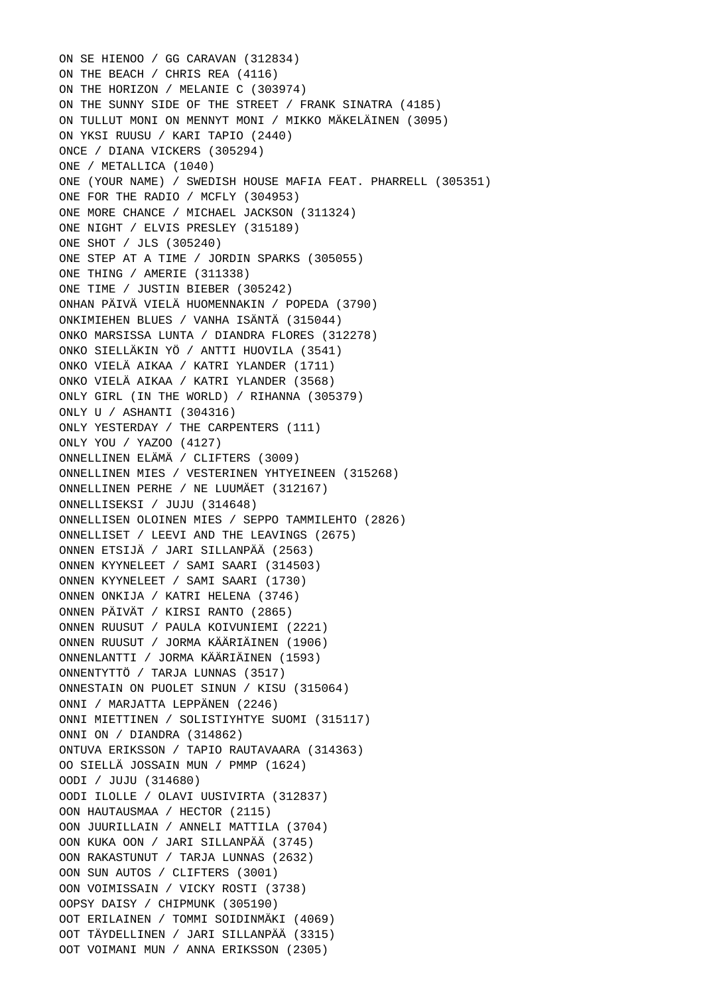ON SE HIENOO / GG CARAVAN (312834) ON THE BEACH / CHRIS REA (4116) ON THE HORIZON / MELANIE C (303974) ON THE SUNNY SIDE OF THE STREET / FRANK SINATRA (4185) ON TULLUT MONI ON MENNYT MONI / MIKKO MÄKELÄINEN (3095) ON YKSI RUUSU / KARI TAPIO (2440) ONCE / DIANA VICKERS (305294) ONE / METALLICA (1040) ONE (YOUR NAME) / SWEDISH HOUSE MAFIA FEAT. PHARRELL (305351) ONE FOR THE RADIO / MCFLY (304953) ONE MORE CHANCE / MICHAEL JACKSON (311324) ONE NIGHT / ELVIS PRESLEY (315189) ONE SHOT / JLS (305240) ONE STEP AT A TIME / JORDIN SPARKS (305055) ONE THING / AMERIE (311338) ONE TIME / JUSTIN BIEBER (305242) ONHAN PÄIVÄ VIELÄ HUOMENNAKIN / POPEDA (3790) ONKIMIEHEN BLUES / VANHA ISÄNTÄ (315044) ONKO MARSISSA LUNTA / DIANDRA FLORES (312278) ONKO SIELLÄKIN YÖ / ANTTI HUOVILA (3541) ONKO VIELÄ AIKAA / KATRI YLANDER (1711) ONKO VIELÄ AIKAA / KATRI YLANDER (3568) ONLY GIRL (IN THE WORLD) / RIHANNA (305379) ONLY U / ASHANTI (304316) ONLY YESTERDAY / THE CARPENTERS (111) ONLY YOU / YAZOO (4127) ONNELLINEN ELÄMÄ / CLIFTERS (3009) ONNELLINEN MIES / VESTERINEN YHTYEINEEN (315268) ONNELLINEN PERHE / NE LUUMÄET (312167) ONNELLISEKSI / JUJU (314648) ONNELLISEN OLOINEN MIES / SEPPO TAMMILEHTO (2826) ONNELLISET / LEEVI AND THE LEAVINGS (2675) ONNEN ETSIJÄ / JARI SILLANPÄÄ (2563) ONNEN KYYNELEET / SAMI SAARI (314503) ONNEN KYYNELEET / SAMI SAARI (1730) ONNEN ONKIJA / KATRI HELENA (3746) ONNEN PÄIVÄT / KIRSI RANTO (2865) ONNEN RUUSUT / PAULA KOIVUNIEMI (2221) ONNEN RUUSUT / JORMA KÄÄRIÄINEN (1906) ONNENLANTTI / JORMA KÄÄRIÄINEN (1593) ONNENTYTTÖ / TARJA LUNNAS (3517) ONNESTAIN ON PUOLET SINUN / KISU (315064) ONNI / MARJATTA LEPPÄNEN (2246) ONNI MIETTINEN / SOLISTIYHTYE SUOMI (315117) ONNI ON / DIANDRA (314862) ONTUVA ERIKSSON / TAPIO RAUTAVAARA (314363) OO SIELLÄ JOSSAIN MUN / PMMP (1624) OODI / JUJU (314680) OODI ILOLLE / OLAVI UUSIVIRTA (312837) OON HAUTAUSMAA / HECTOR (2115) OON JUURILLAIN / ANNELI MATTILA (3704) OON KUKA OON / JARI SILLANPÄÄ (3745) OON RAKASTUNUT / TARJA LUNNAS (2632) OON SUN AUTOS / CLIFTERS (3001) OON VOIMISSAIN / VICKY ROSTI (3738) OOPSY DAISY / CHIPMUNK (305190) OOT ERILAINEN / TOMMI SOIDINMÄKI (4069) OOT TÄYDELLINEN / JARI SILLANPÄÄ (3315) OOT VOIMANI MUN / ANNA ERIKSSON (2305)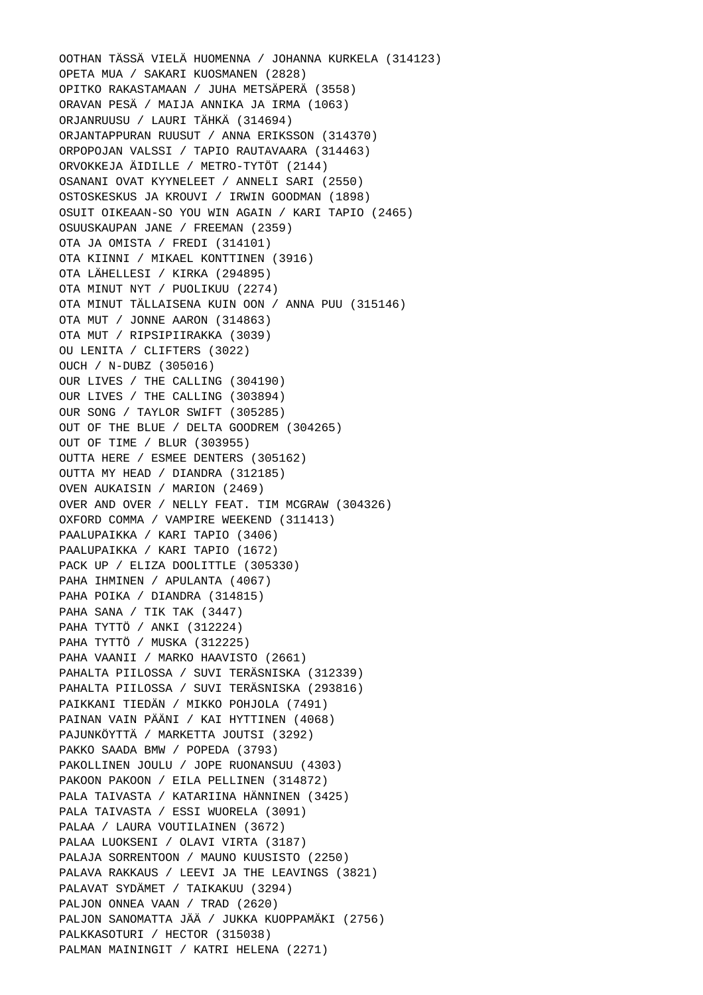OOTHAN TÄSSÄ VIELÄ HUOMENNA / JOHANNA KURKELA (314123) OPETA MUA / SAKARI KUOSMANEN (2828) OPITKO RAKASTAMAAN / JUHA METSÄPERÄ (3558) ORAVAN PESÄ / MAIJA ANNIKA JA IRMA (1063) ORJANRUUSU / LAURI TÄHKÄ (314694) ORJANTAPPURAN RUUSUT / ANNA ERIKSSON (314370) ORPOPOJAN VALSSI / TAPIO RAUTAVAARA (314463) ORVOKKEJA ÄIDILLE / METRO-TYTÖT (2144) OSANANI OVAT KYYNELEET / ANNELI SARI (2550) OSTOSKESKUS JA KROUVI / IRWIN GOODMAN (1898) OSUIT OIKEAAN-SO YOU WIN AGAIN / KARI TAPIO (2465) OSUUSKAUPAN JANE / FREEMAN (2359) OTA JA OMISTA / FREDI (314101) OTA KIINNI / MIKAEL KONTTINEN (3916) OTA LÄHELLESI / KIRKA (294895) OTA MINUT NYT / PUOLIKUU (2274) OTA MINUT TÄLLAISENA KUIN OON / ANNA PUU (315146) OTA MUT / JONNE AARON (314863) OTA MUT / RIPSIPIIRAKKA (3039) OU LENITA / CLIFTERS (3022) OUCH / N-DUBZ (305016) OUR LIVES / THE CALLING (304190) OUR LIVES / THE CALLING (303894) OUR SONG / TAYLOR SWIFT (305285) OUT OF THE BLUE / DELTA GOODREM (304265) OUT OF TIME / BLUR (303955) OUTTA HERE / ESMEE DENTERS (305162) OUTTA MY HEAD / DIANDRA (312185) OVEN AUKAISIN / MARION (2469) OVER AND OVER / NELLY FEAT. TIM MCGRAW (304326) OXFORD COMMA / VAMPIRE WEEKEND (311413) PAALUPAIKKA / KARI TAPIO (3406) PAALUPAIKKA / KARI TAPIO (1672) PACK UP / ELIZA DOOLITTLE (305330) PAHA IHMINEN / APULANTA (4067) PAHA POIKA / DIANDRA (314815) PAHA SANA / TIK TAK (3447) PAHA TYTTÖ / ANKI (312224) PAHA TYTTÖ / MUSKA (312225) PAHA VAANII / MARKO HAAVISTO (2661) PAHALTA PIILOSSA / SUVI TERÄSNISKA (312339) PAHALTA PIILOSSA / SUVI TERÄSNISKA (293816) PAIKKANI TIEDÄN / MIKKO POHJOLA (7491) PAINAN VAIN PÄÄNI / KAI HYTTINEN (4068) PAJUNKÖYTTÄ / MARKETTA JOUTSI (3292) PAKKO SAADA BMW / POPEDA (3793) PAKOLLINEN JOULU / JOPE RUONANSUU (4303) PAKOON PAKOON / EILA PELLINEN (314872) PALA TAIVASTA / KATARIINA HÄNNINEN (3425) PALA TAIVASTA / ESSI WUORELA (3091) PALAA / LAURA VOUTILAINEN (3672) PALAA LUOKSENI / OLAVI VIRTA (3187) PALAJA SORRENTOON / MAUNO KUUSISTO (2250) PALAVA RAKKAUS / LEEVI JA THE LEAVINGS (3821) PALAVAT SYDÄMET / TAIKAKUU (3294) PALJON ONNEA VAAN / TRAD (2620) PALJON SANOMATTA JÄÄ / JUKKA KUOPPAMÄKI (2756) PALKKASOTURI / HECTOR (315038) PALMAN MAININGIT / KATRI HELENA (2271)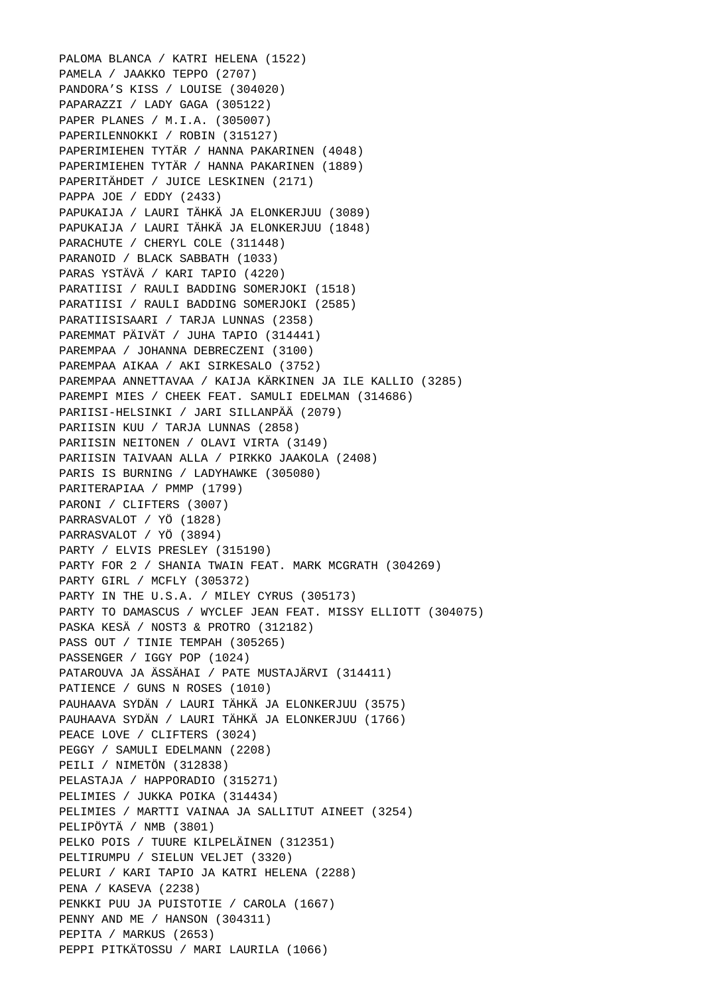PALOMA BLANCA / KATRI HELENA (1522) PAMELA / JAAKKO TEPPO (2707) PANDORA'S KISS / LOUISE (304020) PAPARAZZI / LADY GAGA (305122) PAPER PLANES / M.I.A. (305007) PAPERILENNOKKI / ROBIN (315127) PAPERIMIEHEN TYTÄR / HANNA PAKARINEN (4048) PAPERIMIEHEN TYTÄR / HANNA PAKARINEN (1889) PAPERITÄHDET / JUICE LESKINEN (2171) PAPPA JOE / EDDY (2433) PAPUKAIJA / LAURI TÄHKÄ JA ELONKERJUU (3089) PAPUKAIJA / LAURI TÄHKÄ JA ELONKERJUU (1848) PARACHUTE / CHERYL COLE (311448) PARANOID / BLACK SABBATH (1033) PARAS YSTÄVÄ / KARI TAPIO (4220) PARATIISI / RAULI BADDING SOMERJOKI (1518) PARATIISI / RAULI BADDING SOMERJOKI (2585) PARATIISISAARI / TARJA LUNNAS (2358) PAREMMAT PÄIVÄT / JUHA TAPIO (314441) PAREMPAA / JOHANNA DEBRECZENI (3100) PAREMPAA AIKAA / AKI SIRKESALO (3752) PAREMPAA ANNETTAVAA / KAIJA KÄRKINEN JA ILE KALLIO (3285) PAREMPI MIES / CHEEK FEAT. SAMULI EDELMAN (314686) PARIISI-HELSINKI / JARI SILLANPÄÄ (2079) PARIISIN KUU / TARJA LUNNAS (2858) PARIISIN NEITONEN / OLAVI VIRTA (3149) PARIISIN TAIVAAN ALLA / PIRKKO JAAKOLA (2408) PARIS IS BURNING / LADYHAWKE (305080) PARITERAPIAA / PMMP (1799) PARONI / CLIFTERS (3007) PARRASVALOT / YÖ (1828) PARRASVALOT / YÖ (3894) PARTY / ELVIS PRESLEY (315190) PARTY FOR 2 / SHANIA TWAIN FEAT. MARK MCGRATH (304269) PARTY GIRL / MCFLY (305372) PARTY IN THE U.S.A. / MILEY CYRUS (305173) PARTY TO DAMASCUS / WYCLEF JEAN FEAT. MISSY ELLIOTT (304075) PASKA KESÄ / NOST3 & PROTRO (312182) PASS OUT / TINIE TEMPAH (305265) PASSENGER / IGGY POP (1024) PATAROUVA JA ÄSSÄHAI / PATE MUSTAJÄRVI (314411) PATIENCE / GUNS N ROSES (1010) PAUHAAVA SYDÄN / LAURI TÄHKÄ JA ELONKERJUU (3575) PAUHAAVA SYDÄN / LAURI TÄHKÄ JA ELONKERJUU (1766) PEACE LOVE / CLIFTERS (3024) PEGGY / SAMULI EDELMANN (2208) PEILI / NIMETÖN (312838) PELASTAJA / HAPPORADIO (315271) PELIMIES / JUKKA POIKA (314434) PELIMIES / MARTTI VAINAA JA SALLITUT AINEET (3254) PELIPÖYTÄ / NMB (3801) PELKO POIS / TUURE KILPELÄINEN (312351) PELTIRUMPU / SIELUN VELJET (3320) PELURI / KARI TAPIO JA KATRI HELENA (2288) PENA / KASEVA (2238) PENKKI PUU JA PUISTOTIE / CAROLA (1667) PENNY AND ME / HANSON (304311) PEPITA / MARKUS (2653) PEPPI PITKÄTOSSU / MARI LAURILA (1066)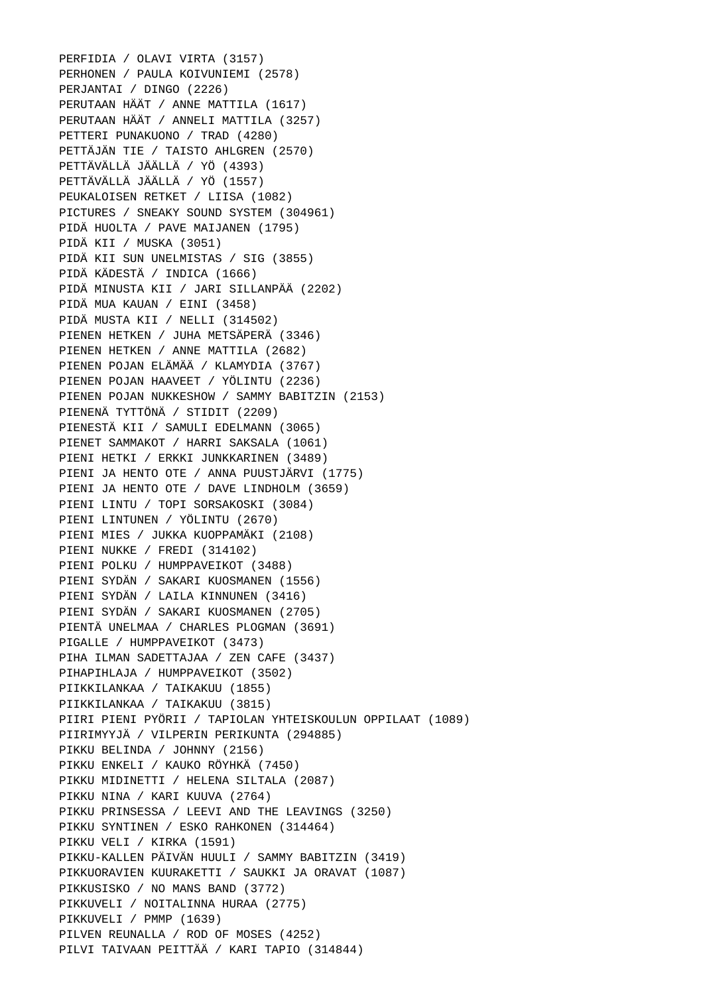PERFIDIA / OLAVI VIRTA (3157) PERHONEN / PAULA KOIVUNIEMI (2578) PERJANTAI / DINGO (2226) PERUTAAN HÄÄT / ANNE MATTILA (1617) PERUTAAN HÄÄT / ANNELI MATTILA (3257) PETTERI PUNAKUONO / TRAD (4280) PETTÄJÄN TIE / TAISTO AHLGREN (2570) PETTÄVÄLLÄ JÄÄLLÄ / YÖ (4393) PETTÄVÄLLÄ JÄÄLLÄ / YÖ (1557) PEUKALOISEN RETKET / LIISA (1082) PICTURES / SNEAKY SOUND SYSTEM (304961) PIDÄ HUOLTA / PAVE MAIJANEN (1795) PIDÄ KII / MUSKA (3051) PIDÄ KII SUN UNELMISTAS / SIG (3855) PIDÄ KÄDESTÄ / INDICA (1666) PIDÄ MINUSTA KII / JARI SILLANPÄÄ (2202) PIDÄ MUA KAUAN / EINI (3458) PIDÄ MUSTA KII / NELLI (314502) PIENEN HETKEN / JUHA METSÄPERÄ (3346) PIENEN HETKEN / ANNE MATTILA (2682) PIENEN POJAN ELÄMÄÄ / KLAMYDIA (3767) PIENEN POJAN HAAVEET / YÖLINTU (2236) PIENEN POJAN NUKKESHOW / SAMMY BABITZIN (2153) PIENENÄ TYTTÖNÄ / STIDIT (2209) PIENESTÄ KII / SAMULI EDELMANN (3065) PIENET SAMMAKOT / HARRI SAKSALA (1061) PIENI HETKI / ERKKI JUNKKARINEN (3489) PIENI JA HENTO OTE / ANNA PUUSTJÄRVI (1775) PIENI JA HENTO OTE / DAVE LINDHOLM (3659) PIENI LINTU / TOPI SORSAKOSKI (3084) PIENI LINTUNEN / YÖLINTU (2670) PIENI MIES / JUKKA KUOPPAMÄKI (2108) PIENI NUKKE / FREDI (314102) PIENI POLKU / HUMPPAVEIKOT (3488) PIENI SYDÄN / SAKARI KUOSMANEN (1556) PIENI SYDÄN / LAILA KINNUNEN (3416) PIENI SYDÄN / SAKARI KUOSMANEN (2705) PIENTÄ UNELMAA / CHARLES PLOGMAN (3691) PIGALLE / HUMPPAVEIKOT (3473) PIHA ILMAN SADETTAJAA / ZEN CAFE (3437) PIHAPIHLAJA / HUMPPAVEIKOT (3502) PIIKKILANKAA / TAIKAKUU (1855) PIIKKILANKAA / TAIKAKUU (3815) PIIRI PIENI PYÖRII / TAPIOLAN YHTEISKOULUN OPPILAAT (1089) PIIRIMYYJÄ / VILPERIN PERIKUNTA (294885) PIKKU BELINDA / JOHNNY (2156) PIKKU ENKELI / KAUKO RÖYHKÄ (7450) PIKKU MIDINETTI / HELENA SILTALA (2087) PIKKU NINA / KARI KUUVA (2764) PIKKU PRINSESSA / LEEVI AND THE LEAVINGS (3250) PIKKU SYNTINEN / ESKO RAHKONEN (314464) PIKKU VELI / KIRKA (1591) PIKKU-KALLEN PÄIVÄN HUULI / SAMMY BABITZIN (3419) PIKKUORAVIEN KUURAKETTI / SAUKKI JA ORAVAT (1087) PIKKUSISKO / NO MANS BAND (3772) PIKKUVELI / NOITALINNA HURAA (2775) PIKKUVELI / PMMP (1639) PILVEN REUNALLA / ROD OF MOSES (4252) PILVI TAIVAAN PEITTÄÄ / KARI TAPIO (314844)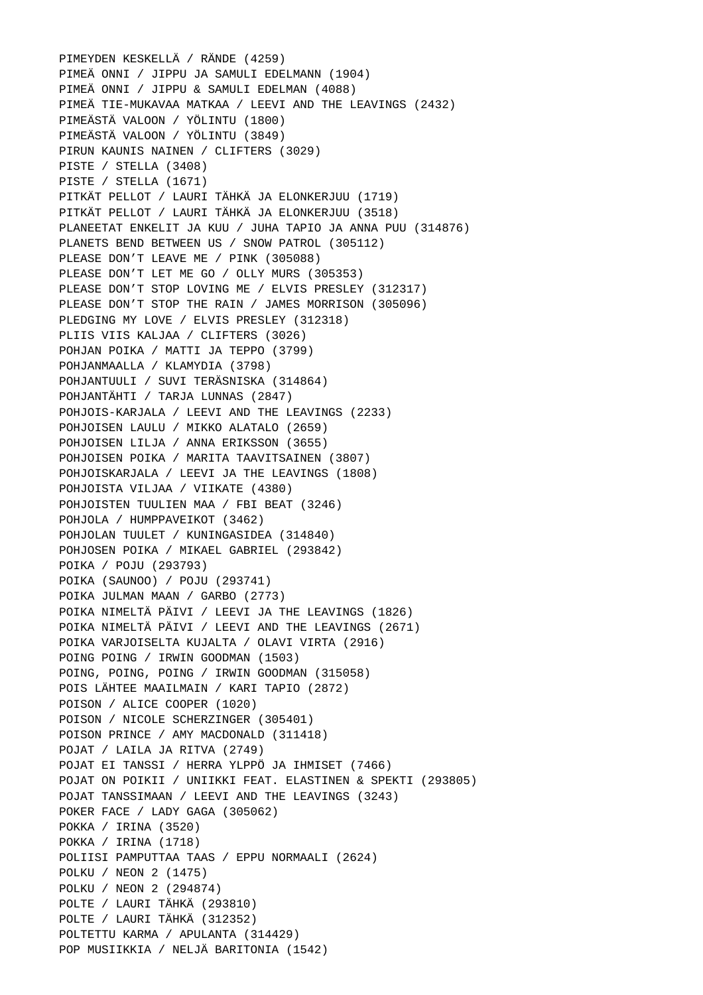PIMEYDEN KESKELLÄ / RÄNDE (4259) PIMEÄ ONNI / JIPPU JA SAMULI EDELMANN (1904) PIMEÄ ONNI / JIPPU & SAMULI EDELMAN (4088) PIMEÄ TIE-MUKAVAA MATKAA / LEEVI AND THE LEAVINGS (2432) PIMEÄSTÄ VALOON / YÖLINTU (1800) PIMEÄSTÄ VALOON / YÖLINTU (3849) PIRUN KAUNIS NAINEN / CLIFTERS (3029) PISTE / STELLA (3408) PISTE / STELLA (1671) PITKÄT PELLOT / LAURI TÄHKÄ JA ELONKERJUU (1719) PITKÄT PELLOT / LAURI TÄHKÄ JA ELONKERJUU (3518) PLANEETAT ENKELIT JA KUU / JUHA TAPIO JA ANNA PUU (314876) PLANETS BEND BETWEEN US / SNOW PATROL (305112) PLEASE DON'T LEAVE ME / PINK (305088) PLEASE DON'T LET ME GO / OLLY MURS (305353) PLEASE DON'T STOP LOVING ME / ELVIS PRESLEY (312317) PLEASE DON'T STOP THE RAIN / JAMES MORRISON (305096) PLEDGING MY LOVE / ELVIS PRESLEY (312318) PLIIS VIIS KALJAA / CLIFTERS (3026) POHJAN POIKA / MATTI JA TEPPO (3799) POHJANMAALLA / KLAMYDIA (3798) POHJANTUULI / SUVI TERÄSNISKA (314864) POHJANTÄHTI / TARJA LUNNAS (2847) POHJOIS-KARJALA / LEEVI AND THE LEAVINGS (2233) POHJOISEN LAULU / MIKKO ALATALO (2659) POHJOISEN LILJA / ANNA ERIKSSON (3655) POHJOISEN POIKA / MARITA TAAVITSAINEN (3807) POHJOISKARJALA / LEEVI JA THE LEAVINGS (1808) POHJOISTA VILJAA / VIIKATE (4380) POHJOISTEN TUULIEN MAA / FBI BEAT (3246) POHJOLA / HUMPPAVEIKOT (3462) POHJOLAN TUULET / KUNINGASIDEA (314840) POHJOSEN POIKA / MIKAEL GABRIEL (293842) POIKA / POJU (293793) POIKA (SAUNOO) / POJU (293741) POIKA JULMAN MAAN / GARBO (2773) POIKA NIMELTÄ PÄIVI / LEEVI JA THE LEAVINGS (1826) POIKA NIMELTÄ PÄIVI / LEEVI AND THE LEAVINGS (2671) POIKA VARJOISELTA KUJALTA / OLAVI VIRTA (2916) POING POING / IRWIN GOODMAN (1503) POING, POING, POING / IRWIN GOODMAN (315058) POIS LÄHTEE MAAILMAIN / KARI TAPIO (2872) POISON / ALICE COOPER (1020) POISON / NICOLE SCHERZINGER (305401) POISON PRINCE / AMY MACDONALD (311418) POJAT / LAILA JA RITVA (2749) POJAT EI TANSSI / HERRA YLPPÖ JA IHMISET (7466) POJAT ON POIKII / UNIIKKI FEAT. ELASTINEN & SPEKTI (293805) POJAT TANSSIMAAN / LEEVI AND THE LEAVINGS (3243) POKER FACE / LADY GAGA (305062) POKKA / IRINA (3520) POKKA / IRINA (1718) POLIISI PAMPUTTAA TAAS / EPPU NORMAALI (2624) POLKU / NEON 2 (1475) POLKU / NEON 2 (294874) POLTE / LAURI TÄHKÄ (293810) POLTE / LAURI TÄHKÄ (312352) POLTETTU KARMA / APULANTA (314429) POP MUSIIKKIA / NELJÄ BARITONIA (1542)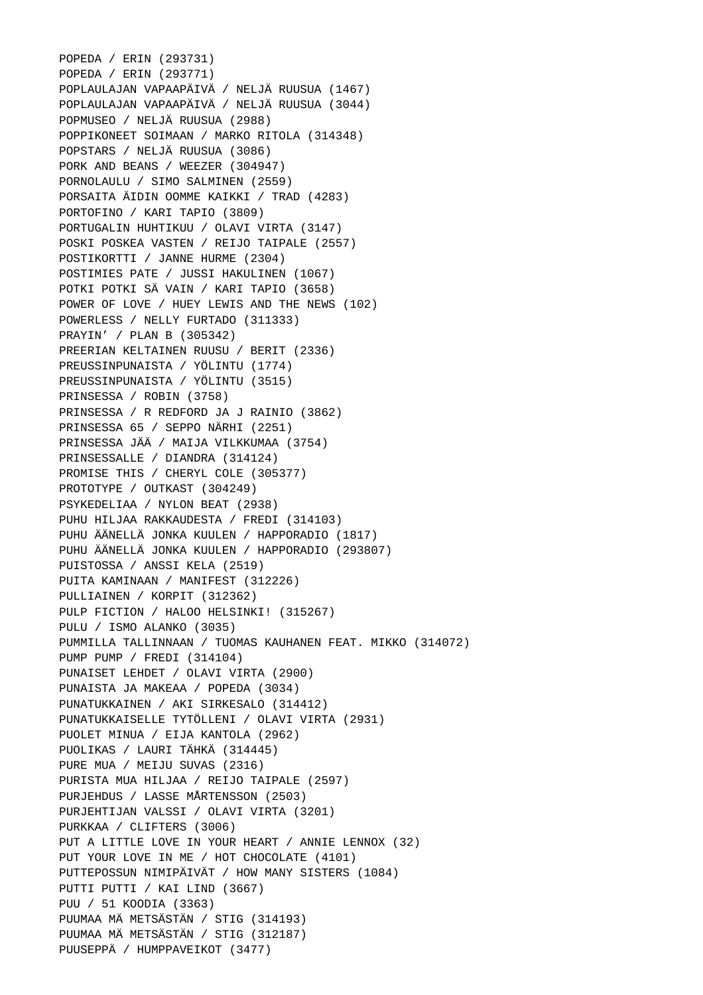POPEDA / ERIN (293731) POPEDA / ERIN (293771) POPLAULAJAN VAPAAPÄIVÄ / NELJÄ RUUSUA (1467) POPLAULAJAN VAPAAPÄIVÄ / NELJÄ RUUSUA (3044) POPMUSEO / NELJÄ RUUSUA (2988) POPPIKONEET SOIMAAN / MARKO RITOLA (314348) POPSTARS / NELJÄ RUUSUA (3086) PORK AND BEANS / WEEZER (304947) PORNOLAULU / SIMO SALMINEN (2559) PORSAITA ÄIDIN OOMME KAIKKI / TRAD (4283) PORTOFINO / KARI TAPIO (3809) PORTUGALIN HUHTIKUU / OLAVI VIRTA (3147) POSKI POSKEA VASTEN / REIJO TAIPALE (2557) POSTIKORTTI / JANNE HURME (2304) POSTIMIES PATE / JUSSI HAKULINEN (1067) POTKI POTKI SÄ VAIN / KARI TAPIO (3658) POWER OF LOVE / HUEY LEWIS AND THE NEWS (102) POWERLESS / NELLY FURTADO (311333) PRAYIN' / PLAN B (305342) PREERIAN KELTAINEN RUUSU / BERIT (2336) PREUSSINPUNAISTA / YÖLINTU (1774) PREUSSINPUNAISTA / YÖLINTU (3515) PRINSESSA / ROBIN (3758) PRINSESSA / R REDFORD JA J RAINIO (3862) PRINSESSA 65 / SEPPO NÄRHI (2251) PRINSESSA JÄÄ / MAIJA VILKKUMAA (3754) PRINSESSALLE / DIANDRA (314124) PROMISE THIS / CHERYL COLE (305377) PROTOTYPE / OUTKAST (304249) PSYKEDELIAA / NYLON BEAT (2938) PUHU HILJAA RAKKAUDESTA / FREDI (314103) PUHU ÄÄNELLÄ JONKA KUULEN / HAPPORADIO (1817) PUHU ÄÄNELLÄ JONKA KUULEN / HAPPORADIO (293807) PUISTOSSA / ANSSI KELA (2519) PUITA KAMINAAN / MANIFEST (312226) PULLIAINEN / KORPIT (312362) PULP FICTION / HALOO HELSINKI! (315267) PULU / ISMO ALANKO (3035) PUMMILLA TALLINNAAN / TUOMAS KAUHANEN FEAT. MIKKO (314072) PUMP PUMP / FREDI (314104) PUNAISET LEHDET / OLAVI VIRTA (2900) PUNAISTA JA MAKEAA / POPEDA (3034) PUNATUKKAINEN / AKI SIRKESALO (314412) PUNATUKKAISELLE TYTÖLLENI / OLAVI VIRTA (2931) PUOLET MINUA / EIJA KANTOLA (2962) PUOLIKAS / LAURI TÄHKÄ (314445) PURE MUA / MEIJU SUVAS (2316) PURISTA MUA HILJAA / REIJO TAIPALE (2597) PURJEHDUS / LASSE MÅRTENSSON (2503) PURJEHTIJAN VALSSI / OLAVI VIRTA (3201) PURKKAA / CLIFTERS (3006) PUT A LITTLE LOVE IN YOUR HEART / ANNIE LENNOX (32) PUT YOUR LOVE IN ME / HOT CHOCOLATE (4101) PUTTEPOSSUN NIMIPÄIVÄT / HOW MANY SISTERS (1084) PUTTI PUTTI / KAI LIND (3667) PUU / 51 KOODIA (3363) PUUMAA MÄ METSÄSTÄN / STIG (314193) PUUMAA MÄ METSÄSTÄN / STIG (312187) PUUSEPPÄ / HUMPPAVEIKOT (3477)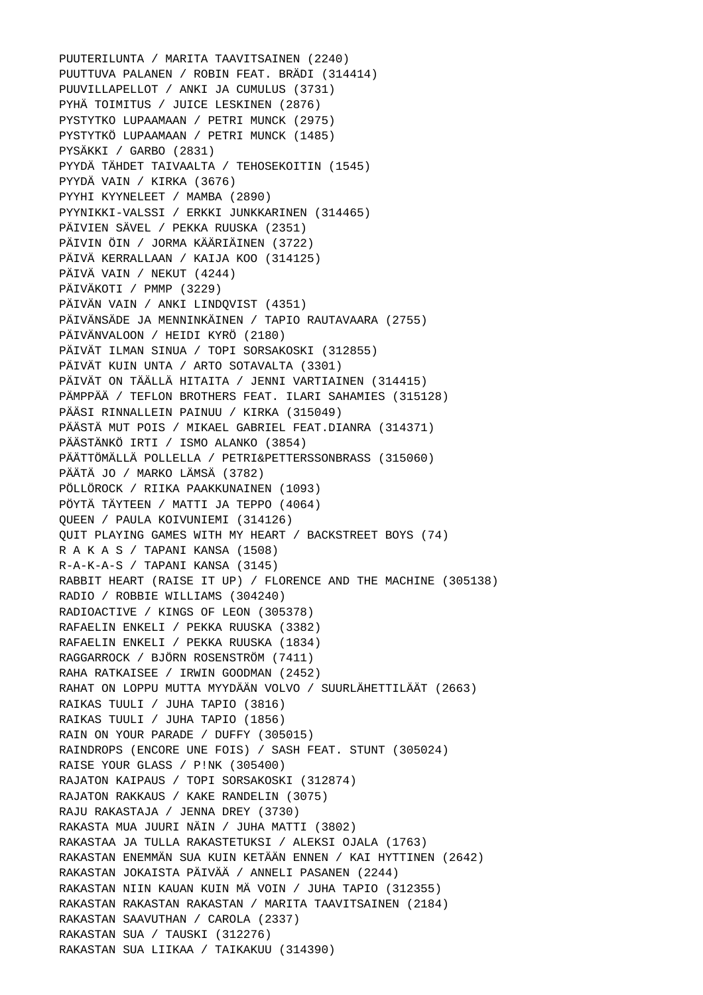PUUTERILUNTA / MARITA TAAVITSAINEN (2240) PUUTTUVA PALANEN / ROBIN FEAT. BRÄDI (314414) PUUVILLAPELLOT / ANKI JA CUMULUS (3731) PYHÄ TOIMITUS / JUICE LESKINEN (2876) PYSTYTKO LUPAAMAAN / PETRI MUNCK (2975) PYSTYTKÖ LUPAAMAAN / PETRI MUNCK (1485) PYSÄKKI / GARBO (2831) PYYDÄ TÄHDET TAIVAALTA / TEHOSEKOITIN (1545) PYYDÄ VAIN / KIRKA (3676) PYYHI KYYNELEET / MAMBA (2890) PYYNIKKI-VALSSI / ERKKI JUNKKARINEN (314465) PÄIVIEN SÄVEL / PEKKA RUUSKA (2351) PÄIVIN ÖIN / JORMA KÄÄRIÄINEN (3722) PÄIVÄ KERRALLAAN / KAIJA KOO (314125) PÄIVÄ VAIN / NEKUT (4244) PÄIVÄKOTI / PMMP (3229) PÄIVÄN VAIN / ANKI LINDQVIST (4351) PÄIVÄNSÄDE JA MENNINKÄINEN / TAPIO RAUTAVAARA (2755) PÄIVÄNVALOON / HEIDI KYRÖ (2180) PÄIVÄT ILMAN SINUA / TOPI SORSAKOSKI (312855) PÄIVÄT KUIN UNTA / ARTO SOTAVALTA (3301) PÄIVÄT ON TÄÄLLÄ HITAITA / JENNI VARTIAINEN (314415) PÄMPPÄÄ / TEFLON BROTHERS FEAT. ILARI SAHAMIES (315128) PÄÄSI RINNALLEIN PAINUU / KIRKA (315049) PÄÄSTÄ MUT POIS / MIKAEL GABRIEL FEAT.DIANRA (314371) PÄÄSTÄNKÖ IRTI / ISMO ALANKO (3854) PÄÄTTÖMÄLLÄ POLLELLA / PETRI&PETTERSSONBRASS (315060) PÄÄTÄ JO / MARKO LÄMSÄ (3782) PÖLLÖROCK / RIIKA PAAKKUNAINEN (1093) PÖYTÄ TÄYTEEN / MATTI JA TEPPO (4064) QUEEN / PAULA KOIVUNIEMI (314126) QUIT PLAYING GAMES WITH MY HEART / BACKSTREET BOYS (74) R A K A S / TAPANI KANSA (1508) R-A-K-A-S / TAPANI KANSA (3145) RABBIT HEART (RAISE IT UP) / FLORENCE AND THE MACHINE (305138) RADIO / ROBBIE WILLIAMS (304240) RADIOACTIVE / KINGS OF LEON (305378) RAFAELIN ENKELI / PEKKA RUUSKA (3382) RAFAELIN ENKELI / PEKKA RUUSKA (1834) RAGGARROCK / BJÖRN ROSENSTRÖM (7411) RAHA RATKAISEE / IRWIN GOODMAN (2452) RAHAT ON LOPPU MUTTA MYYDÄÄN VOLVO / SUURLÄHETTILÄÄT (2663) RAIKAS TUULI / JUHA TAPIO (3816) RAIKAS TUULI / JUHA TAPIO (1856) RAIN ON YOUR PARADE / DUFFY (305015) RAINDROPS (ENCORE UNE FOIS) / SASH FEAT. STUNT (305024) RAISE YOUR GLASS / P!NK (305400) RAJATON KAIPAUS / TOPI SORSAKOSKI (312874) RAJATON RAKKAUS / KAKE RANDELIN (3075) RAJU RAKASTAJA / JENNA DREY (3730) RAKASTA MUA JUURI NÄIN / JUHA MATTI (3802) RAKASTAA JA TULLA RAKASTETUKSI / ALEKSI OJALA (1763) RAKASTAN ENEMMÄN SUA KUIN KETÄÄN ENNEN / KAI HYTTINEN (2642) RAKASTAN JOKAISTA PÄIVÄÄ / ANNELI PASANEN (2244) RAKASTAN NIIN KAUAN KUIN MÄ VOIN / JUHA TAPIO (312355) RAKASTAN RAKASTAN RAKASTAN / MARITA TAAVITSAINEN (2184) RAKASTAN SAAVUTHAN / CAROLA (2337) RAKASTAN SUA / TAUSKI (312276) RAKASTAN SUA LIIKAA / TAIKAKUU (314390)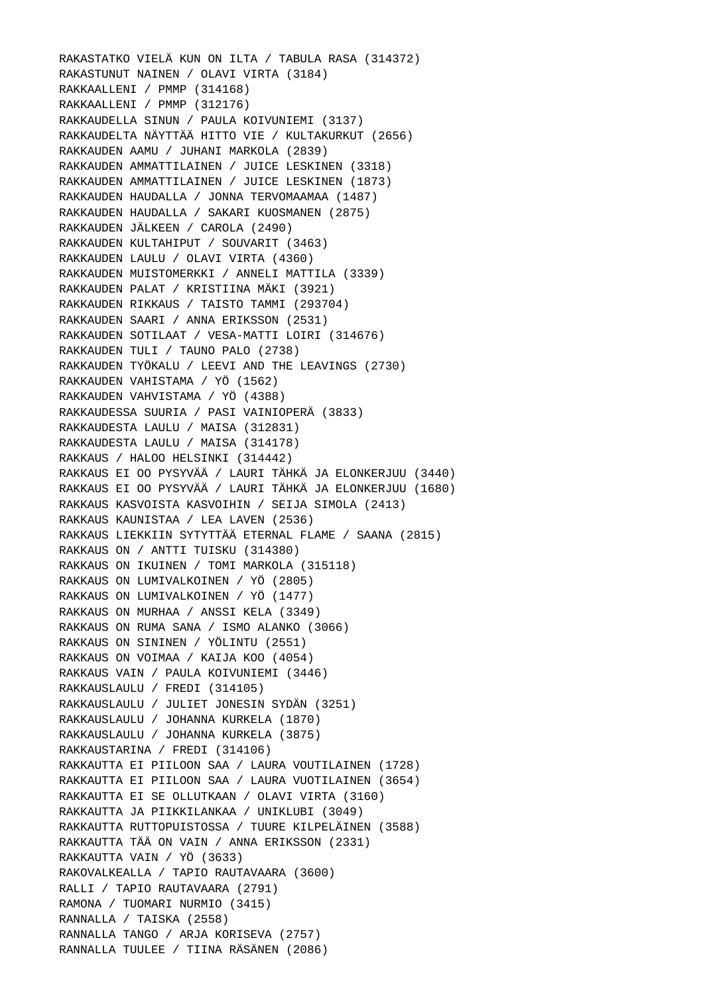RAKASTATKO VIELÄ KUN ON ILTA / TABULA RASA (314372) RAKASTUNUT NAINEN / OLAVI VIRTA (3184) RAKKAALLENI / PMMP (314168) RAKKAALLENI / PMMP (312176) RAKKAUDELLA SINUN / PAULA KOIVUNIEMI (3137) RAKKAUDELTA NÄYTTÄÄ HITTO VIE / KULTAKURKUT (2656) RAKKAUDEN AAMU / JUHANI MARKOLA (2839) RAKKAUDEN AMMATTILAINEN / JUICE LESKINEN (3318) RAKKAUDEN AMMATTILAINEN / JUICE LESKINEN (1873) RAKKAUDEN HAUDALLA / JONNA TERVOMAAMAA (1487) RAKKAUDEN HAUDALLA / SAKARI KUOSMANEN (2875) RAKKAUDEN JÄLKEEN / CAROLA (2490) RAKKAUDEN KULTAHIPUT / SOUVARIT (3463) RAKKAUDEN LAULU / OLAVI VIRTA (4360) RAKKAUDEN MUISTOMERKKI / ANNELI MATTILA (3339) RAKKAUDEN PALAT / KRISTIINA MÄKI (3921) RAKKAUDEN RIKKAUS / TAISTO TAMMI (293704) RAKKAUDEN SAARI / ANNA ERIKSSON (2531) RAKKAUDEN SOTILAAT / VESA-MATTI LOIRI (314676) RAKKAUDEN TULI / TAUNO PALO (2738) RAKKAUDEN TYÖKALU / LEEVI AND THE LEAVINGS (2730) RAKKAUDEN VAHISTAMA / YÖ (1562) RAKKAUDEN VAHVISTAMA / YÖ (4388) RAKKAUDESSA SUURIA / PASI VAINIOPERÄ (3833) RAKKAUDESTA LAULU / MAISA (312831) RAKKAUDESTA LAULU / MAISA (314178) RAKKAUS / HALOO HELSINKI (314442) RAKKAUS EI OO PYSYVÄÄ / LAURI TÄHKÄ JA ELONKERJUU (3440) RAKKAUS EI OO PYSYVÄÄ / LAURI TÄHKÄ JA ELONKERJUU (1680) RAKKAUS KASVOISTA KASVOIHIN / SEIJA SIMOLA (2413) RAKKAUS KAUNISTAA / LEA LAVEN (2536) RAKKAUS LIEKKIIN SYTYTTÄÄ ETERNAL FLAME / SAANA (2815) RAKKAUS ON / ANTTI TUISKU (314380) RAKKAUS ON IKUINEN / TOMI MARKOLA (315118) RAKKAUS ON LUMIVALKOINEN / YÖ (2805) RAKKAUS ON LUMIVALKOINEN / YÖ (1477) RAKKAUS ON MURHAA / ANSSI KELA (3349) RAKKAUS ON RUMA SANA / ISMO ALANKO (3066) RAKKAUS ON SININEN / YÖLINTU (2551) RAKKAUS ON VOIMAA / KAIJA KOO (4054) RAKKAUS VAIN / PAULA KOIVUNIEMI (3446) RAKKAUSLAULU / FREDI (314105) RAKKAUSLAULU / JULIET JONESIN SYDÄN (3251) RAKKAUSLAULU / JOHANNA KURKELA (1870) RAKKAUSLAULU / JOHANNA KURKELA (3875) RAKKAUSTARINA / FREDI (314106) RAKKAUTTA EI PIILOON SAA / LAURA VOUTILAINEN (1728) RAKKAUTTA EI PIILOON SAA / LAURA VUOTILAINEN (3654) RAKKAUTTA EI SE OLLUTKAAN / OLAVI VIRTA (3160) RAKKAUTTA JA PIIKKILANKAA / UNIKLUBI (3049) RAKKAUTTA RUTTOPUISTOSSA / TUURE KILPELÄINEN (3588) RAKKAUTTA TÄÄ ON VAIN / ANNA ERIKSSON (2331) RAKKAUTTA VAIN / YÖ (3633) RAKOVALKEALLA / TAPIO RAUTAVAARA (3600) RALLI / TAPIO RAUTAVAARA (2791) RAMONA / TUOMARI NURMIO (3415) RANNALLA / TAISKA (2558) RANNALLA TANGO / ARJA KORISEVA (2757) RANNALLA TUULEE / TIINA RÄSÄNEN (2086)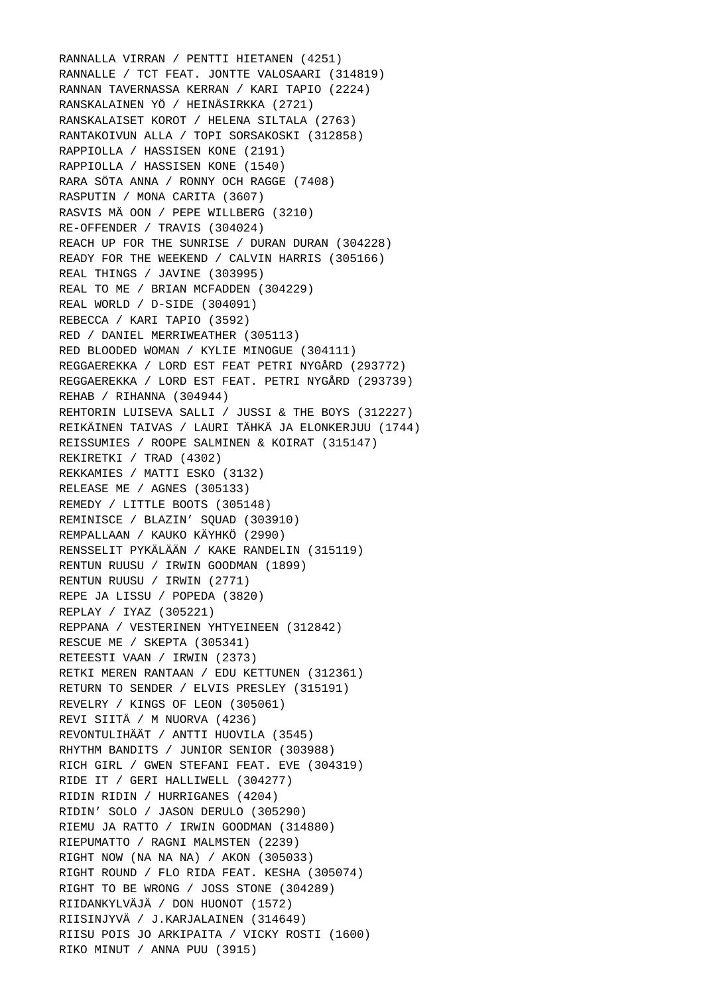RANNALLA VIRRAN / PENTTI HIETANEN (4251) RANNALLE / TCT FEAT. JONTTE VALOSAARI (314819) RANNAN TAVERNASSA KERRAN / KARI TAPIO (2224) RANSKALAINEN YÖ / HEINÄSIRKKA (2721) RANSKALAISET KOROT / HELENA SILTALA (2763) RANTAKOIVUN ALLA / TOPI SORSAKOSKI (312858) RAPPIOLLA / HASSISEN KONE (2191) RAPPIOLLA / HASSISEN KONE (1540) RARA SÖTA ANNA / RONNY OCH RAGGE (7408) RASPUTIN / MONA CARITA (3607) RASVIS MÄ OON / PEPE WILLBERG (3210) RE-OFFENDER / TRAVIS (304024) REACH UP FOR THE SUNRISE / DURAN DURAN (304228) READY FOR THE WEEKEND / CALVIN HARRIS (305166) REAL THINGS / JAVINE (303995) REAL TO ME / BRIAN MCFADDEN (304229) REAL WORLD / D-SIDE (304091) REBECCA / KARI TAPIO (3592) RED / DANIEL MERRIWEATHER (305113) RED BLOODED WOMAN / KYLIE MINOGUE (304111) REGGAEREKKA / LORD EST FEAT PETRI NYGÅRD (293772) REGGAEREKKA / LORD EST FEAT. PETRI NYGÅRD (293739) REHAB / RIHANNA (304944) REHTORIN LUISEVA SALLI / JUSSI & THE BOYS (312227) REIKÄINEN TAIVAS / LAURI TÄHKÄ JA ELONKERJUU (1744) REISSUMIES / ROOPE SALMINEN & KOIRAT (315147) REKIRETKI / TRAD (4302) REKKAMIES / MATTI ESKO (3132) RELEASE ME / AGNES (305133) REMEDY / LITTLE BOOTS (305148) REMINISCE / BLAZIN' SOUAD (303910) REMPALLAAN / KAUKO KÄYHKÖ (2990) RENSSELIT PYKÄLÄÄN / KAKE RANDELIN (315119) RENTUN RUUSU / IRWIN GOODMAN (1899) RENTUN RUUSU / IRWIN (2771) REPE JA LISSU / POPEDA (3820) REPLAY / IYAZ (305221) REPPANA / VESTERINEN YHTYEINEEN (312842) RESCUE ME / SKEPTA (305341) RETEESTI VAAN / IRWIN (2373) RETKI MEREN RANTAAN / EDU KETTUNEN (312361) RETURN TO SENDER / ELVIS PRESLEY (315191) REVELRY / KINGS OF LEON (305061) REVI SIITÄ / M NUORVA (4236) REVONTULIHÄÄT / ANTTI HUOVILA (3545) RHYTHM BANDITS / JUNIOR SENIOR (303988) RICH GIRL / GWEN STEFANI FEAT. EVE (304319) RIDE IT / GERI HALLIWELL (304277) RIDIN RIDIN / HURRIGANES (4204) RIDIN' SOLO / JASON DERULO (305290) RIEMU JA RATTO / IRWIN GOODMAN (314880) RIEPUMATTO / RAGNI MALMSTEN (2239) RIGHT NOW (NA NA NA) / AKON (305033) RIGHT ROUND / FLO RIDA FEAT. KESHA (305074) RIGHT TO BE WRONG / JOSS STONE (304289) RIIDANKYLVÄJÄ / DON HUONOT (1572) RIISINJYVÄ / J.KARJALAINEN (314649) RIISU POIS JO ARKIPAITA / VICKY ROSTI (1600) RIKO MINUT / ANNA PUU (3915)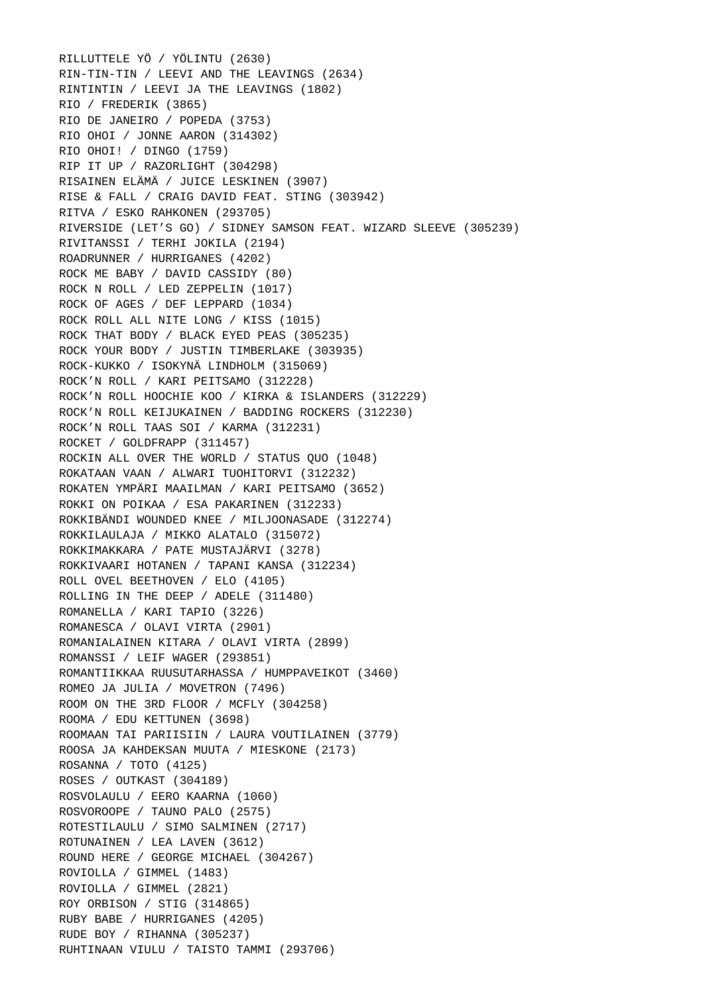RILLUTTELE YÖ / YÖLINTU (2630) RIN-TIN-TIN / LEEVI AND THE LEAVINGS (2634) RINTINTIN / LEEVI JA THE LEAVINGS (1802) RIO / FREDERIK (3865) RIO DE JANEIRO / POPEDA (3753) RIO OHOI / JONNE AARON (314302) RIO OHOI! / DINGO (1759) RIP IT UP / RAZORLIGHT (304298) RISAINEN ELÄMÄ / JUICE LESKINEN (3907) RISE & FALL / CRAIG DAVID FEAT. STING (303942) RITVA / ESKO RAHKONEN (293705) RIVERSIDE (LET'S GO) / SIDNEY SAMSON FEAT. WIZARD SLEEVE (305239) RIVITANSSI / TERHI JOKILA (2194) ROADRUNNER / HURRIGANES (4202) ROCK ME BABY / DAVID CASSIDY (80) ROCK N ROLL / LED ZEPPELIN (1017) ROCK OF AGES / DEF LEPPARD (1034) ROCK ROLL ALL NITE LONG / KISS (1015) ROCK THAT BODY / BLACK EYED PEAS (305235) ROCK YOUR BODY / JUSTIN TIMBERLAKE (303935) ROCK-KUKKO / ISOKYNÄ LINDHOLM (315069) ROCK'N ROLL / KARI PEITSAMO (312228) ROCK'N ROLL HOOCHIE KOO / KIRKA & ISLANDERS (312229) ROCK'N ROLL KEIJUKAINEN / BADDING ROCKERS (312230) ROCK'N ROLL TAAS SOI / KARMA (312231) ROCKET / GOLDFRAPP (311457) ROCKIN ALL OVER THE WORLD / STATUS QUO (1048) ROKATAAN VAAN / ALWARI TUOHITORVI (312232) ROKATEN YMPÄRI MAAILMAN / KARI PEITSAMO (3652) ROKKI ON POIKAA / ESA PAKARINEN (312233) ROKKIBÄNDI WOUNDED KNEE / MILJOONASADE (312274) ROKKILAULAJA / MIKKO ALATALO (315072) ROKKIMAKKARA / PATE MUSTAJÄRVI (3278) ROKKIVAARI HOTANEN / TAPANI KANSA (312234) ROLL OVEL BEETHOVEN / ELO (4105) ROLLING IN THE DEEP / ADELE (311480) ROMANELLA / KARI TAPIO (3226) ROMANESCA / OLAVI VIRTA (2901) ROMANIALAINEN KITARA / OLAVI VIRTA (2899) ROMANSSI / LEIF WAGER (293851) ROMANTIIKKAA RUUSUTARHASSA / HUMPPAVEIKOT (3460) ROMEO JA JULIA / MOVETRON (7496) ROOM ON THE 3RD FLOOR / MCFLY (304258) ROOMA / EDU KETTUNEN (3698) ROOMAAN TAI PARIISIIN / LAURA VOUTILAINEN (3779) ROOSA JA KAHDEKSAN MUUTA / MIESKONE (2173) ROSANNA / TOTO (4125) ROSES / OUTKAST (304189) ROSVOLAULU / EERO KAARNA (1060) ROSVOROOPE / TAUNO PALO (2575) ROTESTILAULU / SIMO SALMINEN (2717) ROTUNAINEN / LEA LAVEN (3612) ROUND HERE / GEORGE MICHAEL (304267) ROVIOLLA / GIMMEL (1483) ROVIOLLA / GIMMEL (2821) ROY ORBISON / STIG (314865) RUBY BABE / HURRIGANES (4205) RUDE BOY / RIHANNA (305237) RUHTINAAN VIULU / TAISTO TAMMI (293706)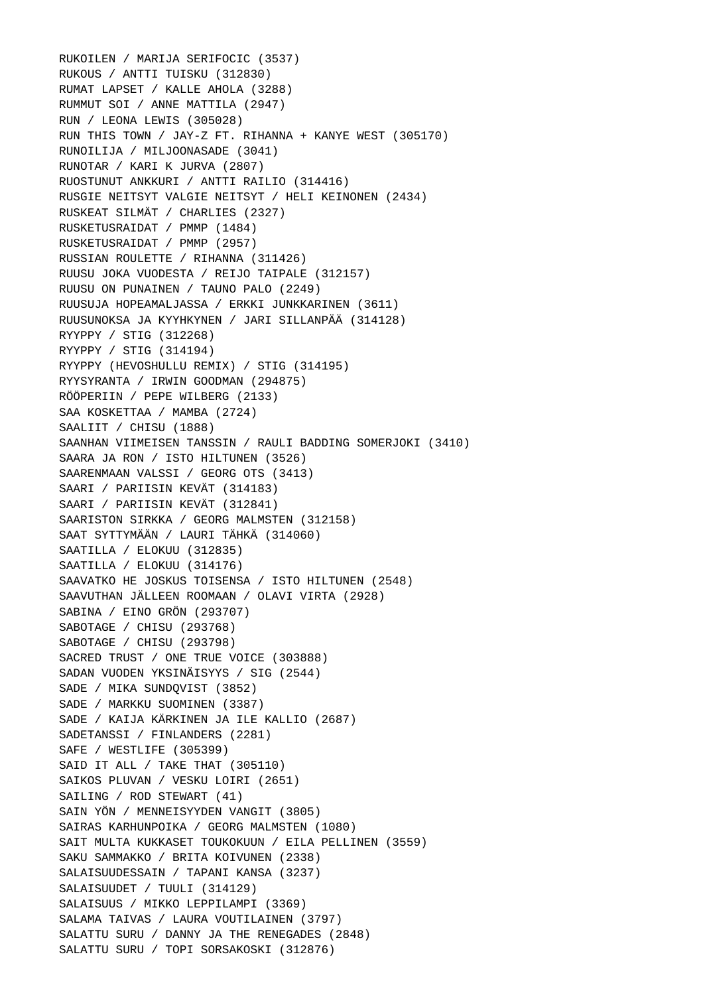RUKOILEN / MARIJA SERIFOCIC (3537) RUKOUS / ANTTI TUISKU (312830) RUMAT LAPSET / KALLE AHOLA (3288) RUMMUT SOI / ANNE MATTILA (2947) RUN / LEONA LEWIS (305028) RUN THIS TOWN / JAY-Z FT. RIHANNA + KANYE WEST (305170) RUNOILIJA / MILJOONASADE (3041) RUNOTAR / KARI K JURVA (2807) RUOSTUNUT ANKKURI / ANTTI RAILIO (314416) RUSGIE NEITSYT VALGIE NEITSYT / HELI KEINONEN (2434) RUSKEAT SILMÄT / CHARLIES (2327) RUSKETUSRAIDAT / PMMP (1484) RUSKETUSRAIDAT / PMMP (2957) RUSSIAN ROULETTE / RIHANNA (311426) RUUSU JOKA VUODESTA / REIJO TAIPALE (312157) RUUSU ON PUNAINEN / TAUNO PALO (2249) RUUSUJA HOPEAMALJASSA / ERKKI JUNKKARINEN (3611) RUUSUNOKSA JA KYYHKYNEN / JARI SILLANPÄÄ (314128) RYYPPY / STIG (312268) RYYPPY / STIG (314194) RYYPPY (HEVOSHULLU REMIX) / STIG (314195) RYYSYRANTA / IRWIN GOODMAN (294875) RÖÖPERIIN / PEPE WILBERG (2133) SAA KOSKETTAA / MAMBA (2724) SAALIIT / CHISU (1888) SAANHAN VIIMEISEN TANSSIN / RAULI BADDING SOMERJOKI (3410) SAARA JA RON / ISTO HILTUNEN (3526) SAARENMAAN VALSSI / GEORG OTS (3413) SAARI / PARIISIN KEVÄT (314183) SAARI / PARIISIN KEVÄT (312841) SAARISTON SIRKKA / GEORG MALMSTEN (312158) SAAT SYTTYMÄÄN / LAURI TÄHKÄ (314060) SAATILLA / ELOKUU (312835) SAATILLA / ELOKUU (314176) SAAVATKO HE JOSKUS TOISENSA / ISTO HILTUNEN (2548) SAAVUTHAN JÄLLEEN ROOMAAN / OLAVI VIRTA (2928) SABINA / EINO GRÖN (293707) SABOTAGE / CHISU (293768) SABOTAGE / CHISU (293798) SACRED TRUST / ONE TRUE VOICE (303888) SADAN VUODEN YKSINÄISYYS / SIG (2544) SADE / MIKA SUNDQVIST (3852) SADE / MARKKU SUOMINEN (3387) SADE / KAIJA KÄRKINEN JA ILE KALLIO (2687) SADETANSSI / FINLANDERS (2281) SAFE / WESTLIFE (305399) SAID IT ALL / TAKE THAT (305110) SAIKOS PLUVAN / VESKU LOIRI (2651) SAILING / ROD STEWART (41) SAIN YÖN / MENNEISYYDEN VANGIT (3805) SAIRAS KARHUNPOIKA / GEORG MALMSTEN (1080) SAIT MULTA KUKKASET TOUKOKUUN / EILA PELLINEN (3559) SAKU SAMMAKKO / BRITA KOIVUNEN (2338) SALAISUUDESSAIN / TAPANI KANSA (3237) SALAISUUDET / TUULI (314129) SALAISUUS / MIKKO LEPPILAMPI (3369) SALAMA TAIVAS / LAURA VOUTILAINEN (3797) SALATTU SURU / DANNY JA THE RENEGADES (2848) SALATTU SURU / TOPI SORSAKOSKI (312876)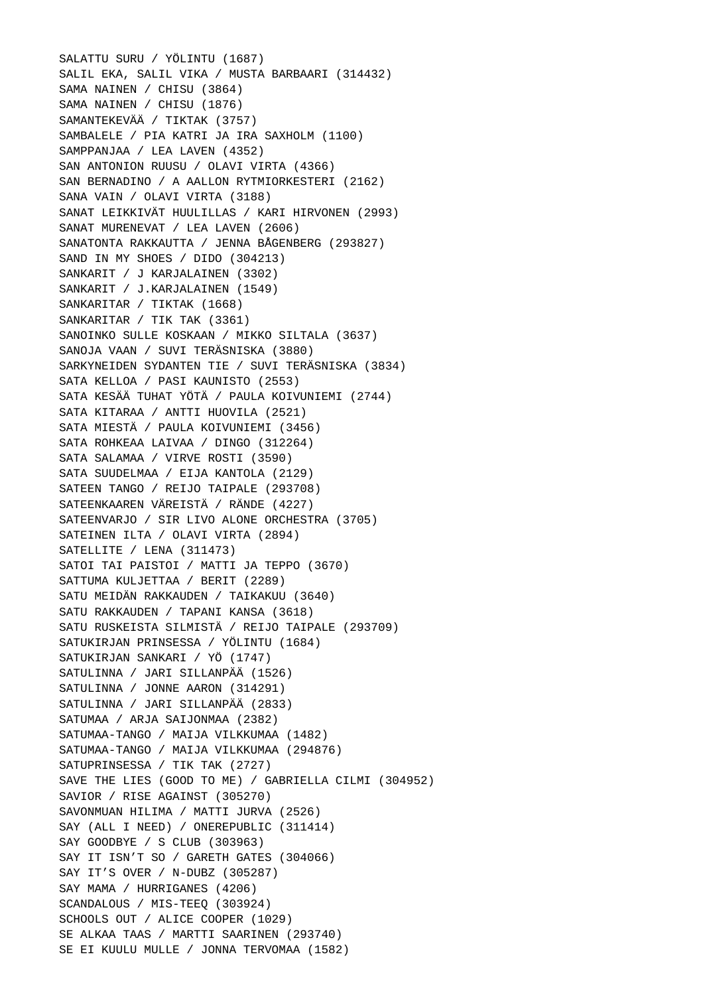SALATTU SURU / YÖLINTU (1687) SALIL EKA, SALIL VIKA / MUSTA BARBAARI (314432) SAMA NAINEN / CHISU (3864) SAMA NAINEN / CHISU (1876) SAMANTEKEVÄÄ / TIKTAK (3757) SAMBALELE / PIA KATRI JA IRA SAXHOLM (1100) SAMPPANJAA / LEA LAVEN (4352) SAN ANTONION RUUSU / OLAVI VIRTA (4366) SAN BERNADINO / A AALLON RYTMIORKESTERI (2162) SANA VAIN / OLAVI VIRTA (3188) SANAT LEIKKIVÄT HUULILLAS / KARI HIRVONEN (2993) SANAT MURENEVAT / LEA LAVEN (2606) SANATONTA RAKKAUTTA / JENNA BÅGENBERG (293827) SAND IN MY SHOES / DIDO (304213) SANKARIT / J KARJALAINEN (3302) SANKARIT / J.KARJALAINEN (1549) SANKARITAR / TIKTAK (1668) SANKARITAR / TIK TAK (3361) SANOINKO SULLE KOSKAAN / MIKKO SILTALA (3637) SANOJA VAAN / SUVI TERÄSNISKA (3880) SARKYNEIDEN SYDANTEN TIE / SUVI TERÄSNISKA (3834) SATA KELLOA / PASI KAUNISTO (2553) SATA KESÄÄ TUHAT YÖTÄ / PAULA KOIVUNIEMI (2744) SATA KITARAA / ANTTI HUOVILA (2521) SATA MIESTÄ / PAULA KOIVUNIEMI (3456) SATA ROHKEAA LAIVAA / DINGO (312264) SATA SALAMAA / VIRVE ROSTI (3590) SATA SUUDELMAA / EIJA KANTOLA (2129) SATEEN TANGO / REIJO TAIPALE (293708) SATEENKAAREN VÄREISTÄ / RÄNDE (4227) SATEENVARJO / SIR LIVO ALONE ORCHESTRA (3705) SATEINEN ILTA / OLAVI VIRTA (2894) SATELLITE / LENA (311473) SATOI TAI PAISTOI / MATTI JA TEPPO (3670) SATTUMA KULJETTAA / BERIT (2289) SATU MEIDÄN RAKKAUDEN / TAIKAKUU (3640) SATU RAKKAUDEN / TAPANI KANSA (3618) SATU RUSKEISTA SILMISTÄ / REIJO TAIPALE (293709) SATUKIRJAN PRINSESSA / YÖLINTU (1684) SATUKIRJAN SANKARI / YÖ (1747) SATULINNA / JARI SILLANPÄÄ (1526) SATULINNA / JONNE AARON (314291) SATULINNA / JARI SILLANPÄÄ (2833) SATUMAA / ARJA SAIJONMAA (2382) SATUMAA-TANGO / MAIJA VILKKUMAA (1482) SATUMAA-TANGO / MAIJA VILKKUMAA (294876) SATUPRINSESSA / TIK TAK (2727) SAVE THE LIES (GOOD TO ME) / GABRIELLA CILMI (304952) SAVIOR / RISE AGAINST (305270) SAVONMUAN HILIMA / MATTI JURVA (2526) SAY (ALL I NEED) / ONEREPUBLIC (311414) SAY GOODBYE / S CLUB (303963) SAY IT ISN'T SO / GARETH GATES (304066) SAY IT'S OVER / N-DUBZ (305287) SAY MAMA / HURRIGANES (4206) SCANDALOUS / MIS-TEEQ (303924) SCHOOLS OUT / ALICE COOPER (1029) SE ALKAA TAAS / MARTTI SAARINEN (293740) SE EI KUULU MULLE / JONNA TERVOMAA (1582)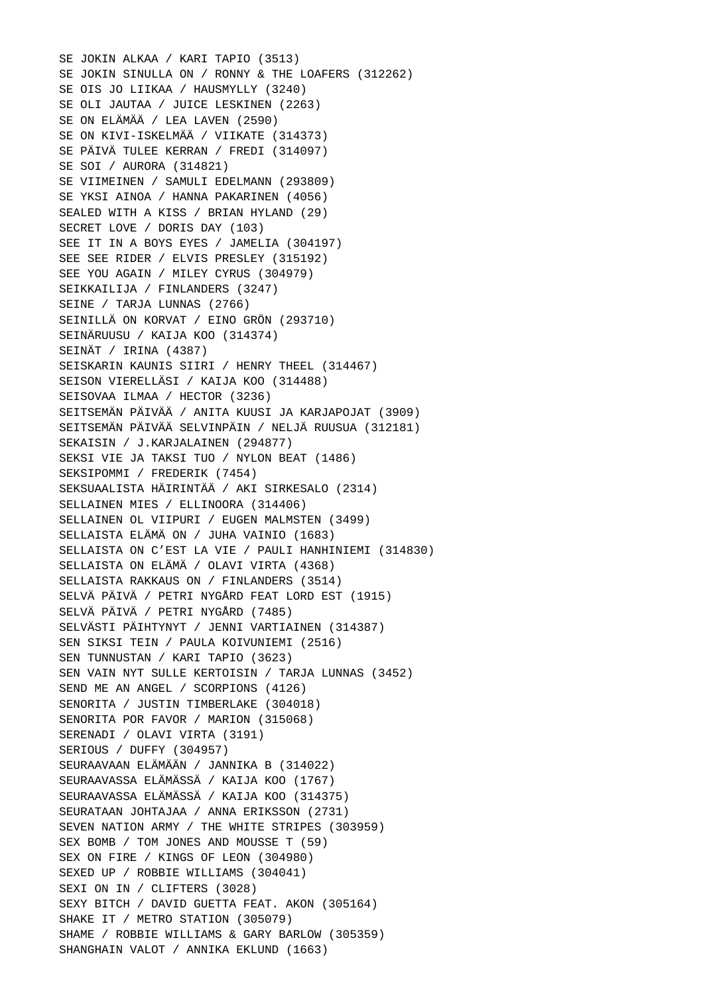SE JOKIN ALKAA / KARI TAPIO (3513) SE JOKIN SINULLA ON / RONNY & THE LOAFERS (312262) SE OIS JO LIIKAA / HAUSMYLLY (3240) SE OLI JAUTAA / JUICE LESKINEN (2263) SE ON ELÄMÄÄ / LEA LAVEN (2590) SE ON KIVI-ISKELMÄÄ / VIIKATE (314373) SE PÄIVÄ TULEE KERRAN / FREDI (314097) SE SOI / AURORA (314821) SE VIIMEINEN / SAMULI EDELMANN (293809) SE YKSI AINOA / HANNA PAKARINEN (4056) SEALED WITH A KISS / BRIAN HYLAND (29) SECRET LOVE / DORIS DAY (103) SEE IT IN A BOYS EYES / JAMELIA (304197) SEE SEE RIDER / ELVIS PRESLEY (315192) SEE YOU AGAIN / MILEY CYRUS (304979) SEIKKAILIJA / FINLANDERS (3247) SEINE / TARJA LUNNAS (2766) SEINILLÄ ON KORVAT / EINO GRÖN (293710) SEINÄRUUSU / KAIJA KOO (314374) SEINÄT / IRINA (4387) SEISKARIN KAUNIS SIIRI / HENRY THEEL (314467) SEISON VIERELLÄSI / KAIJA KOO (314488) SEISOVAA ILMAA / HECTOR (3236) SEITSEMÄN PÄIVÄÄ / ANITA KUUSI JA KARJAPOJAT (3909) SEITSEMÄN PÄIVÄÄ SELVINPÄIN / NELJÄ RUUSUA (312181) SEKAISIN / J.KARJALAINEN (294877) SEKSI VIE JA TAKSI TUO / NYLON BEAT (1486) SEKSIPOMMI / FREDERIK (7454) SEKSUAALISTA HÄIRINTÄÄ / AKI SIRKESALO (2314) SELLAINEN MIES / ELLINOORA (314406) SELLAINEN OL VIIPURI / EUGEN MALMSTEN (3499) SELLAISTA ELÄMÄ ON / JUHA VAINIO (1683) SELLAISTA ON C'EST LA VIE / PAULI HANHINIEMI (314830) SELLAISTA ON ELÄMÄ / OLAVI VIRTA (4368) SELLAISTA RAKKAUS ON / FINLANDERS (3514) SELVÄ PÄIVÄ / PETRI NYGÅRD FEAT LORD EST (1915) SELVÄ PÄIVÄ / PETRI NYGÅRD (7485) SELVÄSTI PÄIHTYNYT / JENNI VARTIAINEN (314387) SEN SIKSI TEIN / PAULA KOIVUNIEMI (2516) SEN TUNNUSTAN / KARI TAPIO (3623) SEN VAIN NYT SULLE KERTOISIN / TARJA LUNNAS (3452) SEND ME AN ANGEL / SCORPIONS (4126) SENORITA / JUSTIN TIMBERLAKE (304018) SENORITA POR FAVOR / MARION (315068) SERENADI / OLAVI VIRTA (3191) SERIOUS / DUFFY (304957) SEURAAVAAN ELÄMÄÄN / JANNIKA B (314022) SEURAAVASSA ELÄMÄSSÄ / KAIJA KOO (1767) SEURAAVASSA ELÄMÄSSÄ / KAIJA KOO (314375) SEURATAAN JOHTAJAA / ANNA ERIKSSON (2731) SEVEN NATION ARMY / THE WHITE STRIPES (303959) SEX BOMB / TOM JONES AND MOUSSE T (59) SEX ON FIRE / KINGS OF LEON (304980) SEXED UP / ROBBIE WILLIAMS (304041) SEXI ON IN / CLIFTERS (3028) SEXY BITCH / DAVID GUETTA FEAT. AKON (305164) SHAKE IT / METRO STATION (305079) SHAME / ROBBIE WILLIAMS & GARY BARLOW (305359) SHANGHAIN VALOT / ANNIKA EKLUND (1663)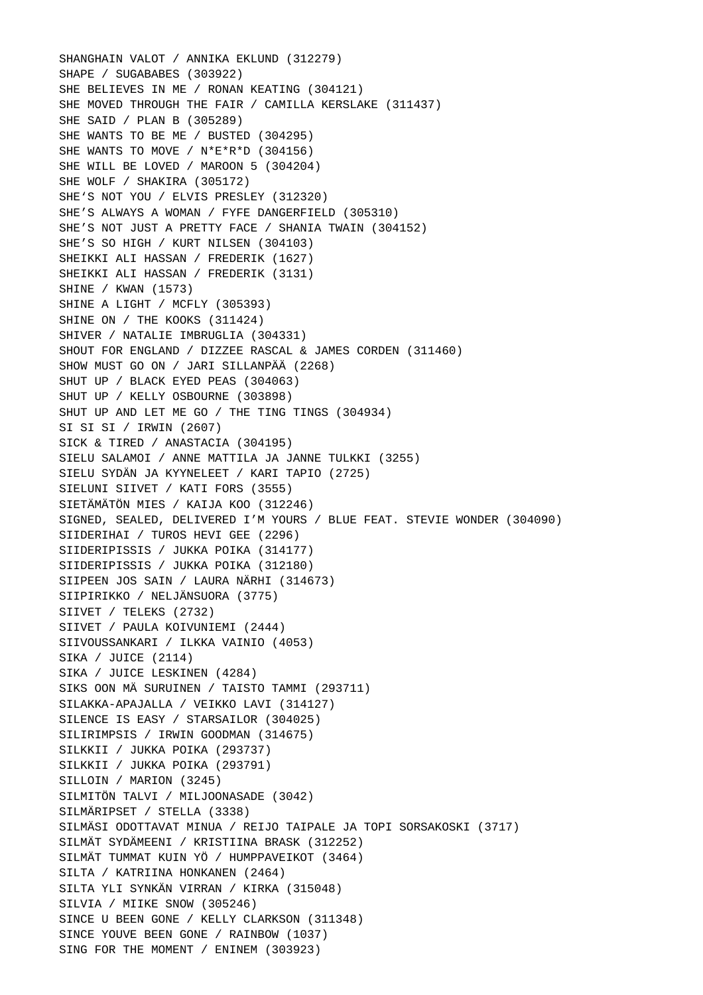SHANGHAIN VALOT / ANNIKA EKLUND (312279) SHAPE / SUGABABES (303922) SHE BELIEVES IN ME / RONAN KEATING (304121) SHE MOVED THROUGH THE FAIR / CAMILLA KERSLAKE (311437) SHE SAID / PLAN B (305289) SHE WANTS TO BE ME / BUSTED (304295) SHE WANTS TO MOVE / N\*E\*R\*D (304156) SHE WILL BE LOVED / MAROON 5 (304204) SHE WOLF / SHAKIRA (305172) SHE'S NOT YOU / ELVIS PRESLEY (312320) SHE'S ALWAYS A WOMAN / FYFE DANGERFIELD (305310) SHE'S NOT JUST A PRETTY FACE / SHANIA TWAIN (304152) SHE'S SO HIGH / KURT NILSEN (304103) SHEIKKI ALI HASSAN / FREDERIK (1627) SHEIKKI ALI HASSAN / FREDERIK (3131) SHINE / KWAN (1573) SHINE A LIGHT / MCFLY (305393) SHINE ON / THE KOOKS (311424) SHIVER / NATALIE IMBRUGLIA (304331) SHOUT FOR ENGLAND / DIZZEE RASCAL & JAMES CORDEN (311460) SHOW MUST GO ON / JARI SILLANPÄÄ (2268) SHUT UP / BLACK EYED PEAS (304063) SHUT UP / KELLY OSBOURNE (303898) SHUT UP AND LET ME GO / THE TING TINGS (304934) SI SI SI / IRWIN (2607) SICK & TIRED / ANASTACIA (304195) SIELU SALAMOI / ANNE MATTILA JA JANNE TULKKI (3255) SIELU SYDÄN JA KYYNELEET / KARI TAPIO (2725) SIELUNI SIIVET / KATI FORS (3555) SIETÄMÄTÖN MIES / KAIJA KOO (312246) SIGNED, SEALED, DELIVERED I'M YOURS / BLUE FEAT. STEVIE WONDER (304090) SIIDERIHAI / TUROS HEVI GEE (2296) SIIDERIPISSIS / JUKKA POIKA (314177) SIIDERIPISSIS / JUKKA POIKA (312180) SIIPEEN JOS SAIN / LAURA NÄRHI (314673) SIIPIRIKKO / NELJÄNSUORA (3775) SIIVET / TELEKS (2732) SIIVET / PAULA KOIVUNIEMI (2444) SIIVOUSSANKARI / ILKKA VAINIO (4053) SIKA / JUICE (2114) SIKA / JUICE LESKINEN (4284) SIKS OON MÄ SURUINEN / TAISTO TAMMI (293711) SILAKKA-APAJALLA / VEIKKO LAVI (314127) SILENCE IS EASY / STARSAILOR (304025) SILIRIMPSIS / IRWIN GOODMAN (314675) SILKKII / JUKKA POIKA (293737) SILKKII / JUKKA POIKA (293791) SILLOIN / MARION (3245) SILMITÖN TALVI / MILJOONASADE (3042) SILMÄRIPSET / STELLA (3338) SILMÄSI ODOTTAVAT MINUA / REIJO TAIPALE JA TOPI SORSAKOSKI (3717) SILMÄT SYDÄMEENI / KRISTIINA BRASK (312252) SILMÄT TUMMAT KUIN YÖ / HUMPPAVEIKOT (3464) SILTA / KATRIINA HONKANEN (2464) SILTA YLI SYNKÄN VIRRAN / KIRKA (315048) SILVIA / MIIKE SNOW (305246) SINCE U BEEN GONE / KELLY CLARKSON (311348) SINCE YOUVE BEEN GONE / RAINBOW (1037) SING FOR THE MOMENT / ENINEM (303923)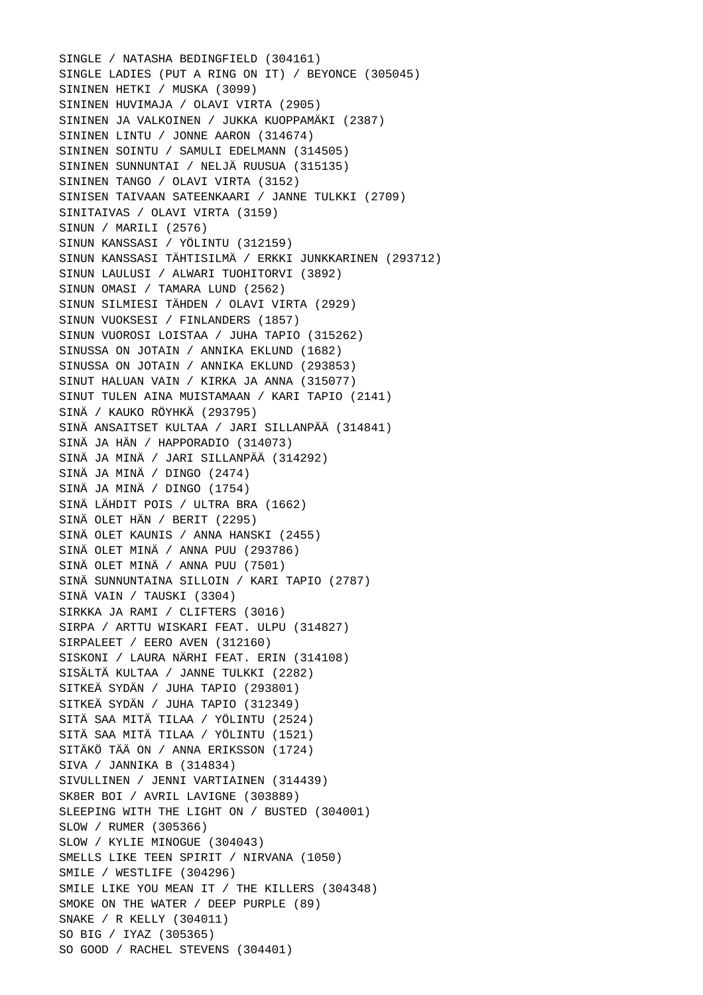SINGLE / NATASHA BEDINGFIELD (304161) SINGLE LADIES (PUT A RING ON IT) / BEYONCE (305045) SININEN HETKI / MUSKA (3099) SININEN HUVIMAJA / OLAVI VIRTA (2905) SININEN JA VALKOINEN / JUKKA KUOPPAMÄKI (2387) SININEN LINTU / JONNE AARON (314674) SININEN SOINTU / SAMULI EDELMANN (314505) SININEN SUNNUNTAI / NELJÄ RUUSUA (315135) SININEN TANGO / OLAVI VIRTA (3152) SINISEN TAIVAAN SATEENKAARI / JANNE TULKKI (2709) SINITAIVAS / OLAVI VIRTA (3159) SINUN / MARILI (2576) SINUN KANSSASI / YÖLINTU (312159) SINUN KANSSASI TÄHTISILMÄ / ERKKI JUNKKARINEN (293712) SINUN LAULUSI / ALWARI TUOHITORVI (3892) SINUN OMASI / TAMARA LUND (2562) SINUN SILMIESI TÄHDEN / OLAVI VIRTA (2929) SINUN VUOKSESI / FINLANDERS (1857) SINUN VUOROSI LOISTAA / JUHA TAPIO (315262) SINUSSA ON JOTAIN / ANNIKA EKLUND (1682) SINUSSA ON JOTAIN / ANNIKA EKLUND (293853) SINUT HALUAN VAIN / KIRKA JA ANNA (315077) SINUT TULEN AINA MUISTAMAAN / KARI TAPIO (2141) SINÄ / KAUKO RÖYHKÄ (293795) SINÄ ANSAITSET KULTAA / JARI SILLANPÄÄ (314841) SINÄ JA HÄN / HAPPORADIO (314073) SINÄ JA MINÄ / JARI SILLANPÄÄ (314292) SINÄ JA MINÄ / DINGO (2474) SINÄ JA MINÄ / DINGO (1754) SINÄ LÄHDIT POIS / ULTRA BRA (1662) SINÄ OLET HÄN / BERIT (2295) SINÄ OLET KAUNIS / ANNA HANSKI (2455) SINÄ OLET MINÄ / ANNA PUU (293786) SINÄ OLET MINÄ / ANNA PUU (7501) SINÄ SUNNUNTAINA SILLOIN / KARI TAPIO (2787) SINÄ VAIN / TAUSKI (3304) SIRKKA JA RAMI / CLIFTERS (3016) SIRPA / ARTTU WISKARI FEAT. ULPU (314827) SIRPALEET / EERO AVEN (312160) SISKONI / LAURA NÄRHI FEAT. ERIN (314108) SISÄLTÄ KULTAA / JANNE TULKKI (2282) SITKEÄ SYDÄN / JUHA TAPIO (293801) SITKEÄ SYDÄN / JUHA TAPIO (312349) SITÄ SAA MITÄ TILAA / YÖLINTU (2524) SITÄ SAA MITÄ TILAA / YÖLINTU (1521) SITÄKÖ TÄÄ ON / ANNA ERIKSSON (1724) SIVA / JANNIKA B (314834) SIVULLINEN / JENNI VARTIAINEN (314439) SK8ER BOI / AVRIL LAVIGNE (303889) SLEEPING WITH THE LIGHT ON / BUSTED (304001) SLOW / RUMER (305366) SLOW / KYLIE MINOGUE (304043) SMELLS LIKE TEEN SPIRIT / NIRVANA (1050) SMILE / WESTLIFE (304296) SMILE LIKE YOU MEAN IT / THE KILLERS (304348) SMOKE ON THE WATER / DEEP PURPLE (89) SNAKE / R KELLY (304011) SO BIG / IYAZ (305365) SO GOOD / RACHEL STEVENS (304401)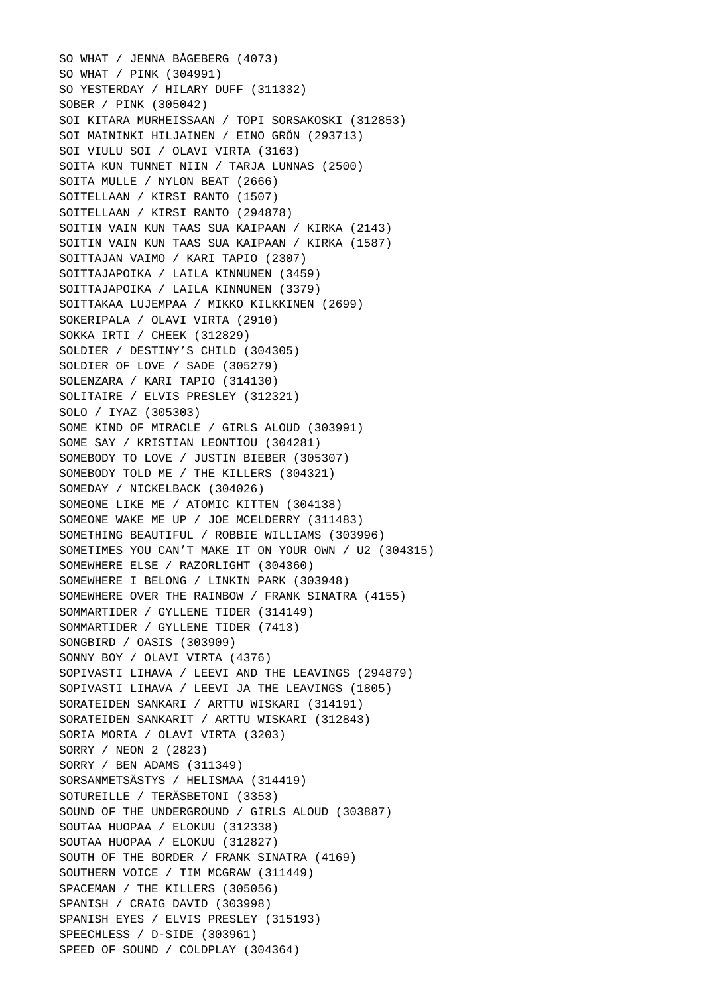SO WHAT / JENNA BÅGEBERG (4073) SO WHAT / PINK (304991) SO YESTERDAY / HILARY DUFF (311332) SOBER / PINK (305042) SOI KITARA MURHEISSAAN / TOPI SORSAKOSKI (312853) SOI MAININKI HILJAINEN / EINO GRÖN (293713) SOI VIULU SOI / OLAVI VIRTA (3163) SOITA KUN TUNNET NIIN / TARJA LUNNAS (2500) SOITA MULLE / NYLON BEAT (2666) SOITELLAAN / KIRSI RANTO (1507) SOITELLAAN / KIRSI RANTO (294878) SOITIN VAIN KUN TAAS SUA KAIPAAN / KIRKA (2143) SOITIN VAIN KUN TAAS SUA KAIPAAN / KIRKA (1587) SOITTAJAN VAIMO / KARI TAPIO (2307) SOITTAJAPOIKA / LAILA KINNUNEN (3459) SOITTAJAPOIKA / LAILA KINNUNEN (3379) SOITTAKAA LUJEMPAA / MIKKO KILKKINEN (2699) SOKERIPALA / OLAVI VIRTA (2910) SOKKA IRTI / CHEEK (312829) SOLDIER / DESTINY'S CHILD (304305) SOLDIER OF LOVE / SADE (305279) SOLENZARA / KARI TAPIO (314130) SOLITAIRE / ELVIS PRESLEY (312321) SOLO / IYAZ (305303) SOME KIND OF MIRACLE / GIRLS ALOUD (303991) SOME SAY / KRISTIAN LEONTIOU (304281) SOMEBODY TO LOVE / JUSTIN BIEBER (305307) SOMEBODY TOLD ME / THE KILLERS (304321) SOMEDAY / NICKELBACK (304026) SOMEONE LIKE ME / ATOMIC KITTEN (304138) SOMEONE WAKE ME UP / JOE MCELDERRY (311483) SOMETHING BEAUTIFUL / ROBBIE WILLIAMS (303996) SOMETIMES YOU CAN'T MAKE IT ON YOUR OWN / U2 (304315) SOMEWHERE ELSE / RAZORLIGHT (304360) SOMEWHERE I BELONG / LINKIN PARK (303948) SOMEWHERE OVER THE RAINBOW / FRANK SINATRA (4155) SOMMARTIDER / GYLLENE TIDER (314149) SOMMARTIDER / GYLLENE TIDER (7413) SONGBIRD / OASIS (303909) SONNY BOY / OLAVI VIRTA (4376) SOPIVASTI LIHAVA / LEEVI AND THE LEAVINGS (294879) SOPIVASTI LIHAVA / LEEVI JA THE LEAVINGS (1805) SORATEIDEN SANKARI / ARTTU WISKARI (314191) SORATEIDEN SANKARIT / ARTTU WISKARI (312843) SORIA MORIA / OLAVI VIRTA (3203) SORRY / NEON 2 (2823) SORRY / BEN ADAMS (311349) SORSANMETSÄSTYS / HELISMAA (314419) SOTUREILLE / TERÄSBETONI (3353) SOUND OF THE UNDERGROUND / GIRLS ALOUD (303887) SOUTAA HUOPAA / ELOKUU (312338) SOUTAA HUOPAA / ELOKUU (312827) SOUTH OF THE BORDER / FRANK SINATRA (4169) SOUTHERN VOICE / TIM MCGRAW (311449) SPACEMAN / THE KILLERS (305056) SPANISH / CRAIG DAVID (303998) SPANISH EYES / ELVIS PRESLEY (315193) SPEECHLESS / D-SIDE (303961) SPEED OF SOUND / COLDPLAY (304364)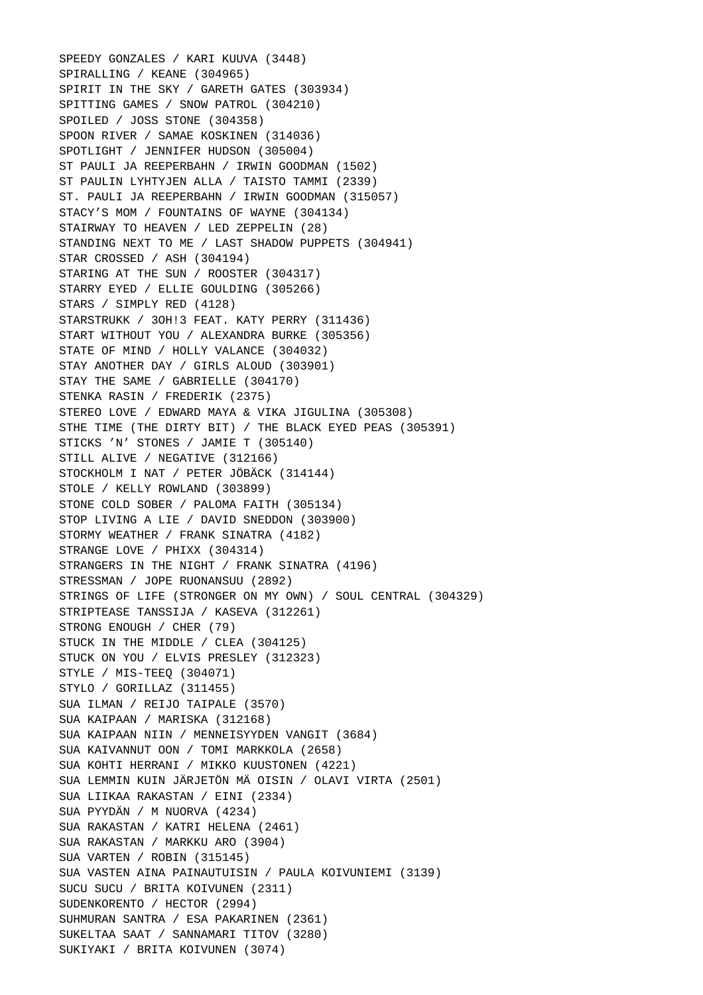SPEEDY GONZALES / KARI KUUVA (3448) SPIRALLING / KEANE (304965) SPIRIT IN THE SKY / GARETH GATES (303934) SPITTING GAMES / SNOW PATROL (304210) SPOILED / JOSS STONE (304358) SPOON RIVER / SAMAE KOSKINEN (314036) SPOTLIGHT / JENNIFER HUDSON (305004) ST PAULI JA REEPERBAHN / IRWIN GOODMAN (1502) ST PAULIN LYHTYJEN ALLA / TAISTO TAMMI (2339) ST. PAULI JA REEPERBAHN / IRWIN GOODMAN (315057) STACY'S MOM / FOUNTAINS OF WAYNE (304134) STAIRWAY TO HEAVEN / LED ZEPPELIN (28) STANDING NEXT TO ME / LAST SHADOW PUPPETS (304941) STAR CROSSED / ASH (304194) STARING AT THE SUN / ROOSTER (304317) STARRY EYED / ELLIE GOULDING (305266) STARS / SIMPLY RED (4128) STARSTRUKK / 3OH!3 FEAT. KATY PERRY (311436) START WITHOUT YOU / ALEXANDRA BURKE (305356) STATE OF MIND / HOLLY VALANCE (304032) STAY ANOTHER DAY / GIRLS ALOUD (303901) STAY THE SAME / GABRIELLE (304170) STENKA RASIN / FREDERIK (2375) STEREO LOVE / EDWARD MAYA & VIKA JIGULINA (305308) STHE TIME (THE DIRTY BIT) / THE BLACK EYED PEAS (305391) STICKS 'N' STONES / JAMIE T (305140) STILL ALIVE / NEGATIVE (312166) STOCKHOLM I NAT / PETER JÖBÄCK (314144) STOLE / KELLY ROWLAND (303899) STONE COLD SOBER / PALOMA FAITH (305134) STOP LIVING A LIE / DAVID SNEDDON (303900) STORMY WEATHER / FRANK SINATRA (4182) STRANGE LOVE / PHIXX (304314) STRANGERS IN THE NIGHT / FRANK SINATRA (4196) STRESSMAN / JOPE RUONANSUU (2892) STRINGS OF LIFE (STRONGER ON MY OWN) / SOUL CENTRAL (304329) STRIPTEASE TANSSIJA / KASEVA (312261) STRONG ENOUGH / CHER (79) STUCK IN THE MIDDLE / CLEA (304125) STUCK ON YOU / ELVIS PRESLEY (312323) STYLE / MIS-TEEQ (304071) STYLO / GORILLAZ (311455) SUA ILMAN / REIJO TAIPALE (3570) SUA KAIPAAN / MARISKA (312168) SUA KAIPAAN NIIN / MENNEISYYDEN VANGIT (3684) SUA KAIVANNUT OON / TOMI MARKKOLA (2658) SUA KOHTI HERRANI / MIKKO KUUSTONEN (4221) SUA LEMMIN KUIN JÄRJETÖN MÄ OISIN / OLAVI VIRTA (2501) SUA LIIKAA RAKASTAN / EINI (2334) SUA PYYDÄN / M NUORVA (4234) SUA RAKASTAN / KATRI HELENA (2461) SUA RAKASTAN / MARKKU ARO (3904) SUA VARTEN / ROBIN (315145) SUA VASTEN AINA PAINAUTUISIN / PAULA KOIVUNIEMI (3139) SUCU SUCU / BRITA KOIVUNEN (2311) SUDENKORENTO / HECTOR (2994) SUHMURAN SANTRA / ESA PAKARINEN (2361) SUKELTAA SAAT / SANNAMARI TITOV (3280) SUKIYAKI / BRITA KOIVUNEN (3074)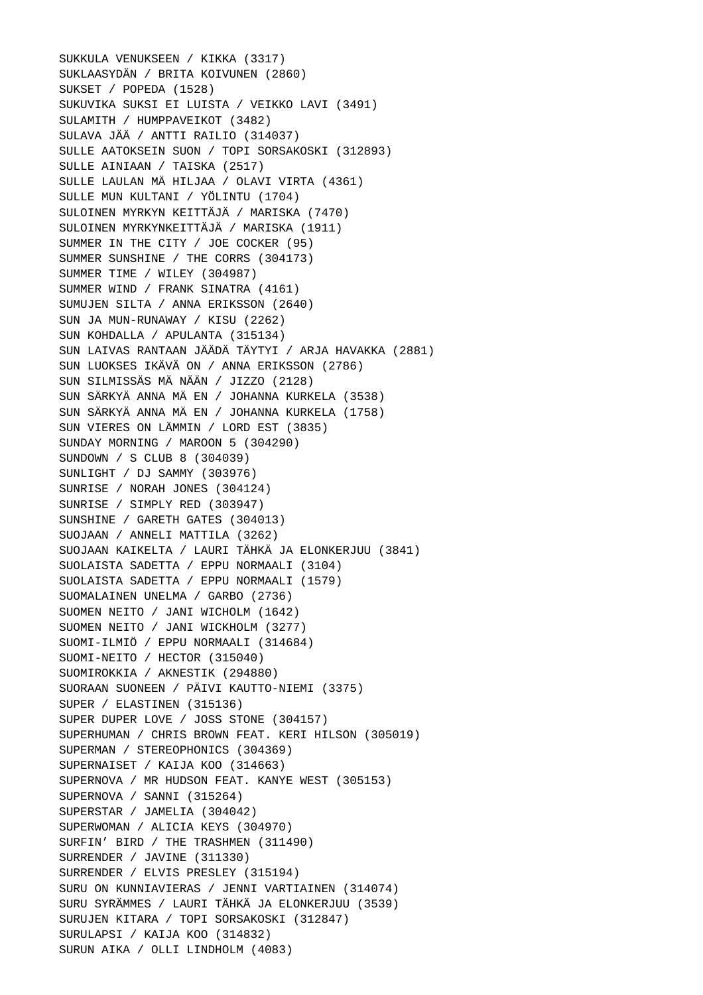SUKKULA VENUKSEEN / KIKKA (3317) SUKLAASYDÄN / BRITA KOIVUNEN (2860) SUKSET / POPEDA (1528) SUKUVIKA SUKSI EI LUISTA / VEIKKO LAVI (3491) SULAMITH / HUMPPAVEIKOT (3482) SULAVA JÄÄ / ANTTI RAILIO (314037) SULLE AATOKSEIN SUON / TOPI SORSAKOSKI (312893) SULLE AINIAAN / TAISKA (2517) SULLE LAULAN MÄ HILJAA / OLAVI VIRTA (4361) SULLE MUN KULTANI / YÖLINTU (1704) SULOINEN MYRKYN KEITTÄJÄ / MARISKA (7470) SULOINEN MYRKYNKEITTÄJÄ / MARISKA (1911) SUMMER IN THE CITY / JOE COCKER (95) SUMMER SUNSHINE / THE CORRS (304173) SUMMER TIME / WILEY (304987) SUMMER WIND / FRANK SINATRA (4161) SUMUJEN SILTA / ANNA ERIKSSON (2640) SUN JA MUN-RUNAWAY / KISU (2262) SUN KOHDALLA / APULANTA (315134) SUN LAIVAS RANTAAN JÄÄDÄ TÄYTYI / ARJA HAVAKKA (2881) SUN LUOKSES IKÄVÄ ON / ANNA ERIKSSON (2786) SUN SILMISSÄS MÄ NÄÄN / JIZZO (2128) SUN SÄRKYÄ ANNA MÄ EN / JOHANNA KURKELA (3538) SUN SÄRKYÄ ANNA MÄ EN / JOHANNA KURKELA (1758) SUN VIERES ON LÄMMIN / LORD EST (3835) SUNDAY MORNING / MAROON 5 (304290) SUNDOWN / S CLUB 8 (304039) SUNLIGHT / DJ SAMMY (303976) SUNRISE / NORAH JONES (304124) SUNRISE / SIMPLY RED (303947) SUNSHINE / GARETH GATES (304013) SUOJAAN / ANNELI MATTILA (3262) SUOJAAN KAIKELTA / LAURI TÄHKÄ JA ELONKERJUU (3841) SUOLAISTA SADETTA / EPPU NORMAALI (3104) SUOLAISTA SADETTA / EPPU NORMAALI (1579) SUOMALAINEN UNELMA / GARBO (2736) SUOMEN NEITO / JANI WICHOLM (1642) SUOMEN NEITO / JANI WICKHOLM (3277) SUOMI-ILMIÖ / EPPU NORMAALI (314684) SUOMI-NEITO / HECTOR (315040) SUOMIROKKIA / AKNESTIK (294880) SUORAAN SUONEEN / PÄIVI KAUTTO-NIEMI (3375) SUPER / ELASTINEN (315136) SUPER DUPER LOVE / JOSS STONE (304157) SUPERHUMAN / CHRIS BROWN FEAT. KERI HILSON (305019) SUPERMAN / STEREOPHONICS (304369) SUPERNAISET / KAIJA KOO (314663) SUPERNOVA / MR HUDSON FEAT. KANYE WEST (305153) SUPERNOVA / SANNI (315264) SUPERSTAR / JAMELIA (304042) SUPERWOMAN / ALICIA KEYS (304970) SURFIN' BIRD / THE TRASHMEN (311490) SURRENDER / JAVINE (311330) SURRENDER / ELVIS PRESLEY (315194) SURU ON KUNNIAVIERAS / JENNI VARTIAINEN (314074) SURU SYRÄMMES / LAURI TÄHKÄ JA ELONKERJUU (3539) SURUJEN KITARA / TOPI SORSAKOSKI (312847) SURULAPSI / KAIJA KOO (314832) SURUN AIKA / OLLI LINDHOLM (4083)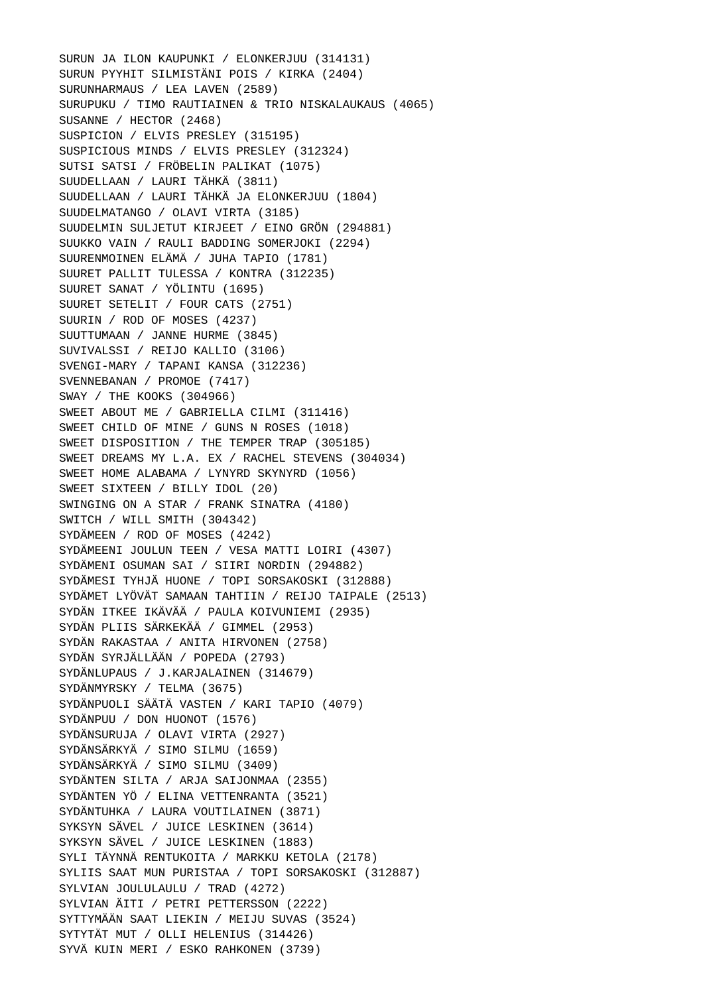SURUN JA ILON KAUPUNKI / ELONKERJUU (314131) SURUN PYYHIT SILMISTÄNI POIS / KIRKA (2404) SURUNHARMAUS / LEA LAVEN (2589) SURUPUKU / TIMO RAUTIAINEN & TRIO NISKALAUKAUS (4065) SUSANNE / HECTOR (2468) SUSPICION / ELVIS PRESLEY (315195) SUSPICIOUS MINDS / ELVIS PRESLEY (312324) SUTSI SATSI / FRÖBELIN PALIKAT (1075) SUUDELLAAN / LAURI TÄHKÄ (3811) SUUDELLAAN / LAURI TÄHKÄ JA ELONKERJUU (1804) SUUDELMATANGO / OLAVI VIRTA (3185) SUUDELMIN SULJETUT KIRJEET / EINO GRÖN (294881) SUUKKO VAIN / RAULI BADDING SOMERJOKI (2294) SUURENMOINEN ELÄMÄ / JUHA TAPIO (1781) SUURET PALLIT TULESSA / KONTRA (312235) SUURET SANAT / YÖLINTU (1695) SUURET SETELIT / FOUR CATS (2751) SUURIN / ROD OF MOSES (4237) SUUTTUMAAN / JANNE HURME (3845) SUVIVALSSI / REIJO KALLIO (3106) SVENGI-MARY / TAPANI KANSA (312236) SVENNEBANAN / PROMOE (7417) SWAY / THE KOOKS (304966) SWEET ABOUT ME / GABRIELLA CILMI (311416) SWEET CHILD OF MINE / GUNS N ROSES (1018) SWEET DISPOSITION / THE TEMPER TRAP (305185) SWEET DREAMS MY L.A. EX / RACHEL STEVENS (304034) SWEET HOME ALABAMA / LYNYRD SKYNYRD (1056) SWEET SIXTEEN / BILLY IDOL (20) SWINGING ON A STAR / FRANK SINATRA (4180) SWITCH / WILL SMITH (304342) SYDÄMEEN / ROD OF MOSES (4242) SYDÄMEENI JOULUN TEEN / VESA MATTI LOIRI (4307) SYDÄMENI OSUMAN SAI / SIIRI NORDIN (294882) SYDÄMESI TYHJÄ HUONE / TOPI SORSAKOSKI (312888) SYDÄMET LYÖVÄT SAMAAN TAHTIIN / REIJO TAIPALE (2513) SYDÄN ITKEE IKÄVÄÄ / PAULA KOIVUNIEMI (2935) SYDÄN PLIIS SÄRKEKÄÄ / GIMMEL (2953) SYDÄN RAKASTAA / ANITA HIRVONEN (2758) SYDÄN SYRJÄLLÄÄN / POPEDA (2793) SYDÄNLUPAUS / J.KARJALAINEN (314679) SYDÄNMYRSKY / TELMA (3675) SYDÄNPUOLI SÄÄTÄ VASTEN / KARI TAPIO (4079) SYDÄNPUU / DON HUONOT (1576) SYDÄNSURUJA / OLAVI VIRTA (2927) SYDÄNSÄRKYÄ / SIMO SILMU (1659) SYDÄNSÄRKYÄ / SIMO SILMU (3409) SYDÄNTEN SILTA / ARJA SAIJONMAA (2355) SYDÄNTEN YÖ / ELINA VETTENRANTA (3521) SYDÄNTUHKA / LAURA VOUTILAINEN (3871) SYKSYN SÄVEL / JUICE LESKINEN (3614) SYKSYN SÄVEL / JUICE LESKINEN (1883) SYLI TÄYNNÄ RENTUKOITA / MARKKU KETOLA (2178) SYLIIS SAAT MUN PURISTAA / TOPI SORSAKOSKI (312887) SYLVIAN JOULULAULU / TRAD (4272) SYLVIAN ÄITI / PETRI PETTERSSON (2222) SYTTYMÄÄN SAAT LIEKIN / MEIJU SUVAS (3524) SYTYTÄT MUT / OLLI HELENIUS (314426) SYVÄ KUIN MERI / ESKO RAHKONEN (3739)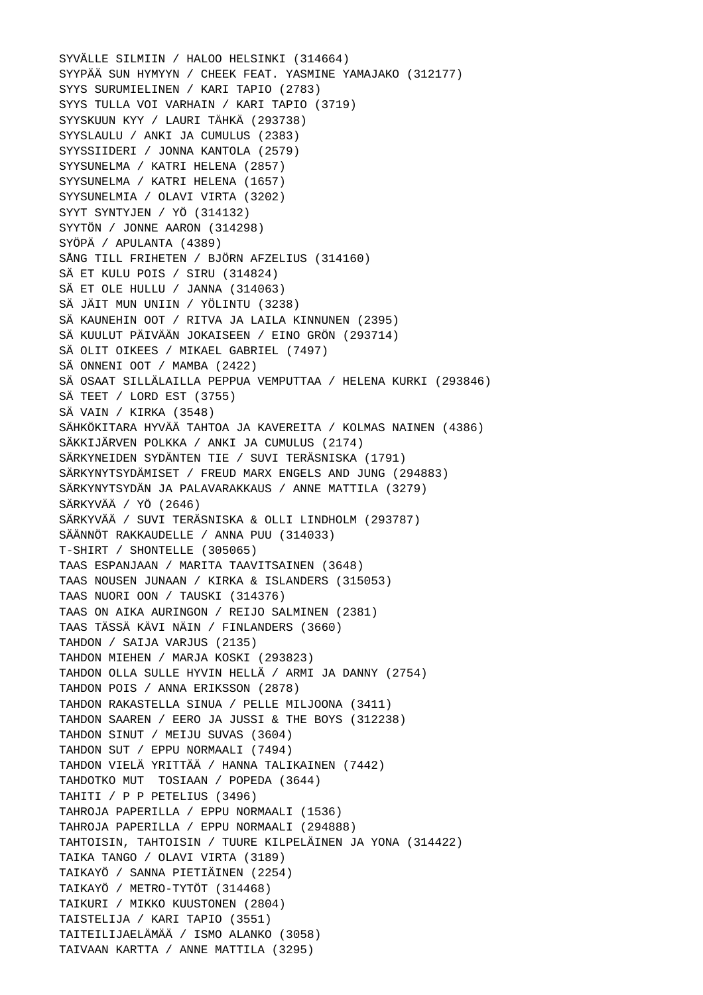SYVÄLLE SILMIIN / HALOO HELSINKI (314664) SYYPÄÄ SUN HYMYYN / CHEEK FEAT. YASMINE YAMAJAKO (312177) SYYS SURUMIELINEN / KARI TAPIO (2783) SYYS TULLA VOI VARHAIN / KARI TAPIO (3719) SYYSKUUN KYY / LAURI TÄHKÄ (293738) SYYSLAULU / ANKI JA CUMULUS (2383) SYYSSIIDERI / JONNA KANTOLA (2579) SYYSUNELMA / KATRI HELENA (2857) SYYSUNELMA / KATRI HELENA (1657) SYYSUNELMIA / OLAVI VIRTA (3202) SYYT SYNTYJEN / YÖ (314132) SYYTÖN / JONNE AARON (314298) SYÖPÄ / APULANTA (4389) SÅNG TILL FRIHETEN / BJÖRN AFZELIUS (314160) SÄ ET KULU POIS / SIRU (314824) SÄ ET OLE HULLU / JANNA (314063) SÄ JÄIT MUN UNIIN / YÖLINTU (3238) SÄ KAUNEHIN OOT / RITVA JA LAILA KINNUNEN (2395) SÄ KUULUT PÄIVÄÄN JOKAISEEN / EINO GRÖN (293714) SÄ OLIT OIKEES / MIKAEL GABRIEL (7497) SÄ ONNENI OOT / MAMBA (2422) SÄ OSAAT SILLÄLAILLA PEPPUA VEMPUTTAA / HELENA KURKI (293846) SÄ TEET / LORD EST (3755) SÄ VAIN / KIRKA (3548) SÄHKÖKITARA HYVÄÄ TAHTOA JA KAVEREITA / KOLMAS NAINEN (4386) SÄKKIJÄRVEN POLKKA / ANKI JA CUMULUS (2174) SÄRKYNEIDEN SYDÄNTEN TIE / SUVI TERÄSNISKA (1791) SÄRKYNYTSYDÄMISET / FREUD MARX ENGELS AND JUNG (294883) SÄRKYNYTSYDÄN JA PALAVARAKKAUS / ANNE MATTILA (3279) SÄRKYVÄÄ / YÖ (2646) SÄRKYVÄÄ / SUVI TERÄSNISKA & OLLI LINDHOLM (293787) SÄÄNNÖT RAKKAUDELLE / ANNA PUU (314033) T-SHIRT / SHONTELLE (305065) TAAS ESPANJAAN / MARITA TAAVITSAINEN (3648) TAAS NOUSEN JUNAAN / KIRKA & ISLANDERS (315053) TAAS NUORI OON / TAUSKI (314376) TAAS ON AIKA AURINGON / REIJO SALMINEN (2381) TAAS TÄSSÄ KÄVI NÄIN / FINLANDERS (3660) TAHDON / SAIJA VARJUS (2135) TAHDON MIEHEN / MARJA KOSKI (293823) TAHDON OLLA SULLE HYVIN HELLÄ / ARMI JA DANNY (2754) TAHDON POIS / ANNA ERIKSSON (2878) TAHDON RAKASTELLA SINUA / PELLE MILJOONA (3411) TAHDON SAAREN / EERO JA JUSSI & THE BOYS (312238) TAHDON SINUT / MEIJU SUVAS (3604) TAHDON SUT / EPPU NORMAALI (7494) TAHDON VIELÄ YRITTÄÄ / HANNA TALIKAINEN (7442) TAHDOTKO MUT TOSIAAN / POPEDA (3644) TAHITI / P P PETELIUS (3496) TAHROJA PAPERILLA / EPPU NORMAALI (1536) TAHROJA PAPERILLA / EPPU NORMAALI (294888) TAHTOISIN, TAHTOISIN / TUURE KILPELÄINEN JA YONA (314422) TAIKA TANGO / OLAVI VIRTA (3189) TAIKAYÖ / SANNA PIETIÄINEN (2254) TAIKAYÖ / METRO-TYTÖT (314468) TAIKURI / MIKKO KUUSTONEN (2804) TAISTELIJA / KARI TAPIO (3551) TAITEILIJAELÄMÄÄ / ISMO ALANKO (3058) TAIVAAN KARTTA / ANNE MATTILA (3295)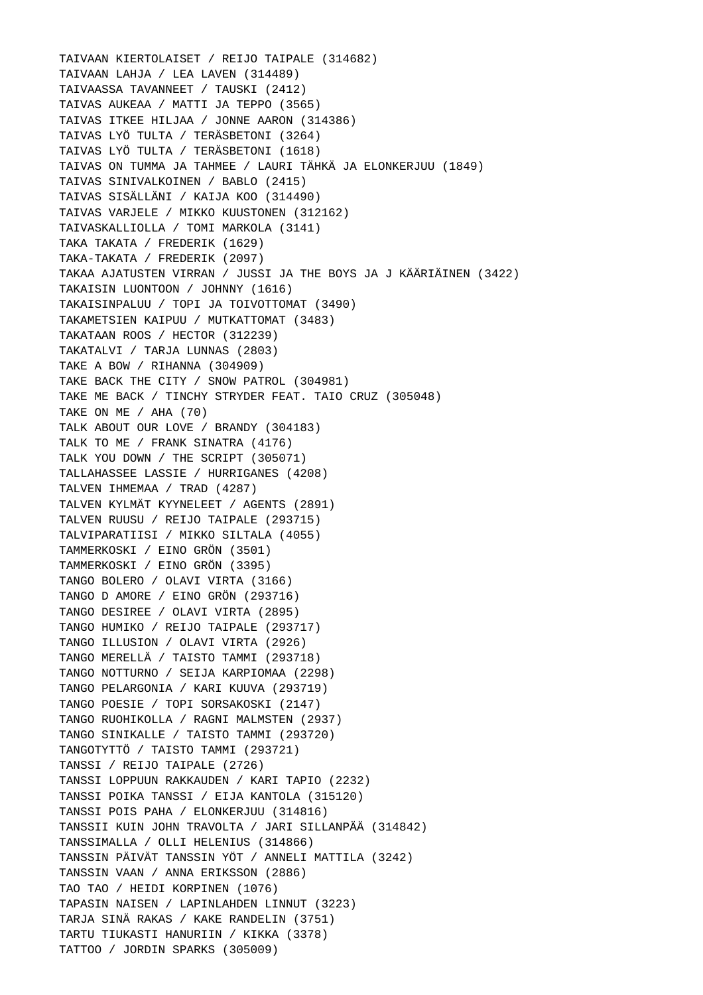TAIVAAN KIERTOLAISET / REIJO TAIPALE (314682) TAIVAAN LAHJA / LEA LAVEN (314489) TAIVAASSA TAVANNEET / TAUSKI (2412) TAIVAS AUKEAA / MATTI JA TEPPO (3565) TAIVAS ITKEE HILJAA / JONNE AARON (314386) TAIVAS LYÖ TULTA / TERÄSBETONI (3264) TAIVAS LYÖ TULTA / TERÄSBETONI (1618) TAIVAS ON TUMMA JA TAHMEE / LAURI TÄHKÄ JA ELONKERJUU (1849) TAIVAS SINIVALKOINEN / BABLO (2415) TAIVAS SISÄLLÄNI / KAIJA KOO (314490) TAIVAS VARJELE / MIKKO KUUSTONEN (312162) TAIVASKALLIOLLA / TOMI MARKOLA (3141) TAKA TAKATA / FREDERIK (1629) TAKA-TAKATA / FREDERIK (2097) TAKAA AJATUSTEN VIRRAN / JUSSI JA THE BOYS JA J KÄÄRIÄINEN (3422) TAKAISIN LUONTOON / JOHNNY (1616) TAKAISINPALUU / TOPI JA TOIVOTTOMAT (3490) TAKAMETSIEN KAIPUU / MUTKATTOMAT (3483) TAKATAAN ROOS / HECTOR (312239) TAKATALVI / TARJA LUNNAS (2803) TAKE A BOW / RIHANNA (304909) TAKE BACK THE CITY / SNOW PATROL (304981) TAKE ME BACK / TINCHY STRYDER FEAT. TAIO CRUZ (305048) TAKE ON ME / AHA (70) TALK ABOUT OUR LOVE / BRANDY (304183) TALK TO ME / FRANK SINATRA (4176) TALK YOU DOWN / THE SCRIPT (305071) TALLAHASSEE LASSIE / HURRIGANES (4208) TALVEN IHMEMAA / TRAD (4287) TALVEN KYLMÄT KYYNELEET / AGENTS (2891) TALVEN RUUSU / REIJO TAIPALE (293715) TALVIPARATIISI / MIKKO SILTALA (4055) TAMMERKOSKI / EINO GRÖN (3501) TAMMERKOSKI / EINO GRÖN (3395) TANGO BOLERO / OLAVI VIRTA (3166) TANGO D AMORE / EINO GRÖN (293716) TANGO DESIREE / OLAVI VIRTA (2895) TANGO HUMIKO / REIJO TAIPALE (293717) TANGO ILLUSION / OLAVI VIRTA (2926) TANGO MERELLÄ / TAISTO TAMMI (293718) TANGO NOTTURNO / SEIJA KARPIOMAA (2298) TANGO PELARGONIA / KARI KUUVA (293719) TANGO POESIE / TOPI SORSAKOSKI (2147) TANGO RUOHIKOLLA / RAGNI MALMSTEN (2937) TANGO SINIKALLE / TAISTO TAMMI (293720) TANGOTYTTÖ / TAISTO TAMMI (293721) TANSSI / REIJO TAIPALE (2726) TANSSI LOPPUUN RAKKAUDEN / KARI TAPIO (2232) TANSSI POIKA TANSSI / EIJA KANTOLA (315120) TANSSI POIS PAHA / ELONKERJUU (314816) TANSSII KUIN JOHN TRAVOLTA / JARI SILLANPÄÄ (314842) TANSSIMALLA / OLLI HELENIUS (314866) TANSSIN PÄIVÄT TANSSIN YÖT / ANNELI MATTILA (3242) TANSSIN VAAN / ANNA ERIKSSON (2886) TAO TAO / HEIDI KORPINEN (1076) TAPASIN NAISEN / LAPINLAHDEN LINNUT (3223) TARJA SINÄ RAKAS / KAKE RANDELIN (3751) TARTU TIUKASTI HANURIIN / KIKKA (3378) TATTOO / JORDIN SPARKS (305009)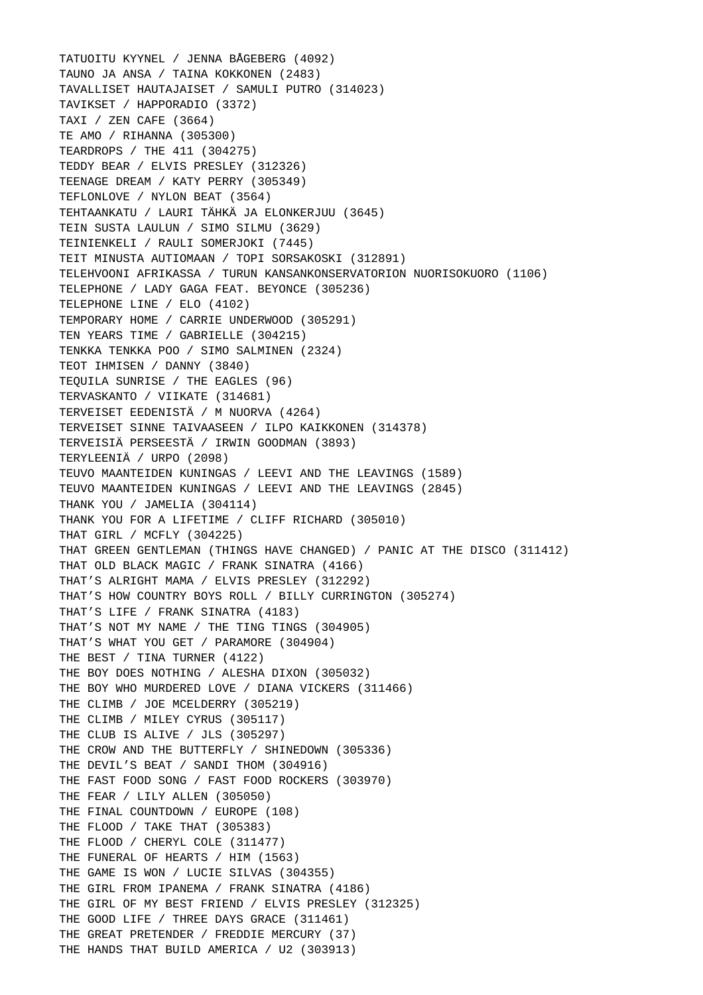TATUOITU KYYNEL / JENNA BÅGEBERG (4092) TAUNO JA ANSA / TAINA KOKKONEN (2483) TAVALLISET HAUTAJAISET / SAMULI PUTRO (314023) TAVIKSET / HAPPORADIO (3372) TAXI / ZEN CAFE (3664) TE AMO / RIHANNA (305300) TEARDROPS / THE 411 (304275) TEDDY BEAR / ELVIS PRESLEY (312326) TEENAGE DREAM / KATY PERRY (305349) TEFLONLOVE / NYLON BEAT (3564) TEHTAANKATU / LAURI TÄHKÄ JA ELONKERJUU (3645) TEIN SUSTA LAULUN / SIMO SILMU (3629) TEINIENKELI / RAULI SOMERJOKI (7445) TEIT MINUSTA AUTIOMAAN / TOPI SORSAKOSKI (312891) TELEHVOONI AFRIKASSA / TURUN KANSANKONSERVATORION NUORISOKUORO (1106) TELEPHONE / LADY GAGA FEAT. BEYONCE (305236) TELEPHONE LINE / ELO (4102) TEMPORARY HOME / CARRIE UNDERWOOD (305291) TEN YEARS TIME / GABRIELLE (304215) TENKKA TENKKA POO / SIMO SALMINEN (2324) TEOT IHMISEN / DANNY (3840) TEQUILA SUNRISE / THE EAGLES (96) TERVASKANTO / VIIKATE (314681) TERVEISET EEDENISTÄ / M NUORVA (4264) TERVEISET SINNE TAIVAASEEN / ILPO KAIKKONEN (314378) TERVEISIÄ PERSEESTÄ / IRWIN GOODMAN (3893) TERYLEENIÄ / URPO (2098) TEUVO MAANTEIDEN KUNINGAS / LEEVI AND THE LEAVINGS (1589) TEUVO MAANTEIDEN KUNINGAS / LEEVI AND THE LEAVINGS (2845) THANK YOU / JAMELIA (304114) THANK YOU FOR A LIFETIME / CLIFF RICHARD (305010) THAT GIRL / MCFLY (304225) THAT GREEN GENTLEMAN (THINGS HAVE CHANGED) / PANIC AT THE DISCO (311412) THAT OLD BLACK MAGIC / FRANK SINATRA (4166) THAT'S ALRIGHT MAMA / ELVIS PRESLEY (312292) THAT'S HOW COUNTRY BOYS ROLL / BILLY CURRINGTON (305274) THAT'S LIFE / FRANK SINATRA (4183) THAT'S NOT MY NAME / THE TING TINGS (304905) THAT'S WHAT YOU GET / PARAMORE (304904) THE BEST / TINA TURNER (4122) THE BOY DOES NOTHING / ALESHA DIXON (305032) THE BOY WHO MURDERED LOVE / DIANA VICKERS (311466) THE CLIMB / JOE MCELDERRY (305219) THE CLIMB / MILEY CYRUS (305117) THE CLUB IS ALIVE / JLS (305297) THE CROW AND THE BUTTERFLY / SHINEDOWN (305336) THE DEVIL'S BEAT / SANDI THOM (304916) THE FAST FOOD SONG / FAST FOOD ROCKERS (303970) THE FEAR / LILY ALLEN (305050) THE FINAL COUNTDOWN / EUROPE (108) THE FLOOD / TAKE THAT (305383) THE FLOOD / CHERYL COLE (311477) THE FUNERAL OF HEARTS / HIM (1563) THE GAME IS WON / LUCIE SILVAS (304355) THE GIRL FROM IPANEMA / FRANK SINATRA (4186) THE GIRL OF MY BEST FRIEND / ELVIS PRESLEY (312325) THE GOOD LIFE / THREE DAYS GRACE (311461) THE GREAT PRETENDER / FREDDIE MERCURY (37) THE HANDS THAT BUILD AMERICA / U2 (303913)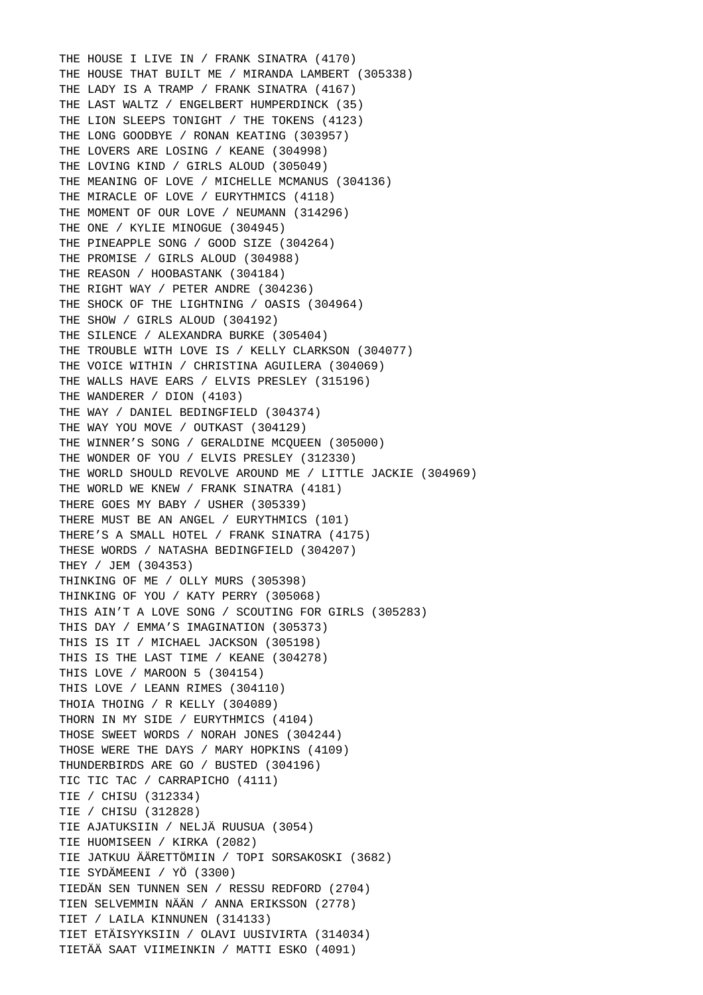THE HOUSE I LIVE IN / FRANK SINATRA (4170) THE HOUSE THAT BUILT ME / MIRANDA LAMBERT (305338) THE LADY IS A TRAMP / FRANK SINATRA (4167) THE LAST WALTZ / ENGELBERT HUMPERDINCK (35) THE LION SLEEPS TONIGHT / THE TOKENS (4123) THE LONG GOODBYE / RONAN KEATING (303957) THE LOVERS ARE LOSING / KEANE (304998) THE LOVING KIND / GIRLS ALOUD (305049) THE MEANING OF LOVE / MICHELLE MCMANUS (304136) THE MIRACLE OF LOVE / EURYTHMICS (4118) THE MOMENT OF OUR LOVE / NEUMANN (314296) THE ONE / KYLIE MINOGUE (304945) THE PINEAPPLE SONG / GOOD SIZE (304264) THE PROMISE / GIRLS ALOUD (304988) THE REASON / HOOBASTANK (304184) THE RIGHT WAY / PETER ANDRE (304236) THE SHOCK OF THE LIGHTNING / OASIS (304964) THE SHOW / GIRLS ALOUD (304192) THE SILENCE / ALEXANDRA BURKE (305404) THE TROUBLE WITH LOVE IS / KELLY CLARKSON (304077) THE VOICE WITHIN / CHRISTINA AGUILERA (304069) THE WALLS HAVE EARS / ELVIS PRESLEY (315196) THE WANDERER / DION (4103) THE WAY / DANIEL BEDINGFIELD (304374) THE WAY YOU MOVE / OUTKAST (304129) THE WINNER'S SONG / GERALDINE MCQUEEN (305000) THE WONDER OF YOU / ELVIS PRESLEY (312330) THE WORLD SHOULD REVOLVE AROUND ME / LITTLE JACKIE (304969) THE WORLD WE KNEW / FRANK SINATRA (4181) THERE GOES MY BABY / USHER (305339) THERE MUST BE AN ANGEL / EURYTHMICS (101) THERE'S A SMALL HOTEL / FRANK SINATRA (4175) THESE WORDS / NATASHA BEDINGFIELD (304207) THEY / JEM (304353) THINKING OF ME / OLLY MURS (305398) THINKING OF YOU / KATY PERRY (305068) THIS AIN'T A LOVE SONG / SCOUTING FOR GIRLS (305283) THIS DAY / EMMA'S IMAGINATION (305373) THIS IS IT / MICHAEL JACKSON (305198) THIS IS THE LAST TIME / KEANE (304278) THIS LOVE / MAROON 5 (304154) THIS LOVE / LEANN RIMES (304110) THOIA THOING / R KELLY (304089) THORN IN MY SIDE / EURYTHMICS (4104) THOSE SWEET WORDS / NORAH JONES (304244) THOSE WERE THE DAYS / MARY HOPKINS (4109) THUNDERBIRDS ARE GO / BUSTED (304196) TIC TIC TAC / CARRAPICHO (4111) TIE / CHISU (312334) TIE / CHISU (312828) TIE AJATUKSIIN / NELJÄ RUUSUA (3054) TIE HUOMISEEN / KIRKA (2082) TIE JATKUU ÄÄRETTÖMIIN / TOPI SORSAKOSKI (3682) TIE SYDÄMEENI / YÖ (3300) TIEDÄN SEN TUNNEN SEN / RESSU REDFORD (2704) TIEN SELVEMMIN NÄÄN / ANNA ERIKSSON (2778) TIET / LAILA KINNUNEN (314133) TIET ETÄISYYKSIIN / OLAVI UUSIVIRTA (314034) TIETÄÄ SAAT VIIMEINKIN / MATTI ESKO (4091)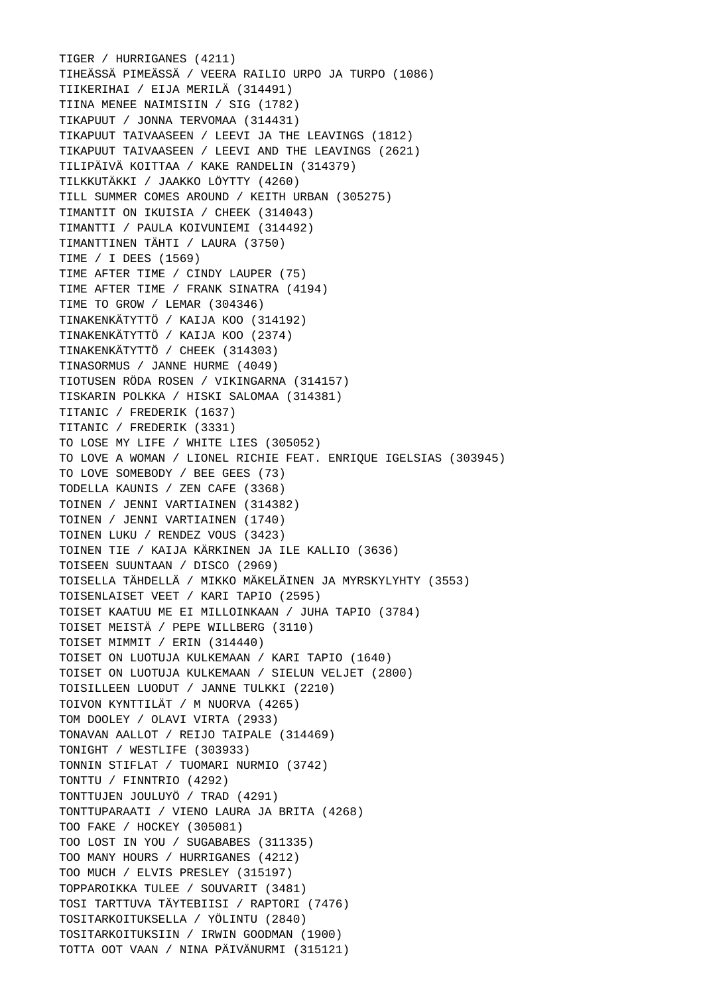TIGER / HURRIGANES (4211) TIHEÄSSÄ PIMEÄSSÄ / VEERA RAILIO URPO JA TURPO (1086) TIIKERIHAI / EIJA MERILÄ (314491) TIINA MENEE NAIMISIIN / SIG (1782) TIKAPUUT / JONNA TERVOMAA (314431) TIKAPUUT TAIVAASEEN / LEEVI JA THE LEAVINGS (1812) TIKAPUUT TAIVAASEEN / LEEVI AND THE LEAVINGS (2621) TILIPÄIVÄ KOITTAA / KAKE RANDELIN (314379) TILKKUTÄKKI / JAAKKO LÖYTTY (4260) TILL SUMMER COMES AROUND / KEITH URBAN (305275) TIMANTIT ON IKUISIA / CHEEK (314043) TIMANTTI / PAULA KOIVUNIEMI (314492) TIMANTTINEN TÄHTI / LAURA (3750) TIME / I DEES (1569) TIME AFTER TIME / CINDY LAUPER (75) TIME AFTER TIME / FRANK SINATRA (4194) TIME TO GROW / LEMAR (304346) TINAKENKÄTYTTÖ / KAIJA KOO (314192) TINAKENKÄTYTTÖ / KAIJA KOO (2374) TINAKENKÄTYTTÖ / CHEEK (314303) TINASORMUS / JANNE HURME (4049) TIOTUSEN RÖDA ROSEN / VIKINGARNA (314157) TISKARIN POLKKA / HISKI SALOMAA (314381) TITANIC / FREDERIK (1637) TITANIC / FREDERIK (3331) TO LOSE MY LIFE / WHITE LIES (305052) TO LOVE A WOMAN / LIONEL RICHIE FEAT. ENRIQUE IGELSIAS (303945) TO LOVE SOMEBODY / BEE GEES (73) TODELLA KAUNIS / ZEN CAFE (3368) TOINEN / JENNI VARTIAINEN (314382) TOINEN / JENNI VARTIAINEN (1740) TOINEN LUKU / RENDEZ VOUS (3423) TOINEN TIE / KAIJA KÄRKINEN JA ILE KALLIO (3636) TOISEEN SUUNTAAN / DISCO (2969) TOISELLA TÄHDELLÄ / MIKKO MÄKELÄINEN JA MYRSKYLYHTY (3553) TOISENLAISET VEET / KARI TAPIO (2595) TOISET KAATUU ME EI MILLOINKAAN / JUHA TAPIO (3784) TOISET MEISTÄ / PEPE WILLBERG (3110) TOISET MIMMIT / ERIN (314440) TOISET ON LUOTUJA KULKEMAAN / KARI TAPIO (1640) TOISET ON LUOTUJA KULKEMAAN / SIELUN VELJET (2800) TOISILLEEN LUODUT / JANNE TULKKI (2210) TOIVON KYNTTILÄT / M NUORVA (4265) TOM DOOLEY / OLAVI VIRTA (2933) TONAVAN AALLOT / REIJO TAIPALE (314469) TONIGHT / WESTLIFE (303933) TONNIN STIFLAT / TUOMARI NURMIO (3742) TONTTU / FINNTRIO (4292) TONTTUJEN JOULUYÖ / TRAD (4291) TONTTUPARAATI / VIENO LAURA JA BRITA (4268) TOO FAKE / HOCKEY (305081) TOO LOST IN YOU / SUGABABES (311335) TOO MANY HOURS / HURRIGANES (4212) TOO MUCH / ELVIS PRESLEY (315197) TOPPAROIKKA TULEE / SOUVARIT (3481) TOSI TARTTUVA TÄYTEBIISI / RAPTORI (7476) TOSITARKOITUKSELLA / YÖLINTU (2840) TOSITARKOITUKSIIN / IRWIN GOODMAN (1900) TOTTA OOT VAAN / NINA PÄIVÄNURMI (315121)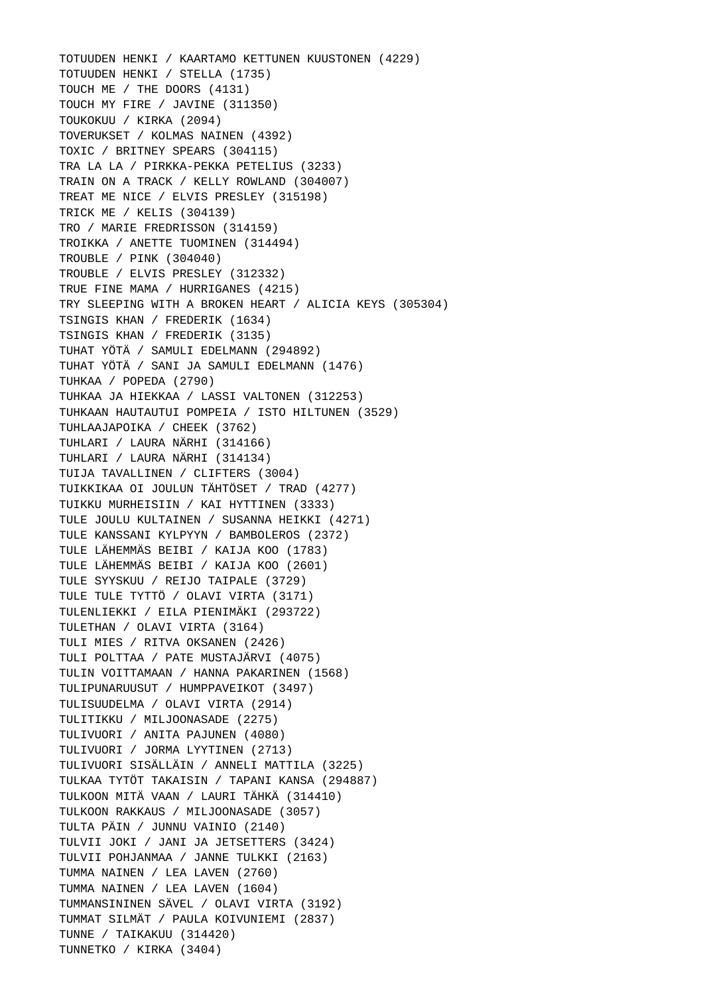TOTUUDEN HENKI / KAARTAMO KETTUNEN KUUSTONEN (4229) TOTUUDEN HENKI / STELLA (1735) TOUCH ME / THE DOORS (4131) TOUCH MY FIRE / JAVINE (311350) TOUKOKUU / KIRKA (2094) TOVERUKSET / KOLMAS NAINEN (4392) TOXIC / BRITNEY SPEARS (304115) TRA LA LA / PIRKKA-PEKKA PETELIUS (3233) TRAIN ON A TRACK / KELLY ROWLAND (304007) TREAT ME NICE / ELVIS PRESLEY (315198) TRICK ME / KELIS (304139) TRO / MARIE FREDRISSON (314159) TROIKKA / ANETTE TUOMINEN (314494) TROUBLE / PINK (304040) TROUBLE / ELVIS PRESLEY (312332) TRUE FINE MAMA / HURRIGANES (4215) TRY SLEEPING WITH A BROKEN HEART / ALICIA KEYS (305304) TSINGIS KHAN / FREDERIK (1634) TSINGIS KHAN / FREDERIK (3135) TUHAT YÖTÄ / SAMULI EDELMANN (294892) TUHAT YÖTÄ / SANI JA SAMULI EDELMANN (1476) TUHKAA / POPEDA (2790) TUHKAA JA HIEKKAA / LASSI VALTONEN (312253) TUHKAAN HAUTAUTUI POMPEIA / ISTO HILTUNEN (3529) TUHLAAJAPOIKA / CHEEK (3762) TUHLARI / LAURA NÄRHI (314166) TUHLARI / LAURA NÄRHI (314134) TUIJA TAVALLINEN / CLIFTERS (3004) TUIKKIKAA OI JOULUN TÄHTÖSET / TRAD (4277) TUIKKU MURHEISIIN / KAI HYTTINEN (3333) TULE JOULU KULTAINEN / SUSANNA HEIKKI (4271) TULE KANSSANI KYLPYYN / BAMBOLEROS (2372) TULE LÄHEMMÄS BEIBI / KAIJA KOO (1783) TULE LÄHEMMÄS BEIBI / KAIJA KOO (2601) TULE SYYSKUU / REIJO TAIPALE (3729) TULE TULE TYTTÖ / OLAVI VIRTA (3171) TULENLIEKKI / EILA PIENIMÄKI (293722) TULETHAN / OLAVI VIRTA (3164) TULI MIES / RITVA OKSANEN (2426) TULI POLTTAA / PATE MUSTAJÄRVI (4075) TULIN VOITTAMAAN / HANNA PAKARINEN (1568) TULIPUNARUUSUT / HUMPPAVEIKOT (3497) TULISUUDELMA / OLAVI VIRTA (2914) TULITIKKU / MILJOONASADE (2275) TULIVUORI / ANITA PAJUNEN (4080) TULIVUORI / JORMA LYYTINEN (2713) TULIVUORI SISÄLLÄIN / ANNELI MATTILA (3225) TULKAA TYTÖT TAKAISIN / TAPANI KANSA (294887) TULKOON MITÄ VAAN / LAURI TÄHKÄ (314410) TULKOON RAKKAUS / MILJOONASADE (3057) TULTA PÄIN / JUNNU VAINIO (2140) TULVII JOKI / JANI JA JETSETTERS (3424) TULVII POHJANMAA / JANNE TULKKI (2163) TUMMA NAINEN / LEA LAVEN (2760) TUMMA NAINEN / LEA LAVEN (1604) TUMMANSININEN SÄVEL / OLAVI VIRTA (3192) TUMMAT SILMÄT / PAULA KOIVUNIEMI (2837) TUNNE / TAIKAKUU (314420) TUNNETKO / KIRKA (3404)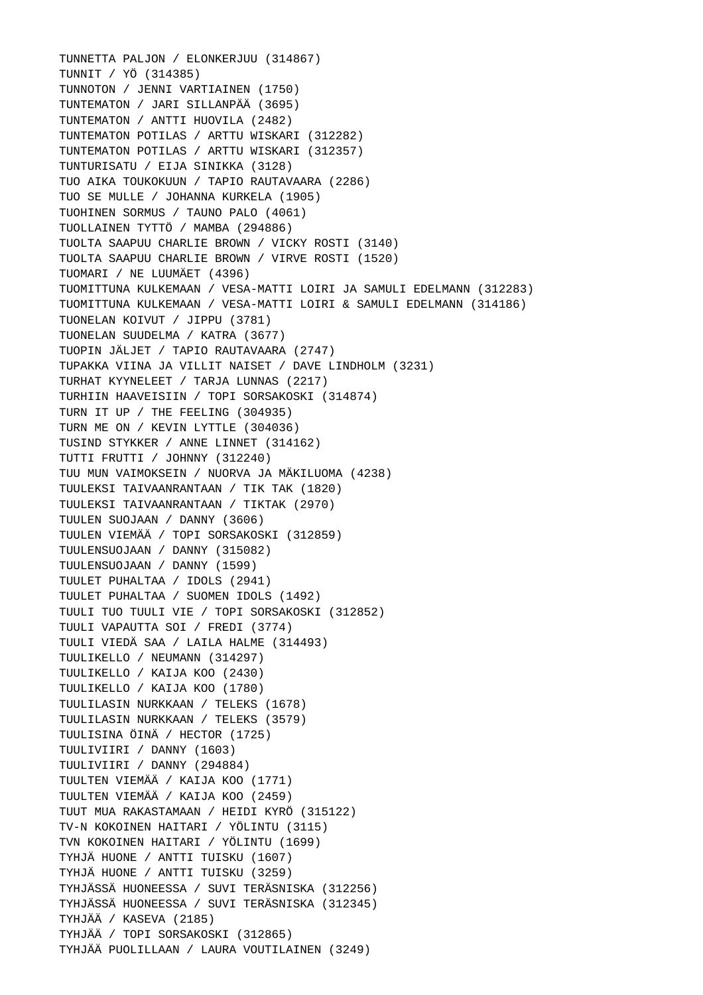TUNNETTA PALJON / ELONKERJUU (314867) TUNNIT / YÖ (314385) TUNNOTON / JENNI VARTIAINEN (1750) TUNTEMATON / JARI SILLANPÄÄ (3695) TUNTEMATON / ANTTI HUOVILA (2482) TUNTEMATON POTILAS / ARTTU WISKARI (312282) TUNTEMATON POTILAS / ARTTU WISKARI (312357) TUNTURISATU / EIJA SINIKKA (3128) TUO AIKA TOUKOKUUN / TAPIO RAUTAVAARA (2286) TUO SE MULLE / JOHANNA KURKELA (1905) TUOHINEN SORMUS / TAUNO PALO (4061) TUOLLAINEN TYTTÖ / MAMBA (294886) TUOLTA SAAPUU CHARLIE BROWN / VICKY ROSTI (3140) TUOLTA SAAPUU CHARLIE BROWN / VIRVE ROSTI (1520) TUOMARI / NE LUUMÄET (4396) TUOMITTUNA KULKEMAAN / VESA-MATTI LOIRI JA SAMULI EDELMANN (312283) TUOMITTUNA KULKEMAAN / VESA-MATTI LOIRI & SAMULI EDELMANN (314186) TUONELAN KOIVUT / JIPPU (3781) TUONELAN SUUDELMA / KATRA (3677) TUOPIN JÄLJET / TAPIO RAUTAVAARA (2747) TUPAKKA VIINA JA VILLIT NAISET / DAVE LINDHOLM (3231) TURHAT KYYNELEET / TARJA LUNNAS (2217) TURHIIN HAAVEISIIN / TOPI SORSAKOSKI (314874) TURN IT UP / THE FEELING (304935) TURN ME ON / KEVIN LYTTLE (304036) TUSIND STYKKER / ANNE LINNET (314162) TUTTI FRUTTI / JOHNNY (312240) TUU MUN VAIMOKSEIN / NUORVA JA MÄKILUOMA (4238) TUULEKSI TAIVAANRANTAAN / TIK TAK (1820) TUULEKSI TAIVAANRANTAAN / TIKTAK (2970) TUULEN SUOJAAN / DANNY (3606) TUULEN VIEMÄÄ / TOPI SORSAKOSKI (312859) TUULENSUOJAAN / DANNY (315082) TUULENSUOJAAN / DANNY (1599) TUULET PUHALTAA / IDOLS (2941) TUULET PUHALTAA / SUOMEN IDOLS (1492) TUULI TUO TUULI VIE / TOPI SORSAKOSKI (312852) TUULI VAPAUTTA SOI / FREDI (3774) TUULI VIEDÄ SAA / LAILA HALME (314493) TUULIKELLO / NEUMANN (314297) TUULIKELLO / KAIJA KOO (2430) TUULIKELLO / KAIJA KOO (1780) TUULILASIN NURKKAAN / TELEKS (1678) TUULILASIN NURKKAAN / TELEKS (3579) TUULISINA ÖINÄ / HECTOR (1725) TUULIVIIRI / DANNY (1603) TUULIVIIRI / DANNY (294884) TUULTEN VIEMÄÄ / KAIJA KOO (1771) TUULTEN VIEMÄÄ / KAIJA KOO (2459) TUUT MUA RAKASTAMAAN / HEIDI KYRÖ (315122) TV-N KOKOINEN HAITARI / YÖLINTU (3115) TVN KOKOINEN HAITARI / YÖLINTU (1699) TYHJÄ HUONE / ANTTI TUISKU (1607) TYHJÄ HUONE / ANTTI TUISKU (3259) TYHJÄSSÄ HUONEESSA / SUVI TERÄSNISKA (312256) TYHJÄSSÄ HUONEESSA / SUVI TERÄSNISKA (312345) TYHJÄÄ / KASEVA (2185) TYHJÄÄ / TOPI SORSAKOSKI (312865) TYHJÄÄ PUOLILLAAN / LAURA VOUTILAINEN (3249)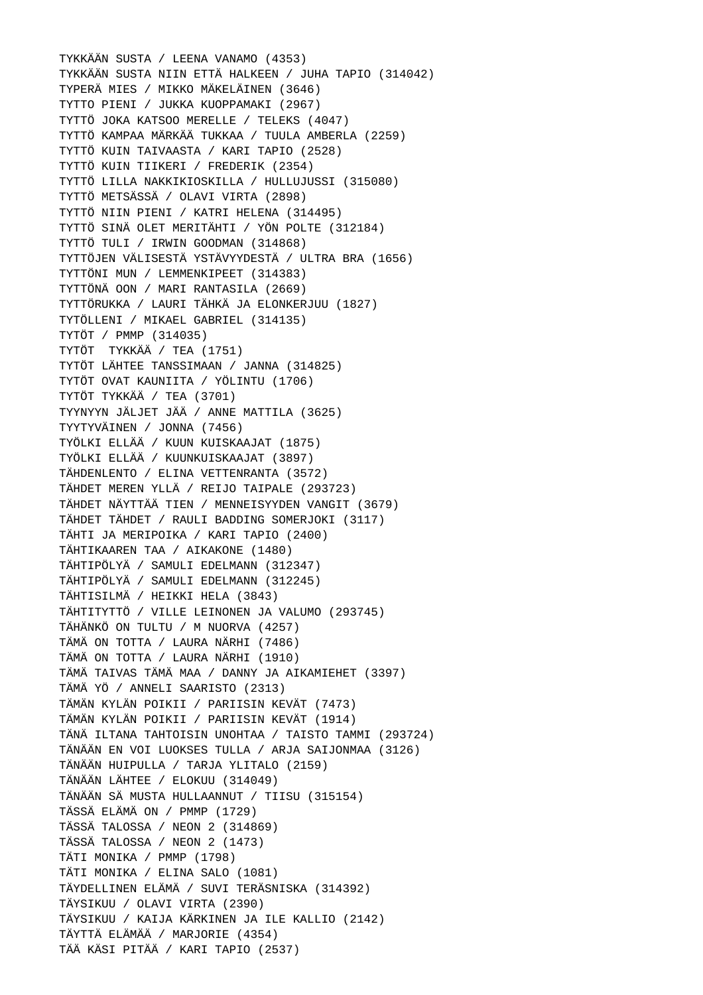TYKKÄÄN SUSTA / LEENA VANAMO (4353) TYKKÄÄN SUSTA NIIN ETTÄ HALKEEN / JUHA TAPIO (314042) TYPERÄ MIES / MIKKO MÄKELÄINEN (3646) TYTTO PIENI / JUKKA KUOPPAMAKI (2967) TYTTÖ JOKA KATSOO MERELLE / TELEKS (4047) TYTTÖ KAMPAA MÄRKÄÄ TUKKAA / TUULA AMBERLA (2259) TYTTÖ KUIN TAIVAASTA / KARI TAPIO (2528) TYTTÖ KUIN TIIKERI / FREDERIK (2354) TYTTÖ LILLA NAKKIKIOSKILLA / HULLUJUSSI (315080) TYTTÖ METSÄSSÄ / OLAVI VIRTA (2898) TYTTÖ NIIN PIENI / KATRI HELENA (314495) TYTTÖ SINÄ OLET MERITÄHTI / YÖN POLTE (312184) TYTTÖ TULI / IRWIN GOODMAN (314868) TYTTÖJEN VÄLISESTÄ YSTÄVYYDESTÄ / ULTRA BRA (1656) TYTTÖNI MUN / LEMMENKIPEET (314383) TYTTÖNÄ OON / MARI RANTASILA (2669) TYTTÖRUKKA / LAURI TÄHKÄ JA ELONKERJUU (1827) TYTÖLLENI / MIKAEL GABRIEL (314135) TYTÖT / PMMP (314035) TYTÖT TYKKÄÄ / TEA (1751) TYTÖT LÄHTEE TANSSIMAAN / JANNA (314825) TYTÖT OVAT KAUNIITA / YÖLINTU (1706) TYTÖT TYKKÄÄ / TEA (3701) TYYNYYN JÄLJET JÄÄ / ANNE MATTILA (3625) TYYTYVÄINEN / JONNA (7456) TYÖLKI ELLÄÄ / KUUN KUISKAAJAT (1875) TYÖLKI ELLÄÄ / KUUNKUISKAAJAT (3897) TÄHDENLENTO / ELINA VETTENRANTA (3572) TÄHDET MEREN YLLÄ / REIJO TAIPALE (293723) TÄHDET NÄYTTÄÄ TIEN / MENNEISYYDEN VANGIT (3679) TÄHDET TÄHDET / RAULI BADDING SOMERJOKI (3117) TÄHTI JA MERIPOIKA / KARI TAPIO (2400) TÄHTIKAAREN TAA / AIKAKONE (1480) TÄHTIPÖLYÄ / SAMULI EDELMANN (312347) TÄHTIPÖLYÄ / SAMULI EDELMANN (312245) TÄHTISILMÄ / HEIKKI HELA (3843) TÄHTITYTTÖ / VILLE LEINONEN JA VALUMO (293745) TÄHÄNKÖ ON TULTU / M NUORVA (4257) TÄMÄ ON TOTTA / LAURA NÄRHI (7486) TÄMÄ ON TOTTA / LAURA NÄRHI (1910) TÄMÄ TAIVAS TÄMÄ MAA / DANNY JA AIKAMIEHET (3397) TÄMÄ YÖ / ANNELI SAARISTO (2313) TÄMÄN KYLÄN POIKII / PARIISIN KEVÄT (7473) TÄMÄN KYLÄN POIKII / PARIISIN KEVÄT (1914) TÄNÄ ILTANA TAHTOISIN UNOHTAA / TAISTO TAMMI (293724) TÄNÄÄN EN VOI LUOKSES TULLA / ARJA SAIJONMAA (3126) TÄNÄÄN HUIPULLA / TARJA YLITALO (2159) TÄNÄÄN LÄHTEE / ELOKUU (314049) TÄNÄÄN SÄ MUSTA HULLAANNUT / TIISU (315154) TÄSSÄ ELÄMÄ ON / PMMP (1729) TÄSSÄ TALOSSA / NEON 2 (314869) TÄSSÄ TALOSSA / NEON 2 (1473) TÄTI MONIKA / PMMP (1798) TÄTI MONIKA / ELINA SALO (1081) TÄYDELLINEN ELÄMÄ / SUVI TERÄSNISKA (314392) TÄYSIKUU / OLAVI VIRTA (2390) TÄYSIKUU / KAIJA KÄRKINEN JA ILE KALLIO (2142) TÄYTTÄ ELÄMÄÄ / MARJORIE (4354) TÄÄ KÄSI PITÄÄ / KARI TAPIO (2537)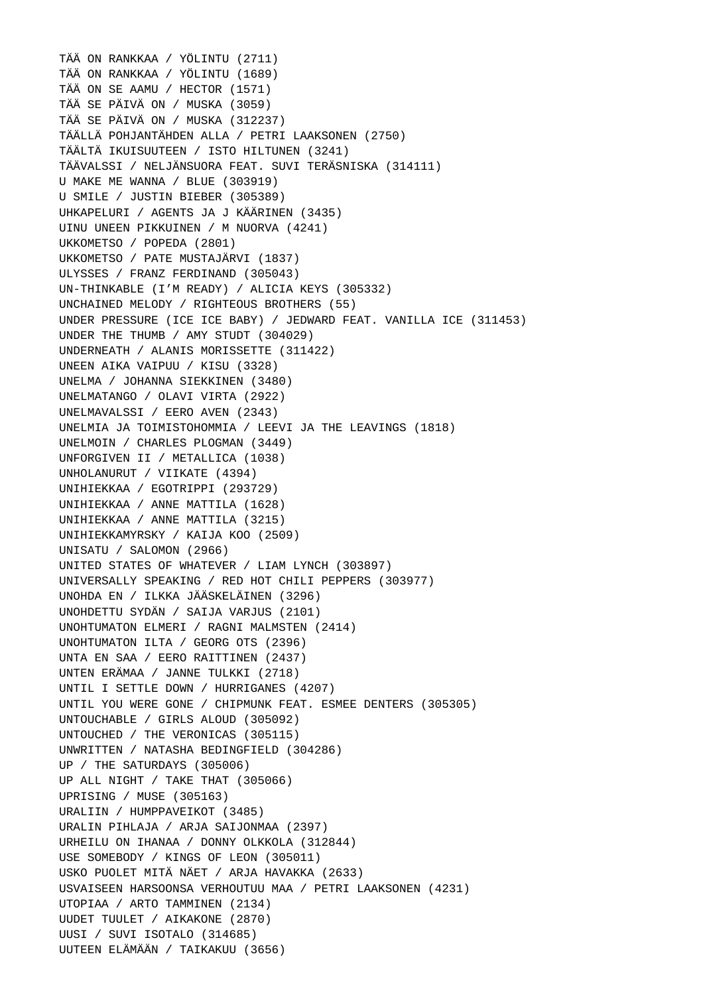TÄÄ ON RANKKAA / YÖLINTU (2711) TÄÄ ON RANKKAA / YÖLINTU (1689) TÄÄ ON SE AAMU / HECTOR (1571) TÄÄ SE PÄIVÄ ON / MUSKA (3059) TÄÄ SE PÄIVÄ ON / MUSKA (312237) TÄÄLLÄ POHJANTÄHDEN ALLA / PETRI LAAKSONEN (2750) TÄÄLTÄ IKUISUUTEEN / ISTO HILTUNEN (3241) TÄÄVALSSI / NELJÄNSUORA FEAT. SUVI TERÄSNISKA (314111) U MAKE ME WANNA / BLUE (303919) U SMILE / JUSTIN BIEBER (305389) UHKAPELURI / AGENTS JA J KÄÄRINEN (3435) UINU UNEEN PIKKUINEN / M NUORVA (4241) UKKOMETSO / POPEDA (2801) UKKOMETSO / PATE MUSTAJÄRVI (1837) ULYSSES / FRANZ FERDINAND (305043) UN-THINKABLE (I'M READY) / ALICIA KEYS (305332) UNCHAINED MELODY / RIGHTEOUS BROTHERS (55) UNDER PRESSURE (ICE ICE BABY) / JEDWARD FEAT. VANILLA ICE (311453) UNDER THE THUMB / AMY STUDT (304029) UNDERNEATH / ALANIS MORISSETTE (311422) UNEEN AIKA VAIPUU / KISU (3328) UNELMA / JOHANNA SIEKKINEN (3480) UNELMATANGO / OLAVI VIRTA (2922) UNELMAVALSSI / EERO AVEN (2343) UNELMIA JA TOIMISTOHOMMIA / LEEVI JA THE LEAVINGS (1818) UNELMOIN / CHARLES PLOGMAN (3449) UNFORGIVEN II / METALLICA (1038) UNHOLANURUT / VIIKATE (4394) UNIHIEKKAA / EGOTRIPPI (293729) UNIHIEKKAA / ANNE MATTILA (1628) UNIHIEKKAA / ANNE MATTILA (3215) UNIHIEKKAMYRSKY / KAIJA KOO (2509) UNISATU / SALOMON (2966) UNITED STATES OF WHATEVER / LIAM LYNCH (303897) UNIVERSALLY SPEAKING / RED HOT CHILI PEPPERS (303977) UNOHDA EN / ILKKA JÄÄSKELÄINEN (3296) UNOHDETTU SYDÄN / SAIJA VARJUS (2101) UNOHTUMATON ELMERI / RAGNI MALMSTEN (2414) UNOHTUMATON ILTA / GEORG OTS (2396) UNTA EN SAA / EERO RAITTINEN (2437) UNTEN ERÄMAA / JANNE TULKKI (2718) UNTIL I SETTLE DOWN / HURRIGANES (4207) UNTIL YOU WERE GONE / CHIPMUNK FEAT. ESMEE DENTERS (305305) UNTOUCHABLE / GIRLS ALOUD (305092) UNTOUCHED / THE VERONICAS (305115) UNWRITTEN / NATASHA BEDINGFIELD (304286) UP / THE SATURDAYS (305006) UP ALL NIGHT / TAKE THAT (305066) UPRISING / MUSE (305163) URALIIN / HUMPPAVEIKOT (3485) URALIN PIHLAJA / ARJA SAIJONMAA (2397) URHEILU ON IHANAA / DONNY OLKKOLA (312844) USE SOMEBODY / KINGS OF LEON (305011) USKO PUOLET MITÄ NÄET / ARJA HAVAKKA (2633) USVAISEEN HARSOONSA VERHOUTUU MAA / PETRI LAAKSONEN (4231) UTOPIAA / ARTO TAMMINEN (2134) UUDET TUULET / AIKAKONE (2870) UUSI / SUVI ISOTALO (314685) UUTEEN ELÄMÄÄN / TAIKAKUU (3656)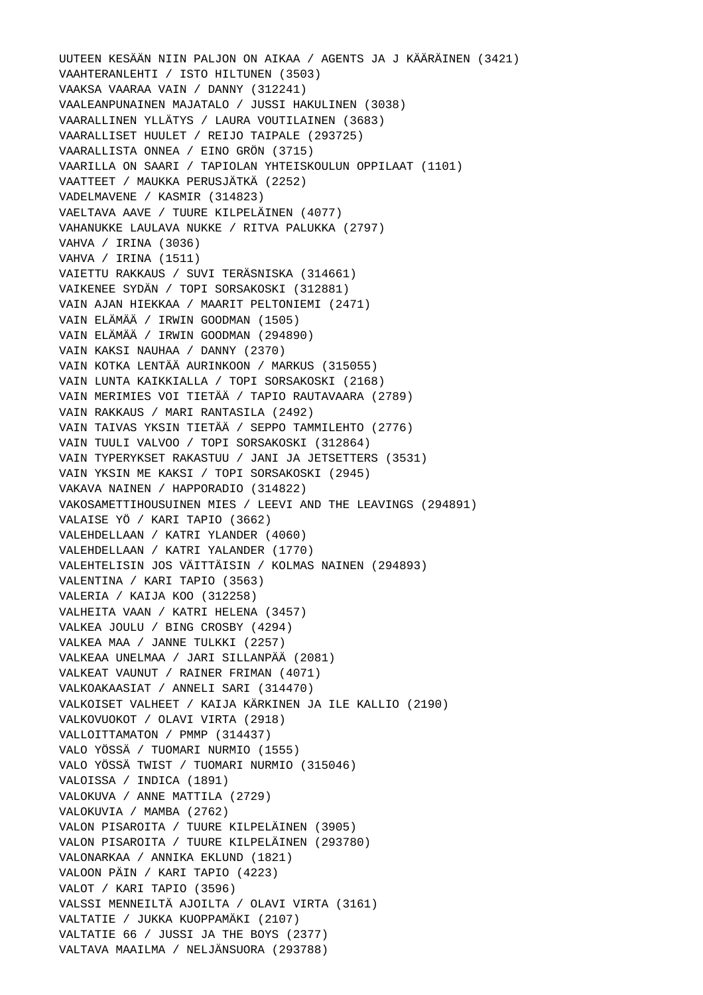UUTEEN KESÄÄN NIIN PALJON ON AIKAA / AGENTS JA J KÄÄRÄINEN (3421) VAAHTERANLEHTI / ISTO HILTUNEN (3503) VAAKSA VAARAA VAIN / DANNY (312241) VAALEANPUNAINEN MAJATALO / JUSSI HAKULINEN (3038) VAARALLINEN YLLÄTYS / LAURA VOUTILAINEN (3683) VAARALLISET HUULET / REIJO TAIPALE (293725) VAARALLISTA ONNEA / EINO GRÖN (3715) VAARILLA ON SAARI / TAPIOLAN YHTEISKOULUN OPPILAAT (1101) VAATTEET / MAUKKA PERUSJÄTKÄ (2252) VADELMAVENE / KASMIR (314823) VAELTAVA AAVE / TUURE KILPELÄINEN (4077) VAHANUKKE LAULAVA NUKKE / RITVA PALUKKA (2797) VAHVA / IRINA (3036) VAHVA / IRINA (1511) VAIETTU RAKKAUS / SUVI TERÄSNISKA (314661) VAIKENEE SYDÄN / TOPI SORSAKOSKI (312881) VAIN AJAN HIEKKAA / MAARIT PELTONIEMI (2471) VAIN ELÄMÄÄ / IRWIN GOODMAN (1505) VAIN ELÄMÄÄ / IRWIN GOODMAN (294890) VAIN KAKSI NAUHAA / DANNY (2370) VAIN KOTKA LENTÄÄ AURINKOON / MARKUS (315055) VAIN LUNTA KAIKKIALLA / TOPI SORSAKOSKI (2168) VAIN MERIMIES VOI TIETÄÄ / TAPIO RAUTAVAARA (2789) VAIN RAKKAUS / MARI RANTASILA (2492) VAIN TAIVAS YKSIN TIETÄÄ / SEPPO TAMMILEHTO (2776) VAIN TUULI VALVOO / TOPI SORSAKOSKI (312864) VAIN TYPERYKSET RAKASTUU / JANI JA JETSETTERS (3531) VAIN YKSIN ME KAKSI / TOPI SORSAKOSKI (2945) VAKAVA NAINEN / HAPPORADIO (314822) VAKOSAMETTIHOUSUINEN MIES / LEEVI AND THE LEAVINGS (294891) VALAISE YÖ / KARI TAPIO (3662) VALEHDELLAAN / KATRI YLANDER (4060) VALEHDELLAAN / KATRI YALANDER (1770) VALEHTELISIN JOS VÄITTÄISIN / KOLMAS NAINEN (294893) VALENTINA / KARI TAPIO (3563) VALERIA / KAIJA KOO (312258) VALHEITA VAAN / KATRI HELENA (3457) VALKEA JOULU / BING CROSBY (4294) VALKEA MAA / JANNE TULKKI (2257) VALKEAA UNELMAA / JARI SILLANPÄÄ (2081) VALKEAT VAUNUT / RAINER FRIMAN (4071) VALKOAKAASIAT / ANNELI SARI (314470) VALKOISET VALHEET / KAIJA KÄRKINEN JA ILE KALLIO (2190) VALKOVUOKOT / OLAVI VIRTA (2918) VALLOITTAMATON / PMMP (314437) VALO YÖSSÄ / TUOMARI NURMIO (1555) VALO YÖSSÄ TWIST / TUOMARI NURMIO (315046) VALOISSA / INDICA (1891) VALOKUVA / ANNE MATTILA (2729) VALOKUVIA / MAMBA (2762) VALON PISAROITA / TUURE KILPELÄINEN (3905) VALON PISAROITA / TUURE KILPELÄINEN (293780) VALONARKAA / ANNIKA EKLUND (1821) VALOON PÄIN / KARI TAPIO (4223) VALOT / KARI TAPIO (3596) VALSSI MENNEILTÄ AJOILTA / OLAVI VIRTA (3161) VALTATIE / JUKKA KUOPPAMÄKI (2107) VALTATIE 66 / JUSSI JA THE BOYS (2377) VALTAVA MAAILMA / NELJÄNSUORA (293788)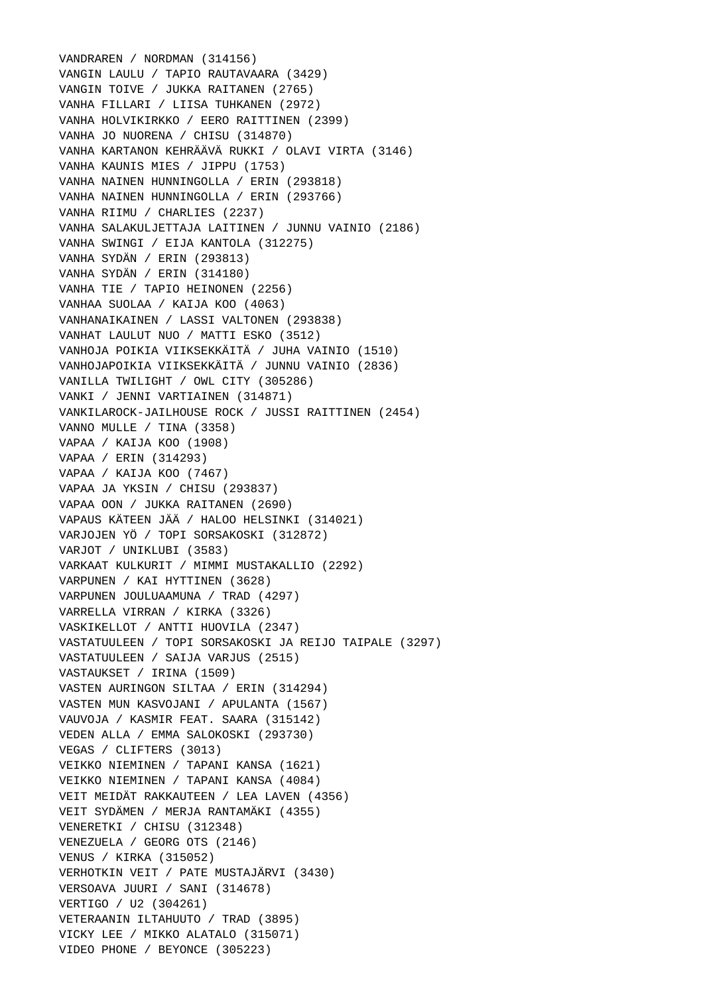VANDRAREN / NORDMAN (314156) VANGIN LAULU / TAPIO RAUTAVAARA (3429) VANGIN TOIVE / JUKKA RAITANEN (2765) VANHA FILLARI / LIISA TUHKANEN (2972) VANHA HOLVIKIRKKO / EERO RAITTINEN (2399) VANHA JO NUORENA / CHISU (314870) VANHA KARTANON KEHRÄÄVÄ RUKKI / OLAVI VIRTA (3146) VANHA KAUNIS MIES / JIPPU (1753) VANHA NAINEN HUNNINGOLLA / ERIN (293818) VANHA NAINEN HUNNINGOLLA / ERIN (293766) VANHA RIIMU / CHARLIES (2237) VANHA SALAKULJETTAJA LAITINEN / JUNNU VAINIO (2186) VANHA SWINGI / EIJA KANTOLA (312275) VANHA SYDÄN / ERIN (293813) VANHA SYDÄN / ERIN (314180) VANHA TIE / TAPIO HEINONEN (2256) VANHAA SUOLAA / KAIJA KOO (4063) VANHANAIKAINEN / LASSI VALTONEN (293838) VANHAT LAULUT NUO / MATTI ESKO (3512) VANHOJA POIKIA VIIKSEKKÄITÄ / JUHA VAINIO (1510) VANHOJAPOIKIA VIIKSEKKÄITÄ / JUNNU VAINIO (2836) VANILLA TWILIGHT / OWL CITY (305286) VANKI / JENNI VARTIAINEN (314871) VANKILAROCK-JAILHOUSE ROCK / JUSSI RAITTINEN (2454) VANNO MULLE / TINA (3358) VAPAA / KAIJA KOO (1908) VAPAA / ERIN (314293) VAPAA / KAIJA KOO (7467) VAPAA JA YKSIN / CHISU (293837) VAPAA OON / JUKKA RAITANEN (2690) VAPAUS KÄTEEN JÄÄ / HALOO HELSINKI (314021) VARJOJEN YÖ / TOPI SORSAKOSKI (312872) VARJOT / UNIKLUBI (3583) VARKAAT KULKURIT / MIMMI MUSTAKALLIO (2292) VARPUNEN / KAI HYTTINEN (3628) VARPUNEN JOULUAAMUNA / TRAD (4297) VARRELLA VIRRAN / KIRKA (3326) VASKIKELLOT / ANTTI HUOVILA (2347) VASTATUULEEN / TOPI SORSAKOSKI JA REIJO TAIPALE (3297) VASTATUULEEN / SAIJA VARJUS (2515) VASTAUKSET / IRINA (1509) VASTEN AURINGON SILTAA / ERIN (314294) VASTEN MUN KASVOJANI / APULANTA (1567) VAUVOJA / KASMIR FEAT. SAARA (315142) VEDEN ALLA / EMMA SALOKOSKI (293730) VEGAS / CLIFTERS (3013) VEIKKO NIEMINEN / TAPANI KANSA (1621) VEIKKO NIEMINEN / TAPANI KANSA (4084) VEIT MEIDÄT RAKKAUTEEN / LEA LAVEN (4356) VEIT SYDÄMEN / MERJA RANTAMÄKI (4355) VENERETKI / CHISU (312348) VENEZUELA / GEORG OTS (2146) VENUS / KIRKA (315052) VERHOTKIN VEIT / PATE MUSTAJÄRVI (3430) VERSOAVA JUURI / SANI (314678) VERTIGO / U2 (304261) VETERAANIN ILTAHUUTO / TRAD (3895) VICKY LEE / MIKKO ALATALO (315071) VIDEO PHONE / BEYONCE (305223)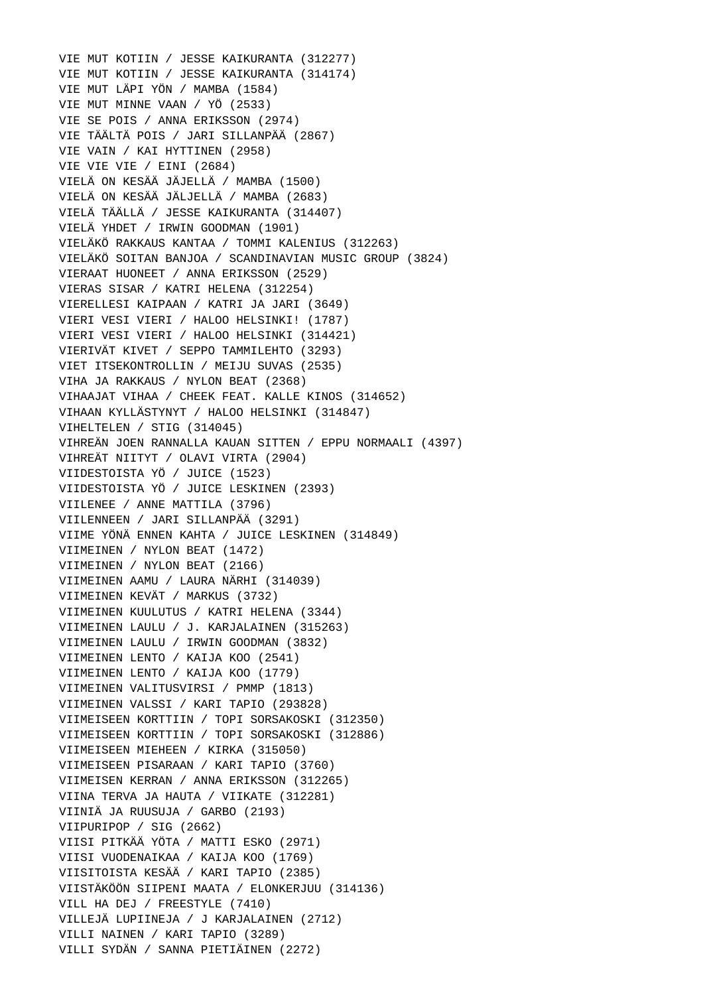VIE MUT KOTIIN / JESSE KAIKURANTA (312277) VIE MUT KOTIIN / JESSE KAIKURANTA (314174) VIE MUT LÄPI YÖN / MAMBA (1584) VIE MUT MINNE VAAN / YÖ (2533) VIE SE POIS / ANNA ERIKSSON (2974) VIE TÄÄLTÄ POIS / JARI SILLANPÄÄ (2867) VIE VAIN / KAI HYTTINEN (2958) VIE VIE VIE / EINI (2684) VIELÄ ON KESÄÄ JÄJELLÄ / MAMBA (1500) VIELÄ ON KESÄÄ JÄLJELLÄ / MAMBA (2683) VIELÄ TÄÄLLÄ / JESSE KAIKURANTA (314407) VIELÄ YHDET / IRWIN GOODMAN (1901) VIELÄKÖ RAKKAUS KANTAA / TOMMI KALENIUS (312263) VIELÄKÖ SOITAN BANJOA / SCANDINAVIAN MUSIC GROUP (3824) VIERAAT HUONEET / ANNA ERIKSSON (2529) VIERAS SISAR / KATRI HELENA (312254) VIERELLESI KAIPAAN / KATRI JA JARI (3649) VIERI VESI VIERI / HALOO HELSINKI! (1787) VIERI VESI VIERI / HALOO HELSINKI (314421) VIERIVÄT KIVET / SEPPO TAMMILEHTO (3293) VIET ITSEKONTROLLIN / MEIJU SUVAS (2535) VIHA JA RAKKAUS / NYLON BEAT (2368) VIHAAJAT VIHAA / CHEEK FEAT. KALLE KINOS (314652) VIHAAN KYLLÄSTYNYT / HALOO HELSINKI (314847) VIHELTELEN / STIG (314045) VIHREÄN JOEN RANNALLA KAUAN SITTEN / EPPU NORMAALI (4397) VIHREÄT NIITYT / OLAVI VIRTA (2904) VIIDESTOISTA YÖ / JUICE (1523) VIIDESTOISTA YÖ / JUICE LESKINEN (2393) VIILENEE / ANNE MATTILA (3796) VIILENNEEN / JARI SILLANPÄÄ (3291) VIIME YÖNÄ ENNEN KAHTA / JUICE LESKINEN (314849) VIIMEINEN / NYLON BEAT (1472) VIIMEINEN / NYLON BEAT (2166) VIIMEINEN AAMU / LAURA NÄRHI (314039) VIIMEINEN KEVÄT / MARKUS (3732) VIIMEINEN KUULUTUS / KATRI HELENA (3344) VIIMEINEN LAULU / J. KARJALAINEN (315263) VIIMEINEN LAULU / IRWIN GOODMAN (3832) VIIMEINEN LENTO / KAIJA KOO (2541) VIIMEINEN LENTO / KAIJA KOO (1779) VIIMEINEN VALITUSVIRSI / PMMP (1813) VIIMEINEN VALSSI / KARI TAPIO (293828) VIIMEISEEN KORTTIIN / TOPI SORSAKOSKI (312350) VIIMEISEEN KORTTIIN / TOPI SORSAKOSKI (312886) VIIMEISEEN MIEHEEN / KIRKA (315050) VIIMEISEEN PISARAAN / KARI TAPIO (3760) VIIMEISEN KERRAN / ANNA ERIKSSON (312265) VIINA TERVA JA HAUTA / VIIKATE (312281) VIINIÄ JA RUUSUJA / GARBO (2193) VIIPURIPOP / SIG (2662) VIISI PITKÄÄ YÖTA / MATTI ESKO (2971) VIISI VUODENAIKAA / KAIJA KOO (1769) VIISITOISTA KESÄÄ / KARI TAPIO (2385) VIISTÄKÖÖN SIIPENI MAATA / ELONKERJUU (314136) VILL HA DEJ / FREESTYLE (7410) VILLEJÄ LUPIINEJA / J KARJALAINEN (2712) VILLI NAINEN / KARI TAPIO (3289) VILLI SYDÄN / SANNA PIETIÄINEN (2272)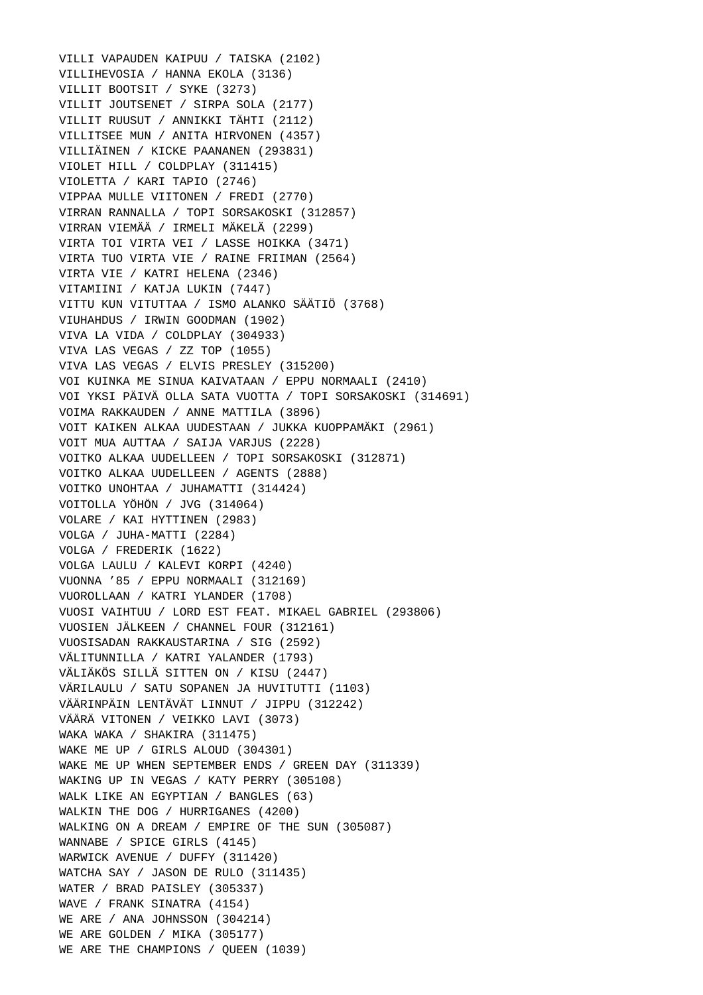VILLI VAPAUDEN KAIPUU / TAISKA (2102) VILLIHEVOSIA / HANNA EKOLA (3136) VILLIT BOOTSIT / SYKE (3273) VILLIT JOUTSENET / SIRPA SOLA (2177) VILLIT RUUSUT / ANNIKKI TÄHTI (2112) VILLITSEE MUN / ANITA HIRVONEN (4357) VILLIÄINEN / KICKE PAANANEN (293831) VIOLET HILL / COLDPLAY (311415) VIOLETTA / KARI TAPIO (2746) VIPPAA MULLE VIITONEN / FREDI (2770) VIRRAN RANNALLA / TOPI SORSAKOSKI (312857) VIRRAN VIEMÄÄ / IRMELI MÄKELÄ (2299) VIRTA TOI VIRTA VEI / LASSE HOIKKA (3471) VIRTA TUO VIRTA VIE / RAINE FRIIMAN (2564) VIRTA VIE / KATRI HELENA (2346) VITAMIINI / KATJA LUKIN (7447) VITTU KUN VITUTTAA / ISMO ALANKO SÄÄTIÖ (3768) VIUHAHDUS / IRWIN GOODMAN (1902) VIVA LA VIDA / COLDPLAY (304933) VIVA LAS VEGAS / ZZ TOP (1055) VIVA LAS VEGAS / ELVIS PRESLEY (315200) VOI KUINKA ME SINUA KAIVATAAN / EPPU NORMAALI (2410) VOI YKSI PÄIVÄ OLLA SATA VUOTTA / TOPI SORSAKOSKI (314691) VOIMA RAKKAUDEN / ANNE MATTILA (3896) VOIT KAIKEN ALKAA UUDESTAAN / JUKKA KUOPPAMÄKI (2961) VOIT MUA AUTTAA / SAIJA VARJUS (2228) VOITKO ALKAA UUDELLEEN / TOPI SORSAKOSKI (312871) VOITKO ALKAA UUDELLEEN / AGENTS (2888) VOITKO UNOHTAA / JUHAMATTI (314424) VOITOLLA YÖHÖN / JVG (314064) VOLARE / KAI HYTTINEN (2983) VOLGA / JUHA-MATTI (2284) VOLGA / FREDERIK (1622) VOLGA LAULU / KALEVI KORPI (4240) VUONNA '85 / EPPU NORMAALI (312169) VUOROLLAAN / KATRI YLANDER (1708) VUOSI VAIHTUU / LORD EST FEAT. MIKAEL GABRIEL (293806) VUOSIEN JÄLKEEN / CHANNEL FOUR (312161) VUOSISADAN RAKKAUSTARINA / SIG (2592) VÄLITUNNILLA / KATRI YALANDER (1793) VÄLIÄKÖS SILLÄ SITTEN ON / KISU (2447) VÄRILAULU / SATU SOPANEN JA HUVITUTTI (1103) VÄÄRINPÄIN LENTÄVÄT LINNUT / JIPPU (312242) VÄÄRÄ VITONEN / VEIKKO LAVI (3073) WAKA WAKA / SHAKIRA (311475) WAKE ME UP / GIRLS ALOUD (304301) WAKE ME UP WHEN SEPTEMBER ENDS / GREEN DAY (311339) WAKING UP IN VEGAS / KATY PERRY (305108) WALK LIKE AN EGYPTIAN / BANGLES (63) WALKIN THE DOG / HURRIGANES (4200) WALKING ON A DREAM / EMPIRE OF THE SUN (305087) WANNABE / SPICE GIRLS (4145) WARWICK AVENUE / DUFFY (311420) WATCHA SAY / JASON DE RULO (311435) WATER / BRAD PAISLEY (305337) WAVE / FRANK SINATRA (4154) WE ARE / ANA JOHNSSON (304214) WE ARE GOLDEN / MIKA (305177) WE ARE THE CHAMPIONS / QUEEN (1039)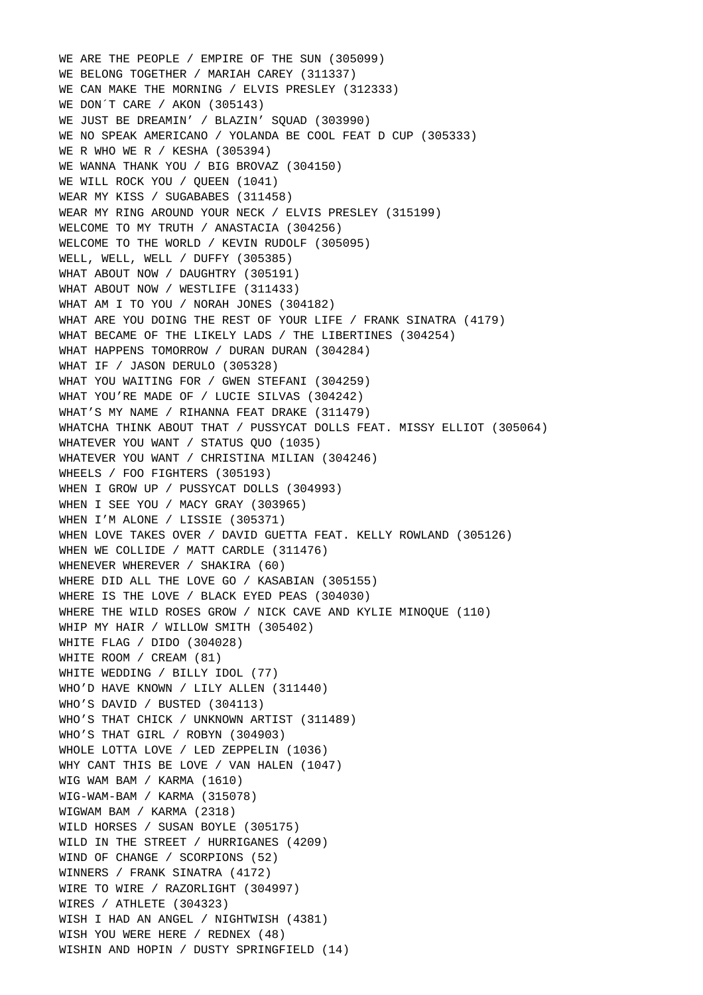WE ARE THE PEOPLE / EMPIRE OF THE SUN (305099) WE BELONG TOGETHER / MARIAH CAREY (311337) WE CAN MAKE THE MORNING / ELVIS PRESLEY (312333) WE DON'T CARE / AKON (305143) WE JUST BE DREAMIN' / BLAZIN' SQUAD (303990) WE NO SPEAK AMERICANO / YOLANDA BE COOL FEAT D CUP (305333) WE R WHO WE R / KESHA (305394) WE WANNA THANK YOU / BIG BROVAZ (304150) WE WILL ROCK YOU / OUEEN (1041) WEAR MY KISS / SUGABABES (311458) WEAR MY RING AROUND YOUR NECK / ELVIS PRESLEY (315199) WELCOME TO MY TRUTH / ANASTACIA (304256) WELCOME TO THE WORLD / KEVIN RUDOLF (305095) WELL, WELL, WELL / DUFFY (305385) WHAT ABOUT NOW / DAUGHTRY (305191) WHAT ABOUT NOW / WESTLIFE (311433) WHAT AM I TO YOU / NORAH JONES (304182) WHAT ARE YOU DOING THE REST OF YOUR LIFE / FRANK SINATRA (4179) WHAT BECAME OF THE LIKELY LADS / THE LIBERTINES (304254) WHAT HAPPENS TOMORROW / DURAN DURAN (304284) WHAT IF / JASON DERULO (305328) WHAT YOU WAITING FOR / GWEN STEFANI (304259) WHAT YOU'RE MADE OF / LUCIE SILVAS (304242) WHAT'S MY NAME / RIHANNA FEAT DRAKE (311479) WHATCHA THINK ABOUT THAT / PUSSYCAT DOLLS FEAT. MISSY ELLIOT (305064) WHATEVER YOU WANT / STATUS QUO (1035) WHATEVER YOU WANT / CHRISTINA MILIAN (304246) WHEELS / FOO FIGHTERS (305193) WHEN I GROW UP / PUSSYCAT DOLLS (304993) WHEN I SEE YOU / MACY GRAY (303965) WHEN I'M ALONE / LISSIE (305371) WHEN LOVE TAKES OVER / DAVID GUETTA FEAT. KELLY ROWLAND (305126) WHEN WE COLLIDE / MATT CARDLE (311476) WHENEVER WHEREVER / SHAKIRA (60) WHERE DID ALL THE LOVE GO / KASABIAN (305155) WHERE IS THE LOVE / BLACK EYED PEAS (304030) WHERE THE WILD ROSES GROW / NICK CAVE AND KYLIE MINOQUE (110) WHIP MY HAIR / WILLOW SMITH (305402) WHITE FLAG / DIDO (304028) WHITE ROOM / CREAM (81) WHITE WEDDING / BILLY IDOL (77) WHO'D HAVE KNOWN / LILY ALLEN (311440) WHO'S DAVID / BUSTED (304113) WHO'S THAT CHICK / UNKNOWN ARTIST (311489) WHO'S THAT GIRL / ROBYN (304903) WHOLE LOTTA LOVE / LED ZEPPELIN (1036) WHY CANT THIS BE LOVE / VAN HALEN (1047) WIG WAM BAM / KARMA (1610) WIG-WAM-BAM / KARMA (315078) WIGWAM BAM / KARMA (2318) WILD HORSES / SUSAN BOYLE (305175) WILD IN THE STREET / HURRIGANES (4209) WIND OF CHANGE / SCORPIONS (52) WINNERS / FRANK SINATRA (4172) WIRE TO WIRE / RAZORLIGHT (304997) WIRES / ATHLETE (304323) WISH I HAD AN ANGEL / NIGHTWISH (4381) WISH YOU WERE HERE / REDNEX (48) WISHIN AND HOPIN / DUSTY SPRINGFIELD (14)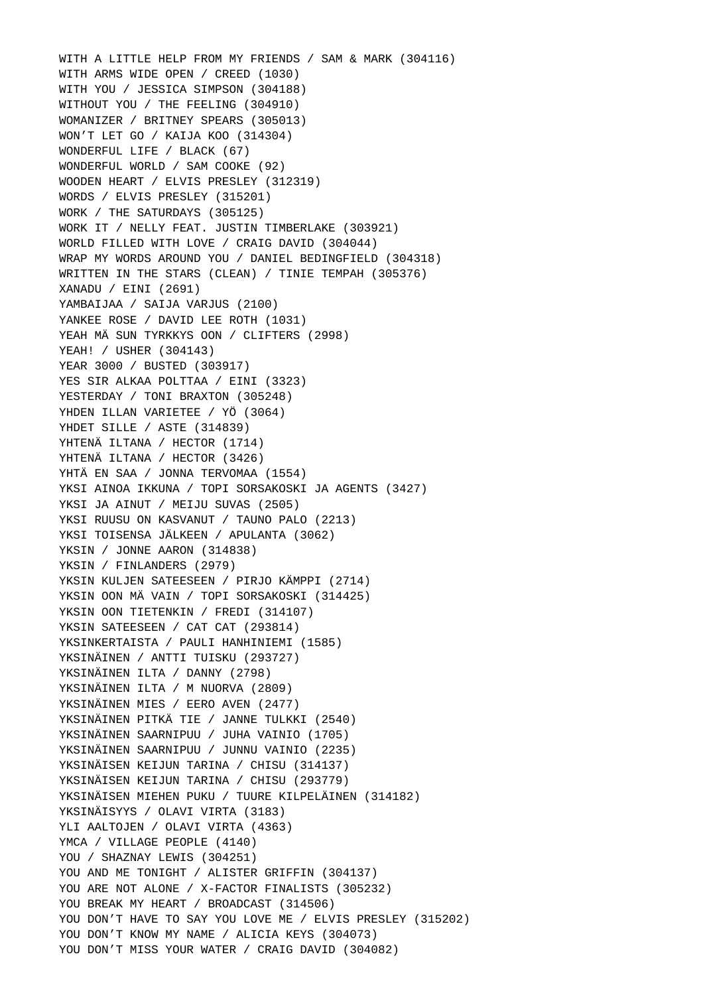WITH A LITTLE HELP FROM MY FRIENDS / SAM & MARK (304116) WITH ARMS WIDE OPEN / CREED (1030) WITH YOU / JESSICA SIMPSON (304188) WITHOUT YOU / THE FEELING (304910) WOMANIZER / BRITNEY SPEARS (305013) WON'T LET GO / KAIJA KOO (314304) WONDERFUL LIFE / BLACK (67) WONDERFUL WORLD / SAM COOKE (92) WOODEN HEART / ELVIS PRESLEY (312319) WORDS / ELVIS PRESLEY (315201) WORK / THE SATURDAYS (305125) WORK IT / NELLY FEAT. JUSTIN TIMBERLAKE (303921) WORLD FILLED WITH LOVE / CRAIG DAVID (304044) WRAP MY WORDS AROUND YOU / DANIEL BEDINGFIELD (304318) WRITTEN IN THE STARS (CLEAN) / TINIE TEMPAH (305376) XANADU / EINI (2691) YAMBAIJAA / SAIJA VARJUS (2100) YANKEE ROSE / DAVID LEE ROTH (1031) YEAH MÄ SUN TYRKKYS OON / CLIFTERS (2998) YEAH! / USHER (304143) YEAR 3000 / BUSTED (303917) YES SIR ALKAA POLTTAA / EINI (3323) YESTERDAY / TONI BRAXTON (305248) YHDEN ILLAN VARIETEE / YÖ (3064) YHDET SILLE / ASTE (314839) YHTENÄ ILTANA / HECTOR (1714) YHTENÄ ILTANA / HECTOR (3426) YHTÄ EN SAA / JONNA TERVOMAA (1554) YKSI AINOA IKKUNA / TOPI SORSAKOSKI JA AGENTS (3427) YKSI JA AINUT / MEIJU SUVAS (2505) YKSI RUUSU ON KASVANUT / TAUNO PALO (2213) YKSI TOISENSA JÄLKEEN / APULANTA (3062) YKSIN / JONNE AARON (314838) YKSIN / FINLANDERS (2979) YKSIN KULJEN SATEESEEN / PIRJO KÄMPPI (2714) YKSIN OON MÄ VAIN / TOPI SORSAKOSKI (314425) YKSIN OON TIETENKIN / FREDI (314107) YKSIN SATEESEEN / CAT CAT (293814) YKSINKERTAISTA / PAULI HANHINIEMI (1585) YKSINÄINEN / ANTTI TUISKU (293727) YKSINÄINEN ILTA / DANNY (2798) YKSINÄINEN ILTA / M NUORVA (2809) YKSINÄINEN MIES / EERO AVEN (2477) YKSINÄINEN PITKÄ TIE / JANNE TULKKI (2540) YKSINÄINEN SAARNIPUU / JUHA VAINIO (1705) YKSINÄINEN SAARNIPUU / JUNNU VAINIO (2235) YKSINÄISEN KEIJUN TARINA / CHISU (314137) YKSINÄISEN KEIJUN TARINA / CHISU (293779) YKSINÄISEN MIEHEN PUKU / TUURE KILPELÄINEN (314182) YKSINÄISYYS / OLAVI VIRTA (3183) YLI AALTOJEN / OLAVI VIRTA (4363) YMCA / VILLAGE PEOPLE (4140) YOU / SHAZNAY LEWIS (304251) YOU AND ME TONIGHT / ALISTER GRIFFIN (304137) YOU ARE NOT ALONE / X-FACTOR FINALISTS (305232) YOU BREAK MY HEART / BROADCAST (314506) YOU DON'T HAVE TO SAY YOU LOVE ME / ELVIS PRESLEY (315202) YOU DON'T KNOW MY NAME / ALICIA KEYS (304073) YOU DON'T MISS YOUR WATER / CRAIG DAVID (304082)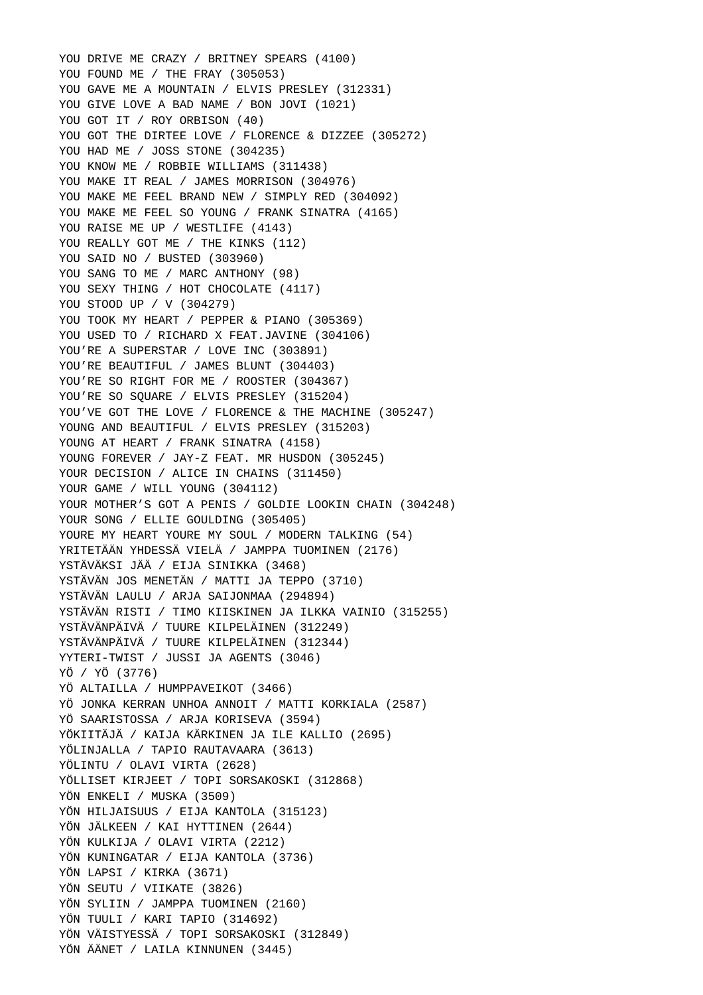YOU DRIVE ME CRAZY / BRITNEY SPEARS (4100) YOU FOUND ME / THE FRAY (305053) YOU GAVE ME A MOUNTAIN / ELVIS PRESLEY (312331) YOU GIVE LOVE A BAD NAME / BON JOVI (1021) YOU GOT IT / ROY ORBISON (40) YOU GOT THE DIRTEE LOVE / FLORENCE & DIZZEE (305272) YOU HAD ME / JOSS STONE (304235) YOU KNOW ME / ROBBIE WILLIAMS (311438) YOU MAKE IT REAL / JAMES MORRISON (304976) YOU MAKE ME FEEL BRAND NEW / SIMPLY RED (304092) YOU MAKE ME FEEL SO YOUNG / FRANK SINATRA (4165) YOU RAISE ME UP / WESTLIFE (4143) YOU REALLY GOT ME / THE KINKS (112) YOU SAID NO / BUSTED (303960) YOU SANG TO ME / MARC ANTHONY (98) YOU SEXY THING / HOT CHOCOLATE (4117) YOU STOOD UP / V (304279) YOU TOOK MY HEART / PEPPER & PIANO (305369) YOU USED TO / RICHARD X FEAT.JAVINE (304106) YOU'RE A SUPERSTAR / LOVE INC (303891) YOU'RE BEAUTIFUL / JAMES BLUNT (304403) YOU'RE SO RIGHT FOR ME / ROOSTER (304367) YOU'RE SO SOUARE / ELVIS PRESLEY (315204) YOU'VE GOT THE LOVE / FLORENCE & THE MACHINE (305247) YOUNG AND BEAUTIFUL / ELVIS PRESLEY (315203) YOUNG AT HEART / FRANK SINATRA (4158) YOUNG FOREVER / JAY-Z FEAT. MR HUSDON (305245) YOUR DECISION / ALICE IN CHAINS (311450) YOUR GAME / WILL YOUNG (304112) YOUR MOTHER'S GOT A PENIS / GOLDIE LOOKIN CHAIN (304248) YOUR SONG / ELLIE GOULDING (305405) YOURE MY HEART YOURE MY SOUL / MODERN TALKING (54) YRITETÄÄN YHDESSÄ VIELÄ / JAMPPA TUOMINEN (2176) YSTÄVÄKSI JÄÄ / EIJA SINIKKA (3468) YSTÄVÄN JOS MENETÄN / MATTI JA TEPPO (3710) YSTÄVÄN LAULU / ARJA SAIJONMAA (294894) YSTÄVÄN RISTI / TIMO KIISKINEN JA ILKKA VAINIO (315255) YSTÄVÄNPÄIVÄ / TUURE KILPELÄINEN (312249) YSTÄVÄNPÄIVÄ / TUURE KILPELÄINEN (312344) YYTERI-TWIST / JUSSI JA AGENTS (3046) YÖ / YÖ (3776) YÖ ALTAILLA / HUMPPAVEIKOT (3466) YÖ JONKA KERRAN UNHOA ANNOIT / MATTI KORKIALA (2587) YÖ SAARISTOSSA / ARJA KORISEVA (3594) YÖKIITÄJÄ / KAIJA KÄRKINEN JA ILE KALLIO (2695) YÖLINJALLA / TAPIO RAUTAVAARA (3613) YÖLINTU / OLAVI VIRTA (2628) YÖLLISET KIRJEET / TOPI SORSAKOSKI (312868) YÖN ENKELI / MUSKA (3509) YÖN HILJAISUUS / EIJA KANTOLA (315123) YÖN JÄLKEEN / KAI HYTTINEN (2644) YÖN KULKIJA / OLAVI VIRTA (2212) YÖN KUNINGATAR / EIJA KANTOLA (3736) YÖN LAPSI / KIRKA (3671) YÖN SEUTU / VIIKATE (3826) YÖN SYLIIN / JAMPPA TUOMINEN (2160) YÖN TUULI / KARI TAPIO (314692) YÖN VÄISTYESSÄ / TOPI SORSAKOSKI (312849) YÖN ÄÄNET / LAILA KINNUNEN (3445)